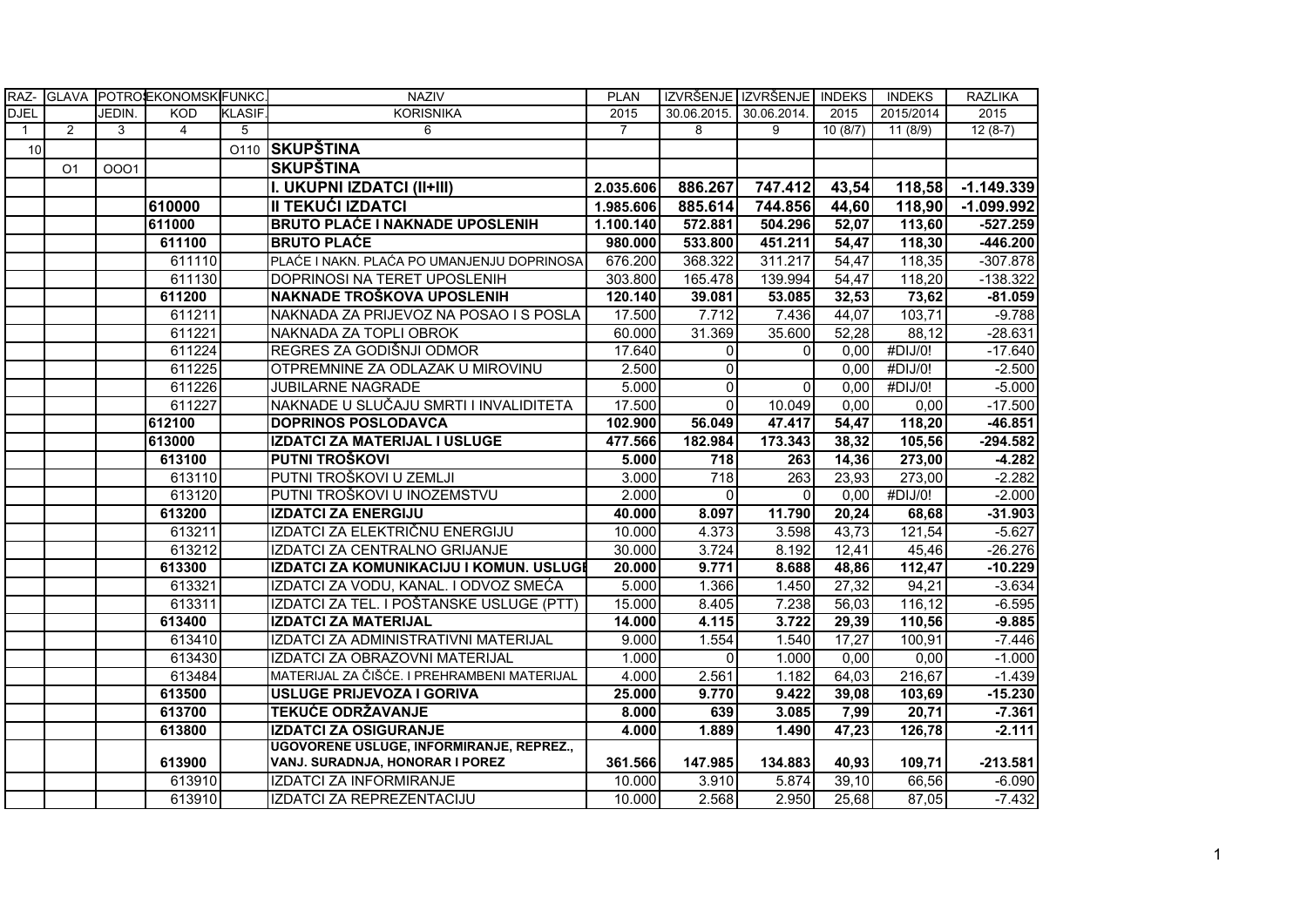| RAZ-           |                |        | GLAVA POTROLEKONOMSK FUNKC. |                | <b>NAZIV</b>                                | <b>PLAN</b>    |                         | IZVRŠENJE IZVRŠENJE INDEKS |         | <b>INDEKS</b> | <b>RAZLIKA</b> |
|----------------|----------------|--------|-----------------------------|----------------|---------------------------------------------|----------------|-------------------------|----------------------------|---------|---------------|----------------|
| <b>DJEL</b>    |                | JEDIN. | <b>KOD</b>                  | <b>KLASIF.</b> | <b>KORISNIKA</b>                            | 2015           | 30.06.2015. 30.06.2014. |                            | 2015    | 2015/2014     | 2015           |
| $\overline{1}$ | $\overline{2}$ | 3      | $\overline{4}$              | 5              | 6                                           | $\overline{7}$ | 8                       | 9                          | 10(8/7) | 11(8/9)       | $12(8-7)$      |
| 10             |                |        |                             |                | 0110 SKUPŠTINA                              |                |                         |                            |         |               |                |
|                | O <sub>1</sub> | 0001   |                             |                | SKUPŠTINA                                   |                |                         |                            |         |               |                |
|                |                |        |                             |                | I. UKUPNI IZDATCI (II+III)                  | 2.035.606      | 886.267                 | 747.412                    | 43,54   | 118,58        | $-1.149.339$   |
|                |                |        | 610000                      |                | <b>II TEKUĆI IZDATCI</b>                    | 1.985.606      | 885.614                 | 744.856                    | 44,60   | 118,90        | $-1.099.992$   |
|                |                |        | 611000                      |                | <b>BRUTO PLAĆE I NAKNADE UPOSLENIH</b>      | 1.100.140      | 572.881                 | 504.296                    | 52,07   | 113,60        | $-527.259$     |
|                |                |        | 611100                      |                | <b>BRUTO PLAĆE</b>                          | 980.000        | 533.800                 | 451.211                    | 54,47   | 118,30        | $-446.200$     |
|                |                |        | 611110                      |                | PLAĆE I NAKN. PLAĆA PO UMANJENJU DOPRINOSA  | 676.200        | 368.322                 | 311.217                    | 54,47   | 118,35        | $-307.878$     |
|                |                |        | 611130                      |                | DOPRINOSI NA TERET UPOSLENIH                | 303.800        | 165.478                 | 139.994                    | 54,47   | 118,20        | $-138.322$     |
|                |                |        | 611200                      |                | NAKNADE TROŠKOVA UPOSLENIH                  | 120.140        | 39.081                  | 53.085                     | 32,53   | 73,62         | $-81.059$      |
|                |                |        | 611211                      |                | NAKNADA ZA PRIJEVOZ NA POSAO I S POSLA      | 17.500         | 7.712                   | 7.436                      | 44,07   | 103,71        | $-9.788$       |
|                |                |        | 611221                      |                | INAKNADA ZA TOPLI OBROK                     | 60.000         | 31.369                  | 35.600                     | 52,28   | 88,12         | $-28.631$      |
|                |                |        | 611224                      |                | REGRES ZA GODIŠNJI ODMOR                    | 17.640         | $\Omega$                | $\Omega$                   | 0.00    | #DIJ/0!       | $-17.640$      |
|                |                |        | 611225                      |                | OTPREMNINE ZA ODLAZAK U MIROVINU            | 2.500          | $\Omega$                |                            | 0,00    | #DIJ/0!       | $-2.500$       |
|                |                |        | 611226                      |                | JUBILARNE NAGRADE                           | 5.000          | $\Omega$                | $\Omega$                   | 0,00    | #DIJ/0!       | $-5.000$       |
|                |                |        | 611227                      |                | NAKNADE U SLUČAJU SMRTI I INVALIDITETA      | 17.500         | $\Omega$                | 10.049                     | 0,00    | 0,00          | $-17.500$      |
|                |                |        | 612100                      |                | <b>DOPRINOS POSLODAVCA</b>                  | 102.900        | 56.049                  | 47.417                     | 54,47   | 118,20        | $-46.851$      |
|                |                |        | 613000                      |                | IZDATCI ZA MATERIJAL I USLUGE               | 477.566        | 182.984                 | 173.343                    | 38,32   | 105,56        | $-294.582$     |
|                |                |        | 613100                      |                | PUTNI TROŠKOVI                              | 5.000          | 718                     | 263                        | 14,36   | 273,00        | $-4.282$       |
|                |                |        | 613110                      |                | PUTNI TROŠKOVI U ZEMLJI                     | 3.000          | $\overline{718}$        | 263                        | 23,93   | 273,00        | $-2.282$       |
|                |                |        | 613120                      |                | PUTNI TROŠKOVI U INOZEMSTVU                 | 2.000          | $\Omega$                | $\Omega$                   | 0,00    | #DIJ/0!       | $-2.000$       |
|                |                |        | 613200                      |                | <b>IZDATCI ZA ENERGIJU</b>                  | 40.000         | 8.097                   | 11.790                     | 20,24   | 68,68         | $-31.903$      |
|                |                |        | 613211                      |                | IZDATCI ZA ELEKTRIČNU ENERGIJU              | 10.000         | 4.373                   | 3.598                      | 43,73   | 121,54        | $-5.627$       |
|                |                |        | 613212                      |                | IZDATCI ZA CENTRALNO GRIJANJE               | 30.000         | 3.724                   | 8.192                      | 12,41   | 45,46         | $-26.276$      |
|                |                |        | 613300                      |                | IZDATCI ZA KOMUNIKACIJU I KOMUN. USLUGI     | 20.000         | 9.771                   | 8.688                      | 48,86   | 112,47        | $-10.229$      |
|                |                |        | 613321                      |                | IZDATCI ZA VODU, KANAL. I ODVOZ SMEĆA       | 5.000          | 1.366                   | 1.450                      | 27,32   | 94,21         | $-3.634$       |
|                |                |        | 613311                      |                | IZDATCI ZA TEL. I POŠTANSKE USLUGE (PTT)    | 15.000         | 8.405                   | 7.238                      | 56,03   | 116,12        | $-6.595$       |
|                |                |        | 613400                      |                | <b>IZDATCI ZA MATERIJAL</b>                 | 14.000         | 4.115                   | 3.722                      | 29,39   | 110,56        | $-9.885$       |
|                |                |        | 613410                      |                | IZDATCI ZA ADMINISTRATIVNI MATERIJAL        | 9.000          | 1.554                   | 1.540                      | 17,27   | 100,91        | $-7.446$       |
|                |                |        | 613430                      |                | IZDATCI ZA OBRAZOVNI MATERIJAL              | 1.000          | $\Omega$                | 1.000                      | 0,00    | 0,00          | $-1.000$       |
|                |                |        | 613484                      |                | MATERIJAL ZA ČIŠĆE. I PREHRAMBENI MATERIJAL | 4.000          | 2.561                   | 1.182                      | 64,03   | 216,67        | $-1.439$       |
|                |                |        | 613500                      |                | <b>USLUGE PRIJEVOZA I GORIVA</b>            | 25.000         | 9.770                   | 9.422                      | 39,08   | 103,69        | $-15.230$      |
|                |                |        | 613700                      |                | <b>TEKUĆE ODRŽAVANJE</b>                    | 8.000          | 639                     | 3.085                      | 7,99    | 20,71         | $-7.361$       |
|                |                |        | 613800                      |                | <b>IZDATCI ZA OSIGURANJE</b>                | 4.000          | 1.889                   | 1.490                      | 47,23   | 126,78        | $-2.111$       |
|                |                |        |                             |                | UGOVORENE USLUGE, INFORMIRANJE, REPREZ.,    |                |                         |                            |         |               |                |
|                |                |        | 613900                      |                | VANJ. SURADNJA, HONORAR I POREZ             | 361.566        | 147.985                 | 134.883                    | 40,93   | 109,71        | $-213.581$     |
|                |                |        | 613910                      |                | IZDATCI ZA INFORMIRANJE                     | 10.000         | 3.910                   | 5.874                      | 39,10   | 66,56         | $-6.090$       |
|                |                |        | 613910                      |                | IZDATCI ZA REPREZENTACIJU                   | 10.000         | 2.568                   | 2.950                      | 25,68   | 87,05         | $-7.432$       |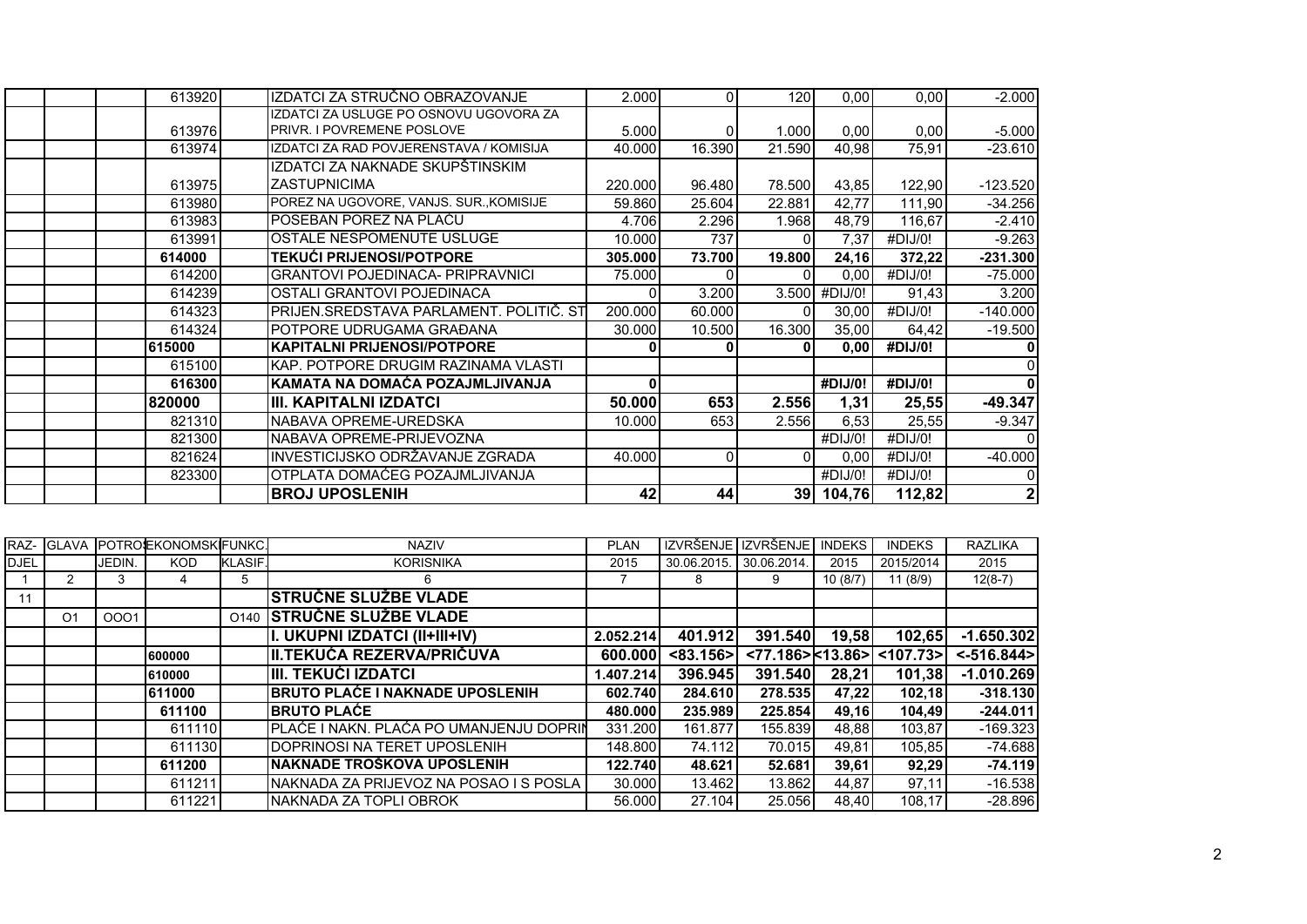| 613920 | IZDATCI ZA STRUČNO OBRAZOVANJE          | 2.000   | $\Omega$ | 120    | 0,00          | 0,00    | $-2.000$    |
|--------|-----------------------------------------|---------|----------|--------|---------------|---------|-------------|
|        | IZDATCI ZA USLUGE PO OSNOVU UGOVORA ZA  |         |          |        |               |         |             |
| 613976 | <b>PRIVR. I POVREMENE POSLOVE</b>       | 5.000   | 0        | 1.000  | 0,00          | 0.00    | $-5.000$    |
| 613974 | IZDATCI ZA RAD POVJERENSTAVA / KOMISIJA | 40.000  | 16.390   | 21.590 | 40,98         | 75,91   | $-23.610$   |
|        | IZDATCI ZA NAKNADE SKUPŠTINSKIM         |         |          |        |               |         |             |
| 613975 | <b>ZASTUPNICIMA</b>                     | 220,000 | 96.480   | 78.500 | 43,85         | 122,90  | $-123.520$  |
| 613980 | POREZ NA UGOVORE, VANJS. SUR., KOMISIJE | 59.860  | 25.604   | 22.881 | 42,77         | 111,90  | $-34.256$   |
| 613983 | POSEBAN POREZ NA PLAĆU                  | 4.706   | 2.296    | 1.968  | 48,79         | 116,67  | $-2.410$    |
| 613991 | OSTALE NESPOMENUTE USLUGE               | 10.000  | 737      |        | 7,37          | #DIJ/0! | $-9.263$    |
| 614000 | <b>TEKUĆI PRIJENOSI/POTPORE</b>         | 305.000 | 73.700   | 19.800 | 24,16         | 372,22  | $-231.300$  |
| 614200 | <b>GRANTOVI POJEDINACA- PRIPRAVNICI</b> | 75.000  |          |        | 0,00          | #DIJ/0! | $-75.000$   |
| 614239 | <b>OSTALI GRANTOVI POJEDINACA</b>       |         | 3.200    |        | 3.500 #DIJ/0! | 91,43   | 3.200       |
| 614323 | PRIJEN.SREDSTAVA PARLAMENT. POLITIČ. ST | 200.000 | 60.000   |        | 30,00         | #DIJ/0! | $-140.000$  |
| 614324 | POTPORE UDRUGAMA GRAĐANA                | 30.000  | 10.500   | 16.300 | 35,00         | 64,42   | $-19.500$   |
| 615000 | KAPITALNI PRIJENOSI/POTPORE             |         |          | 0      | 0,00          | #DIJ/0! |             |
| 615100 | IKAP. POTPORE DRUGIM RAZINAMA VLASTI    |         |          |        |               |         |             |
| 616300 | KAMATA NA DOMAĆA POZAJMLJIVANJA         |         |          |        | #DIJ/0!       | #DIJ/0! |             |
| 820000 | IIII. KAPITALNI IZDATCI                 | 50.000  | 653      | 2.556  | 1,31          | 25,55   | $-49.347$   |
| 821310 | NABAVA OPREME-UREDSKA                   | 10.000  | 653      | 2.556  | 6,53          | 25,55   | $-9.347$    |
| 821300 | NABAVA OPREME-PRIJEVOZNA                |         |          |        | #DIJ/0!       | #DIJ/0! |             |
| 821624 | INVESTICIJSKO ODRŽAVANJE ZGRADA         | 40.000  |          |        | 0,00          | #DIJ/0! | $-40.000$   |
| 823300 | OTPLATA DOMAĆEG POZAJMLJIVANJA          |         |          |        | #DIJ/0!       | #DIJ/0! | 0           |
|        | <b>BROJ UPOSLENIH</b>                   | 42      | 44       |        | 39 104,76     | 112,82  | $\mathbf 2$ |

|             | RAZ- GLAVA     |        | <b>POTROJEKONOMSKIFUNKC.</b> |                  | <b>NAZIV</b>                             | <b>PLAN</b> |             | IZVRŠENJE I IZVRŠENJE        | <b>INDEKS</b> | <b>INDEKS</b> | <b>RAZLIKA</b> |
|-------------|----------------|--------|------------------------------|------------------|------------------------------------------|-------------|-------------|------------------------------|---------------|---------------|----------------|
| <b>DJEL</b> |                | JEDIN. | <b>KOD</b>                   | <b>KLASIF.</b>   | <b>KORISNIKA</b>                         | 2015        | 30.06.2015. | 30.06.2014.                  | 2015          | 2015/2014     | 2015           |
|             |                | 3      |                              | 5                | 6                                        |             | 8           | 9                            | 10(8/7)       | 11(8/9)       | $12(8-7)$      |
| 11          |                |        |                              |                  | STRUČNE SLUŽBE VLADE                     |             |             |                              |               |               |                |
|             | O <sub>1</sub> | 0001   |                              | O <sub>140</sub> | <b>STRUČNE SLUŽBE VLADE</b>              |             |             |                              |               |               |                |
|             |                |        |                              |                  | I. UKUPNI IZDATCI (II+III+IV)            | 2.052.214   | 401.912     | 391.540                      | 19,58         | 102,65        | $-1.650.302$   |
|             |                |        | 600000                       |                  | III.TEKUĆA REZERVA/PRIČUVA               | 600.000     | < 83.156    | $\leq 77.186 > \leq 13.86 >$ |               | $<$ 107.73>   | $< -516.844>$  |
|             |                |        | 610000                       |                  | IIII. TEKUĆI IZDATCI                     | 1.407.214   | 396.945     | 391.540                      | 28,21         | 101,38        | $-1.010.269$   |
|             |                |        | 611000                       |                  | <b>BRUTO PLAĆE I NAKNADE UPOSLENIH</b>   | 602.740     | 284.610     | 278.535                      | 47,22         | 102,18        | $-318.130$     |
|             |                |        | 611100                       |                  | <b>IBRUTO PLAĆE</b>                      | 480.000     | 235.989     | 225.854                      | 49,16         | 104,49        | $-244.011$     |
|             |                |        | 611110                       |                  | PLAĆE I NAKN. PLAĆA PO UMANJENJU DOPRIN  | 331.200     | 161.877     | 155.839                      | 48.88         | 103,87        | $-169.323$     |
|             |                |        | 611130                       |                  | DOPRINOSI NA TERET UPOSLENIH             | 148,800     | 74.112      | 70.015                       | 49,81         | 105,85        | $-74.688$      |
|             |                |        | 611200                       |                  | NAKNADE TROŠKOVA UPOSLENIH               | 122.740     | 48.621      | 52.681                       | 39,61         | 92,29         | $-74.119$      |
|             |                |        | 611211                       |                  | NAKNADA ZA PRIJEVOZ NA POSAO I S POSLA I | 30.000      | 13.462      | 13.862                       | 44,87         | 97,11         | $-16.538$      |
|             |                |        | 611221                       |                  | NAKNADA ZA TOPLI OBROK                   | 56,000      | 27.104      | 25.056                       | 48.40         | 108.17        | $-28.896$      |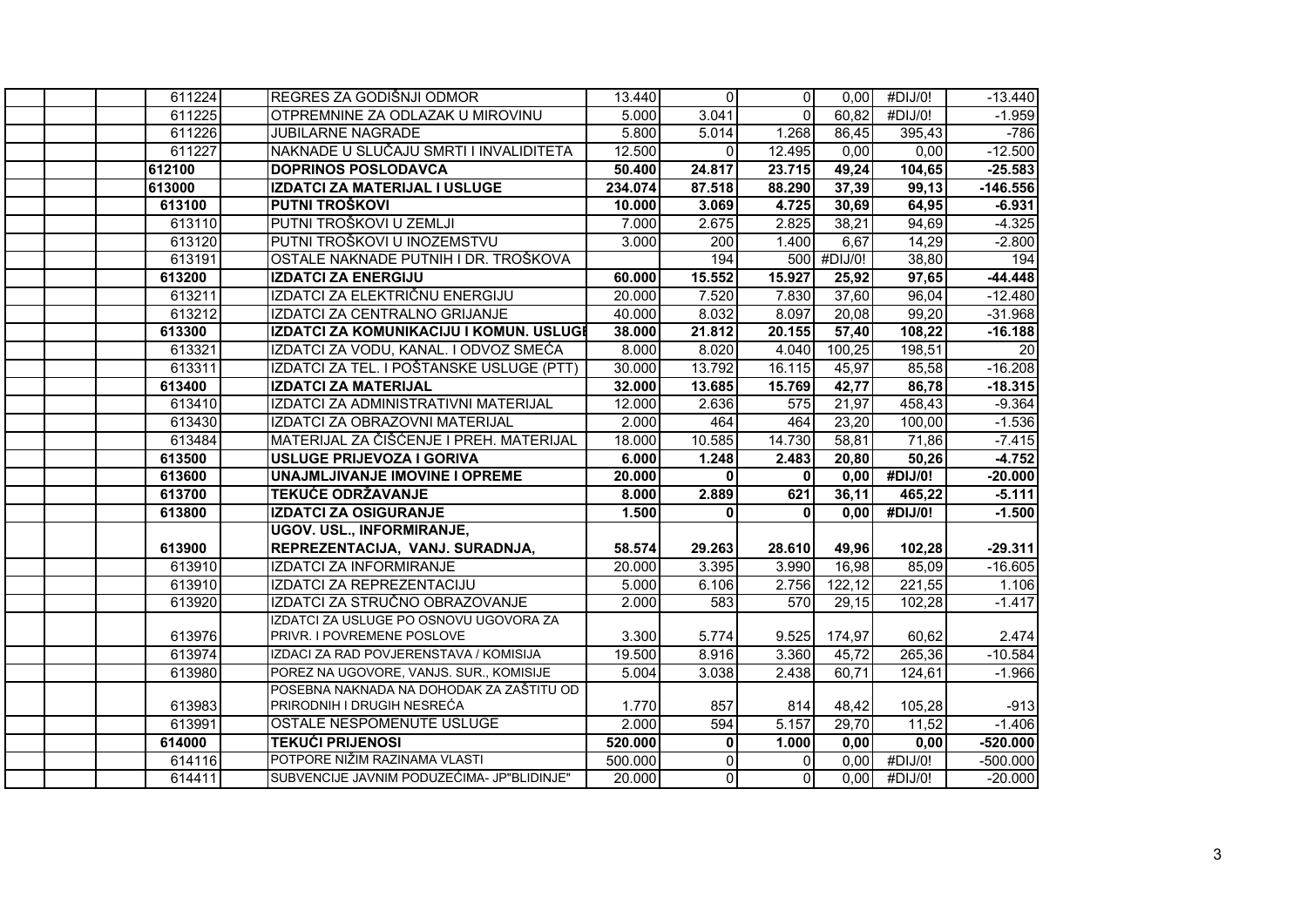| 611224 | REGRES ZA GODIŠNJI ODMOR                   | 13.440  | $\Omega$     | $\overline{0}$ | 0,00        | #DIJ/0!             | $-13.440$       |
|--------|--------------------------------------------|---------|--------------|----------------|-------------|---------------------|-----------------|
| 611225 | OTPREMNINE ZA ODLAZAK U MIROVINU           | 5.000   | 3.041        | $\Omega$       | 60,82       | #DIJ/0!             | $-1.959$        |
| 611226 | JUBILARNE NAGRADE                          | 5.800   | 5.014        | 1.268          | 86,45       | 395,43              | $-786$          |
| 611227 | NAKNADE U SLUČAJU SMRTI I INVALIDITETA     | 12.500  | $\Omega$     | 12.495         | 0,00        | 0,00                | $-12.500$       |
| 612100 | <b>DOPRINOS POSLODAVCA</b>                 | 50.400  | 24.817       | 23.715         | 49,24       | 104,65              | $-25.583$       |
| 613000 | IZDATCI ZA MATERIJAL I USLUGE              | 234.074 | 87.518       | 88.290         | 37,39       | 99,13               | $-146.556$      |
| 613100 | PUTNI TROŠKOVI                             | 10.000  | 3.069        | 4.725          | 30,69       | 64,95               | $-6.931$        |
| 613110 | PUTNI TROŠKOVI U ZEMLJI                    | 7.000   | 2.675        | 2.825          | 38,21       | 94,69               | $-4.325$        |
| 613120 | PUTNI TROŠKOVI U INOZEMSTVU                | 3.000   | 200          | 1.400          | 6,67        | 14,29               | $-2.800$        |
| 613191 | OSTALE NAKNADE PUTNIH I DR. TROŠKOVA       |         | 194          |                | 500 #DIJ/0! | 38,80               | 194             |
| 613200 | <b>IZDATCI ZA ENERGIJU</b>                 | 60.000  | 15.552       | 15.927         | 25,92       | 97,65               | $-44.448$       |
| 613211 | IZDATCI ZA ELEKTRIČNU ENERGIJU             | 20.000  | 7.520        | 7.830          | 37,60       | 96,04               | $-12.480$       |
| 613212 | IZDATCI ZA CENTRALNO GRIJANJE              | 40.000  | 8.032        | 8.097          | 20,08       | 99,20               | $-31.968$       |
| 613300 | IZDATCI ZA KOMUNIKACIJU I KOMUN. USLUGI    | 38.000  | 21.812       | 20.155         | 57,40       | 108,22              | $-16.188$       |
| 613321 | IZDATCI ZA VODU, KANAL. I ODVOZ SMEĆA      | 8.000   | 8.020        | 4.040          | 100,25      | 198,51              | $\overline{20}$ |
| 613311 | IZDATCI ZA TEL. I POŠTANSKE USLUGE (PTT)   | 30.000  | 13.792       | 16.115         | 45,97       | 85,58               | $-16.208$       |
| 613400 | <b>IZDATCI ZA MATERIJAL</b>                | 32.000  | 13.685       | 15.769         | 42,77       | 86,78               | $-18.315$       |
| 613410 | IZDATCI ZA ADMINISTRATIVNI MATERIJAL       | 12.000  | 2.636        | 575            | 21,97       | 458,43              | $-9.364$        |
| 613430 | IZDATCI ZA OBRAZOVNI MATERIJAL             | 2.000   | 464          | 464            | 23,20       | 100,00              | $-1.536$        |
| 613484 | MATERIJAL ZA ČIŠĆENJE I PREH. MATERIJAL    | 18.000  | 10.585       | 14.730         | 58,81       | 71,86               | $-7.415$        |
| 613500 | USLUGE PRIJEVOZA I GORIVA                  | 6.000   | 1.248        | 2.483          | 20,80       | 50,26               | $-4.752$        |
| 613600 | UNAJMLJIVANJE IMOVINE I OPREME             | 20.000  | $\mathbf{0}$ | 0              | 0,00        | #DIJ/0!             | $-20.000$       |
| 613700 | <b>TEKUĆE ODRŽAVANJE</b>                   | 8.000   | 2.889        | 621            | 36,11       | 465,22              | $-5.111$        |
| 613800 | <b>IZDATCI ZA OSIGURANJE</b>               | 1.500   | $\mathbf{0}$ | $\Omega$       | 0,00        | #DIJ/0!             | $-1.500$        |
|        | <b>UGOV. USL., INFORMIRANJE,</b>           |         |              |                |             |                     |                 |
| 613900 | REPREZENTACIJA, VANJ. SURADNJA,            | 58.574  | 29.263       | 28.610         | 49,96       | 102,28              | $-29.311$       |
| 613910 | IZDATCI ZA INFORMIRANJE                    | 20.000  | 3.395        | 3.990          | 16,98       | 85,09               | $-16.605$       |
| 613910 | IZDATCI ZA REPREZENTACIJU                  | 5.000   | 6.106        | 2.756          | 122,12      | $\overline{2}21,55$ | 1.106           |
| 613920 | IZDATCI ZA STRUČNO OBRAZOVANJE             | 2.000   | 583          | 570            | 29,15       | 102,28              | $-1.417$        |
|        | IZDATCI ZA USLUGE PO OSNOVU UGOVORA ZA     |         |              |                |             |                     |                 |
| 613976 | PRIVR. I POVREMENE POSLOVE                 | 3.300   | 5.774        | 9.525          | 174,97      | 60,62               | 2.474           |
| 613974 | IZDACI ZA RAD POVJERENSTAVA / KOMISIJA     | 19.500  | 8.916        | 3.360          | 45,72       | 265,36              | $-10.584$       |
| 613980 | POREZ NA UGOVORE, VANJS. SUR., KOMISIJE    | 5.004   | 3.038        | 2.438          | 60,71       | 124,61              | $-1.966$        |
|        | POSEBNA NAKNADA NA DOHODAK ZA ZAŠTITU OD   |         |              |                |             |                     |                 |
| 613983 | PRIRODNIH I DRUGIH NESREĆA                 | 1.770   | 857          | 814            | 48,42       | 105,28              | $-913$          |
| 613991 | OSTALE NESPOMENUTE USLUGE                  | 2.000   | 594          | 5.157          | 29,70       | 11,52               | $-1.406$        |
| 614000 | <b>TEKUĆI PRIJENOSI</b>                    | 520.000 | $\mathbf 0$  | 1.000          | 0,00        | 0,00                | $-520.000$      |
| 614116 | POTPORE NIŽIM RAZINAMA VLASTI              | 500.000 | $\Omega$     | $\Omega$       | 0,00        | #DIJ/0!             | $-500.000$      |
| 614411 | SUBVENCIJE JAVNIM PODUZEĆIMA- JP"BLIDINJE" | 20.000  | $\mathbf 0$  | $\Omega$       | 0,00        | #DIJ/0!             | $-20.000$       |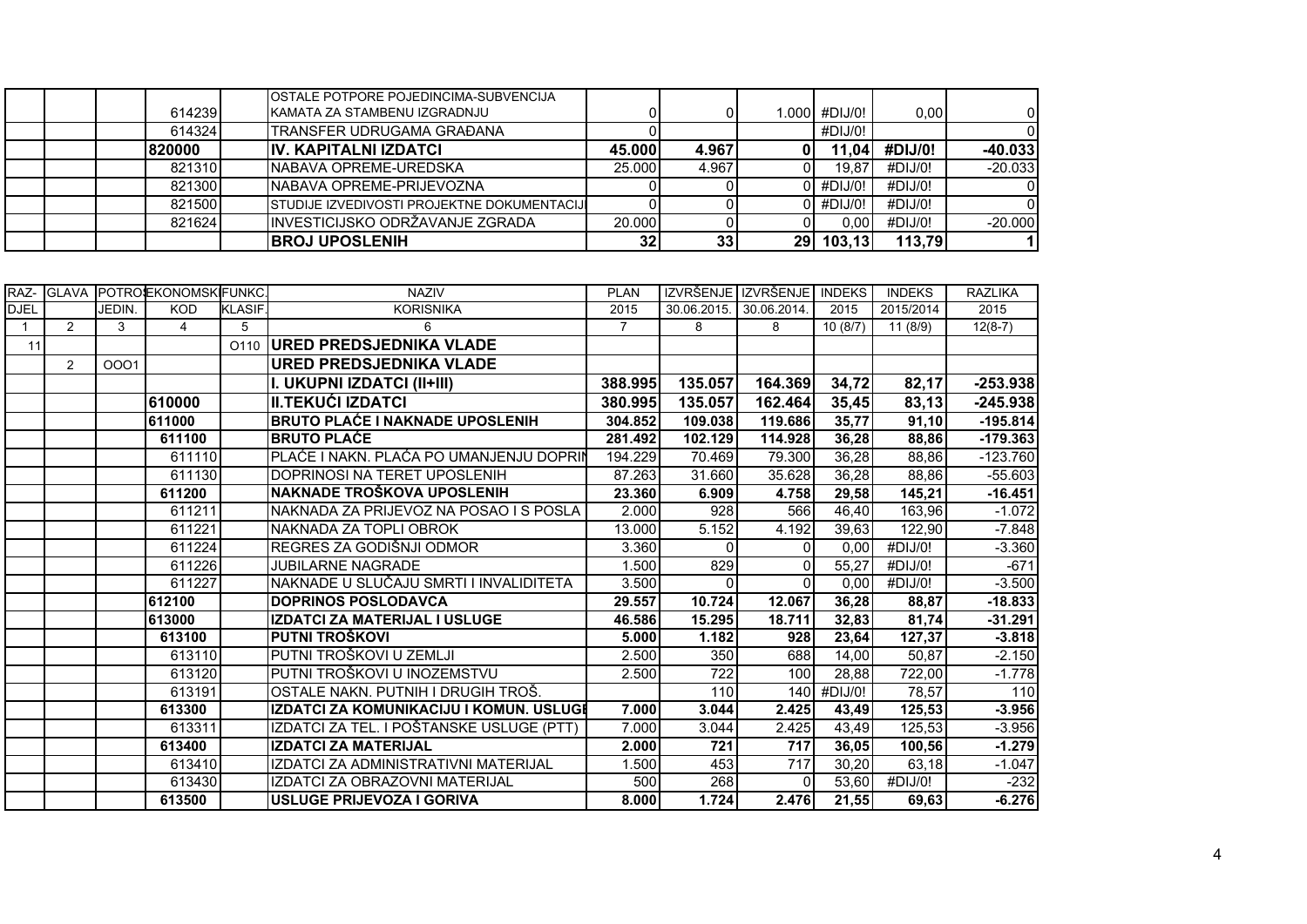|  |        | <b>OSTALE POTPORE POJEDINCIMA-SUBVENCIJA</b>       |        |       |    |                 |         |           |
|--|--------|----------------------------------------------------|--------|-------|----|-----------------|---------|-----------|
|  | 614239 | IKAMATA ZA STAMBENU IZGRADNJU                      |        |       |    | $1.000$ #DIJ/0! | 0.00    |           |
|  | 614324 | ITRANSFER UDRUGAMA GRAĐANA                         |        |       |    | #DIJ/0!         |         |           |
|  | 820000 | <b>IIV. KAPITALNI IZDATCI</b>                      | 45.000 | 4.967 |    | 11.04.          | #DIJ/0! | $-40.033$ |
|  | 821310 | <b>INABAVA OPREME-UREDSKA</b>                      | 25,000 | 4.967 |    | 19.87           | #DIJ/0! | $-20.033$ |
|  | 821300 | INABAVA OPREME-PRIJEVOZNA                          |        |       |    | #DIJ/0!         | #DIJ/0! |           |
|  | 821500 | <b>STUDIJE IZVEDIVOSTI PROJEKTNE DOKUMENTACIJI</b> |        |       |    | #DIJ/0!         | #DIJ/0! |           |
|  | 821624 | INVESTICIJSKO ODRŽAVANJE ZGRADA                    | 20,000 |       |    | 0.00 l          | #DIJ/0! | $-20.000$ |
|  |        | <b>IBROJ UPOSLENIH</b>                             | 32     | 33    | 29 | 103,13          | 113,79  |           |

|              | RAZ- GLAVA     |        | POTROJEKONOMSKIFUNKC |               | <b>NAZIV</b>                             | <b>PLAN</b>    |             | IZVRŠENJE IZVRŠENJE | <b>INDEKS</b> | <b>INDEKS</b> | <b>RAZLIKA</b> |
|--------------|----------------|--------|----------------------|---------------|------------------------------------------|----------------|-------------|---------------------|---------------|---------------|----------------|
| <b>DJEL</b>  |                | JEDIN. | <b>KOD</b>           | <b>KLASIF</b> | <b>KORISNIKA</b>                         | 2015           | 30.06.2015. | 30.06.2014.         | 2015          | 2015/2014     | 2015           |
| $\mathbf{1}$ | $\overline{2}$ | 3      | 4                    | 5             | 6                                        | $\overline{7}$ | 8           | 8                   | 10(8/7)       | 11(8/9)       | $12(8-7)$      |
| 11           |                |        |                      | O110          | <b>URED PREDSJEDNIKA VLADE</b>           |                |             |                     |               |               |                |
|              | $\overline{2}$ | 0001   |                      |               | <b>URED PREDSJEDNIKA VLADE</b>           |                |             |                     |               |               |                |
|              |                |        |                      |               | I. UKUPNI IZDATCI (II+III)               | 388.995        | 135.057     | 164.369             | 34,72         | 82,17         | $-253.938$     |
|              |                |        | 610000               |               | <b>II.TEKUĆI IZDATCI</b>                 | 380.995        | 135.057     | 162.464             | 35,45         | 83,13         | $-245.938$     |
|              |                |        | 611000               |               | <b>BRUTO PLAĆE I NAKNADE UPOSLENIH</b>   | 304.852        | 109.038     | 119.686             | 35,77         | 91,10         | $-195.814$     |
|              |                |        | 611100               |               | <b>BRUTO PLAĆE</b>                       | 281.492        | 102.129     | 114.928             | 36,28         | 88,86         | $-179.363$     |
|              |                |        | 611110               |               | PLAĆE I NAKN. PLAĆA PO UMANJENJU DOPRIN  | 194.229        | 70.469      | 79.300              | 36,28         | 88,86         | $-123.760$     |
|              |                |        | 611130               |               | DOPRINOSI NA TERET UPOSLENIH             | 87.263         | 31.660      | 35.628              | 36,28         | 88,86         | $-55.603$      |
|              |                |        | 611200               |               | <b>NAKNADE TROŠKOVA UPOSLENIH</b>        | 23.360         | 6.909       | 4.758               | 29,58         | 145,21        | $-16.451$      |
|              |                |        | 611211               |               | NAKNADA ZA PRIJEVOZ NA POSAO I S POSLA   | 2.000          | 928         | 566                 | 46,40         | 163,96        | $-1.072$       |
|              |                |        | 611221               |               | NAKNADA ZA TOPLI OBROK                   | 13.000         | 5.152       | 4.192               | 39,63         | 122,90        | $-7.848$       |
|              |                |        | 611224               |               | REGRES ZA GODIŠNJI ODMOR                 | 3.360          | $\Omega$    | 0                   | 0,00          | #DIJ/0!       | $-3.360$       |
|              |                |        | 611226               |               | <b>JUBILARNE NAGRADE</b>                 | 1.500          | 829         | 0                   | 55.27         | #DIJ/0!       | $-671$         |
|              |                |        | 611227               |               | NAKNADE U SLUČAJU SMRTI I INVALIDITETA   | 3.500          | $\Omega$    | 0                   | 0,00          | #DIJ/0!       | $-3.500$       |
|              |                |        | 612100               |               | <b>DOPRINOS POSLODAVCA</b>               | 29.557         | 10.724      | 12.067              | 36,28         | 88,87         | $-18.833$      |
|              |                |        | 613000               |               | <b>IZDATCI ZA MATERIJAL I USLUGE</b>     | 46.586         | 15.295      | 18.711              | 32,83         | 81,74         | $-31.291$      |
|              |                |        | 613100               |               | PUTNI TROŠKOVI                           | 5.000          | 1.182       | 928                 | 23,64         | 127,37        | $-3.818$       |
|              |                |        | 613110               |               | PUTNI TROŠKOVI U ZEMLJI                  | 2.500          | 350         | 688                 | 14,00         | 50,87         | $-2.150$       |
|              |                |        | 613120               |               | PUTNI TROŠKOVI U INOZEMSTVU              | 2.500          | 722         | 100                 | 28,88         | 722,00        | $-1.778$       |
|              |                |        | 613191               |               | OSTALE NAKN. PUTNIH I DRUGIH TROŠ.       |                | 110         | 140                 | #DIJ/0!       | 78,57         | 110            |
|              |                |        | 613300               |               | IZDATCI ZA KOMUNIKACIJU I KOMUN. USLUGI  | 7.000          | 3.044       | 2.425               | 43,49         | 125,53        | $-3.956$       |
|              |                |        | 613311               |               | IZDATCI ZA TEL. I POŠTANSKE USLUGE (PTT) | 7.000          | 3.044       | 2.425               | 43,49         | 125,53        | $-3.956$       |
|              |                |        | 613400               |               | <b>IZDATCI ZA MATERIJAL</b>              | 2.000          | 721         | 717                 | 36,05         | 100,56        | $-1.279$       |
|              |                |        | 613410               |               | IZDATCI ZA ADMINISTRATIVNI MATERIJAL     | 1.500          | 453         | 717                 | 30,20         | 63,18         | $-1.047$       |
|              |                |        | 613430               |               | IZDATCI ZA OBRAZOVNI MATERIJAL           | 500            | 268         | $\Omega$            | 53,60         | #DIJ/0!       | $-232$         |
|              |                |        | 613500               |               | <b>USLUGE PRIJEVOZA I GORIVA</b>         | 8.000          | 1.724       | 2.476               | 21,55         | 69,63         | $-6.276$       |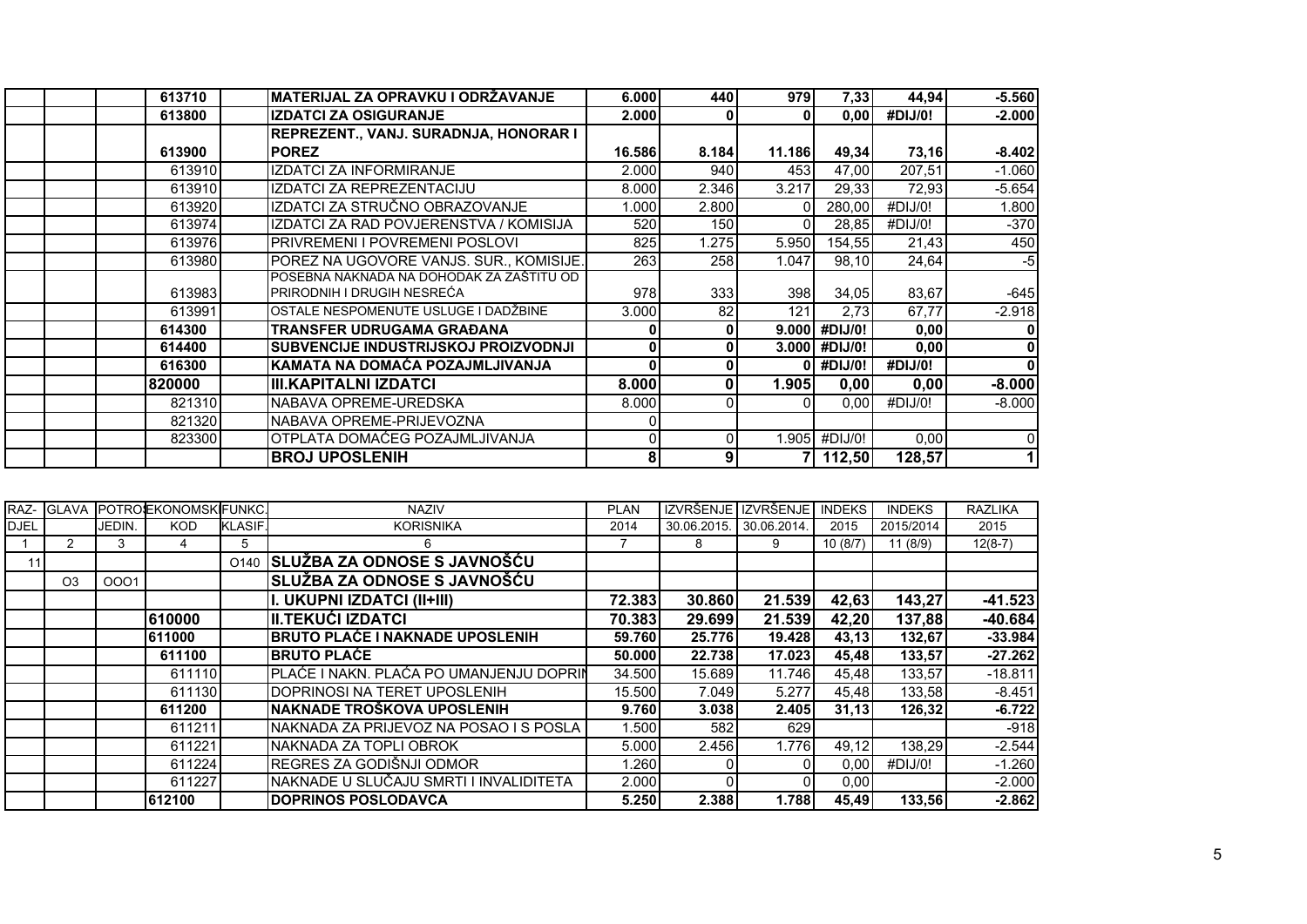| 613710 | MATERIJAL ZA OPRAVKU I ODRŽAVANJE        | 6.000  | 440          | 979     | 7,33          | 44,94   | $-5.560$ |
|--------|------------------------------------------|--------|--------------|---------|---------------|---------|----------|
| 613800 | <b>IZDATCI ZA OSIGURANJE</b>             | 2.000  |              |         | 0,00          | #DIJ/0! | $-2.000$ |
|        | REPREZENT., VANJ. SURADNJA, HONORAR I    |        |              |         |               |         |          |
| 613900 | <b>POREZ</b>                             | 16.586 | 8.184        | 11.186  | 49,34         | 73,16   | $-8.402$ |
| 613910 | <b>IZDATCI ZA INFORMIRANJE</b>           | 2.000  | 940          | 453     | 47,00         | 207,51  | $-1.060$ |
| 613910 | IZDATCI ZA REPREZENTACIJU                | 8.000  | 2.346        | 3.217   | 29,33         | 72,93   | $-5.654$ |
| 613920 | IZDATCI ZA STRUČNO OBRAZOVANJE           | 1.000  | 2.800        |         | 280,00        | #DIJ/0! | 1.800    |
| 613974 | IZDATCI ZA RAD POVJERENSTVA / KOMISIJA   | 520    | 150          |         | 28,85         | #DIJ/0! | $-370$   |
| 613976 | PRIVREMENI I POVREMENI POSLOVI           | 825    | 1.275        | 5.950   | 154,55        | 21,43   | 450      |
| 613980 | POREZ NA UGOVORE VANJS. SUR., KOMISIJE.  | 263    | 258          | 1.047   | 98,10         | 24,64   | $-5$     |
|        | POSEBNA NAKNADA NA DOHODAK ZA ZAŠTITU OD |        |              |         |               |         |          |
| 613983 | PRIRODNIH I DRUGIH NESREĆA               | 978    | 333          | 398     | 34,05         | 83,67   | $-645$   |
| 613991 | OSTALE NESPOMENUTE USLUGE I DADŽBINE     | 3.000  | 82           | 121     | 2,73          | 67,77   | $-2.918$ |
| 614300 | <b>TRANSFER UDRUGAMA GRAĐANA</b>         |        | $\mathbf{0}$ | 9.0001  | #DIJ/0!       | 0,00    |          |
| 614400 | SUBVENCIJE INDUSTRIJSKOJ PROIZVODNJI     |        | 0            | 3.000 l | #DIJ/0!       | 0,00    | 0        |
| 616300 | KAMATA NA DOMAĆA POZAJMLJIVANJA          |        | 0            |         | #DIJ/0!       | #DIJ/0! | $\bf{0}$ |
| 820000 | <b>III.KAPITALNI IZDATCI</b>             | 8.000  | 0            | 1.905   | 0,00          | 0,00    | $-8.000$ |
| 821310 | NABAVA OPREME-UREDSKA                    | 8.000  |              |         | 0,00          | #DIJ/0! | $-8.000$ |
| 821320 | NABAVA OPREME-PRIJEVOZNA                 |        |              |         |               |         |          |
| 823300 | OTPLATA DOMAĆEG POZAJMLJIVANJA           |        | 0            |         | 1.905 #DIJ/0! | 0,00    | 0        |
|        | <b>BROJ UPOSLENIH</b>                    |        | 9            |         | 112,50        | 128,57  |          |

|             |                |        | RAZ- GLAVA POTROEKONOMSKFUNKC. |                  | <b>NAZIV</b>                            | <b>PLAN</b> |             | IZVRŠENJE I IZVRŠENJE | <b>INDEKS</b> | <b>INDEKS</b> | <b>RAZLIKA</b> |
|-------------|----------------|--------|--------------------------------|------------------|-----------------------------------------|-------------|-------------|-----------------------|---------------|---------------|----------------|
| <b>DJEL</b> |                | JEDIN. | <b>KOD</b>                     | <b>KLASIF.</b>   | <b>KORISNIKA</b>                        | 2014        | 30.06.2015. | 30.06.2014            | 2015          | 2015/2014     | 2015           |
|             |                |        |                                | 5                | 6                                       |             | 8           | 9                     | 10(8/7)       | 11(8/9)       | $12(8-7)$      |
| 11          |                |        |                                | O <sub>140</sub> | SLUŽBA ZA ODNOSE S JAVNOŠĆU             |             |             |                       |               |               |                |
|             | O <sub>3</sub> | 0001   |                                |                  | SLUŽBA ZA ODNOSE S JAVNOŠĆU             |             |             |                       |               |               |                |
|             |                |        |                                |                  | I. UKUPNI IZDATCI (II+III)              | 72.383      | 30.860      | 21.539                | 42,63         | 143,27        | $-41.523$      |
|             |                |        | 610000                         |                  | III.TEKUĆI IZDATCI                      | 70.383      | 29.699      | 21.539                | 42,20         | 137,88        | $-40.684$      |
|             |                |        | 611000                         |                  | <b>BRUTO PLAĆE I NAKNADE UPOSLENIH</b>  | 59.760      | 25.776      | 19.428                | 43,13         | 132,67        | $-33.984$      |
|             |                |        | 611100                         |                  | <b>BRUTO PLAĆE</b>                      | 50.000      | 22.738      | 17.023                | 45,48         | 133,57        | $-27.262$      |
|             |                |        | 611110                         |                  | PLAĆE I NAKN. PLAĆA PO UMANJENJU DOPRIN | 34.500      | 15.689      | 11.746                | 45,48         | 133,57        | $-18.811$      |
|             |                |        | 611130                         |                  | IDOPRINOSI NA TERET UPOSLENIH           | 15.500      | 7.049       | 5.277                 | 45,48         | 133,58        | $-8.451$       |
|             |                |        | 611200                         |                  | NAKNADE TROŠKOVA UPOSLENIH              | 9.760       | 3.038       | 2.405                 | 31,13         | 126,32        | $-6.722$       |
|             |                |        | 611211                         |                  | NAKNADA ZA PRIJEVOZ NA POSAO I S POSLA  | 1.500       | 582         | 629                   |               |               | $-918$         |
|             |                |        | 611221                         |                  | INAKNADA ZA TOPLI OBROK                 | 5.000       | 2.456       | 1.776                 | 49,12         | 138,29        | $-2.544$       |
|             |                |        | 611224                         |                  | REGRES ZA GODIŠNJI ODMOR                | .260        |             |                       | 0,00          | #DIJ/0!       | $-1.260$       |
|             |                |        | 611227                         |                  | NAKNADE U SLUČAJU SMRTI I INVALIDITETA  | 2.000       |             |                       | 0,00          |               | $-2.000$       |
|             |                |        | 612100                         |                  | <b>DOPRINOS POSLODAVCA</b>              | 5.250       | 2.388       | 1.788                 | 45,49         | 133,56        | $-2.862$       |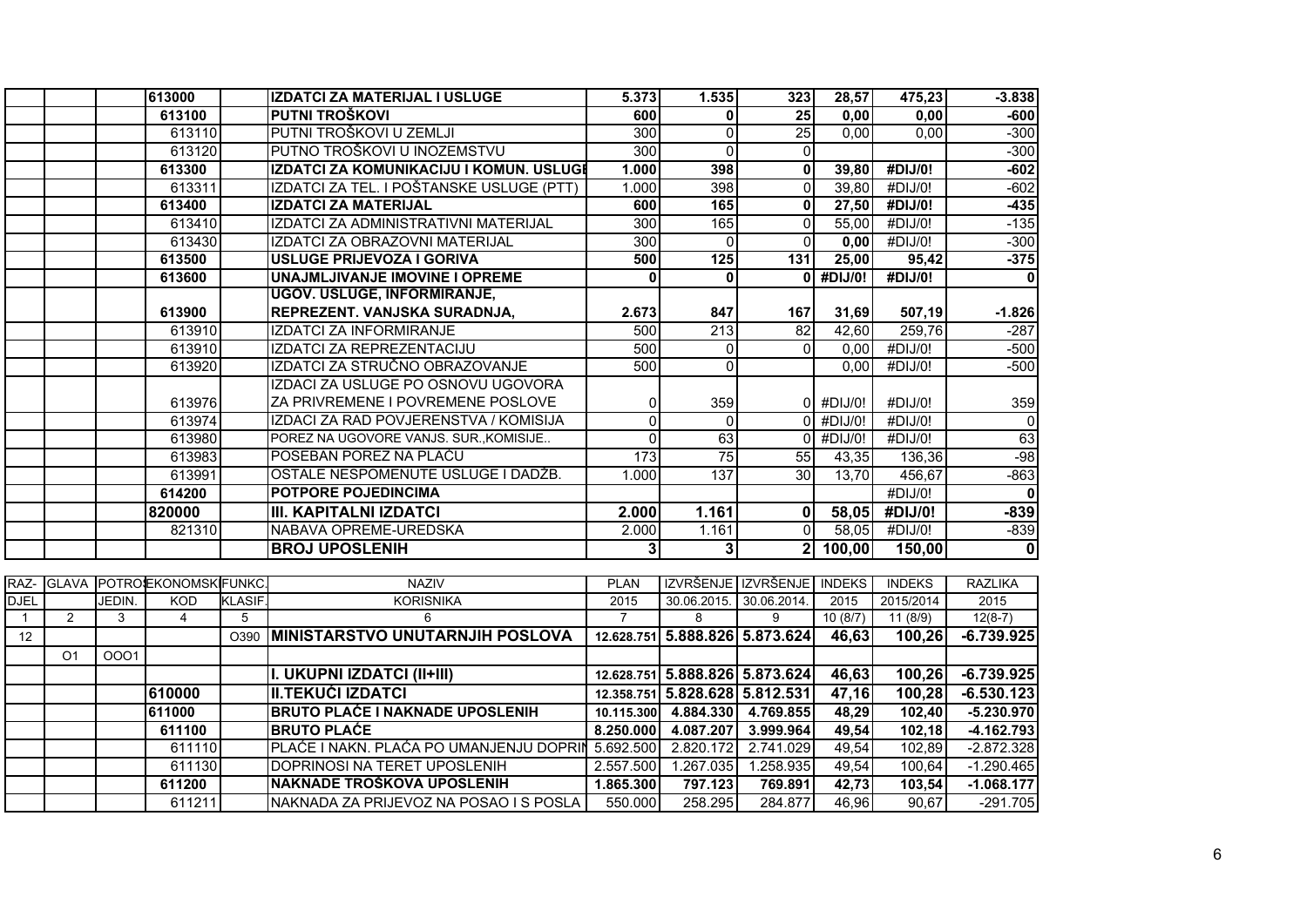|              |                |        | 613000               |         | IZDATCI ZA MATERIJAL I USLUGE            | 5.373            | 1.535                          | 323                            | 28,57         | 475,23        | $-3.838$                |
|--------------|----------------|--------|----------------------|---------|------------------------------------------|------------------|--------------------------------|--------------------------------|---------------|---------------|-------------------------|
|              |                |        | 613100               |         | PUTNI TROŠKOVI                           | 600              | $\mathbf{0}$                   | $\overline{25}$                | 0,00          | 0,00          | $-600$                  |
|              |                |        | 613110               |         | PUTNI TROŠKOVI U ZEMLJI                  | 300              | $\overline{0}$                 | $\overline{25}$                | 0,00          | 0,00          | $-300$                  |
|              |                |        | 613120               |         | PUTNO TROŠKOVI U INOZEMSTVU              | 300              | $\Omega$                       | $\Omega$                       |               |               | $-300$                  |
|              |                |        | 613300               |         | IZDATCI ZA KOMUNIKACIJU I KOMUN. USLUGI  | 1.000            | 398                            | $\mathbf{0}$                   | 39,80         | #DIJ/0!       | $-602$                  |
|              |                |        | 613311               |         | IZDATCI ZA TEL. I POŠTANSKE USLUGE (PTT) | 1.000            | 398                            | $\mathbf{0}$                   | 39,80         | #DIJ/0!       | $-602$                  |
|              |                |        | 613400               |         | <b>IZDATCI ZA MATERIJAL</b>              | 600              | 165                            | $\mathbf{0}$                   | 27,50         | #DIJ/0!       | $-435$                  |
|              |                |        | 613410               |         | IZDATCI ZA ADMINISTRATIVNI MATERIJAL     | 300              | 165                            | $\Omega$                       | 55,00         | #DIJ/0!       | $-135$                  |
|              |                |        | 613430               |         | IZDATCI ZA OBRAZOVNI MATERIJAL           | 300              | $\Omega$                       | $\mathbf{0}$                   | 0,00          | #DIJ/0!       | $-300$                  |
|              |                |        | 613500               |         | <b>USLUGE PRIJEVOZA I GORIVA</b>         | 500              | 125                            | 131                            | 25,00         | 95,42         | $-375$                  |
|              |                |        | 613600               |         | UNAJMLJIVANJE IMOVINE I OPREME           | $\mathbf{0}$     | $\mathbf 0$                    |                                | $0$ #DIJ/0!   | #DIJ/0!       | $\overline{\mathbf{0}}$ |
|              |                |        |                      |         | <b>UGOV. USLUGE, INFORMIRANJE,</b>       |                  |                                |                                |               |               |                         |
|              |                |        | 613900               |         | <b>REPREZENT. VANJSKA SURADNJA,</b>      | 2.673            | 847                            | 167                            | 31,69         | 507,19        | $-1.826$                |
|              |                |        | 613910               |         | IZDATCI ZA INFORMIRANJE                  | 500              | $\overline{213}$               | 82                             | 42,60         | 259,76        | $-287$                  |
|              |                |        | 613910               |         | IZDATCI ZA REPREZENTACIJU                | 500              | $\overline{0}$                 | $\Omega$                       | 0,00          | #DIJ/0!       | $-500$                  |
|              |                |        | 613920               |         | IZDATCI ZA STRUČNO OBRAZOVANJE           | 500              | $\overline{0}$                 |                                | 0,00          | #DIJ/0!       | $-500$                  |
|              |                |        |                      |         | IZDACI ZA USLUGE PO OSNOVU UGOVORA       |                  |                                |                                |               |               |                         |
|              |                |        | 613976               |         | ZA PRIVREMENE I POVREMENE POSLOVE        | 0                | 359                            |                                | $0$ #DIJ/0!   | #DIJ/0!       | 359                     |
|              |                |        | 613974               |         | IZDACI ZA RAD POVJERENSTVA / KOMISIJA    | $\mathbf{0}$     | $\Omega$                       | $\Omega$                       | #DIJ/0!       | #DIJ/0!       | $\overline{\mathsf{o}}$ |
|              |                |        | 613980               |         | POREZ NA UGOVORE VANJS. SUR., KOMISIJE   | $\Omega$         | 63                             | $\Omega$                       | #DIJ/0!       | #DIJ/0!       | 63                      |
|              |                |        | 613983               |         | POSEBAN POREZ NA PLAĆU                   | $\overline{173}$ | 75                             | 55                             | 43,35         | 136,36        | $-98$                   |
|              |                |        | 613991               |         | OSTALE NESPOMENUTE USLUGE I DADŽB.       | 1.000            | 137                            | 30                             | 13,70         | 456,67        | $-863$                  |
|              |                |        | 614200               |         | <b>POTPORE POJEDINCIMA</b>               |                  |                                |                                |               | #DIJ/0!       | $\overline{\mathbf{0}}$ |
|              |                |        | 820000               |         | <b>III. KAPITALNI IZDATCI</b>            | 2.000            | 1.161                          | 0                              | 58,05         | #DIJ/0!       | $-839$                  |
|              |                |        | 821310               |         | NABAVA OPREME-UREDSKA                    | 2.000            | 1.161                          | $\Omega$                       | 58,05         | #DIJ/0!       | $-839$                  |
|              |                |        |                      |         | <b>BROJ UPOSLENIH</b>                    | 3                | 3                              | $\mathbf{2}$                   | 100,00        | 150,00        | $\bf{0}$                |
|              |                |        |                      |         |                                          |                  |                                |                                |               |               |                         |
| RAZ-         | <b>GLAVA</b>   |        | POTROJEKONOMSKIFUNKC |         | <b>NAZIV</b>                             | <b>PLAN</b>      |                                | IZVRŠENJE IZVRŠENJE            | <b>INDEKS</b> | <b>INDEKS</b> | <b>RAZLIKA</b>          |
| <b>DJEL</b>  |                | JEDIN. | <b>KOD</b>           | KLASIF. | <b>KORISNIKA</b>                         | 2015             | 30.06.2015. 30.06.2014.        |                                | 2015          | 2015/2014     | 2015                    |
| $\mathbf{1}$ | 2              | 3      | $\overline{4}$       | 5       | 6                                        | $\overline{7}$   | 8                              | 9                              | 10(8/7)       | 11(8/9)       | $12(8-7)$               |
| 12           |                |        |                      | O390    | <b>MINISTARSTVO UNUTARNJIH POSLOVA</b>   |                  |                                | 12.628.751 5.888.826 5.873.624 | 46,63         | 100,26        | $-6.739.925$            |
|              | O <sub>1</sub> | 0001   |                      |         |                                          |                  |                                |                                |               |               |                         |
|              |                |        |                      |         | I. UKUPNI IZDATCI (II+III)               |                  | 12.628.751 5.888.826 5.873.624 |                                | 46,63         | 100,26        | $-6.739.925$            |
|              |                |        | 610000               |         | <b>II.TEKUĆI IZDATCI</b>                 |                  | 12.358.751 5.828.628 5.812.531 |                                | 47,16         | 100,28        | $-6.530.123$            |
|              |                |        | 611000               |         | <b>BRUTO PLAĆE I NAKNADE UPOSLENIH</b>   |                  | 10.115.300 4.884.330 4.769.855 |                                | 48,29         | 102,40        | $-5.230.970$            |
|              |                |        | 611100               |         | <b>BRUTO PLAĆE</b>                       | 8.250.000        | 4.087.207                      | 3.999.964                      | 49,54         | 102,18        | $-4.162.793$            |
|              |                |        | 611110               |         | PLAĆE I NAKN. PLAĆA PO UMANJENJU DOPRIN  | 5.692.500        | 2.820.172                      | 2.741.029                      | 49,54         | 102,89        | $-2.872.328$            |
|              |                |        | 611130               |         | DOPRINOSI NA TERET UPOSLENIH             | 2.557.500        | 1.267.035                      | 1.258.935                      | 49,54         | 100,64        | $-1.290.465$            |
|              |                |        | 611200               |         | <b>NAKNADE TROŠKOVA UPOSLENIH</b>        | 1.865.300        | 797.123                        | 769.891                        | 42,73         | 103,54        | $-1.068.177$            |
|              |                |        | 611211               |         | NAKNADA ZA PRIJEVOZ NA POSAO I S POSLA   | 550.000          | 258.295                        | 284.877                        | 46,96         | 90,67         | $-291.705$              |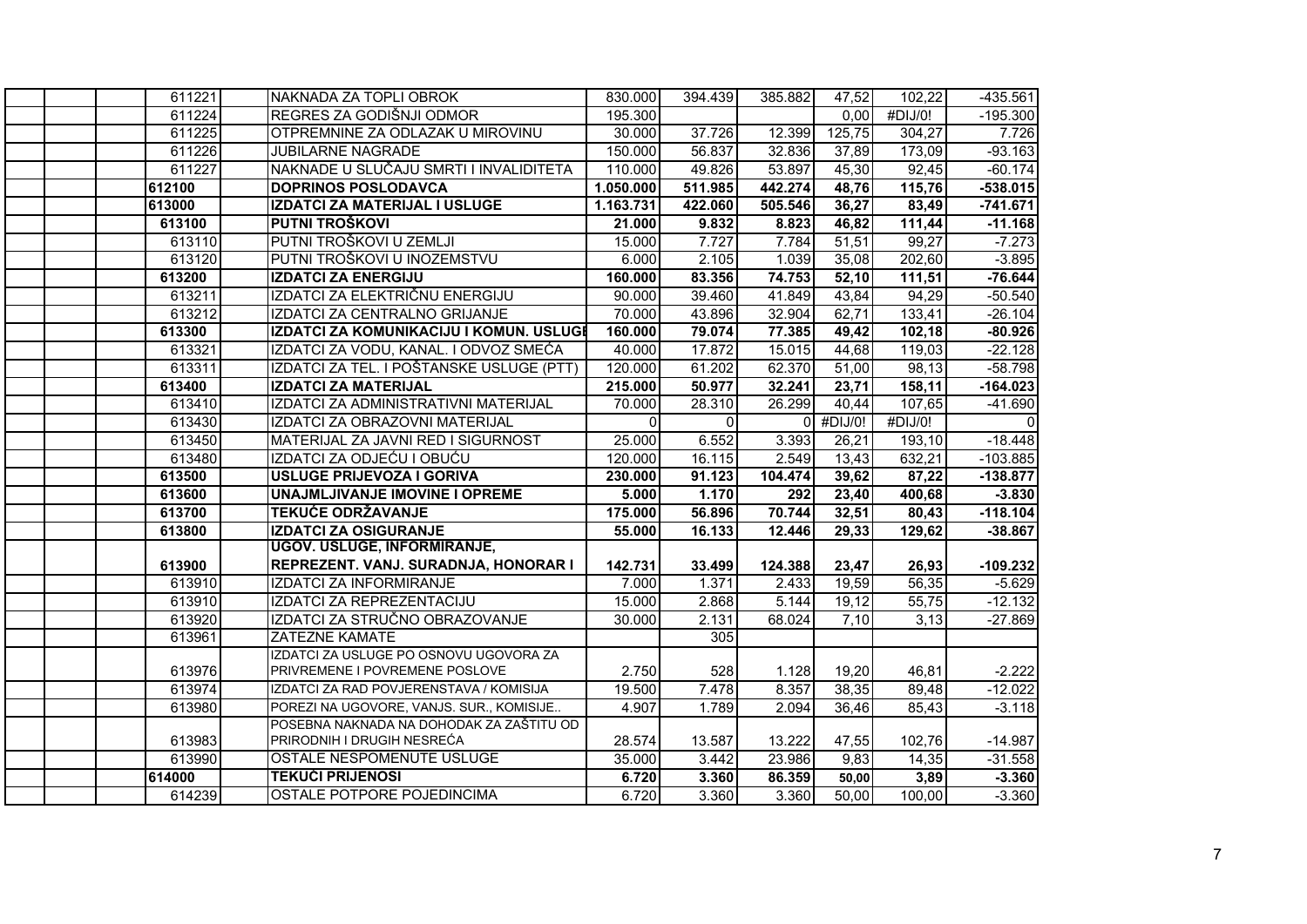| 611221 | NAKNADA ZA TOPLI OBROK                   | 830.000   | 394.439  | 385.882 | 47,52       | 102,22                | $-435.561$ |
|--------|------------------------------------------|-----------|----------|---------|-------------|-----------------------|------------|
| 611224 | REGRES ZA GODIŠNJI ODMOR                 | 195.300   |          |         | 0,00        | $\overline{4}$ DIJ/0! | $-195.300$ |
| 611225 | OTPREMNINE ZA ODLAZAK U MIROVINU         | 30.000    | 37.726   | 12.399  | 125,75      | 304,27                | 7.726      |
| 611226 | <b>JUBILARNE NAGRADE</b>                 | 150.000   | 56.837   | 32.836  | 37,89       | 173,09                | $-93.163$  |
| 611227 | NAKNADE U SLUČAJU SMRTI I INVALIDITETA   | 110.000   | 49.826   | 53.897  | 45,30       | 92,45                 | $-60.174$  |
| 612100 | <b>DOPRINOS POSLODAVCA</b>               | 1.050.000 | 511.985  | 442.274 | 48,76       | 115,76                | $-538.015$ |
| 613000 | <b>IZDATCI ZA MATERIJAL I USLUGE</b>     | 1.163.731 | 422.060  | 505.546 | 36,27       | 83,49                 | $-741.671$ |
| 613100 | PUTNI TROŠKOVI                           | 21.000    | 9.832    | 8.823   | 46,82       | 111,44                | $-11.168$  |
| 613110 | PUTNI TROŠKOVI U ZEMLJI                  | 15.000    | 7.727    | 7.784   | 51,51       | 99,27                 | $-7.273$   |
| 613120 | PUTNI TROŠKOVI U INOZEMSTVU              | 6.000     | 2.105    | 1.039   | 35,08       | 202,60                | $-3.895$   |
| 613200 | <b>IZDATCI ZA ENERGIJU</b>               | 160.000   | 83.356   | 74.753  | 52,10       | 111,51                | $-76.644$  |
| 613211 | IZDATCI ZA ELEKTRIČNU ENERGIJU           | 90.000    | 39.460   | 41.849  | 43,84       | 94,29                 | $-50.540$  |
| 613212 | IZDATCI ZA CENTRALNO GRIJANJE            | 70.000    | 43.896   | 32.904  | 62,71       | 133,41                | $-26.104$  |
| 613300 | IZDATCI ZA KOMUNIKACIJU I KOMUN. USLUGI  | 160.000   | 79.074   | 77.385  | 49,42       | 102,18                | $-80.926$  |
| 613321 | IZDATCI ZA VODU, KANAL. I ODVOZ SMEĆA    | 40.000    | 17.872   | 15.015  | 44,68       | 119,03                | $-22.128$  |
| 613311 | IZDATCI ZA TEL. I POŠTANSKE USLUGE (PTT) | 120.000   | 61.202   | 62.370  | 51,00       | 98,13                 | $-58.798$  |
| 613400 | <b>IZDATCI ZA MATERIJAL</b>              | 215.000   | 50.977   | 32.241  | 23,71       | 158,11                | $-164.023$ |
| 613410 | IZDATCI ZA ADMINISTRATIVNI MATERIJAL     | 70.000    | 28.310   | 26.299  | 40,44       | 107,65                | $-41.690$  |
| 613430 | IZDATCI ZA OBRAZOVNI MATERIJAL           | $\Omega$  | $\Omega$ |         | $0$ #DIJ/0! | #DIJ/0!               | $\Omega$   |
| 613450 | MATERIJAL ZA JAVNI RED I SIGURNOST       | 25.000    | 6.552    | 3.393   | 26,21       | 193,10                | $-18.448$  |
| 613480 | IZDATCI ZA ODJEĆU I OBUĆU                | 120.000   | 16.115   | 2.549   | 13,43       | 632,21                | $-103.885$ |
| 613500 | <b>USLUGE PRIJEVOZA I GORIVA</b>         | 230.000   | 91.123   | 104.474 | 39,62       | 87,22                 | $-138.877$ |
| 613600 | UNAJMLJIVANJE IMOVINE I OPREME           | 5.000     | 1.170    | 292     | 23,40       | 400,68                | $-3.830$   |
| 613700 | <b>TEKUĆE ODRŽAVANJE</b>                 | 175.000   | 56.896   | 70.744  | 32,51       | 80,43                 | $-118.104$ |
| 613800 | <b>IZDATCI ZA OSIGURANJE</b>             | 55.000    | 16.133   | 12.446  | 29,33       | 129.62                | $-38.867$  |
|        | <b>UGOV. USLUGE, INFORMIRANJE,</b>       |           |          |         |             |                       |            |
| 613900 | REPREZENT. VANJ. SURADNJA, HONORAR I     | 142.731   | 33.499   | 124.388 | 23,47       | 26,93                 | $-109.232$ |
| 613910 | IZDATCI ZA INFORMIRANJE                  | 7.000     | 1.371    | 2.433   | 19,59       | 56,35                 | $-5.629$   |
| 613910 | IZDATCI ZA REPREZENTACIJU                | 15.000    | 2.868    | 5.144   | 19,12       | 55,75                 | $-12.132$  |
| 613920 | IZDATCI ZA STRUČNO OBRAZOVANJE           | 30.000    | 2.131    | 68.024  | 7,10        | 3,13                  | $-27.869$  |
| 613961 | ZATEZNE KAMATE                           |           | 305      |         |             |                       |            |
|        | IZDATCI ZA USLUGE PO OSNOVU UGOVORA ZA   |           |          |         |             |                       |            |
| 613976 | PRIVREMENE I POVREMENE POSLOVE           | 2.750     | 528      | 1.128   | 19,20       | 46,81                 | $-2.222$   |
| 613974 | IZDATCI ZA RAD POVJERENSTAVA / KOMISIJA  | 19.500    | 7.478    | 8.357   | 38,35       | 89,48                 | $-12.022$  |
| 613980 | POREZI NA UGOVORE, VANJS. SUR., KOMISIJE | 4.907     | 1.789    | 2.094   | 36,46       | 85,43                 | $-3.118$   |
|        | POSEBNA NAKNADA NA DOHODAK ZA ZAŠTITU OD |           |          |         |             |                       |            |
| 613983 | PRIRODNIH I DRUGIH NESREĆA               | 28.574    | 13.587   | 13.222  | 47,55       | 102,76                | $-14.987$  |
| 613990 | OSTALE NESPOMENUTE USLUGE                | 35.000    | 3.442    | 23.986  | 9,83        | 14,35                 | $-31.558$  |
| 614000 | <b>TEKUĆI PRIJENOSI</b>                  | 6.720     | 3.360    | 86.359  | 50,00       | 3,89                  | $-3.360$   |
| 614239 | <b>OSTALE POTPORE POJEDINCIMA</b>        | 6.720     | 3.360    | 3.360   | 50,00       | 100,00                | $-3.360$   |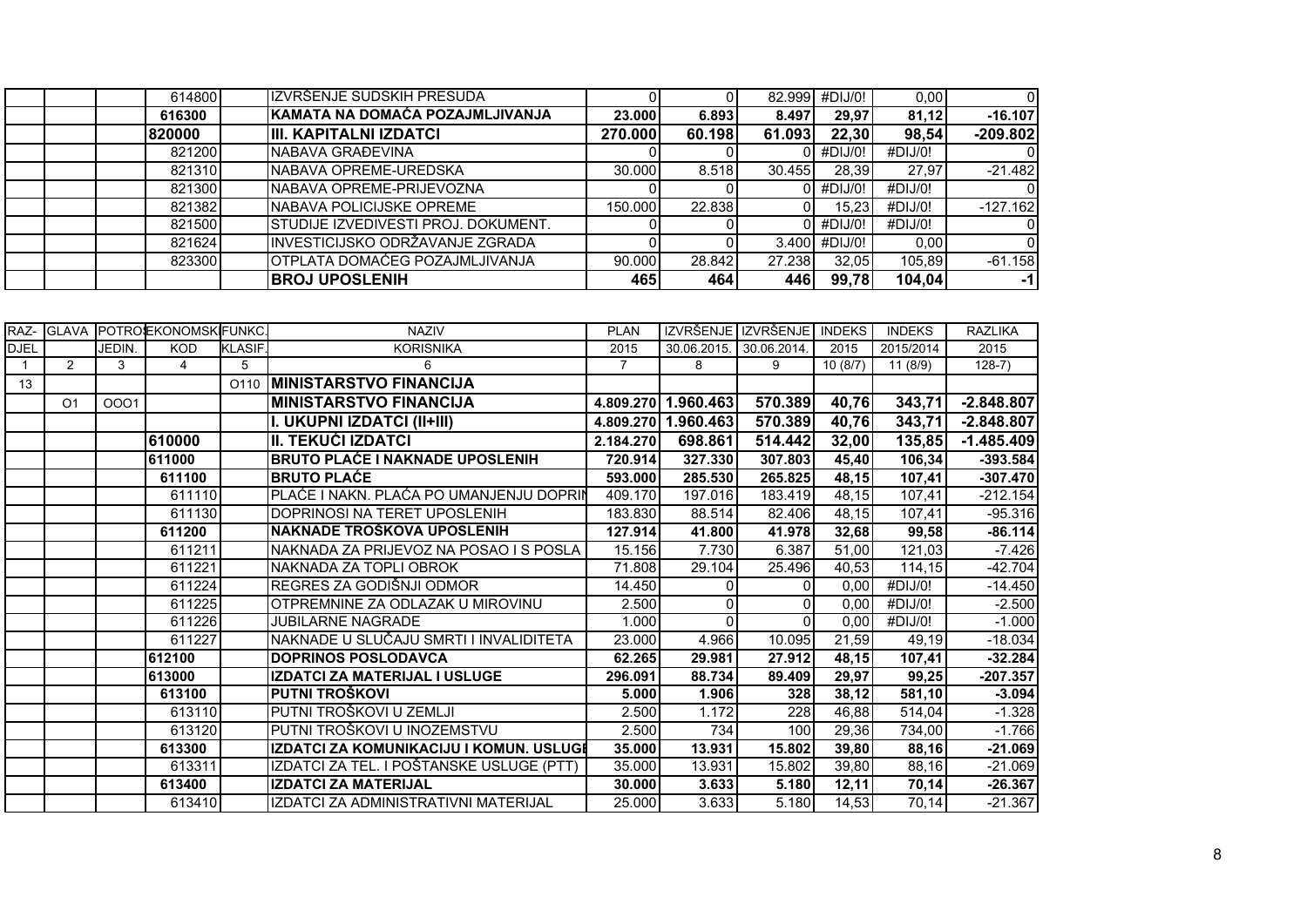| 614800 | IZVRŠENJE SUDSKIH PRESUDA                  |         |        |        | 82.999 #DIJ/0! | 0,00    |            |
|--------|--------------------------------------------|---------|--------|--------|----------------|---------|------------|
| 616300 | KAMATA NA DOMAĆA POZAJMLJIVANJA            | 23,000  | 6.893  | 8.497  | 29.97          | 81.12   | $-16.107$  |
| 820000 | IIII. KAPITALNI IZDATCI                    | 270.000 | 60.198 | 61.093 | 22,30          | 98,54   | $-209.802$ |
| 821200 | <b>NABAVA GRAĐEVINA</b>                    |         |        |        | #DIJ/0!        | #DIJ/0! |            |
| 821310 | <b>INABAVA OPREME-UREDSKA</b>              | 30.000  | 8.518  | 30.455 | 28.39          | 27.97   | $-21.482$  |
| 821300 | <b>INABAVA OPREME-PRIJEVOZNA</b>           |         |        |        | #DIJ/0!        | #DIJ/0! |            |
| 821382 | <b>INABAVA POLICIJSKE OPREME</b>           | 150.000 | 22.838 |        | 15,23          | #DIJ/O! | $-127.162$ |
| 821500 | <b>STUDIJE IZVEDIVESTI PROJ. DOKUMENT.</b> |         |        |        | #DIJ/0!        | #DIJ/0! |            |
| 821624 | INVESTICIJSKO ODRŽAVANJE ZGRADA            |         |        | 3.400  | #DIJ/0!        | 0,00    |            |
| 823300 | OTPLATA DOMAĆEG POZAJMLJIVANJA             | 90.000  | 28.842 | 27.238 | 32,05          | 105,89  | $-61.158$  |
|        | <b>BROJ UPOSLENIH</b>                      | 465     | 464    | 446    | 99,78          | 104,04  | -11        |

|             | RAZ- GLAVA     |        | POTROJEKONOMSKIFUNKC |               | <b>NAZIV</b>                             | <b>PLAN</b>    |                     | IZVRŠENJE I IZVRŠENJE | <b>INDEKS</b> | <b>INDEKS</b> | <b>RAZLIKA</b> |
|-------------|----------------|--------|----------------------|---------------|------------------------------------------|----------------|---------------------|-----------------------|---------------|---------------|----------------|
| <b>DJEL</b> |                | JEDIN. | <b>KOD</b>           | <b>KLASIF</b> | <b>KORISNIKA</b>                         | 2015           | 30.06.2015.         | 30.06.2014.           | 2015          | 2015/2014     | 2015           |
|             | $\overline{2}$ | 3      | $\overline{4}$       | 5             | 6                                        | $\overline{7}$ | 8                   | 9                     | 10(8/7)       | 11(8/9)       | $128-7)$       |
| 13          |                |        |                      | O110          | <b>MINISTARSTVO FINANCIJA</b>            |                |                     |                       |               |               |                |
|             | O <sub>1</sub> | 0001   |                      |               | <b>MINISTARSTVO FINANCIJA</b>            |                | 4.809.270 1.960.463 | 570.389               | 40,76         | 343,71        | $-2.848.807$   |
|             |                |        |                      |               | I. UKUPNI IZDATCI (II+III)               | 4.809.270      | 1.960.463           | 570.389               | 40,76         | 343,71        | $-2.848.807$   |
|             |                |        | 610000               |               | <b>II. TEKUĆI IZDATCI</b>                | 2.184.270      | 698.861             | 514.442               | 32,00         | 135,85        | $-1.485.409$   |
|             |                |        | 611000               |               | <b>BRUTO PLAĆE I NAKNADE UPOSLENIH</b>   | 720.914        | 327.330             | 307.803               | 45,40         | 106,34        | $-393.584$     |
|             |                |        | 611100               |               | <b>BRUTO PLAĆE</b>                       | 593.000        | 285.530             | 265.825               | 48,15         | 107,41        | $-307.470$     |
|             |                |        | 611110               |               | PLAĆE I NAKN. PLAĆA PO UMANJENJU DOPRIN  | 409.170        | 197.016             | 183.419               | 48,15         | 107,41        | $-212.154$     |
|             |                |        | 611130               |               | DOPRINOSI NA TERET UPOSLENIH             | 183.830        | 88.514              | 82.406                | 48,15         | 107,41        | $-95.316$      |
|             |                |        | 611200               |               | NAKNADE TROŠKOVA UPOSLENIH               | 127.914        | 41.800              | 41.978                | 32,68         | 99,58         | $-86.114$      |
|             |                |        | 611211               |               | NAKNADA ZA PRIJEVOZ NA POSAO I S POSLA   | 15.156         | 7.730               | 6.387                 | 51,00         | 121,03        | $-7.426$       |
|             |                |        | 611221               |               | NAKNADA ZA TOPLI OBROK                   | 71.808         | 29.104              | 25.496                | 40,53         | 114,15        | $-42.704$      |
|             |                |        | 611224               |               | REGRES ZA GODIŠNJI ODMOR                 | 14.450         | $\Omega$            | 0                     | 0,00          | #DIJ/0!       | $-14.450$      |
|             |                |        | 611225               |               | OTPREMNINE ZA ODLAZAK U MIROVINU         | 2.500          | $\Omega$            |                       | 0,00          | #DIJ/0!       | $-2.500$       |
|             |                |        | 611226               |               | <b>JUBILARNE NAGRADE</b>                 | 1.000          | $\Omega$            |                       | 0,00          | #DIJ/0!       | $-1.000$       |
|             |                |        | 611227               |               | NAKNADE U SLUČAJU SMRTI I INVALIDITETA   | 23.000         | 4.966               | 10.095                | 21,59         | 49,19         | $-18.034$      |
|             |                |        | 612100               |               | <b>DOPRINOS POSLODAVCA</b>               | 62.265         | 29.981              | 27.912                | 48,15         | 107,41        | $-32.284$      |
|             |                |        | 613000               |               | IZDATCI ZA MATERIJAL I USLUGE            | 296.091        | 88.734              | 89.409                | 29,97         | 99,25         | $-207.357$     |
|             |                |        | 613100               |               | PUTNI TROŠKOVI                           | 5.000          | 1.906               | 328                   | 38,12         | 581,10        | $-3.094$       |
|             |                |        | 613110               |               | PUTNI TROŠKOVI U ZEMLJI                  | 2.500          | 1.172               | 228                   | 46,88         | 514,04        | $-1.328$       |
|             |                |        | 613120               |               | PUTNI TROŠKOVI U INOZEMSTVU              | 2.500          | 734                 | 100                   | 29,36         | 734,00        | $-1.766$       |
|             |                |        | 613300               |               | IZDATCI ZA KOMUNIKACIJU I KOMUN. USLUGI  | 35.000         | 13.931              | 15.802                | 39,80         | 88,16         | $-21.069$      |
|             |                |        | 613311               |               | IZDATCI ZA TEL. I POŠTANSKE USLUGE (PTT) | 35.000         | 13.931              | 15.802                | 39,80         | 88,16         | $-21.069$      |
|             |                |        | 613400               |               | <b>IZDATCI ZA MATERIJAL</b>              | 30.000         | 3.633               | 5.180                 | 12,11         | 70,14         | $-26.367$      |
|             |                |        | 613410               |               | IZDATCI ZA ADMINISTRATIVNI MATERIJAL     | 25.000         | 3.633               | 5.180                 | 14,53         | 70,14         | $-21.367$      |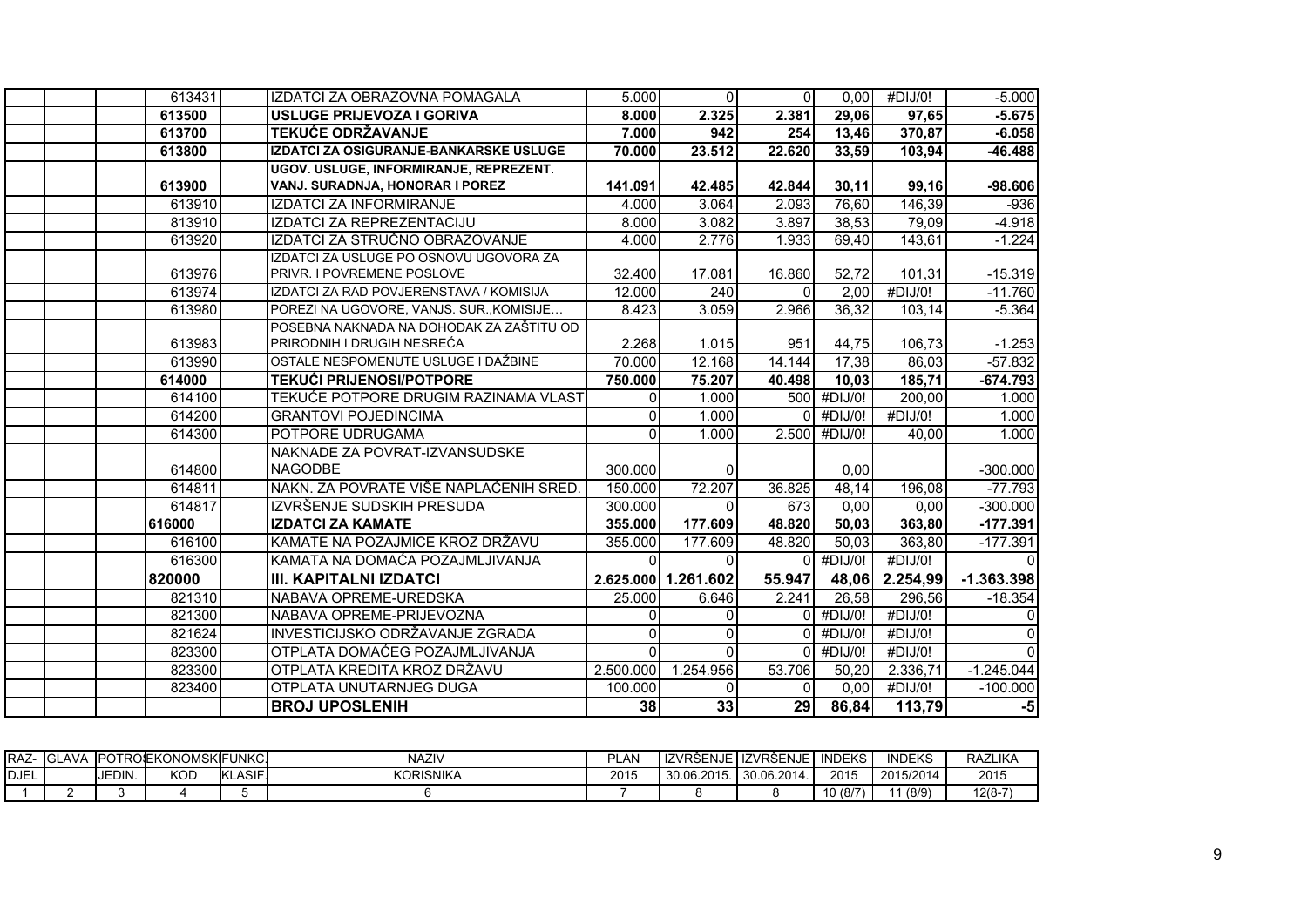| 613431 | IZDATCI ZA OBRAZOVNA POMAGALA            | 5.000              | $\overline{0}$      | $\Omega$     | 0.00               | #DIJ/0!               | $-5.000$       |
|--------|------------------------------------------|--------------------|---------------------|--------------|--------------------|-----------------------|----------------|
| 613500 | USLUGE PRIJEVOZA I GORIVA                | 8.000              | 2.325               | 2.381        | 29,06              | 97,65                 | $-5.675$       |
| 613700 | <b>TEKUĆE ODRŽAVANJE</b>                 | 7.000              | 942                 | 254          | 13,46              | 370,87                | $-6.058$       |
| 613800 | IZDATCI ZA OSIGURANJE-BANKARSKE USLUGE   | 70.000             | 23.512              | 22.620       | 33,59              | 103,94                | $-46.488$      |
|        | UGOV. USLUGE, INFORMIRANJE, REPREZENT.   |                    |                     |              |                    |                       |                |
| 613900 | VANJ. SURADNJA, HONORAR I POREZ          | 141.091            | 42.485              | 42.844       | 30,11              | 99,16                 | $-98.606$      |
| 613910 | <b>IZDATCI ZA INFORMIRANJE</b>           | $\overline{4.000}$ | 3.064               | 2.093        | 76,60              | 146,39                | $-936$         |
| 813910 | IZDATCI ZA REPREZENTACIJU                | 8.000              | 3.082               | 3.897        | 38,53              | 79,09                 | $-4.918$       |
| 613920 | IZDATCI ZA STRUČNO OBRAZOVANJE           | 4.000              | 2.776               | 1.933        | 69,40              | 143,61                | $-1.224$       |
|        | IZDATCI ZA USLUGE PO OSNOVU UGOVORA ZA   |                    |                     |              |                    |                       |                |
| 613976 | PRIVR. I POVREMENE POSLOVE               | 32.400             | 17.081              | 16.860       | 52,72              | 101,31                | $-15.319$      |
| 613974 | IZDATCI ZA RAD POVJERENSTAVA / KOMISIJA  | 12.000             | 240                 | $\Omega$     | 2.00               | $\overline{4}$ DIJ/0! | $-11.760$      |
| 613980 | POREZI NA UGOVORE, VANJS. SUR., KOMISIJE | 8.423              | 3.059               | 2.966        | 36,32              | 103,14                | $-5.364$       |
|        | POSEBNA NAKNADA NA DOHODAK ZA ZAŠTITU OD |                    |                     |              |                    |                       |                |
| 613983 | PRIRODNIH I DRUGIH NESREĆA               | 2.268              | 1.015               | 951          | 44,75              | 106,73                | $-1.253$       |
| 613990 | OSTALE NESPOMENUTE USLUGE I DAŽBINE      | 70.000             | 12.168              | 14.144       | 17,38              | 86,03                 | $-57.832$      |
| 614000 | <b>TEKUĆI PRIJENOSI/POTPORE</b>          | 750.000            | 75.207              | 40.498       | 10,03              | 185,71                | $-674.793$     |
| 614100 | TEKUĆE POTPORE DRUGIM RAZINAMA VLAST     | $\Omega$           | 1.000               |              | 500 #DIJ/0!        | 200,00                | 1.000          |
| 614200 | <b>GRANTOVI POJEDINCIMA</b>              |                    | 1.000               |              | #DIJ/0!            | $\overline{4}$ DIJ/0! | 1.000          |
| 614300 | POTPORE UDRUGAMA                         | $\Omega$           | 1.000               |              | 2.500 #DIJ/0!      | 40,00                 | 1.000          |
|        | NAKNADE ZA POVRAT-IZVANSUDSKE            |                    |                     |              |                    |                       |                |
| 614800 | <b>NAGODBE</b>                           | 300.000            | $\Omega$            |              | 0,00               |                       | $-300.000$     |
| 614811 | NAKN. ZA POVRATE VIŠE NAPLAĆENIH SRED.   | 150.000            | 72.207              | 36.825       | 48,14              | 196,08                | $-77.793$      |
| 614817 | IZVRŠENJE SUDSKIH PRESUDA                | 300.000            | $\Omega$            | 673          | 0,00               | 0,00                  | $-300.000$     |
| 616000 | <b>IZDATCI ZA KAMATE</b>                 | 355.000            | 177.609             | 48.820       | 50,03              | 363,80                | $-177.391$     |
| 616100 | KAMATE NA POZAJMICE KROZ DRŽAVU          | 355.000            | 177.609             | 48.820       | 50,03              | 363,80                | $-177.391$     |
| 616300 | KAMATA NA DOMAĆA POZAJMLJIVANJA          | $\Omega$           | $\Omega$            | ∩            | #DIJ/0!            | #DIJ/0!               | $\Omega$       |
| 820000 | <b>III. KAPITALNI IZDATCI</b>            |                    | 2.625.000 1.261.602 | 55.947       | 48,06              | 2.254,99              | $-1.363.398$   |
| 821310 | NABAVA OPREME-UREDSKA                    | 25.000             | 6.646               | 2.241        | $\overline{26,58}$ | 296,56                | $-18.354$      |
| 821300 | NABAVA OPREME-PRIJEVOZNA                 |                    | $\Omega$            |              | #DIJ/0!            | #DIJ/0!               | $\Omega$       |
| 821624 | INVESTICIJSKO ODRŽAVANJE ZGRADA          | $\Omega$           | $\Omega$            | <sup>0</sup> | #DIJ/0!            | #DIJ/0!               | $\overline{0}$ |
| 823300 | OTPLATA DOMAĆEG POZAJMLJIVANJA           | $\Omega$           | $\Omega$            | $\Omega$     | #DIJ/0!            | #DIJ/0!               | $\overline{0}$ |
| 823300 | OTPLATA KREDITA KROZ DRŽAVU              | 2.500.000          | 1.254.956           | 53.706       | 50,20              | 2.336,71              | $-1.245.044$   |
| 823400 | OTPLATA UNUTARNJEG DUGA                  | 100.000            | $\Omega$            | <sup>0</sup> | 0,00               | #DIJ/0!               | $-100.000$     |
|        | <b>BROJ UPOSLENIH</b>                    | 38                 | 33                  | 29           | 86,84              | 113,79                | $-5$           |

| IRAZ-        | AVA<br>- IGL, |        | 、IPOTROSEKONOMSKIFI | <b>FUNKC</b>                  | <b>NAZIV</b>     | PLAN |                   | ZVRSENJE I IZVRSENJE | INIDTI/2<br><b>INDEKS</b> | <b>INDEKS</b> | <b>RAZLIKA</b> |
|--------------|---------------|--------|---------------------|-------------------------------|------------------|------|-------------------|----------------------|---------------------------|---------------|----------------|
| <b>IDJEL</b> |               | JEDIN. | <b>KOD</b>          | ASIF.<br>$\mathbf{L}$<br>INL. | <b>KORISNIKA</b> | 2015 | 30.06.2015<br>ıv. | 30.06.2014           | 2015                      | 2015/2014     | 2015           |
|              |               |        |                     |                               |                  |      |                   |                      | 10 (8/7)                  | 1(8/9)        | $12(8-7)$      |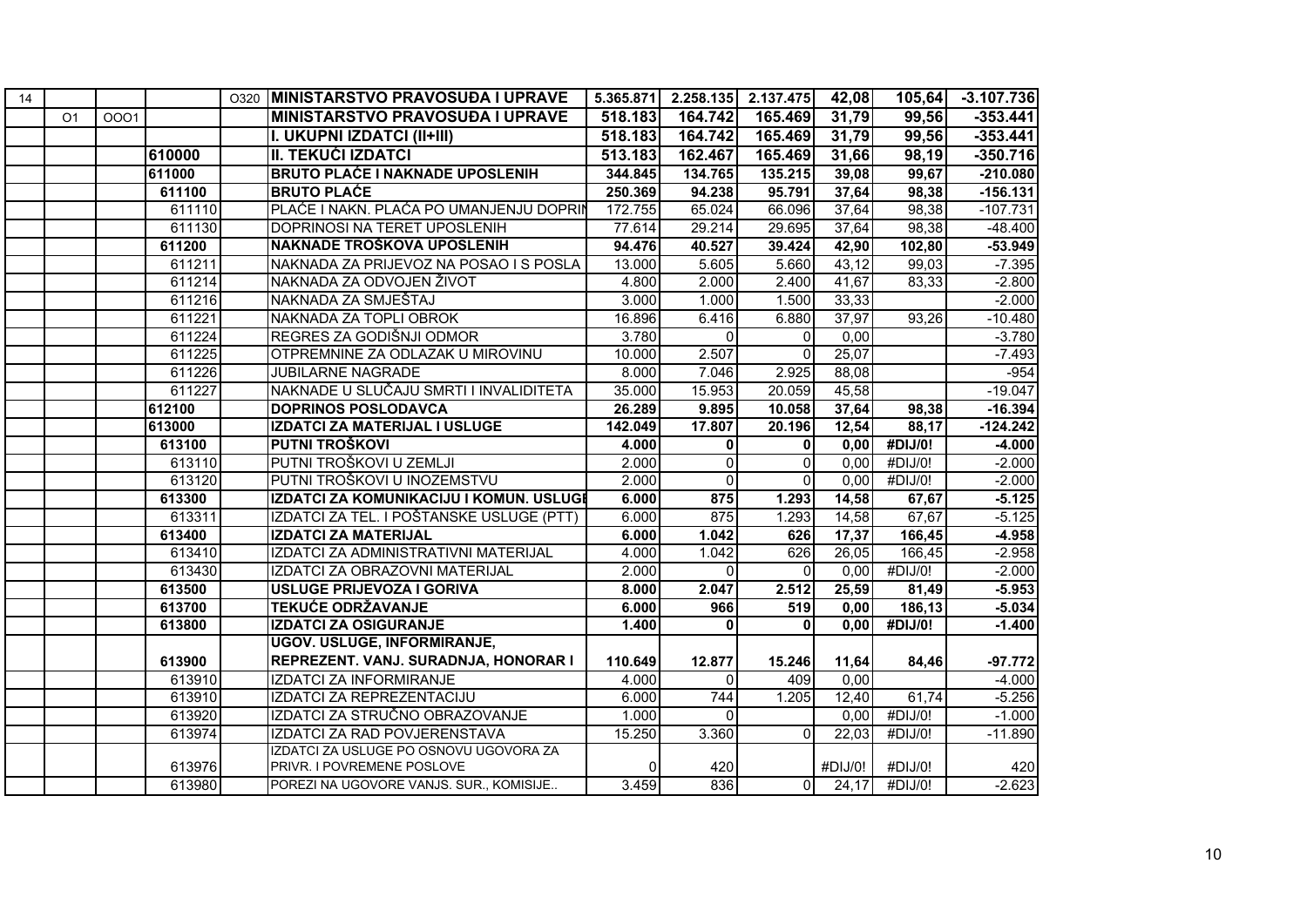| 14 |                |      |        | O320 | <b>MINISTARSTVO PRAVOSUĐA I UPRAVE</b>   | 5.365.871 | 2.258.135    | 2.137.475    | 42,08   | 105,64                | $-3.107.736$ |
|----|----------------|------|--------|------|------------------------------------------|-----------|--------------|--------------|---------|-----------------------|--------------|
|    | O <sub>1</sub> | 0001 |        |      | <b>MINISTARSTVO PRAVOSUĐA I UPRAVE</b>   | 518.183   | 164.742      | 165.469      | 31,79   | 99,56                 | $-353.441$   |
|    |                |      |        |      | I. UKUPNI IZDATCI (II+III)               | 518.183   | 164.742      | 165.469      | 31,79   | 99,56                 | $-353.441$   |
|    |                |      | 610000 |      | II. TEKUĆI IZDATCI                       | 513.183   | 162.467      | 165.469      | 31,66   | 98,19                 | $-350.716$   |
|    |                |      | 611000 |      | <b>BRUTO PLAĆE I NAKNADE UPOSLENIH</b>   | 344.845   | 134.765      | 135.215      | 39,08   | 99,67                 | $-210.080$   |
|    |                |      | 611100 |      | <b>BRUTO PLAĆE</b>                       | 250.369   | 94.238       | 95.791       | 37,64   | 98,38                 | $-156.131$   |
|    |                |      | 611110 |      | PLAĆE I NAKN. PLAĆA PO UMANJENJU DOPRIN  | 172.755   | 65.024       | 66.096       | 37,64   | 98,38                 | $-107.731$   |
|    |                |      | 611130 |      | DOPRINOSI NA TERET UPOSLENIH             | 77.614    | 29.214       | 29.695       | 37,64   | 98,38                 | $-48.400$    |
|    |                |      | 611200 |      | NAKNADE TROŠKOVA UPOSLENIH               | 94.476    | 40.527       | 39.424       | 42,90   | 102,80                | $-53.949$    |
|    |                |      | 611211 |      | NAKNADA ZA PRIJEVOZ NA POSAO I S POSLA   | 13.000    | 5.605        | 5.660        | 43,12   | 99,03                 | $-7.395$     |
|    |                |      | 611214 |      | NAKNADA ZA ODVOJEN ŽIVOT                 | 4.800     | 2.000        | 2.400        | 41,67   | 83,33                 | $-2.800$     |
|    |                |      | 611216 |      | NAKNADA ZA SMJEŠTAJ                      | 3.000     | 1.000        | 1.500        | 33,33   |                       | $-2.000$     |
|    |                |      | 611221 |      | NAKNADA ZA TOPLI OBROK                   | 16.896    | 6.416        | 6.880        | 37,97   | 93,26                 | $-10.480$    |
|    |                |      | 611224 |      | REGRES ZA GODIŠNJI ODMOR                 | 3.780     | $\Omega$     | $\Omega$     | 0,00    |                       | $-3.780$     |
|    |                |      | 611225 |      | OTPREMNINE ZA ODLAZAK U MIROVINU         | 10.000    | 2.507        | $\Omega$     | 25,07   |                       | $-7.493$     |
|    |                |      | 611226 |      | <b>JUBILARNE NAGRADE</b>                 | 8.000     | 7.046        | 2.925        | 88,08   |                       | $-954$       |
|    |                |      | 611227 |      | NAKNADE U SLUČAJU SMRTI I INVALIDITETA   | 35.000    | 15.953       | 20.059       | 45,58   |                       | $-19.047$    |
|    |                |      | 612100 |      | <b>DOPRINOS POSLODAVCA</b>               | 26.289    | 9.895        | 10.058       | 37,64   | 98,38                 | $-16.394$    |
|    |                |      | 613000 |      | <b>IZDATCI ZA MATERIJAL I USLUGE</b>     | 142.049   | 17.807       | 20.196       | 12,54   | 88,17                 | $-124.242$   |
|    |                |      | 613100 |      | PUTNI TROŠKOVI                           | 4.000     | $\mathbf{0}$ | $\mathbf{0}$ | 0,00    | #DIJ/0!               | $-4.000$     |
|    |                |      | 613110 |      | PUTNI TROŠKOVI U ZEMLJI                  | 2.000     | $\Omega$     | $\Omega$     | 0,00    | #DIJ/0!               | $-2.000$     |
|    |                |      | 613120 |      | PUTNI TROŠKOVI U INOZEMSTVU              | 2.000     | $\Omega$     | $\Omega$     | 0,00    | #DIJ/0!               | $-2.000$     |
|    |                |      | 613300 |      | IZDATCI ZA KOMUNIKACIJU I KOMUN. USLUGI  | 6.000     | 875          | 1.293        | 14,58   | 67,67                 | $-5.125$     |
|    |                |      | 613311 |      | IZDATCI ZA TEL. I POŠTANSKE USLUGE (PTT) | 6.000     | 875          | 1.293        | 14,58   | 67,67                 | $-5.125$     |
|    |                |      | 613400 |      | <b>IZDATCI ZA MATERIJAL</b>              | 6.000     | 1.042        | 626          | 17,37   | 166,45                | $-4.958$     |
|    |                |      | 613410 |      | IZDATCI ZA ADMINISTRATIVNI MATERIJAL     | 4.000     | 1.042        | 626          | 26,05   | 166,45                | $-2.958$     |
|    |                |      | 613430 |      | IZDATCI ZA OBRAZOVNI MATERIJAL           | 2.000     | $\Omega$     | $\Omega$     | 0,00    | $\overline{H}$ DIJ/0! | $-2.000$     |
|    |                |      | 613500 |      | <b>USLUGE PRIJEVOZA I GORIVA</b>         | 8.000     | 2.047        | 2.512        | 25,59   | 81,49                 | $-5.953$     |
|    |                |      | 613700 |      | <b>TEKUĆE ODRŽAVANJE</b>                 | 6.000     | 966          | 519          | 0,00    | 186,13                | $-5.034$     |
|    |                |      | 613800 |      | <b>IZDATCI ZA OSIGURANJE</b>             | 1.400     | 0            | $\Omega$     | 0,00    | #DIJ/0!               | $-1.400$     |
|    |                |      |        |      | <b>UGOV. USLUGE, INFORMIRANJE,</b>       |           |              |              |         |                       |              |
|    |                |      | 613900 |      | REPREZENT. VANJ. SURADNJA, HONORAR I     | 110.649   | 12.877       | 15.246       | 11,64   | 84,46                 | $-97.772$    |
|    |                |      | 613910 |      | <b>IZDATCI ZA INFORMIRANJE</b>           | 4.000     | $\Omega$     | 409          | 0,00    |                       | $-4.000$     |
|    |                |      | 613910 |      | <b>IZDATCI ZA REPREZENTACIJU</b>         | 6.000     | 744          | 1.205        | 12,40   | 61,74                 | $-5.256$     |
|    |                |      | 613920 |      | IZDATCI ZA STRUČNO OBRAZOVANJE           | 1.000     | $\Omega$     |              | 0,00    | #DIJ/0!               | $-1.000$     |
|    |                |      | 613974 |      | IZDATCI ZA RAD POVJERENSTAVA             | 15.250    | 3.360        | $\Omega$     | 22,03   | #DIJ/0!               | $-11.890$    |
|    |                |      |        |      | IZDATCI ZA USLUGE PO OSNOVU UGOVORA ZA   |           |              |              |         |                       |              |
|    |                |      | 613976 |      | PRIVR. I POVREMENE POSLOVE               |           | 420          |              | #DIJ/0! | #DIJ/0!               | 420          |
|    |                |      | 613980 |      | POREZI NA UGOVORE VANJS. SUR., KOMISIJE  | 3.459     | 836          | ΩI           | 24,17   | #DIJ/0!               | $-2.623$     |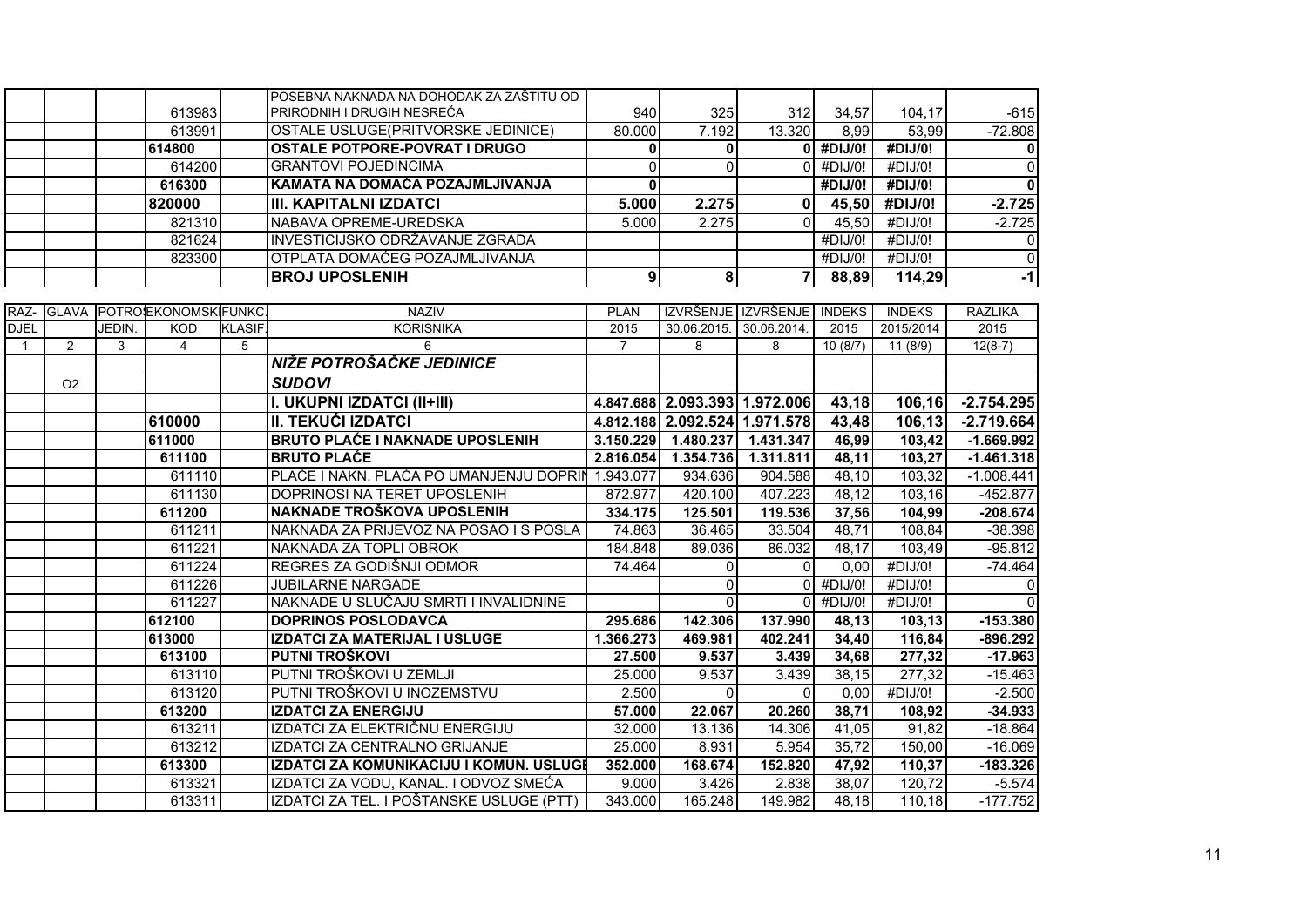|              |                |        | 613983               |               | POSEBNA NAKNADA NA DOHODAK ZA ZAŠTITU OD<br>PRIRODNIH I DRUGIH NESREĆA | 940            | 325                           | 312                 | 34,57         | 104,17        | $-615$         |
|--------------|----------------|--------|----------------------|---------------|------------------------------------------------------------------------|----------------|-------------------------------|---------------------|---------------|---------------|----------------|
|              |                |        | 613991               |               | OSTALE USLUGE(PRITVORSKE JEDINICE)                                     | 80.000         | 7.192                         | 13.320              | 8,99          | 53,99         | $-72.808$      |
|              |                |        | 614800               |               | <b>OSTALE POTPORE-POVRAT I DRUGO</b>                                   | 0              | $\mathbf{0}$                  |                     | $0$ #DIJ/0!   | #DIJ/0!       | $\mathbf 0$    |
|              |                |        | 614200               |               | <b>GRANTOVI POJEDINCIMA</b>                                            | $\Omega$       | $\Omega$                      | $\Omega$            | #DIJ/0!       | #DIJ/0!       | $\overline{0}$ |
|              |                |        | 616300               |               | KAMATA NA DOMAĆA POZAJMLJIVANJA                                        | 0              |                               |                     | #DIJ/0!       | #DIJ/0!       | $\mathbf 0$    |
|              |                |        | 820000               |               | <b>III. KAPITALNI IZDATCI</b>                                          | 5.000          | 2.275                         | 0                   | 45,50         | #DIJ/0!       | $-2.725$       |
|              |                |        | 821310               |               | NABAVA OPREME-UREDSKA                                                  | 5.000          | 2.275                         | $\Omega$            | 45,50         | #DIJ/0!       | $-2.725$       |
|              |                |        | 821624               |               | INVESTICIJSKO ODRŽAVANJE ZGRADA                                        |                |                               |                     | #DIJ/0!       | #DIJ/0!       | 0              |
|              |                |        | 823300               |               | OTPLATA DOMAĆEG POZAJMLJIVANJA                                         |                |                               |                     | #DIJ/0!       | #DIJ/0!       | $\overline{0}$ |
|              |                |        |                      |               | <b>BROJ UPOSLENIH</b>                                                  | 9              | 8                             | 7                   | 88,89         | 114,29        | $-1$           |
|              |                |        |                      |               |                                                                        |                |                               |                     |               |               |                |
| RAZ-         | <b>GLAVA</b>   |        | POTROIEKONOMSKIFUNKC |               | <b>NAZIV</b>                                                           | <b>PLAN</b>    |                               | IZVRŠENJE IZVRŠENJE | <b>INDEKS</b> | <b>INDEKS</b> | <b>RAZLIKA</b> |
| <b>DJEL</b>  |                | JEDIN. | <b>KOD</b>           | <b>KLASIF</b> | <b>KORISNIKA</b>                                                       | 2015           | 30.06.2015.                   | 30.06.2014.         | 2015          | 2015/2014     | 2015           |
| $\mathbf{1}$ | 2              | 3      | 4                    | 5             | 6                                                                      | $\overline{7}$ | 8                             | 8                   | 10(8/7)       | 11(8/9)       | $12(8-7)$      |
|              |                |        |                      |               | NIŽE POTROŠAČKE JEDINICE                                               |                |                               |                     |               |               |                |
|              | O <sub>2</sub> |        |                      |               | <b>SUDOVI</b>                                                          |                |                               |                     |               |               |                |
|              |                |        |                      |               | I. UKUPNI IZDATCI (II+III)                                             |                | 4.847.688 2.093.393 1.972.006 |                     | 43,18         | 106,16        | $-2.754.295$   |
|              |                |        | 610000               |               | III. TEKUĆI IZDATCI                                                    |                | 4.812.188 2.092.524 1.971.578 |                     | 43,48         | 106,13        | $-2.719.664$   |
|              |                |        | 611000               |               | <b>BRUTO PLACE I NAKNADE UPOSLENIH</b>                                 | 3.150.229      | 1.480.237                     | 1.431.347           | 46,99         | 103,42        | $-1.669.992$   |
|              |                |        | 611100               |               | <b>BRUTO PLAĆE</b>                                                     | 2.816.054      | 1.354.736                     | 1.311.811           | 48,11         | 103,27        | $-1.461.318$   |
|              |                |        | 611110               |               | PLAĆE I NAKN. PLAĆA PO UMANJENJU DOPRIN                                | 1.943.077      | 934.636                       | 904.588             | 48,10         | 103,32        | $-1.008.441$   |
|              |                |        | 611130               |               | DOPRINOSI NA TERET UPOSLENIH                                           | 872.977        | 420.100                       | 407.223             | 48,12         | 103, 16       | $-452.877$     |
|              |                |        | 611200               |               | NAKNADE TROŠKOVA UPOSLENIH                                             | 334.175        | 125.501                       | 119.536             | 37,56         | 104,99        | $-208.674$     |
|              |                |        | 611211               |               | NAKNADA ZA PRIJEVOZ NA POSAO I S POSLA                                 | 74.863         | 36.465                        | 33.504              | 48,71         | 108,84        | $-38.398$      |
|              |                |        | 611221               |               | NAKNADA ZA TOPLI OBROK                                                 | 184.848        | 89.036                        | 86.032              | 48,17         | 103,49        | $-95.812$      |
|              |                |        | 611224               |               | REGRES ZA GODIŠNJI ODMOR                                               | 74.464         | $\Omega$                      | $\Omega$            | 0,00          | #DIJ/0!       | $-74.464$      |
|              |                |        | 611226               |               | <b>JUBILARNE NARGADE</b>                                               |                | $\Omega$                      |                     | #DIJ/0!       | #DIJ/0!       | $\mathbf 0$    |
|              |                |        | 611227               |               | NAKNADE U SLUČAJU SMRTI I INVALIDNINE                                  |                | $\Omega$                      | O                   | #DIJ/0!       | #DIJ/0!       | $\Omega$       |
|              |                |        | 612100               |               | <b>DOPRINOS POSLODAVCA</b>                                             | 295.686        | 142.306                       | 137.990             | 48,13         | 103,13        | $-153.380$     |
|              |                |        | 613000               |               | IZDATCI ZA MATERIJAL I USLUGE                                          | 1.366.273      | 469.981                       | 402.241             | 34,40         | 116,84        | $-896.292$     |
|              |                |        | 613100               |               | PUTNI TROŠKOVI                                                         | 27.500         | 9.537                         | 3.439               | 34,68         | 277,32        | $-17.963$      |
|              |                |        | 613110               |               | PUTNI TROŠKOVI U ZEMLJI                                                | 25.000         | 9.537                         | 3.439               | 38,15         | 277,32        | $-15.463$      |
|              |                |        | 613120               |               | PUTNI TROŠKOVI U INOZEMSTVU                                            | 2.500          | $\Omega$                      | $\Omega$            | 0,00          | #DIJ/0!       | $-2.500$       |
|              |                |        | 613200               |               | <b>IZDATCI ZA ENERGIJU</b>                                             | 57.000         | 22.067                        | 20.260              | 38,71         | 108.92        | $-34.933$      |
|              |                |        | 613211               |               | IZDATCI ZA ELEKTRIČNU ENERGIJU                                         | 32.000         | 13.136                        | 14.306              | 41,05         | 91,82         | $-18.864$      |
|              |                |        | 613212               |               | IZDATCI ZA CENTRALNO GRIJANJE                                          | 25.000         | 8.931                         | 5.954               | 35,72         | 150,00        | $-16.069$      |
|              |                |        | 613300               |               | IZDATCI ZA KOMUNIKACIJU I KOMUN. USLUGI                                | 352.000        | 168.674                       | 152.820             | 47,92         | 110,37        | $-183.326$     |
|              |                |        | 613321               |               | IZDATCI ZA VODU, KANAL. I ODVOZ SMEĆA                                  | 9.000          | 3.426                         | 2.838               | 38,07         | 120,72        | $-5.574$       |
|              |                |        | 613311               |               | IZDATCI ZA TEL. I POŠTANSKE USLUGE (PTT)                               | 343.000        | 165.248                       | 149.982             | 48,18         | 110,18        | $-177.752$     |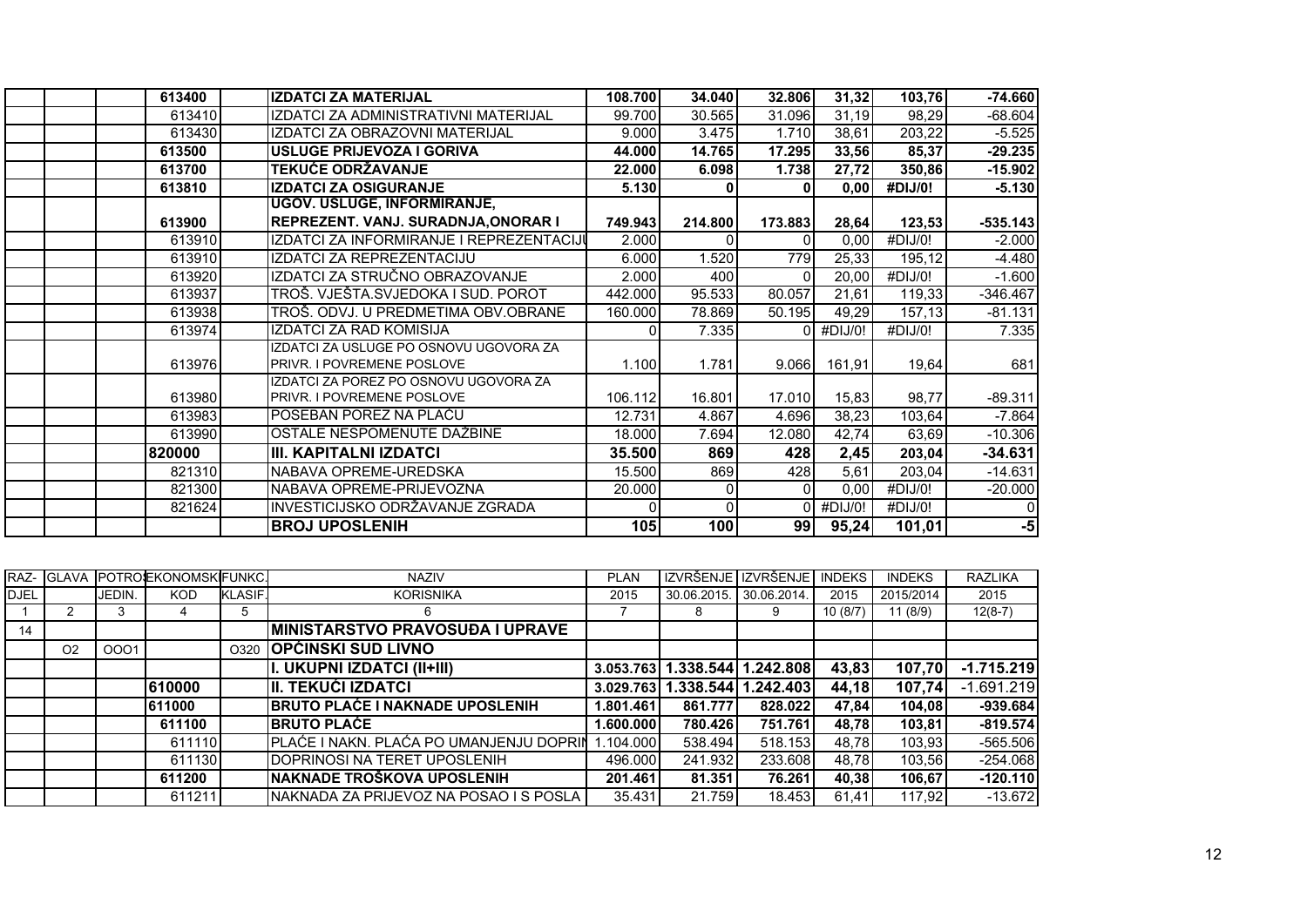| 613400 | <b>IZDATCI ZA MATERIJAL</b>              | 108.700 | 34.040   | 32.806   | 31,32   | 103,76                | $-74.660$  |
|--------|------------------------------------------|---------|----------|----------|---------|-----------------------|------------|
| 613410 | IZDATCI ZA ADMINISTRATIVNI MATERIJAL     | 99.700  | 30.565   | 31.096   | 31,19   | 98,29                 | $-68.604$  |
| 613430 | IZDATCI ZA OBRAZOVNI MATERIJAL           | 9.000   | 3.475    | 1.710    | 38,61   | 203,22                | $-5.525$   |
| 613500 | <b>USLUGE PRIJEVOZA I GORIVA</b>         | 44.000  | 14.765   | 17.295   | 33,56   | 85,37                 | $-29.235$  |
| 613700 | <b>TEKUĆE ODRŽAVANJE</b>                 | 22.000  | 6.098    | 1.738    | 27,72   | 350,86                | $-15.902$  |
| 613810 | <b>IZDATCI ZA OSIGURANJE</b>             | 5.130   | 0        |          | 0,00    | #DIJ/0!               | $-5.130$   |
|        | UGOV. USLUGE, INFORMIRANJE,              |         |          |          |         |                       |            |
| 613900 | REPREZENT. VANJ. SURADNJA, ONORAR I      | 749.943 | 214.800  | 173.883  | 28,64   | 123,53                | $-535.143$ |
| 613910 | IZDATCI ZA INFORMIRANJE I REPREZENTACIJI | 2.000   | 0        | ΩI       | 0,00    | #DIJ/0!               | $-2.000$   |
| 613910 | IZDATCI ZA REPREZENTACIJU                | 6.000   | 1.520    | 779      | 25,33   | 195,12                | $-4.480$   |
| 613920 | IZDATCI ZA STRUČNO OBRAZOVANJE           | 2.000   | 400      | $\Omega$ | 20,00   | $\overline{4}$ DIJ/0! | $-1.600$   |
| 613937 | TROŠ. VJEŠTA. SVJEDOKA I SUD. POROT      | 442.000 | 95.533   | 80.057   | 21,61   | 119,33                | $-346.467$ |
| 613938 | TROŠ. ODVJ. U PREDMETIMA OBV.OBRANE      | 160.000 | 78.869   | 50.195   | 49,29   | 157,13                | $-81.131$  |
| 613974 | IZDATCI ZA RAD KOMISIJA                  |         | 7.335    | ΩI       | #DIJ/0! | #DIJ/0!               | 7.335      |
|        | IZDATCI ZA USLUGE PO OSNOVU UGOVORA ZA   |         |          |          |         |                       |            |
| 613976 | <b>PRIVR. I POVREMENE POSLOVE</b>        | 1.100   | 1.781    | 9.066    | 161,91  | 19,64                 | 681        |
|        | IZDATCI ZA POREZ PO OSNOVU UGOVORA ZA    |         |          |          |         |                       |            |
| 613980 | <b>PRIVR. I POVREMENE POSLOVE</b>        | 106.112 | 16.801   | 17.010   | 15,83   | 98,77                 | $-89.311$  |
| 613983 | POSEBAN POREZ NA PLAĆU                   | 12.731  | 4.867    | 4.696    | 38,23   | 103,64                | $-7.864$   |
| 613990 | OSTALE NESPOMENUTE DAŽBINE               | 18.000  | 7.694    | 12.080   | 42,74   | 63,69                 | $-10.306$  |
| 820000 | III. KAPITALNI IZDATCI                   | 35.500  | 869      | 428      | 2,45    | 203,04                | $-34.631$  |
| 821310 | NABAVA OPREME-UREDSKA                    | 15.500  | 869      | 428      | 5,61    | 203,04                | $-14.631$  |
| 821300 | INABAVA OPREME-PRIJEVOZNA                | 20.000  | $\Omega$ | ΩI       | 0,00    | #DIJ/0!               | $-20.000$  |
| 821624 | INVESTICIJSKO ODRŽAVANJE ZGRADA          |         | $\Omega$ |          | #DIJ/0! | #DIJ/0!               |            |
|        | <b>BROJ UPOSLENIH</b>                    | 105     | 100      | 99       | 95,24   | 101,01                | $-5$       |

|             | RAZ- GLAVA     |        | <b>POTROJEKONOMSKIFUNKC.</b> |                | <b>NAZIV</b>                              | <b>PLAN</b> |                               | IZVRŠENJE I IZVRŠENJE | <b>INDEKS</b> | <b>INDEKS</b> | <b>RAZLIKA</b> |
|-------------|----------------|--------|------------------------------|----------------|-------------------------------------------|-------------|-------------------------------|-----------------------|---------------|---------------|----------------|
| <b>DJEL</b> |                | JEDIN. | <b>KOD</b>                   | <b>KLASIF.</b> | <b>KORISNIKA</b>                          | 2015        | 30.06.2015.                   | 30.06.2014.           | 2015          | 2015/2014     | 2015           |
|             |                | 3      |                              | 5              | 6                                         |             | 8                             | 9                     | 10(8/7)       | 11(8/9)       | $12(8-7)$      |
| 14          |                |        |                              |                | <b>MINISTARSTVO PRAVOSUĐA I UPRAVE</b>    |             |                               |                       |               |               |                |
|             | O <sub>2</sub> | 0001   |                              | O320           | <b>OPĆINSKI SUD LIVNO</b>                 |             |                               |                       |               |               |                |
|             |                |        |                              |                | I. UKUPNI IZDATCI (II+III)                |             | 3.053.763 1.338.544 1.242.808 |                       | 43,83         | 107,70        | $-1.715.219$   |
|             |                |        | 610000                       |                | III. TEKUĆI IZDATCI                       | 3.029.763   |                               | 1.338.544 1.242.403   | 44,18         | 107,74        | $-1.691.219$   |
|             |                |        | 611000                       |                | <b>BRUTO PLAĆE I NAKNADE UPOSLENIH</b>    | 1.801.461   | 861.777                       | 828.022               | 47,84         | 104,08        | $-939.684$     |
|             |                |        | 611100                       |                | <b>IBRUTO PLAČE</b>                       | 1.600.0001  | 780.426                       | 751.761               | 48.78         | 103,81        | $-819.574$     |
|             |                |        | 611110                       |                | PLAĆE I NAKN. PLAĆA PO UMANJENJU DOPRIN   | 1.104.000   | 538.494                       | 518.153               | 48.78         | 103,93        | $-565.506$     |
|             |                |        | 611130                       |                | IDOPRINOSI NA TERET UPOSLENIH             | 496,000     | 241.932                       | 233.608               | 48.78         | 103,56        | $-254.068$     |
|             |                |        | 611200                       |                | INAKNADE TROŠKOVA UPOSLENIH               | 201.461     | 81.351                        | 76.261                | 40,38         | 106,67        | $-120.110$     |
|             |                |        | 611211                       |                | INAKNADA ZA PRIJEVOZ NA POSAO I S POSLA I | 35.431      | 21.759                        | 18.453                | 61.41         | 117.92        | $-13.672$      |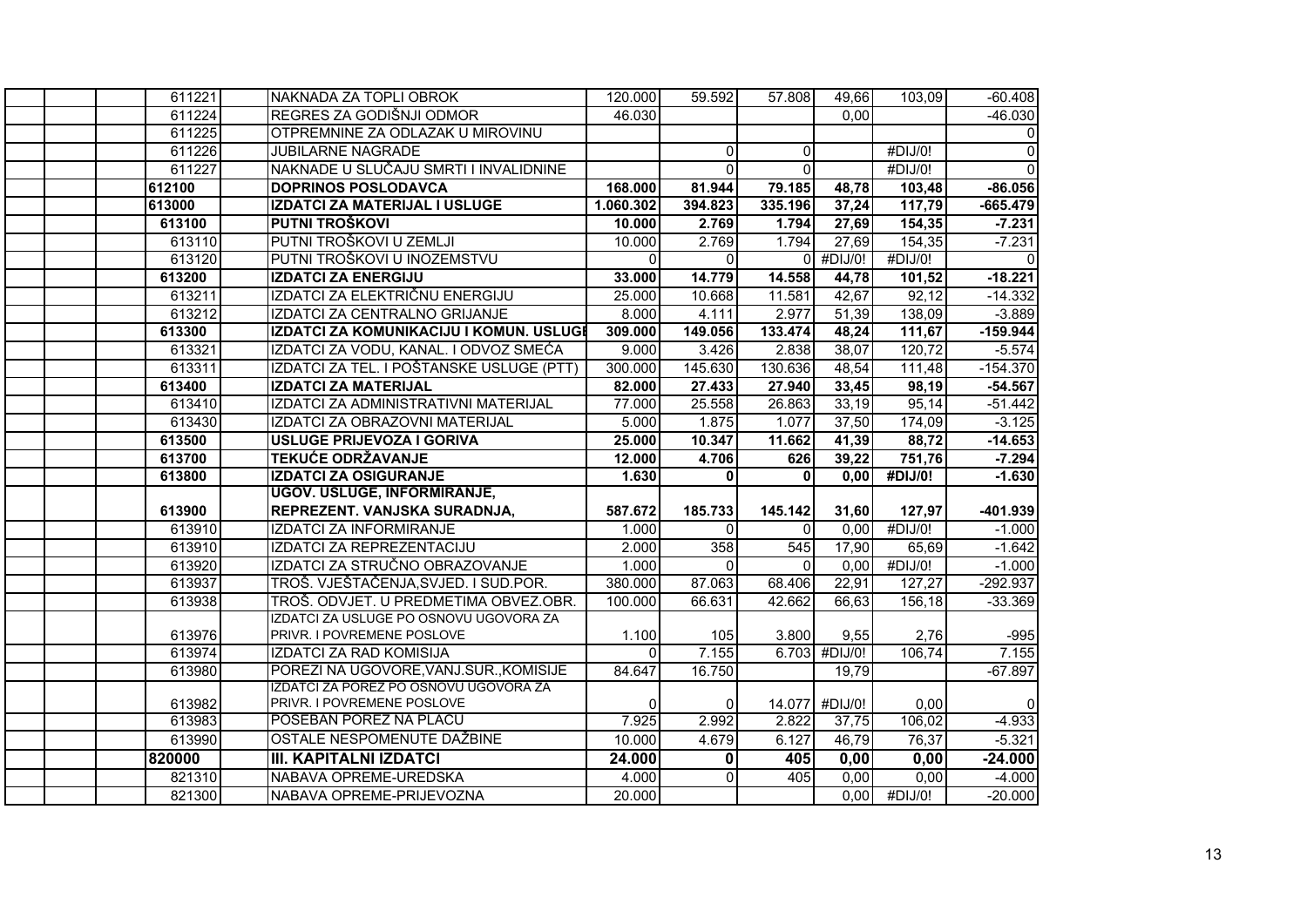| 611221 | NAKNADA ZA TOPLI OBROK                   | 120.000   | 59.592         | 57.808   | 49,66          | 103,09  | $-60.408$      |
|--------|------------------------------------------|-----------|----------------|----------|----------------|---------|----------------|
| 611224 | REGRES ZA GODIŠNJI ODMOR                 | 46.030    |                |          | 0,00           |         | $-46.030$      |
| 611225 | OTPREMNINE ZA ODLAZAK U MIROVINU         |           |                |          |                |         | $\overline{0}$ |
| 611226 | <b>JUBILARNE NAGRADE</b>                 |           | $\overline{0}$ | $\Omega$ |                | #DIJ/0! | $\overline{0}$ |
| 611227 | NAKNADE U SLUČAJU SMRTI I INVALIDNINE    |           | $\Omega$       | $\Omega$ |                | #DIJ/0! | $\overline{0}$ |
| 612100 | <b>DOPRINOS POSLODAVCA</b>               | 168.000   | 81.944         | 79.185   | 48,78          | 103,48  | $-86.056$      |
| 613000 | <b>IZDATCI ZA MATERIJAL I USLUGE</b>     | 1.060.302 | 394.823        | 335.196  | 37,24          | 117,79  | $-665.479$     |
| 613100 | PUTNI TROŠKOVI                           | 10.000    | 2.769          | 1.794    | 27,69          | 154,35  | $-7.231$       |
| 613110 | PUTNI TROŠKOVI U ZEMLJI                  | 10.000    | 2.769          | 1.794    | 27,69          | 154,35  | $-7.231$       |
| 613120 | PUTNI TROŠKOVI U INOZEMSTVU              | $\Omega$  | $\Omega$       | ΩI       | #DIJ/0!        | #DIJ/0! | $\Omega$       |
| 613200 | <b>IZDATCI ZA ENERGIJU</b>               | 33.000    | 14.779         | 14.558   | 44,78          | 101,52  | $-18.221$      |
| 613211 | IZDATCI ZA ELEKTRIČNU ENERGIJU           | 25.000    | 10.668         | 11.581   | 42,67          | 92,12   | $-14.332$      |
| 613212 | IZDATCI ZA CENTRALNO GRIJANJE            | 8.000     | 4.111          | 2.977    | 51,39          | 138,09  | $-3.889$       |
| 613300 | IZDATCI ZA KOMUNIKACIJU I KOMUN. USLUGI  | 309.000   | 149.056        | 133.474  | 48,24          | 111,67  | $-159.944$     |
| 613321 | IZDATCI ZA VODU, KANAL. I ODVOZ SMEĆA    | 9.000     | 3.426          | 2.838    | 38,07          | 120,72  | $-5.574$       |
| 613311 | IZDATCI ZA TEL. I POŠTANSKE USLUGE (PTT) | 300.000   | 145.630        | 130.636  | 48,54          | 111,48  | $-154.370$     |
| 613400 | <b>IZDATCI ZA MATERIJAL</b>              | 82.000    | 27.433         | 27.940   | 33,45          | 98,19   | $-54.567$      |
| 613410 | IZDATCI ZA ADMINISTRATIVNI MATERIJAL     | 77.000    | 25.558         | 26.863   | 33,19          | 95,14   | $-51.442$      |
| 613430 | IZDATCI ZA OBRAZOVNI MATERIJAL           | 5.000     | 1.875          | 1.077    | 37,50          | 174,09  | $-3.125$       |
| 613500 | USLUGE PRIJEVOZA I GORIVA                | 25.000    | 10.347         | 11.662   | 41,39          | 88,72   | $-14.653$      |
| 613700 | <b>TEKUĆE ODRŽAVANJE</b>                 | 12.000    | 4.706          | 626      | 39,22          | 751,76  | $-7.294$       |
| 613800 | <b>IZDATCI ZA OSIGURANJE</b>             | 1.630     | $\mathbf{0}$   | $\Omega$ | 0,00           | #DIJ/0! | $-1.630$       |
|        | <b>UGOV. USLUGE, INFORMIRANJE,</b>       |           |                |          |                |         |                |
| 613900 | REPREZENT. VANJSKA SURADNJA,             | 587.672   | 185.733        | 145.142  | 31,60          | 127,97  | -401.939       |
| 613910 | <b>IZDATCI ZA INFORMIRANJE</b>           | 1.000     | $\Omega$       | $\Omega$ | 0,00           | #DJJ/0! | $-1.000$       |
| 613910 | <b>IZDATCI ZA REPREZENTACIJU</b>         | 2.000     | 358            | 545      | 17,90          | 65,69   | $-1.642$       |
| 613920 | IZDATCI ZA STRUČNO OBRAZOVANJE           | 1.000     | $\Omega$       | $\Omega$ | 0,00           | #DIJ/0! | $-1.000$       |
| 613937 | TROŠ. VJEŠTAČENJA, SVJED. I SUD. POR.    | 380.000   | 87.063         | 68.406   | 22,91          | 127,27  | $-292.937$     |
| 613938 | TROŠ. ODVJET. U PREDMETIMA OBVEZ.OBR.    | 100.000   | 66.631         | 42.662   | 66,63          | 156,18  | $-33.369$      |
|        | IZDATCI ZA USLUGE PO OSNOVU UGOVORA ZA   |           |                |          |                |         |                |
| 613976 | PRIVR. I POVREMENE POSLOVE               | 1.100     | 105            | 3.800    | 9,55           | 2,76    | $-995$         |
| 613974 | <b>IZDATCI ZA RAD KOMISIJA</b>           | $\Omega$  | 7.155          |          | 6.703 #DIJ/0!  | 106,74  | 7.155          |
| 613980 | POREZI NA UGOVORE, VANJ. SUR., KOMISIJE  | 84.647    | 16.750         |          | 19,79          |         | $-67.897$      |
|        | IZDATCI ZA POREZ PO OSNOVU UGOVORA ZA    |           |                |          |                |         |                |
| 613982 | PRIVR. I POVREMENE POSLOVE               | $\Omega$  | $\overline{0}$ |          | 14.077 #DIJ/0! | 0.00    | $\Omega$       |
| 613983 | POSEBAN POREZ NA PLACU                   | 7.925     | 2.992          | 2.822    | 37,75          | 106,02  | $-4.933$       |
| 613990 | OSTALE NESPOMENUTE DAŽBINE               | 10.000    | 4.679          | 6.127    | 46,79          | 76,37   | $-5.321$       |
| 820000 | <b>III. KAPITALNI IZDATCI</b>            | 24.000    | 0              | 405      | 0,00           | 0,00    | $-24.000$      |
| 821310 | NABAVA OPREME-UREDSKA                    | 4.000     | $\Omega$       | 405      | 0,00           | 0,00    | $-4.000$       |
| 821300 | NABAVA OPREME-PRIJEVOZNA                 | 20.000    |                |          | 0,00           | #DIJ/O! | $-20.000$      |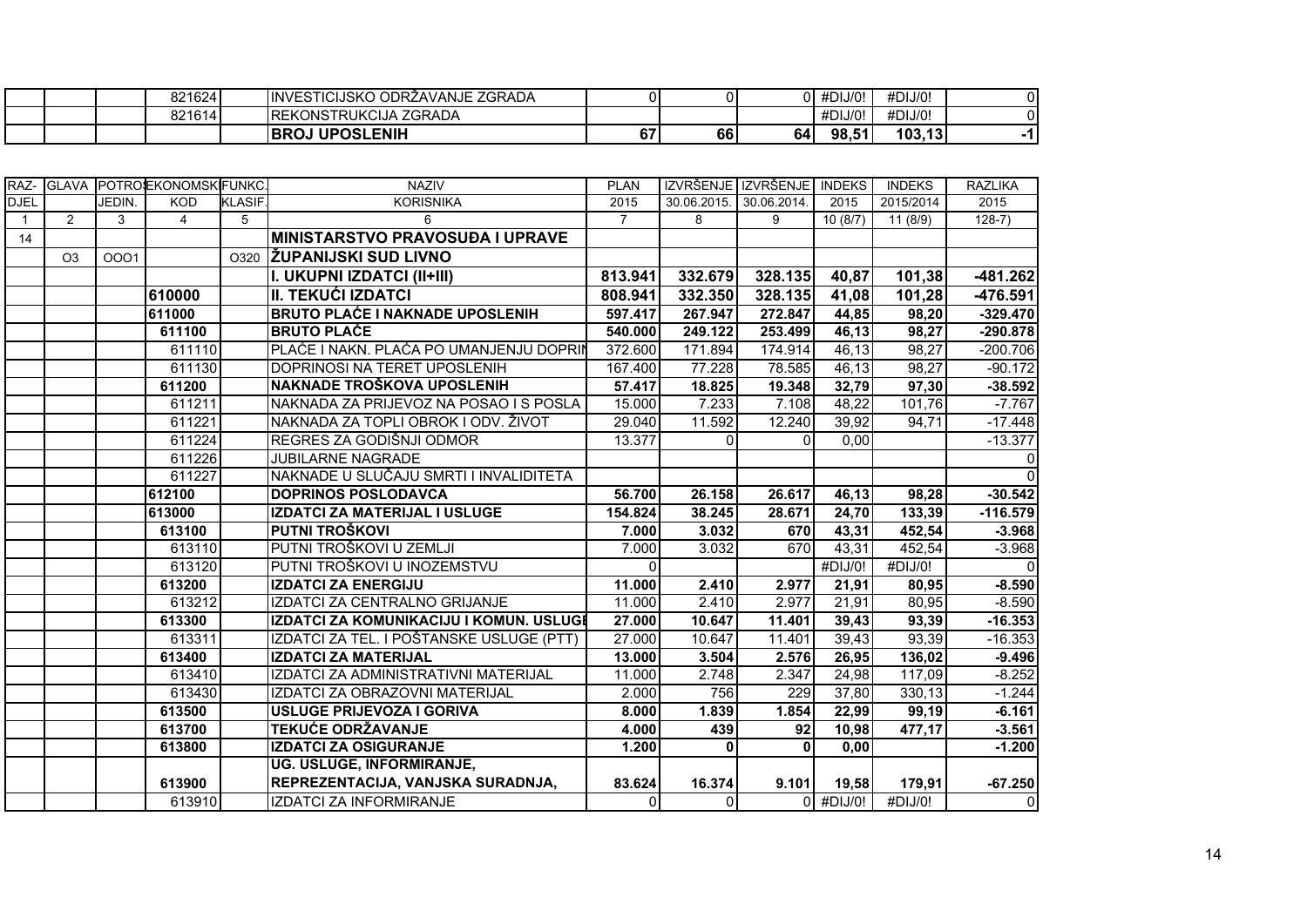|  | 821614 | ، ZGRADA<br><b>IREKONSTRUKCIJA</b><br><b>UPOSLENIH</b><br><b>IBROJ</b> | $\sim$<br>ь, | 66 | 64  | #DIJ/0!<br>98,51 | #DIJ/0!<br>103, 13 |  |
|--|--------|------------------------------------------------------------------------|--------------|----|-----|------------------|--------------------|--|
|  | 821624 | ) ODRŽAVANJE ZGRADA<br><b>IINVESTICIJSKO</b>                           |              |    | O I | #DIJ/0!          | #DIJ/0!            |  |

|              |                |        | RAZ- GLAVA POTROEKONOMSKFUNKC. |               | <b>NAZIV</b>                             | <b>PLAN</b>    |                         | IZVRŠENJE IZVRŠENJE INDEKS |                         | <b>INDEKS</b>       | <b>RAZLIKA</b> |
|--------------|----------------|--------|--------------------------------|---------------|------------------------------------------|----------------|-------------------------|----------------------------|-------------------------|---------------------|----------------|
| <b>DJEL</b>  |                | JEDIN. | <b>KOD</b>                     | <b>KLASIF</b> | <b>KORISNIKA</b>                         | 2015           | 30.06.2015. 30.06.2014. |                            | 2015                    | 2015/2014           | 2015           |
| $\mathbf{1}$ | $\overline{2}$ | 3      | $\overline{4}$                 | 5             | 6                                        | $\overline{7}$ | 8                       | 9                          | 10(8/7)                 | 11(8/9)             | $128-7)$       |
| 14           |                |        |                                |               | <b>MINISTARSTVO PRAVOSUĐA I UPRAVE</b>   |                |                         |                            |                         |                     |                |
|              | O <sub>3</sub> | 0001   |                                |               | 0320 ZUPANIJSKI SUD LIVNO                |                |                         |                            |                         |                     |                |
|              |                |        |                                |               | I. UKUPNI IZDATCI (II+III)               | 813.941        | 332.679                 | 328.135                    | 40,87                   | 101,38              | $-481.262$     |
|              |                |        | 610000                         |               | <b>II. TEKUĆI IZDATCI</b>                | 808.941        | 332.350                 | 328.135                    | 41,08                   | 101,28              | -476.591       |
|              |                |        | 611000                         |               | <b>BRUTO PLACE I NAKNADE UPOSLENIH</b>   | 597.417        | 267.947                 | 272.847                    | 44,85                   | 98,20               | $-329.470$     |
|              |                |        | 611100                         |               | <b>BRUTO PLAĆE</b>                       | 540.000        | 249.122                 | 253.499                    | 46,13                   | 98,27               | $-290.878$     |
|              |                |        | 611110                         |               | PLAĆE I NAKN. PLAĆA PO UMANJENJU DOPRIN  | 372.600        | 171.894                 | 174.914                    | 46,13                   | 98,27               | $-200.706$     |
|              |                |        | 611130                         |               | DOPRINOSI NA TERET UPOSLENIH             | 167.400        | 77.228                  | 78.585                     | 46,13                   | 98,27               | $-90.172$      |
|              |                |        | 611200                         |               | NAKNADE TROŠKOVA UPOSLENIH               | 57.417         | 18.825                  | 19.348                     | 32,79                   | 97,30               | $-38.592$      |
|              |                |        | 611211                         |               | NAKNADA ZA PRIJEVOZ NA POSAO I S POSLA   | 15.000         | 7.233                   | 7.108                      | 48,22                   | 101,76              | $-7.767$       |
|              |                |        | 611221                         |               | NAKNADA ZA TOPLI OBROK I ODV. ŽIVOT      | 29.040         | 11.592                  | 12.240                     | 39,92                   | 94,71               | $-17.448$      |
|              |                |        | 611224                         |               | REGRES ZA GODIŠNJI ODMOR                 | 13.377         | $\Omega$                | $\Omega$                   | 0,00                    |                     | $-13.377$      |
|              |                |        | 611226                         |               | JUBILARNE NAGRADE                        |                |                         |                            |                         |                     |                |
|              |                |        | 611227                         |               | NAKNADE U SLUČAJU SMRTI I INVALIDITETA   |                |                         |                            |                         |                     |                |
|              |                |        | 612100                         |               | <b>DOPRINOS POSLODAVCA</b>               | 56.700         | 26.158                  | 26.617                     | 46,13                   | 98,28               | $-30.542$      |
|              |                |        | 613000                         |               | IZDATCI ZA MATERIJAL I USLUGE            | 154.824        | 38.245                  | 28.671                     | 24,70                   | 133,39              | $-116.579$     |
|              |                |        | 613100                         |               | PUTNI TROŠKOVI                           | 7.000          | 3.032                   | 670                        | 43,31                   | 452,54              | $-3.968$       |
|              |                |        | 613110                         |               | PUTNI TROŠKOVI U ZEMLJI                  | 7.000          | 3.032                   | 670                        | 43,31                   | 452,54              | $-3.968$       |
|              |                |        | 613120                         |               | PUTNI TROŠKOVI U INOZEMSTVU              | $\Omega$       |                         |                            | $#$ $\overline{DIJ/O!}$ | #DIJ/0!             |                |
|              |                |        | 613200                         |               | <b>IZDATCI ZA ENERGIJU</b>               | 11.000         | 2.410                   | 2.977                      | 21,91                   | 80,95               | $-8.590$       |
|              |                |        | 613212                         |               | IZDATCI ZA CENTRALNO GRIJANJE            | 11.000         | 2.410                   | 2.977                      | 21,91                   | 80,95               | $-8.590$       |
|              |                |        | 613300                         |               | IZDATCI ZA KOMUNIKACIJU I KOMUN. USLUGI  | 27.000         | 10.647                  | 11.401                     | 39,43                   | 93,39               | $-16.353$      |
|              |                |        | 613311                         |               | IZDATCI ZA TEL. I POŠTANSKE USLUGE (PTT) | 27.000         | 10.647                  | 11.401                     | 39,43                   | 93,39               | $-16.353$      |
|              |                |        | 613400                         |               | <b>IZDATCI ZA MATERIJAL</b>              | 13.000         | 3.504                   | 2.576                      | 26,95                   | 136,02              | $-9.496$       |
|              |                |        | 613410                         |               | IZDATCI ZA ADMINISTRATIVNI MATERIJAL     | 11.000         | 2.748                   | 2.347                      | 24,98                   | 117,09              | $-8.252$       |
|              |                |        | 613430                         |               | IZDATCI ZA OBRAZOVNI MATERIJAL           | 2.000          | 756                     | 229                        | 37,80                   | $\overline{330,13}$ | $-1.244$       |
|              |                |        | 613500                         |               | <b>USLUGE PRIJEVOZA I GORIVA</b>         | 8.000          | 1.839                   | 1.854                      | 22,99                   | 99,19               | $-6.161$       |
|              |                |        | 613700                         |               | <b>TEKUĆE ODRŽAVANJE</b>                 | 4.000          | 439                     | 92                         | 10,98                   | 477,17              | $-3.561$       |
|              |                |        | 613800                         |               | <b>IZDATCI ZA OSIGURANJE</b>             | 1.200          | $\mathbf{0}$            | $\mathbf{0}$               | 0,00                    |                     | $-1.200$       |
|              |                |        |                                |               | UG. USLUGE, INFORMIRANJE,                |                |                         |                            |                         |                     |                |
|              |                |        | 613900                         |               | REPREZENTACIJA, VANJSKA SURADNJA,        | 83.624         | 16.374                  | 9.101                      | 19,58                   | 179,91              | $-67.250$      |
|              |                |        | 613910                         |               | <b>IZDATCI ZA INFORMIRANJE</b>           | $\Omega$       | $\overline{0}$          |                            | $0$ #DIJ/0!             | #DIJ/0!             | 0              |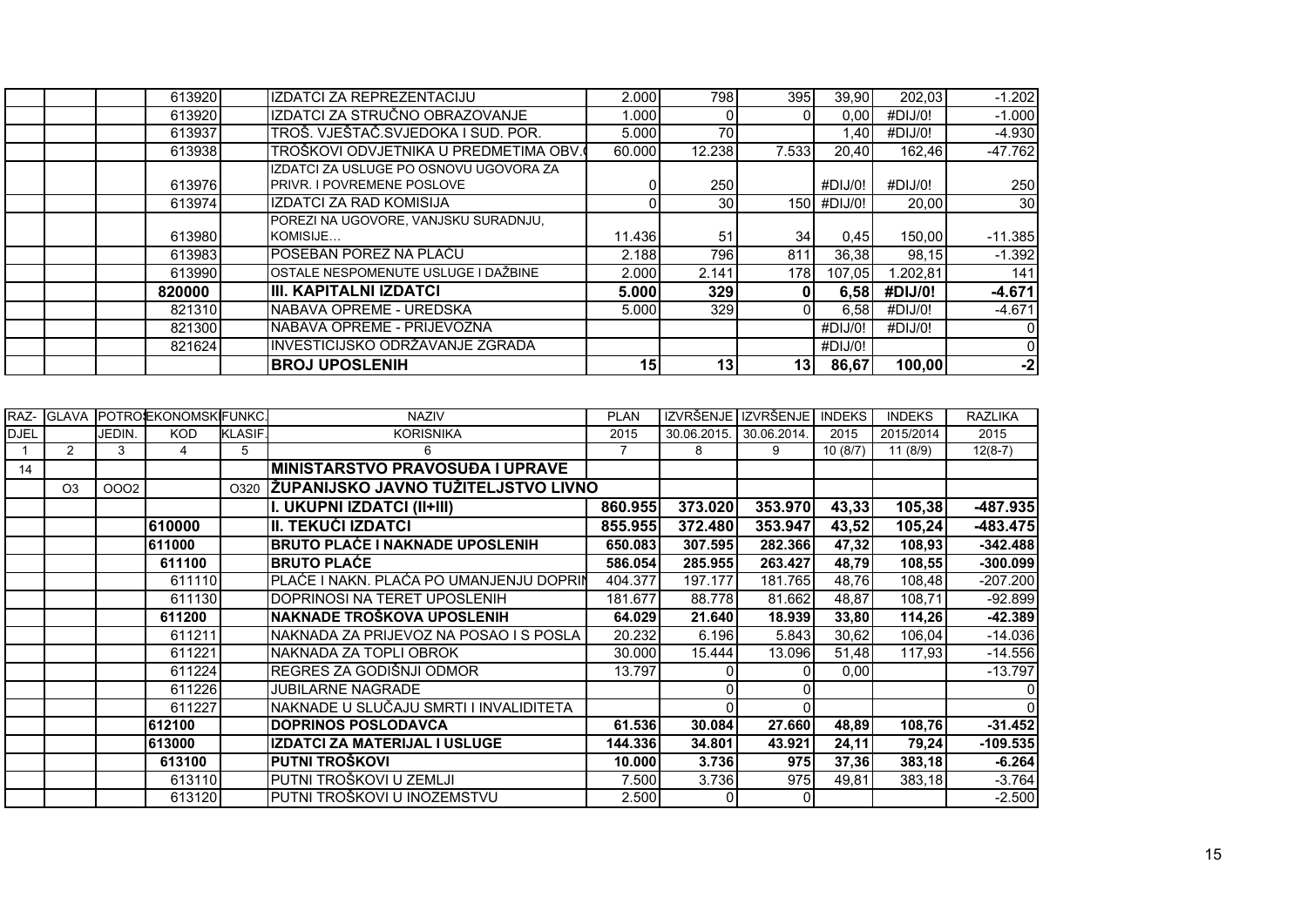|        | <b>BROJ UPOSLENIH</b>                                                       | 15     | 13 <sup>l</sup> | 131             | 86,67       | 100,00   | $-2$            |
|--------|-----------------------------------------------------------------------------|--------|-----------------|-----------------|-------------|----------|-----------------|
| 821624 | INVESTICIJSKO ODRŽAVANJE ZGRADA                                             |        |                 |                 | #DIJ/0!     |          | 0               |
| 821300 | NABAVA OPREME - PRIJEVOZNA                                                  |        |                 |                 | #DIJ/0!     | #DIJ/0!  | 01              |
| 821310 | NABAVA OPREME - UREDSKA                                                     | 5.000  | 329             |                 | 6,58        | #DIJ/0!  | $-4.671$        |
| 820000 | IIII. KAPITALNI IZDATCI                                                     | 5.000  | 329             |                 | 6,58        | #DIJ/0!  | $-4.671$        |
| 613990 | OSTALE NESPOMENUTE USLUGE I DAŽBINE                                         | 2.000  | 2.141           | 178             | 107.05      | 1.202,81 | 141             |
| 613983 | IPOSEBAN POREZ NA PLAĆU                                                     | 2.188  | 796             | 811             | 36,38       | 98,15    | $-1.392$        |
| 613980 | POREZI NA UGOVORE, VANJSKU SURADNJU,<br>KOMISIJE                            | 11.436 | 51              | 34 <sub>1</sub> | 0,45        | 150,00   | $-11.385$       |
| 613974 | IZDATCI ZA RAD KOMISIJA                                                     |        | 30 <sup>1</sup> |                 | 150 #DIJ/0! | 20,00    | 30 <sup>l</sup> |
| 613976 | IZDATCI ZA USLUGE PO OSNOVU UGOVORA ZA<br><b>PRIVR. I POVREMENE POSLOVE</b> |        | 250             |                 | #DIJ/0!     | #DIJ/0!  | 250             |
| 613938 | TROŠKOVI ODVJETNIKA U PREDMETIMA OBV.                                       | 60.000 | 12.238          | 7.533           | 20.40       | 162.46   | $-47.762$       |
| 613937 | TROŠ. VJEŠTAČ. SVJEDOKA I SUD. POR.                                         | 5.000  | 70              |                 | 1,40        | #DIJ/0!  | $-4.930$        |
| 613920 | IZDATCI ZA STRUČNO OBRAZOVANJE                                              | 1.000  |                 |                 | 0,00        | #DIJ/0!  | $-1.000$        |
| 613920 | IZDATCI ZA REPREZENTACIJU                                                   | 2.000  | 7981            | 395             | 39,90       | 202,03   | $-1.202$        |

| RAZ-        | <b>GLAVA</b>   |        | <b>POTROSEKONOMSKIFUNKC.</b> |                | <b>NAZIV</b>                            | <b>PLAN</b> |                         | IZVRŠENJE IZVRŠENJE | <b>INDEKS</b> | <b>INDEKS</b> | <b>RAZLIKA</b> |
|-------------|----------------|--------|------------------------------|----------------|-----------------------------------------|-------------|-------------------------|---------------------|---------------|---------------|----------------|
| <b>DJEL</b> |                | JEDIN. | <b>KOD</b>                   | <b>KLASIF.</b> | <b>KORISNIKA</b>                        | 2015        | 30.06.2015. 30.06.2014. |                     | 2015          | 2015/2014     | 2015           |
|             | $\overline{2}$ | 3      | 4                            | 5              | 6                                       |             | 8                       | 9                   | 10(8/7)       | 11(8/9)       | $12(8-7)$      |
| 14          |                |        |                              |                | <b>MINISTARSTVO PRAVOSUĐA I UPRAVE</b>  |             |                         |                     |               |               |                |
|             | O <sub>3</sub> | 0002   |                              | O320           | ŽUPANIJSKO JAVNO TUŽITELJSTVO LIVNO     |             |                         |                     |               |               |                |
|             |                |        |                              |                | I. UKUPNI IZDATCI (II+III)              | 860.955     | 373.020                 | 353.970             | 43,33         | 105,38        | $-487.935$     |
|             |                |        | 610000                       |                | II. TEKUĆI IZDATCI                      | 855.955     | 372.480                 | 353.947             | 43,52         | 105,24        | $-483.475$     |
|             |                |        | 611000                       |                | <b>BRUTO PLAĆE I NAKNADE UPOSLENIH</b>  | 650.083     | 307.595                 | 282.366             | 47,32         | 108,93        | $-342.488$     |
|             |                |        | 611100                       |                | <b>BRUTO PLACE</b>                      | 586.054     | 285.955                 | 263.427             | 48,79         | 108,55        | $-300.099$     |
|             |                |        | 611110                       |                | PLAĆE I NAKN. PLAĆA PO UMANJENJU DOPRIN | 404.377     | 197.177                 | 181.765             | 48,76         | 108,48        | $-207.200$     |
|             |                |        | 611130                       |                | DOPRINOSI NA TERET UPOSLENIH            | 181.677     | 88.778                  | 81.662              | 48,87         | 108,71        | $-92.899$      |
|             |                |        | 611200                       |                | NAKNADE TROŠKOVA UPOSLENIH              | 64.029      | 21.640                  | 18.939              | 33,80         | 114,26        | $-42.389$      |
|             |                |        | 611211                       |                | NAKNADA ZA PRIJEVOZ NA POSAO I S POSLA  | 20.232      | 6.196                   | 5.843               | 30,62         | 106,04        | $-14.036$      |
|             |                |        | 611221                       |                | NAKNADA ZA TOPLI OBROK                  | 30.000      | 15.444                  | 13.096              | 51,48         | 117,93        | $-14.556$      |
|             |                |        | 611224                       |                | REGRES ZA GODIŠNJI ODMOR                | 13.797      |                         |                     | 0,00          |               | $-13.797$      |
|             |                |        | 611226                       |                | <b>JUBILARNE NAGRADE</b>                |             |                         |                     |               |               |                |
|             |                |        | 611227                       |                | NAKNADE U SLUČAJU SMRTI I INVALIDITETA  |             | $\Omega$                |                     |               |               |                |
|             |                |        | 612100                       |                | <b>DOPRINOS POSLODAVCA</b>              | 61.536      | 30.084                  | 27.660              | 48,89         | 108,76        | $-31.452$      |
|             |                |        | 613000                       |                | <b>IZDATCI ZA MATERIJAL I USLUGE</b>    | 144.336     | 34.801                  | 43.921              | 24,11         | 79,24         | $-109.535$     |
|             |                |        | 613100                       |                | PUTNI TROŠKOVI                          | 10.000      | 3.736                   | 975                 | 37,36         | 383,18        | $-6.264$       |
|             |                |        | 613110                       |                | PUTNI TROŠKOVI U ZEMLJI                 | 7.500       | 3.736                   | 975                 | 49,81         | 383,18        | $-3.764$       |
|             |                |        | 613120                       |                | PUTNI TROŠKOVI U INOZEMSTVU             | 2.500       | $\overline{0}$          |                     |               |               | $-2.500$       |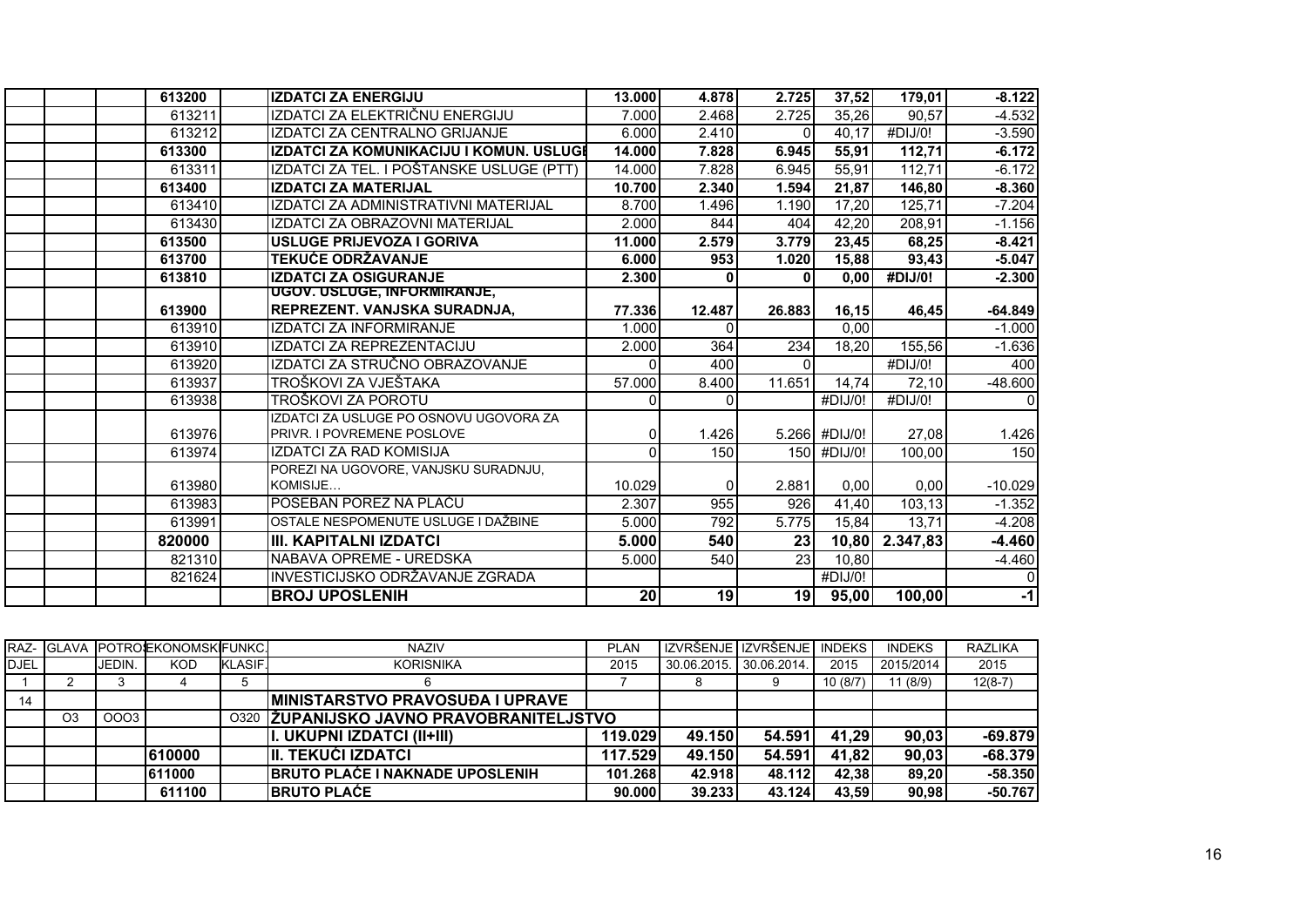| 613200 | <b>IZDATCI ZA ENERGIJU</b>               | 13.000 | 4.878        | 2.725    | 37,52         | 179,01   | $-8.122$  |
|--------|------------------------------------------|--------|--------------|----------|---------------|----------|-----------|
| 613211 | IZDATCI ZA ELEKTRIČNU ENERGIJU           | 7.000  | 2.468        | 2.725    | 35.26         | 90,57    | $-4.532$  |
| 613212 | IZDATCI ZA CENTRALNO GRIJANJE            | 6.000  | 2.410        | $\Omega$ | 40,17         | #DIJ/0!  | $-3.590$  |
| 613300 | IZDATCI ZA KOMUNIKACIJU I KOMUN. USLUGI  | 14.000 | 7.828        | 6.945    | 55,91         | 112,71   | $-6.172$  |
| 613311 | IZDATCI ZA TEL. I POŠTANSKE USLUGE (PTT) | 14.000 | 7.828        | 6.945    | 55,91         | 112,71   | $-6.172$  |
| 613400 | <b>IZDATCI ZA MATERIJAL</b>              | 10.700 | 2.340        | 1.594    | 21.87         | 146,80   | $-8.360$  |
| 613410 | IZDATCI ZA ADMINISTRATIVNI MATERIJAL     | 8.700  | 1.496        | 1.190    | 17,20         | 125,71   | $-7.204$  |
| 613430 | IZDATCI ZA OBRAZOVNI MATERIJAL           | 2.000  | 844          | 404      | 42,20         | 208,91   | $-1.156$  |
| 613500 | <b>USLUGE PRIJEVOZA I GORIVA</b>         | 11.000 | 2.579        | 3.779    | 23,45         | 68,25    | $-8.421$  |
| 613700 | <b>TEKUĆE ODRŽAVANJE</b>                 | 6.000  | 953          | 1.020    | 15,88         | 93,43    | $-5.047$  |
| 613810 | <b>IZDATCI ZA OSIGURANJE</b>             | 2.300  |              | $\Omega$ | 0,00          | #DIJ/0!  | $-2.300$  |
|        | UGOV. USLUGE, INFORMIRANJE,              |        |              |          |               |          |           |
| 613900 | REPREZENT. VANJSKA SURADNJA,             | 77.336 | 12.487       | 26.883   | 16,15         | 46,45    | $-64.849$ |
| 613910 | <b>IZDATCI ZA INFORMIRANJE</b>           | 1.000  | $\Omega$     |          | 0,00          |          | $-1.000$  |
| 613910 | IZDATCI ZA REPREZENTACIJU                | 2.000  | 364          | 234      | 18,20         | 155,56   | $-1.636$  |
| 613920 | IZDATCI ZA STRUČNO OBRAZOVANJE           |        | 400          | $\Omega$ |               | #DIJ/0!  | 400       |
| 613937 | TROŠKOVI ZA VJEŠTAKA                     | 57.000 | 8.400        | 11.651   | 14,74         | 72,10    | $-48.600$ |
| 613938 | TROŠKOVI ZA POROTU                       |        | <sup>n</sup> |          | #DIJ/0!       | #DIJ/0!  | ΩI        |
|        | IZDATCI ZA USLUGE PO OSNOVU UGOVORA ZA   |        |              |          |               |          |           |
| 613976 | PRIVR. I POVREMENE POSLOVE               | 0      | 1.426        |          | 5.266 #DIJ/0! | 27,08    | 1.426     |
| 613974 | <b>IZDATCI ZA RAD KOMISIJA</b>           | ∩      | 150          |          | 150 #DIJ/0!   | 100,00   | 150       |
|        | POREZI NA UGOVORE. VANJSKU SURADNJU.     |        |              |          |               |          |           |
| 613980 | KOMISIJE                                 | 10.029 | $\Omega$     | 2.881    | 0,00          | 0,00     | $-10.029$ |
| 613983 | POSEBAN POREZ NA PLAĆU                   | 2.307  | 955          | 926      | 41,40         | 103,13   | $-1.352$  |
| 613991 | OSTALE NESPOMENUTE USLUGE I DAŽBINE      | 5.000  | 792          | 5.775    | 15,84         | 13,71    | $-4.208$  |
| 820000 | III. KAPITALNI IZDATCI                   | 5.000  | 540          | 23       | 10,80         | 2.347,83 | $-4.460$  |
| 821310 | NABAVA OPREME - UREDSKA                  | 5.000  | 540          | 23       | 10,80         |          | $-4.460$  |
| 821624 | INVESTICIJSKO ODRŽAVANJE ZGRADA          |        |              |          | #DIJ/0!       |          | $\Omega$  |
|        | <b>BROJ UPOSLENIH</b>                    | 20     | 19           | 19       | 95,00         | 100,00   | $-1$      |

|             |                |             | RAZ- IGLAVA POTROEKONOMSKIFUNKC. |                | <b>NAZIV</b>                             | PLAN    |                         | I IZVRŠENJE I IZVRŠENJE I INDEKS I |         | <b>INDEKS</b> | <b>RAZLIKA</b> |
|-------------|----------------|-------------|----------------------------------|----------------|------------------------------------------|---------|-------------------------|------------------------------------|---------|---------------|----------------|
| <b>DJEL</b> |                | JEDIN.      | KOD                              | <b>KLASIF.</b> | <b>KORISNIKA</b>                         | 2015    | 30.06.2015. 30.06.2014. |                                    | 2015    | 2015/2014     | 2015           |
|             |                |             |                                  |                |                                          |         |                         |                                    | 10(8/7) | 11(8/9)       | $12(8-7)$      |
| 14          |                |             |                                  |                | <b>IMINISTARSTVO PRAVOSUĐA I UPRAVE</b>  |         |                         |                                    |         |               |                |
|             | O <sub>3</sub> | <b>OOO3</b> |                                  |                | 0320 ZUPANIJSKO JAVNO PRAVOBRANITELJSTVO |         |                         |                                    |         |               |                |
|             |                |             |                                  |                | II. UKUPNI IZDATCI (II+III)              | 119.029 | 49.150                  | 54.591                             | 41,29   | 90.03         | $-69.879$      |
|             |                |             | 610000                           |                | III. TEKUĆI IZDATCI                      | 117.529 | 49.150                  | 54.591                             | 41,82   | 90,03         | $-68,379$      |
|             |                |             | 611000                           |                | <b>BRUTO PLAĆE I NAKNADE UPOSLENIH</b>   | 101.268 | 42.918                  | 48.112                             | 42.38   | 89.20         | $-58.350$      |
|             |                |             | 611100                           |                | <b>IBRUTO PLAĆE</b>                      | 90.000  | 39.233                  | 43.124                             | 43.59   | 90.98         | $-50.767$      |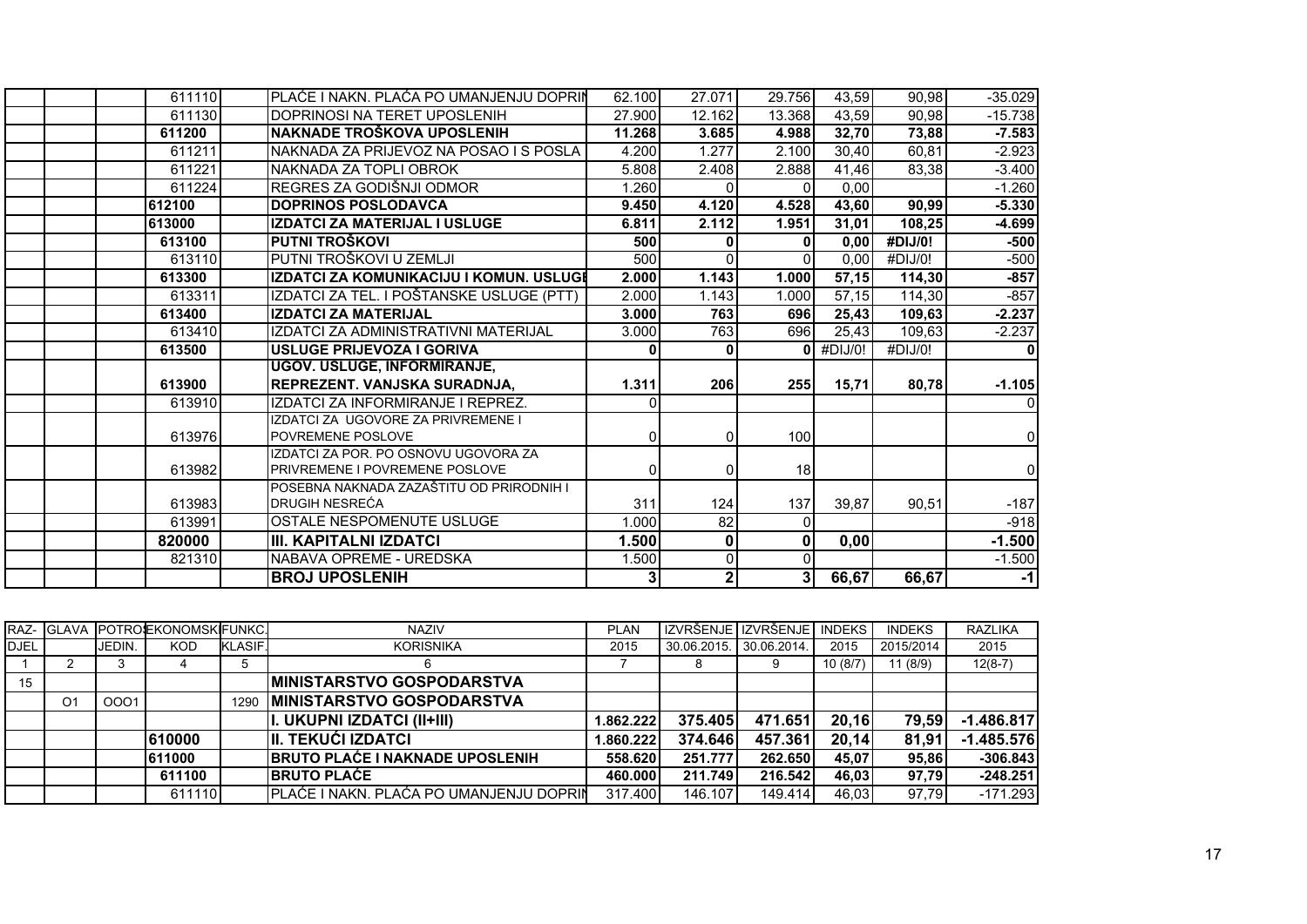| 611110 | PLAĆE I NAKN. PLAĆA PO UMANJENJU DOPRIN                                    | 62.100 | 27.071         | 29.756         | 43.59   | 90,98   | $-35.029$ |
|--------|----------------------------------------------------------------------------|--------|----------------|----------------|---------|---------|-----------|
| 611130 | DOPRINOSI NA TERET UPOSLENIH                                               | 27.900 | 12.162         | 13.368         | 43,59   | 90,98   | $-15.738$ |
| 611200 | NAKNADE TROŠKOVA UPOSLENIH                                                 | 11.268 | 3.685          | 4.988          | 32,70   | 73,88   | $-7.583$  |
| 611211 | NAKNADA ZA PRIJEVOZ NA POSAO I S POSLA                                     | 4.200  | 1.277          | 2.100          | 30,40   | 60,81   | $-2.923$  |
| 611221 | NAKNADA ZA TOPLI OBROK                                                     | 5.808  | 2.408          | 2.888          | 41,46   | 83,38   | $-3.400$  |
| 611224 | REGRES ZA GODIŠNJI ODMOR                                                   | 1.260  |                |                | 0,00    |         | $-1.260$  |
| 612100 | <b>DOPRINOS POSLODAVCA</b>                                                 | 9.450  | 4.120          | 4.528          | 43,60   | 90,99   | $-5.330$  |
| 613000 | <b>IZDATCI ZA MATERIJAL I USLUGE</b>                                       | 6.811  | 2.112          | 1.951          | 31,01   | 108,25  | $-4.699$  |
| 613100 | PUTNI TROŠKOVI                                                             | 500    |                | $\mathbf{0}$   | 0,00    | #DIJ/0! | $-500$    |
| 613110 | PUTNI TROŠKOVI U ZEMLJI                                                    | 500    | 0              | $\Omega$       | 0,00    | #DIJ/0! | $-500$    |
| 613300 | IZDATCI ZA KOMUNIKACIJU I KOMUN. USLUGI                                    | 2.000  | 1.143          | 1.000          | 57,15   | 114,30  | $-857$    |
| 613311 | IZDATCI ZA TEL. I POŠTANSKE USLUGE (PTT)                                   | 2.000  | 1.143          | 1.000          | 57,15   | 114,30  | $-857$    |
| 613400 | <b>IZDATCI ZA MATERIJAL</b>                                                | 3.000  | 763            | 696            | 25,43   | 109,63  | $-2.237$  |
| 613410 | IZDATCI ZA ADMINISTRATIVNI MATERIJAL                                       | 3.000  | 763            | 696            | 25,43   | 109,63  | $-2.237$  |
| 613500 | <b>USLUGE PRIJEVOZA I GORIVA</b>                                           |        | 0              | ΩI             | #DIJ/0! | #DIJ/0! | 0         |
|        | <b>UGOV. USLUGE, INFORMIRANJE,</b>                                         |        |                |                |         |         |           |
| 613900 | REPREZENT. VANJSKA SURADNJA,                                               | 1.311  | 206            | 255            | 15.71   | 80,78   | $-1.105$  |
| 613910 | IZDATCI ZA INFORMIRANJE I REPREZ.                                          |        |                |                |         |         | ΩI        |
|        | IZDATCI ZA UGOVORE ZA PRIVREMENE I                                         |        |                |                |         |         |           |
| 613976 | <b>POVREMENE POSLOVE</b>                                                   | 0      | $\overline{0}$ | 100            |         |         | 01        |
|        | IZDATCI ZA POR. PO OSNOVU UGOVORA ZA                                       |        |                |                |         |         |           |
| 613982 | PRIVREMENE I POVREMENE POSLOVE<br>POSEBNA NAKNADA ZAZAŠTITU OD PRIRODNIH I | 01     | 0              | 18             |         |         | 01        |
| 613983 | DRUGIH NESREĆA                                                             | 311    | 124            | 137            | 39.87   | 90,51   | $-187$    |
| 613991 | OSTALE NESPOMENUTE USLUGE                                                  | 1.000  | 82             | $\overline{0}$ |         |         | $-918$    |
| 820000 | <b>III. KAPITALNI IZDATCI</b>                                              | 1.500  | 0              | $\mathbf 0$    | 0,00    |         | $-1.500$  |
| 821310 | NABAVA OPREME - UREDSKA                                                    | 1.500  | $\overline{0}$ | $\Omega$       |         |         | $-1.500$  |
|        | <b>BROJ UPOSLENIH</b>                                                      |        | $\overline{2}$ | 3              |         |         |           |
|        |                                                                            |        |                |                | 66,67   | 66,67   | $-1$      |

|             |    |               | <b>RAZ- GLAVA POTROJEKONOMSKIFUNKCJ</b> |                | <b>NAZIV</b>                            | <b>PLAN</b> |                         | IZVRŠENJE I IZVRŠENJE I | <b>INDEKS</b> | <b>INDEKS</b> | <b>RAZLIKA</b> |
|-------------|----|---------------|-----------------------------------------|----------------|-----------------------------------------|-------------|-------------------------|-------------------------|---------------|---------------|----------------|
| <b>DJEL</b> |    | <b>JEDIN.</b> | <b>KOD</b>                              | <b>KLASIF.</b> | <b>KORISNIKA</b>                        | 2015        | 30.06.2015. 30.06.2014. |                         | 2015          | 2015/2014     | 2015           |
|             |    |               |                                         |                |                                         |             | 8                       |                         | 10(8/7)       | 11 (8/9)      | $12(8-7)$      |
| 15          |    |               |                                         |                | <b>IMINISTARSTVO GOSPODARSTVA</b>       |             |                         |                         |               |               |                |
|             | O1 | 0001          |                                         | 1290           | <b>MINISTARSTVO GOSPODARSTVA</b>        |             |                         |                         |               |               |                |
|             |    |               |                                         |                | II. UKUPNI IZDATCI (II+III)             | 1.862.222   | 375.405                 | 471.651                 | 20,16         | 79,59         | $-1.486.817$   |
|             |    |               | 610000                                  |                | III. TEKUĆI IZDATCI                     | 1.860.222   | 374.646                 | 457.361                 | 20,14         | 81,91         | $-1.485.576$   |
|             |    |               | 611000                                  |                | <b>IBRUTO PLAĆE I NAKNADE UPOSLENIH</b> | 558,620     | 251.777                 | 262.650                 | 45,07         | 95.86         | $-306.843$     |
|             |    |               | 611100                                  |                | <b>IBRUTO PLACE</b>                     | 460.000     | 211.749                 | 216.542                 | 46.03         | 97.79         | $-248.251$     |
|             |    |               | 611110                                  |                | PLAĆE I NAKN. PLAĆA PO UMANJENJU DOPRIN | 317.400     | 146.107                 | 149.414                 | 46,03         | 97.79         | $-171.293$     |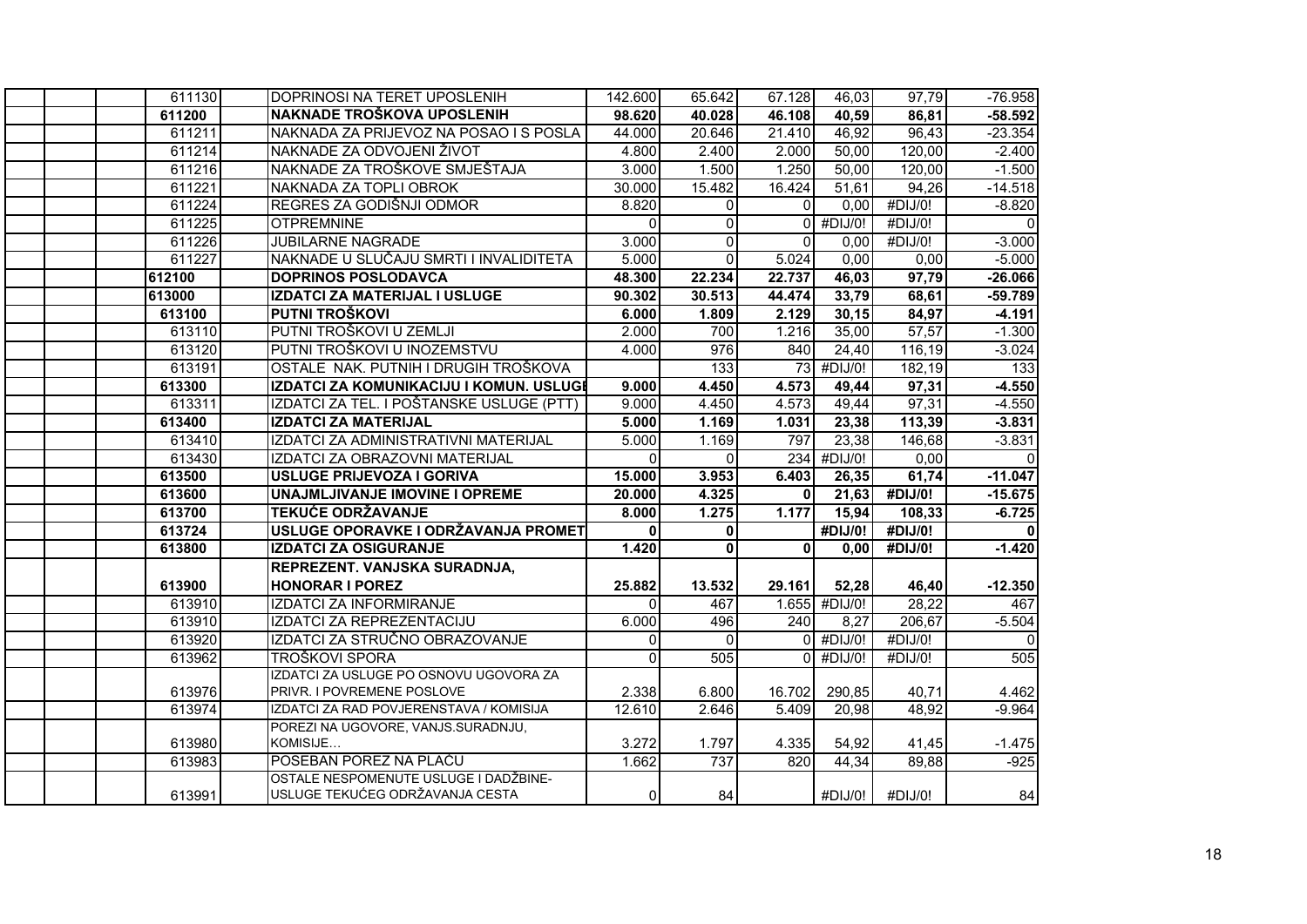| 611130 | DOPRINOSI NA TERET UPOSLENIH             | 142.600            | 65.642       | 67.128       | 46,03         | 97,79      | $-76.958$      |
|--------|------------------------------------------|--------------------|--------------|--------------|---------------|------------|----------------|
| 611200 | NAKNADE TROŠKOVA UPOSLENIH               | 98.620             | 40.028       | 46.108       | 40,59         | 86,81      | $-58.592$      |
| 611211 | NAKNADA ZA PRIJEVOZ NA POSAO I S POSLA   | 44.000             | 20.646       | 21.410       | 46,92         | 96,43      | $-23.354$      |
| 611214 | NAKNADE ZA ODVOJENI ŽIVOT                | 4.800              | 2.400        | 2.000        | 50,00         | 120,00     | $-2.400$       |
| 611216 | NAKNADE ZA TROŠKOVE SMJEŠTAJA            | 3.000              | 1.500        | 1.250        | 50,00         | 120,00     | $-1.500$       |
| 611221 | NAKNADA ZA TOPLI OBROK                   | 30.000             | 15.482       | 16.424       | 51,61         | 94,26      | $-14.518$      |
| 611224 | REGRES ZA GODIŠNJI ODMOR                 | 8.820              | $\Omega$     | $\Omega$     | 0,00          | $#$ DIJ/0! | $-8.820$       |
| 611225 | <b>OTPREMNINE</b>                        | $\Omega$           | $\Omega$     |              | $0$ #DIJ/0!   | #DIJ/0!    | $\mathbf{0}$   |
| 611226 | <b>JUBILARNE NAGRADE</b>                 | 3.000              | $\Omega$     | $\Omega$     | 0,00          | #DIJ/0!    | $-3.000$       |
| 611227 | NAKNADE U SLUČAJU SMRTI I INVALIDITETA   | 5.000              | $\Omega$     | 5.024        | 0,00          | 0,00       | $-5.000$       |
| 612100 | <b>DOPRINOS POSLODAVCA</b>               | 48.300             | 22.234       | 22.737       | 46,03         | 97,79      | $-26.066$      |
| 613000 | IZDATCI ZA MATERIJAL I USLUGE            | 90.302             | 30.513       | 44.474       | 33,79         | 68,61      | $-59.789$      |
| 613100 | <b>PUTNI TROŠKOVI</b>                    | 6.000              | 1.809        | 2.129        | 30,15         | 84,97      | $-4.191$       |
| 613110 | PUTNI TROŠKOVI U ZEMLJI                  | 2.000              | 700          | 1.216        | 35,00         | 57,57      | $-1.300$       |
| 613120 | PUTNI TROŠKOVI U INOZEMSTVU              | 4.000              | 976          | 840          | 24,40         | 116,19     | $-3.024$       |
| 613191 | OSTALE NAK. PUTNIH I DRUGIH TROŠKOVA     |                    | 133          |              | 73 #DIJ/0!    | 182,19     | 133            |
| 613300 | IZDATCI ZA KOMUNIKACIJU I KOMUN. USLUGI  | 9.000              | 4.450        | 4.573        | 49,44         | 97,31      | $-4.550$       |
| 613311 | IZDATCI ZA TEL. I POŠTANSKE USLUGE (PTT) | 9.000              | 4.450        | 4.573        | 49,44         | 97,31      | $-4.550$       |
| 613400 | <b>IZDATCI ZA MATERIJAL</b>              | 5.000              | 1.169        | 1.031        | 23,38         | 113,39     | $-3.831$       |
| 613410 | IZDATCI ZA ADMINISTRATIVNI MATERIJAL     | $\overline{5.000}$ | 1.169        | 797          | 23,38         | 146,68     | $-3.831$       |
| 613430 | IZDATCI ZA OBRAZOVNI MATERIJAL           | $\Omega$           | $\Omega$     |              | 234 #DIJ/0!   | 0,00       | $\overline{0}$ |
| 613500 | <b>USLUGE PRIJEVOZA I GORIVA</b>         | 15.000             | 3.953        | 6.403        | 26,35         | 61,74      | $-11.047$      |
| 613600 | UNAJMLJIVANJE IMOVINE I OPREME           | 20.000             | 4.325        | $\mathbf{0}$ | 21,63         | #DIJ/0!    | $-15.675$      |
| 613700 | <b>TEKUĆE ODRŽAVANJE</b>                 | 8.000              | 1.275        | 1.177        | 15,94         | 108,33     | $-6.725$       |
| 613724 | USLUGE OPORAVKE I ODRŽAVANJA PROMET      | $\mathbf{0}$       | $\mathbf 0$  |              | #DIJ/0!       | #DIJ/0!    | 0              |
| 613800 | <b>IZDATCI ZA OSIGURANJE</b>             | 1.420              | $\mathbf{0}$ | $\mathbf{0}$ | 0,00          | #DIJ/0!    | $-1.420$       |
|        | REPREZENT. VANJSKA SURADNJA,             |                    |              |              |               |            |                |
| 613900 | <b>HONORAR I POREZ</b>                   | 25.882             | 13.532       | 29.161       | 52,28         | 46,40      | $-12.350$      |
| 613910 | <b>IZDATCI ZA INFORMIRANJE</b>           | $\Omega$           | 467          |              | 1.655 #DIJ/0! | 28,22      | 467            |
| 613910 | IZDATCI ZA REPREZENTACIJU                | 6.000              | 496          | 240          | 8,27          | 206,67     | $-5.504$       |
| 613920 | IZDATCI ZA STRUČNO OBRAZOVANJE           | 0                  | $\Omega$     |              | $0$ #DIJ/0!   | #DIJ/0!    | $\Omega$       |
| 613962 | TROŠKOVI SPORA                           | $\Omega$           | 505          |              | $0$ #DIJ/0!   | #DIJ/0!    | 505            |
|        | IZDATCI ZA USLUGE PO OSNOVU UGOVORA ZA   |                    |              |              |               |            |                |
| 613976 | PRIVR. I POVREMENE POSLOVE               | 2.338              | 6.800        | 16.702       | 290,85        | 40,71      | 4.462          |
| 613974 | IZDATCI ZA RAD POVJERENSTAVA / KOMISIJA  | 12.610             | 2.646        | 5.409        | 20,98         | 48,92      | $-9.964$       |
|        | POREZI NA UGOVORE, VANJS.SURADNJU,       |                    |              |              |               |            |                |
| 613980 | KOMISIJE                                 | 3.272              | 1.797        | 4.335        | 54,92         | 41,45      | $-1.475$       |
| 613983 | POSEBAN POREZ NA PLAĆU                   | 1.662              | 737          | 820          | 44,34         | 89,88      | $-925$         |
|        | OSTALE NESPOMENUTE USLUGE I DADŽBINE-    |                    |              |              |               |            |                |
| 613991 | USLUGE TEKUĆEG ODRŽAVANJA CESTA          | $\mathbf 0$        | 84           |              | #DIJ/0!       | #DIJ/0!    | 84             |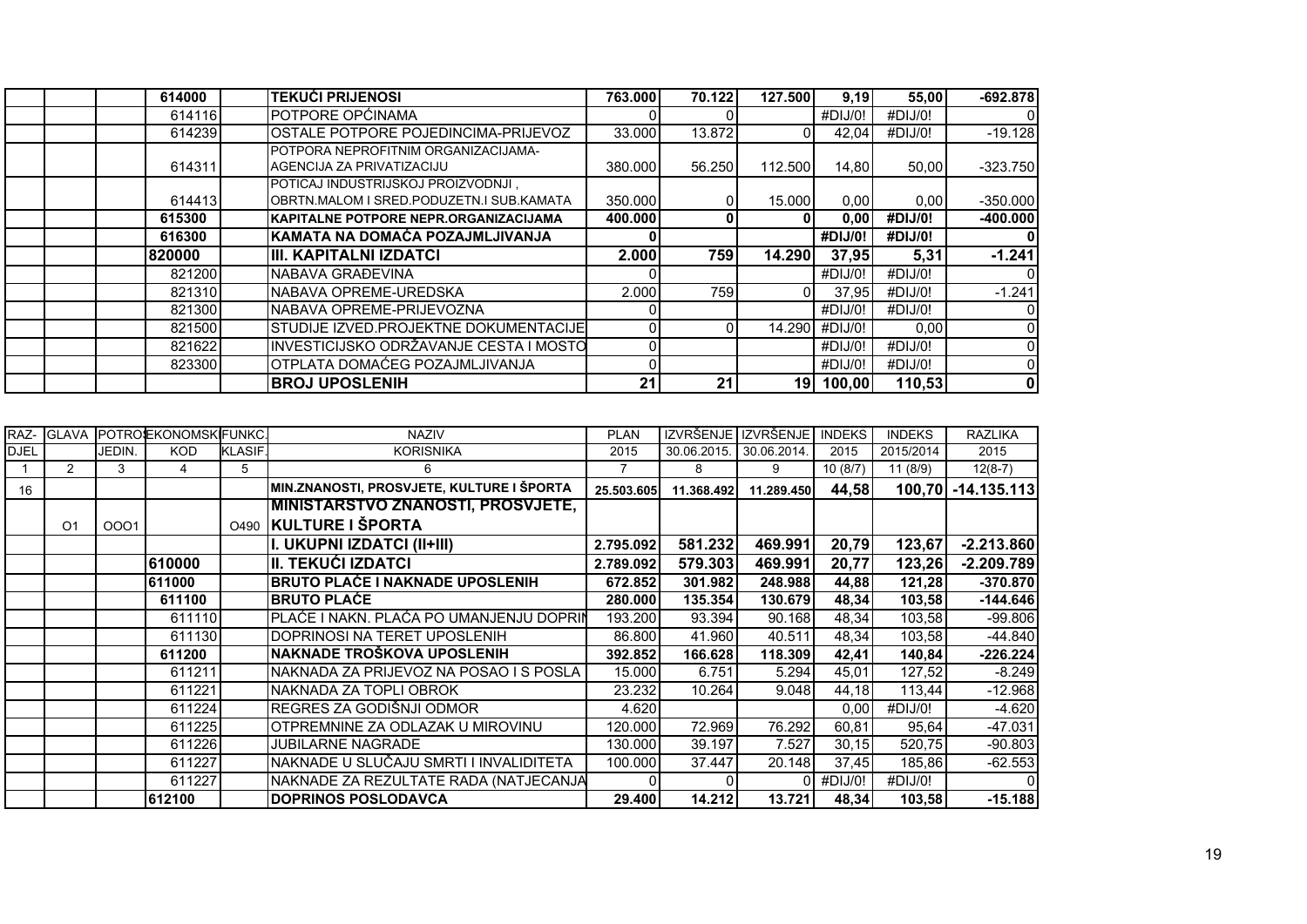| 614000 | <b>TEKUĆI PRIJENOSI</b>                                                        | 763.000 | 70.122 | 127.500         | 9,19           | 55,00   | $-692.878$ |
|--------|--------------------------------------------------------------------------------|---------|--------|-----------------|----------------|---------|------------|
| 614116 | POTPORE OPĆINAMA                                                               |         |        |                 | #DIJ/0!        | #DIJ/0! |            |
| 614239 | IOSTALE POTPORE POJEDINCIMA-PRIJEVOZ                                           | 33.000  | 13.872 |                 | 42.04          | #DIJ/0! | $-19.128$  |
| 614311 | POTPORA NEPROFITNIM ORGANIZACIJAMA-<br>IAGENCIJA ZA PRIVATIZACIJU              | 380.000 | 56.250 | 112.500         | 14.80          | 50.00   | $-323.750$ |
| 614413 | POTICAJ INDUSTRIJSKOJ PROIZVODNJI,<br>OBRTN.MALOM I SRED.PODUZETN.I SUB.KAMATA | 350,000 |        | 15,000          | 0,00           | 0,00    | $-350.000$ |
| 615300 | IKAPITALNE POTPORE NEPR.ORGANIZACIJAMA                                         | 400.000 | 0      | ΩI              | 0,00           | #DIJ/0! | $-400.000$ |
| 616300 | IKAMATA NA DOMAĆA POZAJMLJIVANJA                                               |         |        |                 | #DIJ/0!        | #DIJ/0! |            |
| 820000 | IIII. KAPITALNI IZDATCI                                                        | 2.000   | 759    | 14.290          | 37,95          | 5,31    | $-1.241$   |
| 821200 | NABAVA GRAĐEVINA                                                               |         |        |                 | #DIJ/0!        | #DIJ/0! |            |
| 821310 | INABAVA OPREME-UREDSKA                                                         | 2.000   | 759    |                 | 37.95          | #DIJ/0! | $-1.241$   |
| 821300 | NABAVA OPREME-PRIJEVOZNA                                                       |         |        |                 | #DIJ/0!        | #DIJ/0! |            |
| 821500 | ISTUDIJE IZVED.PROJEKTNE DOKUMENTACIJE                                         |         |        |                 | 14.290 #DIJ/0! | 0,00    |            |
| 821622 | INVESTICIJSKO ODRŽAVANJE CESTA I MOSTO                                         |         |        |                 | #DIJ/0!        | #DIJ/0! |            |
| 823300 | OTPLATA DOMAĆEG POZAJMLJIVANJA                                                 |         |        |                 | #DIJ/0!        | #DIJ/0! |            |
|        | <b>IBROJ UPOSLENIH</b>                                                         | 21      | 21     | 19 <sup>1</sup> | 100,00         | 110,53  | 0          |

|             |    |        | IRAZ- IGLAVA IPOTROEKONOMSKIFUNKC. |               | <b>NAZIV</b>                              | <b>PLAN</b> |                         | IZVRŠENJE IZVRŠENJE I INDEKS |             | <b>INDEKS</b> | <b>RAZLIKA</b>     |
|-------------|----|--------|------------------------------------|---------------|-------------------------------------------|-------------|-------------------------|------------------------------|-------------|---------------|--------------------|
| <b>DJEL</b> |    | JEDIN. | <b>KOD</b>                         | <b>KLASIF</b> | <b>KORISNIKA</b>                          | 2015        | 30.06.2015. 30.06.2014. |                              | 2015        | 2015/2014     | 2015               |
|             | 2  | 3      | 4                                  | 5             |                                           |             | 8                       | 9                            | 10(8/7)     | 11(8/9)       | $12(8-7)$          |
| 16          |    |        |                                    |               | MIN.ZNANOSTI, PROSVJETE, KULTURE I ŠPORTA | 25.503.605  | 11.368.492              | 11.289.450                   | 44,58       |               | 100,70 -14.135.113 |
|             |    |        |                                    |               | <u>MINISTARSTVO ZNANOSTI, PROSVJETE, </u> |             |                         |                              |             |               |                    |
|             | O1 | 0001   |                                    |               | 0490 KULTURE I ŠPORTA                     |             |                         |                              |             |               |                    |
|             |    |        |                                    |               | I. UKUPNI IZDATCI (II+III)                | 2.795.092   | 581.232                 | 469.991                      | 20,79       | 123,67        | $-2.213.860$       |
|             |    |        | 610000                             |               | II. TEKUĆI IZDATCI                        | 2.789.092   | 579.303                 | 469.991                      | 20,77       | 123,26        | $-2.209.789$       |
|             |    |        | 611000                             |               | <b>BRUTO PLAĆE I NAKNADE UPOSLENIH</b>    | 672.852     | 301.982                 | 248.988                      | 44,88       | 121,28        | $-370.870$         |
|             |    |        | 611100                             |               | <b>BRUTO PLAĆE</b>                        | 280.000     | 135.354                 | 130.679                      | 48,34       | 103,58        | $-144.646$         |
|             |    |        | 611110                             |               | PLAĆE I NAKN. PLAĆA PO UMANJENJU DOPRIN   | 193.200     | 93.394                  | 90.168                       | 48,34       | 103,58        | $-99.806$          |
|             |    |        | 611130                             |               | DOPRINOSI NA TERET UPOSLENIH              | 86.800      | 41.960                  | 40.511                       | 48,34       | 103,58        | $-44.840$          |
|             |    |        | 611200                             |               | NAKNADE TROŠKOVA UPOSLENIH                | 392.852     | 166.628                 | 118.309                      | 42,41       | 140,84        | $-226.224$         |
|             |    |        | 611211                             |               | NAKNADA ZA PRIJEVOZ NA POSAO I S POSLA    | 15.000      | 6.751                   | 5.294                        | 45,01       | 127,52        | $-8.249$           |
|             |    |        | 611221                             |               | NAKNADA ZA TOPLI OBROK                    | 23.232      | 10.264                  | 9.048                        | 44,18       | 113,44        | $-12.968$          |
|             |    |        | 611224                             |               | REGRES ZA GODIŠNJI ODMOR                  | 4.620       |                         |                              | 0,00        | #DIJ/0!       | $-4.620$           |
|             |    |        | 611225                             |               | OTPREMNINE ZA ODLAZAK U MIROVINU          | 120.000     | 72.969                  | 76.292                       | 60,81       | 95,64         | $-47.031$          |
|             |    |        | 611226                             |               | <b>JUBILARNE NAGRADE</b>                  | 130.000     | 39.197                  | 7.527                        | 30, 15      | 520,75        | $-90.803$          |
|             |    |        | 611227                             |               | NAKNADE U SLUČAJU SMRTI I INVALIDITETA    | 100.000     | 37.447                  | 20.148                       | 37,45       | 185,86        | $-62.553$          |
|             |    |        | 611227                             |               | NAKNADE ZA REZULTATE RADA (NATJECANJA     |             |                         |                              | $0$ #DIJ/0! | #DIJ/0!       |                    |
|             |    |        | 612100                             |               | <b>DOPRINOS POSLODAVCA</b>                | 29.400      | 14.212                  | 13.721                       | 48,34       | 103,58        | $-15.188$          |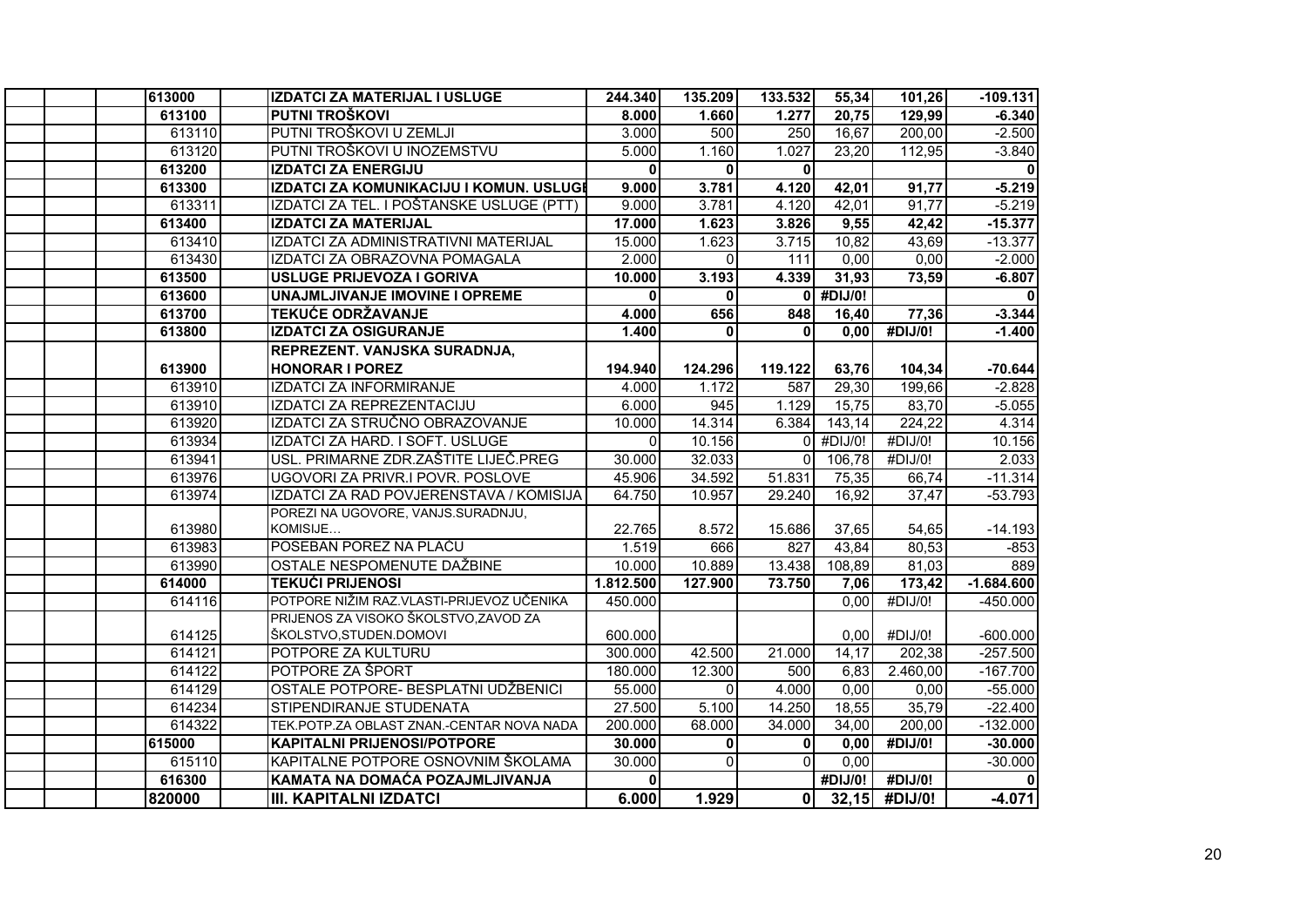| 613000 | IZDATCI ZA MATERIJAL I USLUGE             | 244.340      | 135.209      | 133.532          | 55,34       | 101,26                | $-109.131$   |
|--------|-------------------------------------------|--------------|--------------|------------------|-------------|-----------------------|--------------|
| 613100 | PUTNI TROŠKOVI                            | 8.000        | 1.660        | 1.277            | 20,75       | 129,99                | $-6.340$     |
| 613110 | PUTNI TROŠKOVI U ZEMLJI                   | 3.000        | 500          | $\overline{250}$ | 16,67       | 200,00                | $-2.500$     |
| 613120 | PUTNI TROŠKOVI U INOZEMSTVU               | 5.000        | 1.160        | 1.027            | 23,20       | 112,95                | $-3.840$     |
| 613200 | <b>IZDATCI ZA ENERGIJU</b>                | $\mathbf{0}$ | $\mathbf{0}$ | $\mathbf{0}$     |             |                       | $\mathbf{0}$ |
| 613300 | IZDATCI ZA KOMUNIKACIJU I KOMUN. USLUGI   | 9.000        | 3.781        | 4.120            | 42,01       | 91,77                 | $-5.219$     |
| 613311 | IZDATCI ZA TEL. I POŠTANSKE USLUGE (PTT)  | 9.000        | 3.781        | 4.120            | 42,01       | 91,77                 | $-5.219$     |
| 613400 | <b>IZDATCI ZA MATERIJAL</b>               | 17.000       | 1.623        | 3.826            | 9,55        | 42,42                 | $-15.377$    |
| 613410 | IZDATCI ZA ADMINISTRATIVNI MATERIJAL      | 15.000       | 1.623        | 3.715            | 10,82       | 43,69                 | $-13.377$    |
| 613430 | IZDATCI ZA OBRAZOVNA POMAGALA             | 2.000        | $\Omega$     | 111              | 0,00        | 0,00                  | $-2.000$     |
| 613500 | <b>USLUGE PRIJEVOZA I GORIVA</b>          | 10.000       | 3.193        | 4.339            | 31,93       | 73,59                 | $-6.807$     |
| 613600 | UNAJMLJIVANJE IMOVINE I OPREME            | $\mathbf{0}$ | $\mathbf{0}$ |                  | $0$ #DIJ/0! |                       |              |
| 613700 | <b>TEKUĆE ODRŽAVANJE</b>                  | 4.000        | 656          | 848              | 16,40       | 77,36                 | $-3.344$     |
| 613800 | <b>IZDATCI ZA OSIGURANJE</b>              | 1.400        | $\mathbf{0}$ | $\mathbf{0}$     | 0.00        | #DIJ/0!               | $-1.400$     |
|        | REPREZENT. VANJSKA SURADNJA,              |              |              |                  |             |                       |              |
| 613900 | <b>HONORAR I POREZ</b>                    | 194.940      | 124.296      | 119.122          | 63,76       | 104,34                | $-70.644$    |
| 613910 | <b>IZDATCI ZA INFORMIRANJE</b>            | 4.000        | 1.172        | 587              | 29,30       | 199,66                | $-2.828$     |
| 613910 | IZDATCI ZA REPREZENTACIJU                 | 6.000        | 945          | 1.129            | 15,75       | 83,70                 | $-5.055$     |
| 613920 | IZDATCI ZA STRUČNO OBRAZOVANJE            | 10.000       | 14.314       | 6.384            | 143,14      | $\overline{224}$ , 22 | 4.314        |
| 613934 | IZDATCI ZA HARD. I SOFT. USLUGE           | $\Omega$     | 10.156       | $\Omega$         | #DIJ/0!     | #DIJ/0!               | 10.156       |
| 613941 | USL. PRIMARNE ZDR.ZAŠTITE LIJEČ.PREG      | 30.000       | 32.033       | $\Omega$         | 106,78      | #DIJ/0!               | 2.033        |
| 613976 | UGOVORI ZA PRIVR.I POVR. POSLOVE          | 45.906       | 34.592       | 51.831           | 75,35       | 66.74                 | $-11.314$    |
| 613974 | IZDATCI ZA RAD POVJERENSTAVA / KOMISIJA   | 64.750       | 10.957       | 29.240           | 16,92       | 37.47                 | $-53.793$    |
|        | POREZI NA UGOVORE, VANJS.SURADNJU,        |              |              |                  |             |                       |              |
| 613980 | KOMISIJE                                  | 22.765       | 8.572        | 15.686           | 37.65       | 54.65                 | $-14.193$    |
| 613983 | POSEBAN POREZ NA PLAĆU                    | 1.519        | 666          | 827              | 43,84       | 80,53                 | $-853$       |
| 613990 | OSTALE NESPOMENUTE DAŽBINE                | 10.000       | 10.889       | 13.438           | 108,89      | 81,03                 | 889          |
| 614000 | <b>TEKUĆI PRIJENOSI</b>                   | 1.812.500    | 127.900      | 73.750           | 7,06        | 173,42                | $-1.684.600$ |
| 614116 | POTPORE NIŽIM RAZ VLASTI-PRIJEVOZ UČENIKA | 450.000      |              |                  | 0,00        | #DIJ/0!               | $-450.000$   |
|        | PRIJENOS ZA VISOKO ŠKOLSTVO, ZAVOD ZA     |              |              |                  |             |                       |              |
| 614125 | ŠKOLSTVO, STUDEN. DOMOVI                  | 600.000      |              |                  | 0.00        | #DIJ/0!               | $-600.000$   |
| 614121 | POTPORE ZA KULTURU                        | 300.000      | 42.500       | 21.000           | 14,17       | 202,38                | $-257.500$   |
| 614122 | POTPORE ZA ŠPORT                          | 180.000      | 12.300       | 500              | 6,83        | 2.460,00              | $-167.700$   |
| 614129 | OSTALE POTPORE- BESPLATNI UDŽBENICI       | 55.000       | $\Omega$     | 4.000            | 0.00        | 0.00                  | $-55.000$    |
| 614234 | STIPENDIRANJE STUDENATA                   | 27.500       | 5.100        | 14.250           | 18,55       | 35,79                 | $-22.400$    |
| 614322 | TEK.POTP.ZA OBLAST ZNAN.-CENTAR NOVA NADA | 200.000      | 68.000       | 34.000           | 34,00       | 200,00                | $-132.000$   |
| 615000 | <b>KAPITALNI PRIJENOSI/POTPORE</b>        | 30.000       | $\mathbf{0}$ | $\mathbf 0$      | 0,00        | $\overline{H}$ DIJ/0! | $-30.000$    |
| 615110 | KAPITALNE POTPORE OSNOVNIM ŠKOLAMA        | 30.000       | $\Omega$     | $\Omega$         | 0,00        |                       | $-30.000$    |
| 616300 | KAMATA NA DOMAĆA POZAJMLJIVANJA           | 0            |              |                  | #DIJ/0!     | #DIJ/0!               |              |
| 820000 | <b>III. KAPITALNI IZDATCI</b>             | 6.000        | 1.929        | $\Omega$         |             | $32,15$ #DIJ/0!       | $-4.071$     |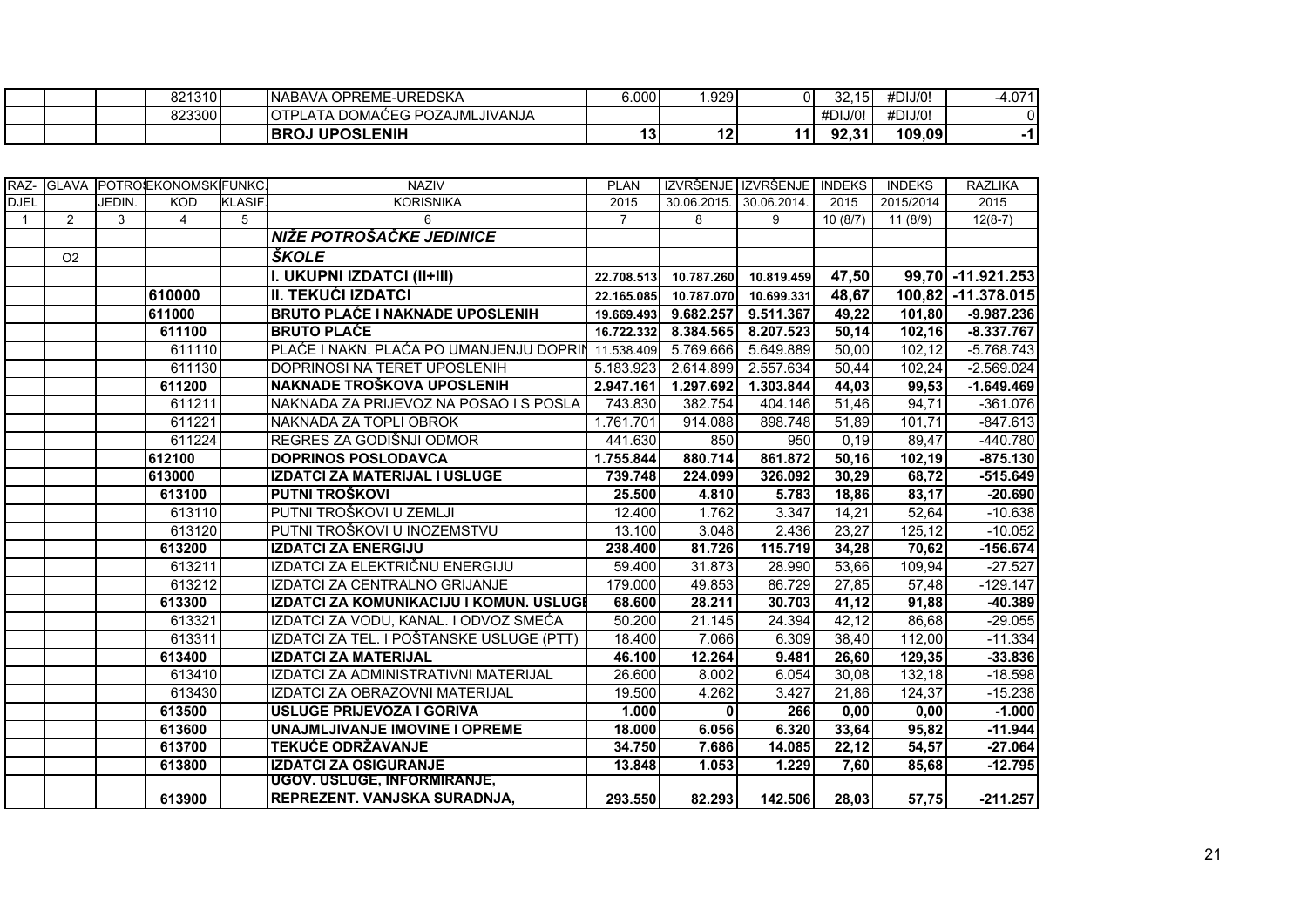|  |        | <b>UPOSLENIH</b><br><b>BROJ</b>       | 49<br>. . | 19<br>. . | 11. | <b>02.24</b><br>.        | 109,09  |                    |
|--|--------|---------------------------------------|-----------|-----------|-----|--------------------------|---------|--------------------|
|  | 823300 | 'LATA DOMAĆEG POZAJMLJIVANJA<br>IOTPI |           |           |     | #DIJ/0!                  | #DIJ/0! |                    |
|  | 821310 | E-UREDSKA<br>OPREME-<br><b>NABAVA</b> | 6.000     | .929      | ΩI  | $\sim$<br>,<br>∠ت<br>. . | #DIJ/0! | <b>071</b><br>-4.U |

|              |                |        | RAZ- GLAVA POTROEKONOMSKFUNKC |               | <b>NAZIV</b>                             | <b>PLAN</b>    |                         | IZVRŠENJE IZVRŠENJE INDEKS |         | <b>INDEKS</b> | <b>RAZLIKA</b>     |
|--------------|----------------|--------|-------------------------------|---------------|------------------------------------------|----------------|-------------------------|----------------------------|---------|---------------|--------------------|
| <b>DJEL</b>  |                | JEDIN. | <b>KOD</b>                    | <b>KLASIF</b> | <b>KORISNIKA</b>                         | 2015           | 30.06.2015. 30.06.2014. |                            | 2015    | 2015/2014     | 2015               |
| $\mathbf{1}$ | $\overline{2}$ | 3      | $\overline{4}$                | 5             | 6                                        | $\overline{7}$ | 8                       | 9                          | 10(8/7) | 11(8/9)       | $12(8-7)$          |
|              |                |        |                               |               | NIŽE POTROŠAČKE JEDINICE                 |                |                         |                            |         |               |                    |
|              | O <sub>2</sub> |        |                               |               | <b>ŠKOLE</b>                             |                |                         |                            |         |               |                    |
|              |                |        |                               |               | I. UKUPNI IZDATCI (II+III)               | 22.708.513     | 10.787.260              | 10.819.459                 | 47,50   |               | 99,70 - 11.921.253 |
|              |                |        | 610000                        |               | <b>II. TEKUĆI IZDATCI</b>                | 22.165.085     | 10.787.070              | 10.699.331                 | 48,67   |               | 100,82 -11.378.015 |
|              |                |        | 611000                        |               | <b>BRUTO PLAĆE I NAKNADE UPOSLENIH</b>   | 19.669.493     | 9.682.257               | 9.511.367                  | 49,22   | 101,80        | $-9.987.236$       |
|              |                |        | 611100                        |               | <b>BRUTO PLAĆE</b>                       | 16.722.332     | 8.384.565               | 8.207.523                  | 50,14   | 102,16        | $-8.337.767$       |
|              |                |        | 611110                        |               | PLAĆE I NAKN. PLAĆA PO UMANJENJU DOPRIN  | 11.538.409     | 5.769.666               | 5.649.889                  | 50,00   | 102,12        | $-5.768.743$       |
|              |                |        | 611130                        |               | DOPRINOSI NA TERET UPOSLENIH             | 5.183.923      | 2.614.899               | 2.557.634                  | 50,44   | 102,24        | $-2.569.024$       |
|              |                |        | 611200                        |               | NAKNADE TROŠKOVA UPOSLENIH               | 2.947.161      | 1.297.692               | 1.303.844                  | 44,03   | 99,53         | $-1.649.469$       |
|              |                |        | 611211                        |               | NAKNADA ZA PRIJEVOZ NA POSAO I S POSLA   | 743.830        | 382.754                 | 404.146                    | 51,46   | 94,71         | $-361.076$         |
|              |                |        | 611221                        |               | NAKNADA ZA TOPLI OBROK                   | 1.761.701      | 914.088                 | 898.748                    | 51,89   | 101,71        | $-847.613$         |
|              |                |        | 611224                        |               | REGRES ZA GODIŠNJI ODMOR                 | 441.630        | 850                     | 950                        | 0,19    | 89,47         | $-440.780$         |
|              |                |        | 612100                        |               | <b>DOPRINOS POSLODAVCA</b>               | 1.755.844      | 880.714                 | 861.872                    | 50,16   | 102,19        | $-875.130$         |
|              |                |        | 613000                        |               | IZDATCI ZA MATERIJAL I USLUGE            | 739.748        | 224.099                 | 326.092                    | 30,29   | 68,72         | $-515.649$         |
|              |                |        | 613100                        |               | PUTNI TROŠKOVI                           | 25.500         | 4.810                   | 5.783                      | 18,86   | 83,17         | $-20.690$          |
|              |                |        | 613110                        |               | PUTNI TROŠKOVI U ZEMLJI                  | 12.400         | 1.762                   | 3.347                      | 14,21   | 52,64         | $-10.638$          |
|              |                |        | 613120                        |               | PUTNI TROŠKOVI U INOZEMSTVU              | 13.100         | 3.048                   | 2.436                      | 23,27   | 125,12        | $-10.052$          |
|              |                |        | 613200                        |               | <b>IZDATCI ZA ENERGIJU</b>               | 238.400        | 81.726                  | 115.719                    | 34,28   | 70,62         | $-156.674$         |
|              |                |        | 613211                        |               | IZDATCI ZA ELEKTRIČNU ENERGIJU           | 59.400         | 31.873                  | 28.990                     | 53,66   | 109,94        | $-27.527$          |
|              |                |        | 613212                        |               | IZDATCI ZA CENTRALNO GRIJANJE            | 179.000        | 49.853                  | 86.729                     | 27,85   | 57,48         | $-129.147$         |
|              |                |        | 613300                        |               | IZDATCI ZA KOMUNIKACIJU I KOMUN. USLUGI  | 68.600         | 28.211                  | 30.703                     | 41,12   | 91,88         | -40.389            |
|              |                |        | 613321                        |               | IZDATCI ZA VODU, KANAL. I ODVOZ SMEĆA    | 50.200         | 21.145                  | 24.394                     | 42,12   | 86,68         | $-29.055$          |
|              |                |        | 613311                        |               | IZDATCI ZA TEL. I POŠTANSKE USLUGE (PTT) | 18.400         | 7.066                   | 6.309                      | 38,40   | 112,00        | $-11.334$          |
|              |                |        | 613400                        |               | <b>IZDATCI ZA MATERIJAL</b>              | 46.100         | 12.264                  | 9.481                      | 26,60   | 129,35        | $-33.836$          |
|              |                |        | 613410                        |               | IZDATCI ZA ADMINISTRATIVNI MATERIJAL     | 26.600         | 8.002                   | 6.054                      | 30,08   | 132,18        | $-18.598$          |
|              |                |        | 613430                        |               | IZDATCI ZA OBRAZOVNI MATERIJAL           | 19.500         | 4.262                   | 3.427                      | 21,86   | 124,37        | $-15.238$          |
|              |                |        | 613500                        |               | USLUGE PRIJEVOZA I GORIVA                | 1.000          | $\bf{0}$                | 266                        | 0,00    | 0,00          | $-1.000$           |
|              |                |        | 613600                        |               | UNAJMLJIVANJE IMOVINE I OPREME           | 18.000         | 6.056                   | 6.320                      | 33,64   | 95,82         | $-11.944$          |
|              |                |        | 613700                        |               | <b>TEKUĆE ODRŽAVANJE</b>                 | 34.750         | 7.686                   | 14.085                     | 22,12   | 54,57         | $-27.064$          |
|              |                |        | 613800                        |               | <b>IZDATCI ZA OSIGURANJE</b>             | 13.848         | 1.053                   | 1.229                      | 7,60    | 85,68         | $-12.795$          |
|              |                |        |                               |               | UGOV. USLUGE, INFORMIRANJE,              |                |                         |                            |         |               |                    |
|              |                |        | 613900                        |               | REPREZENT. VANJSKA SURADNJA,             | 293.550        | 82.293                  | 142.506                    | 28,03   | 57,75         | $-211.257$         |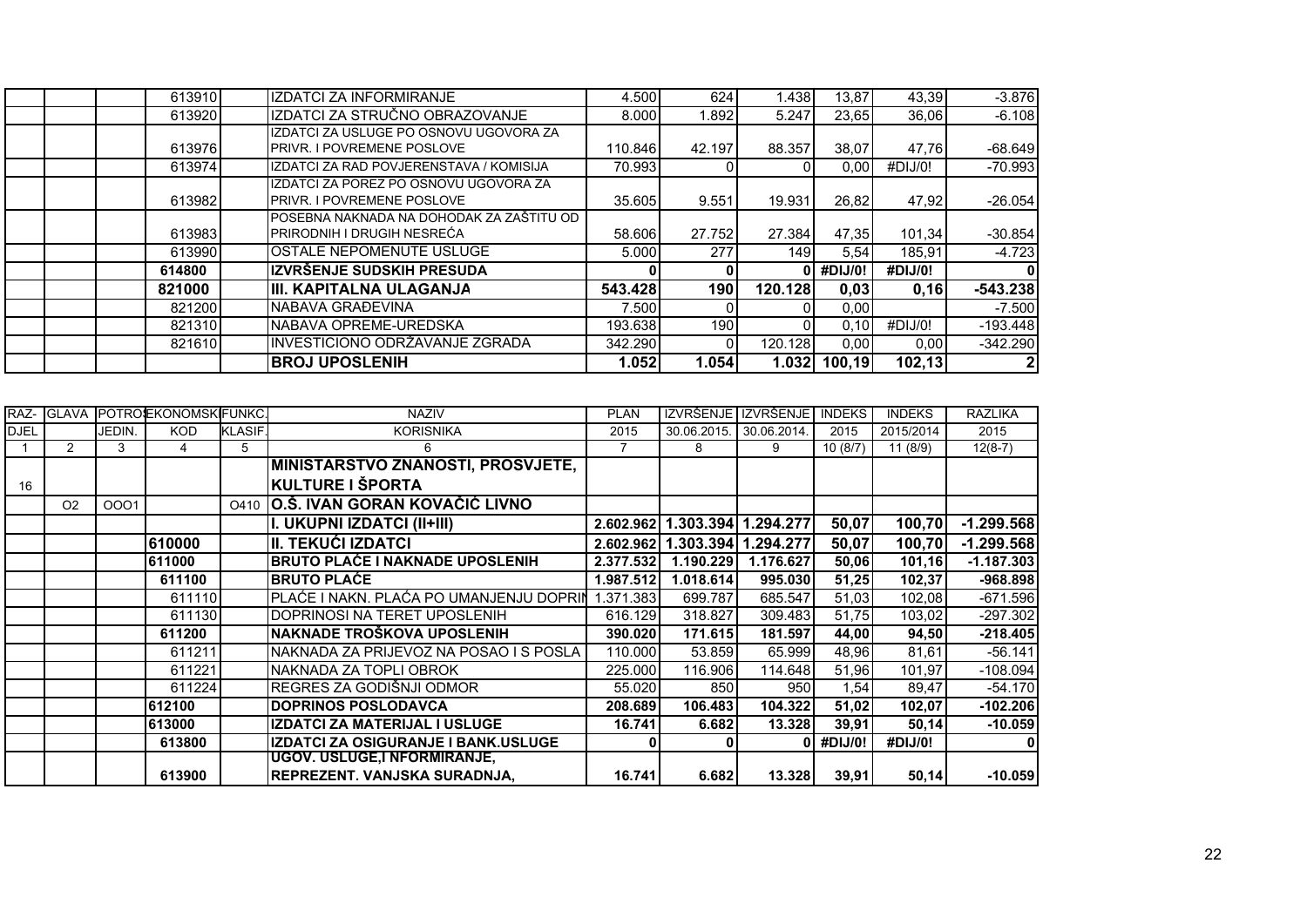| 613910 | IZDATCI ZA INFORMIRANJE                                                    | 4.500   | 624          | 1.438   | 13,87   | 43,39   | $-3.876$   |
|--------|----------------------------------------------------------------------------|---------|--------------|---------|---------|---------|------------|
| 613920 | IZDDATCI ZA STRUČNO OBRAZOVANJE                                            | 8.000   | .892         | 5.247   | 23,65   | 36,06   | $-6.108$   |
|        | IZDATCI ZA USLUGE PO OSNOVU UGOVORA ZA                                     |         |              |         |         |         |            |
| 613976 | <b>PRIVR. I POVREMENE POSLOVE</b>                                          | 110.846 | 42.197       | 88.357  | 38,07   | 47,76   | $-68.649$  |
| 613974 | IZDATCI ZA RAD POVJERENSTAVA / KOMISIJA                                    | 70.993  |              |         | 0.00    | #DIJ/0! | $-70.993$  |
| 613982 | IZDATCI ZA POREZ PO OSNOVU UGOVORA ZA<br><b>PRIVR. I POVREMENE POSLOVE</b> | 35.605  | 9.551        | 19.931  | 26,82   | 47,92   | $-26.054$  |
|        | POSEBNA NAKNADA NA DOHODAK ZA ZAŠTITU OD                                   |         |              |         |         |         |            |
| 613983 | <b>PRIRODNIH I DRUGIH NESREĆA</b>                                          | 58.606  | 27.752       | 27.384  | 47,35   | 101,34  | $-30.854$  |
| 613990 | <b>IOSTALE NEPOMENUTE USLUGE</b>                                           | 5.000   | 277          | 149     | 5,54    | 185,91  | $-4.723$   |
| 614800 | IZVRŠENJE SUDSKIH PRESUDA                                                  |         | 0            |         | #DIJ/0! | #DIJ/0! | 0          |
| 821000 | <b>IIII. KAPITALNA ULAGANJA</b>                                            | 543.428 | 190          | 120.128 | 0,03    | 0,16    | $-543.238$ |
| 821200 | INABAVA GRAĐEVINA                                                          | 7.500   |              |         | 0,00    |         | $-7.500$   |
| 821310 | NABAVA OPREME-UREDSKA                                                      | 193.638 | 190          | ΩI      | 0,10    | #DIJ/0! | $-193.448$ |
| 821610 | INVESTICIONO ODRŽAVANJE ZGRADA                                             | 342.290 | $\mathbf{0}$ | 120.128 | 0,00    | 0,00    | $-342.290$ |
|        | <b>BROJ UPOSLENIH</b>                                                      | 1.052   | 1.054        | 1.032   | 100.19  | 102,13  | 2          |

| RAZ-        | <b>GLAVA</b>   |        | <b>POTROSEKONOMSKIFUNKC.</b> |                | <b>NAZIV</b>                             | <b>PLAN</b> | <b>IZVRŠENJE</b>              | <b>IZVRŠENJE</b> | <b>INDEKS</b> | <b>INDEKS</b> | <b>RAZLIKA</b> |
|-------------|----------------|--------|------------------------------|----------------|------------------------------------------|-------------|-------------------------------|------------------|---------------|---------------|----------------|
| <b>DJEL</b> |                | JEDIN. | <b>KOD</b>                   | <b>KLASIF.</b> | <b>KORISNIKA</b>                         | 2015        | 30.06.2015.                   | 30.06.2014.      | 2015          | 2015/2014     | 2015           |
|             | $\overline{2}$ | 3      | 4                            | 5              | 6                                        | 7           | 8                             | 9                | 10(8/7)       | 11(8/9)       | $12(8-7)$      |
|             |                |        |                              |                | <b>MINISTARSTVO ZNANOSTI, PROSVJETE,</b> |             |                               |                  |               |               |                |
| 16          |                |        |                              |                | <b>KULTURE I ŠPORTA</b>                  |             |                               |                  |               |               |                |
|             | O <sub>2</sub> | 0001   |                              |                | 0410 O.Š. IVAN GORAN KOVAČIĆ LIVNO       |             |                               |                  |               |               |                |
|             |                |        |                              |                | I. UKUPNI IZDATCI (II+III)               |             | 2.602.962 1.303.394 1.294.277 |                  | 50,07         | 100,70        | $-1.299.568$   |
|             |                |        | 610000                       |                | <b>II. TEKUĆI IZDATCI</b>                |             | 2.602.962 1.303.394 1.294.277 |                  | 50,07         | 100,70        | $-1.299.568$   |
|             |                |        | 611000                       |                | <b>BRUTO PLAĆE I NAKNADE UPOSLENIH</b>   | 2.377.532   | 1.190.229                     | 1.176.627        | 50,06         | 101,16        | $-1.187.303$   |
|             |                |        | 611100                       |                | <b>BRUTO PLAĆE</b>                       | 1.987.512   | 1.018.614                     | 995.030          | 51,25         | 102,37        | $-968.898$     |
|             |                |        | 611110                       |                | PLAĆE I NAKN. PLAĆA PO UMANJENJU DOPRIN  | 1.371.383   | 699.787                       | 685.547          | 51,03         | 102,08        | $-671.596$     |
|             |                |        | 611130                       |                | DOPRINOSI NA TERET UPOSLENIH             | 616.129     | 318.827                       | 309.483          | 51,75         | 103,02        | $-297.302$     |
|             |                |        | 611200                       |                | NAKNADE TROŠKOVA UPOSLENIH               | 390.020     | 171.615                       | 181.597          | 44,00         | 94,50         | $-218.405$     |
|             |                |        | 611211                       |                | NAKNADA ZA PRIJEVOZ NA POSAO I S POSLA   | 110.000     | 53.859                        | 65.999           | 48,96         | 81,61         | $-56.141$      |
|             |                |        | 611221                       |                | NAKNADA ZA TOPLI OBROK                   | 225,000     | 116.906                       | 114.648          | 51,96         | 101.97        | $-108.094$     |
|             |                |        | 611224                       |                | REGRES ZA GODIŠNJI ODMOR                 | 55.020      | 850                           | 950              | 1,54          | 89,47         | $-54.170$      |
|             |                |        | 612100                       |                | <b>DOPRINOS POSLODAVCA</b>               | 208.689     | 106.483                       | 104.322          | 51,02         | 102,07        | $-102.206$     |
|             |                |        | 613000                       |                | <b>IZDATCI ZA MATERIJAL I USLUGE</b>     | 16.741      | 6.682                         | 13.328           | 39,91         | 50,14         | $-10.059$      |
|             |                |        | 613800                       |                | IZDATCI ZA OSIGURANJE I BANK.USLUGE      |             |                               |                  | #DIJ/0!       | #DIJ/0!       |                |
|             |                |        |                              |                | UGOV. USLUGE,I NFORMIRANJE,              |             |                               |                  |               |               |                |
|             |                |        | 613900                       |                | REPREZENT. VANJSKA SURADNJA,             | 16.741      | 6.682                         | 13.328           | 39,91         | 50,14         | $-10.059$      |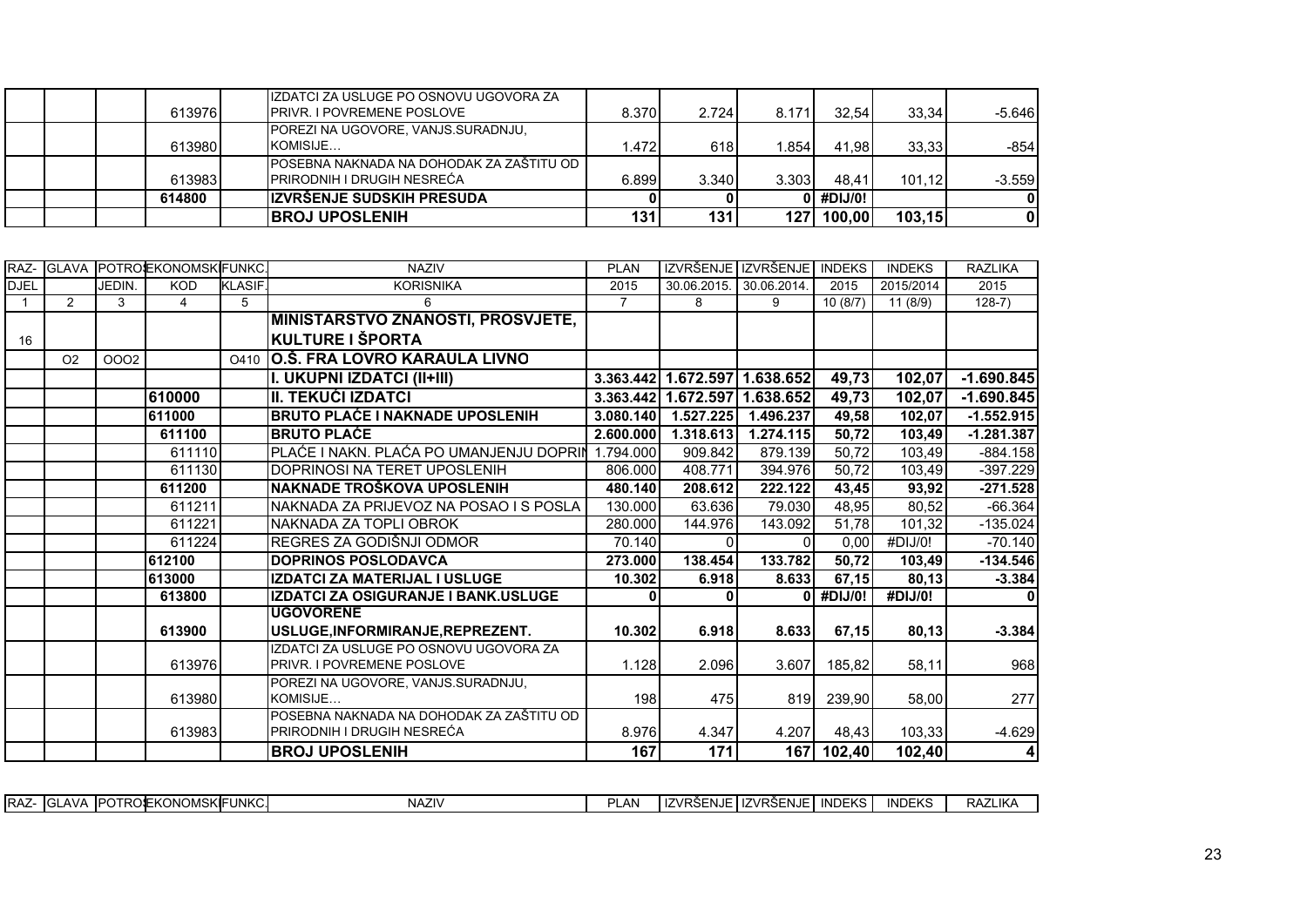|  | 613976 | IIZDATCI ZA USLUGE PO OSNOVU UGOVORA ZA<br><b>IPRIVR. I POVREMENE POSLOVE</b>   | 8.370 | 2.724 | 8.171 | 32.54     | 33.34   | $-5.646$ |
|--|--------|---------------------------------------------------------------------------------|-------|-------|-------|-----------|---------|----------|
|  | 613980 | POREZI NA UGOVORE, VANJS.SURADNJU,<br>KOMISIJE                                  | .472  | 618   | 1,854 | 41.98     | 33.33   | -8541    |
|  | 613983 | I POSEBNA NAKNADA NA DOHODAK ZA ZAŠTITU OD<br><b>PRIRODNIH I DRUGIH NESREĆA</b> | 6.899 | 3.340 | 3.303 | 48.41     | 101.12  | $-3.559$ |
|  | 614800 | <b>IZVRŠENJE SUDSKIH PRESUDA</b>                                                |       |       |       | 0 #DIJ/0! |         | ΩI       |
|  |        | <b>IBROJ UPOSLENIH</b>                                                          | 131   | 131   | 127   | 100,00    | 103, 15 |          |

|             |                |        | IRAZ- IGLAVA IPOTROJEKONOMSKIFUNKC. |               | <b>NAZIV</b>                                                           | <b>PLAN</b> |                               | IZVRŠENJE IZVRŠENJE INDEKS |         | <b>INDEKS</b> | <b>RAZLIKA</b> |
|-------------|----------------|--------|-------------------------------------|---------------|------------------------------------------------------------------------|-------------|-------------------------------|----------------------------|---------|---------------|----------------|
| <b>DJEL</b> |                | JEDIN. | <b>KOD</b>                          | <b>KLASIF</b> | <b>KORISNIKA</b>                                                       | 2015        | 30.06.2015.                   | 30.06.2014.                | 2015    | 2015/2014     | 2015           |
|             | $\overline{2}$ | 3      | 4                                   | 5             | 6                                                                      | 7           | 8                             | 9                          | 10(8/7) | 11(8/9)       | $128-7)$       |
|             |                |        |                                     |               | <b>MINISTARSTVO ZNANOSTI, PROSVJETE,</b>                               |             |                               |                            |         |               |                |
| 16          |                |        |                                     |               | KULTURE I ŠPORTA                                                       |             |                               |                            |         |               |                |
|             | O <sub>2</sub> | 0002   |                                     | O410          | O.Š. FRA LOVRO KARAULA LIVNO                                           |             |                               |                            |         |               |                |
|             |                |        |                                     |               | I. UKUPNI IZDATCI (II+III)                                             |             | 3.363.442 1.672.597 1.638.652 |                            | 49,73   | 102,07        | $-1.690.845$   |
|             |                |        | 610000                              |               | III. TEKUĆI IZDATCI                                                    |             | 3.363.442 1.672.597 1.638.652 |                            | 49,73   | 102,07        | $-1.690.845$   |
|             |                |        | 611000                              |               | <b>BRUTO PLAĆE I NAKNADE UPOSLENIH</b>                                 | 3.080.140   | $\overline{1.527.225}$        | 1.496.237                  | 49,58   | 102,07        | $-1.552.915$   |
|             |                |        | 611100                              |               | <b>BRUTO PLAĆE</b>                                                     | 2.600.000   | 1.318.613                     | 1.274.115                  | 50,72   | 103,49        | $-1.281.387$   |
|             |                |        | 611110                              |               | PLAĆE I NAKN. PLAĆA PO UMANJENJU DOPRIN                                | 1.794.000   | 909.842                       | 879.139                    | 50,72   | 103,49        | $-884.158$     |
|             |                |        | 611130                              |               | DOPRINOSI NA TERET UPOSLENIH                                           | 806.000     | 408.771                       | 394.976                    | 50,72   | 103,49        | $-397.229$     |
|             |                |        | 611200                              |               | <b>NAKNADE TROŠKOVA UPOSLENIH</b>                                      | 480.140     | 208.612                       | 222.122                    | 43,45   | 93,92         | $-271.528$     |
|             |                |        | 611211                              |               | NAKNADA ZA PRIJEVOZ NA POSAO I S POSLA                                 | 130.000     | 63.636                        | 79.030                     | 48,95   | 80,52         | $-66.364$      |
|             |                |        | 611221                              |               | NAKNADA ZA TOPLI OBROK                                                 | 280.000     | 144.976                       | 143.092                    | 51.78   | 101,32        | $-135.024$     |
|             |                |        | 611224                              |               | REGRES ZA GODIŠNJI ODMOR                                               | 70.140      | ΩI                            |                            | 0,00    | #DIJ/0!       | $-70.140$      |
|             |                |        | 612100                              |               | <b>DOPRINOS POSLODAVCA</b>                                             | 273.000     | 138.454                       | 133.782                    | 50,72   | 103.49        | $-134.546$     |
|             |                |        | 613000                              |               | <b>IZDATCI ZA MATERIJAL I USLUGE</b>                                   | 10.302      | 6.918                         | 8.633                      | 67,15   | 80,13         | $-3.384$       |
|             |                |        | 613800                              |               | IZDATCI ZA OSIGURANJE I BANK.USLUGE                                    |             |                               |                            | #DIJ/0! | #DIJ/0!       |                |
|             |                |        |                                     |               | <b>UGOVORENE</b>                                                       |             |                               |                            |         |               |                |
|             |                |        | 613900                              |               | USLUGE.INFORMIRANJE.REPREZENT.                                         | 10.302      | 6.918                         | 8.633                      | 67,15   | 80,13         | $-3.384$       |
|             |                |        |                                     |               | IZDATCI ZA USLUGE PO OSNOVU UGOVORA ZA                                 |             |                               |                            |         |               |                |
|             |                |        | 613976                              |               | <b>PRIVR. I POVREMENE POSLOVE</b>                                      | 1.128       | 2.096                         | 3.607                      | 185.82  | 58,11         | 968            |
|             |                |        |                                     |               | POREZI NA UGOVORE, VANJS SURADNJU,                                     |             |                               |                            |         |               |                |
|             |                |        | 613980                              |               | KOMISIJE                                                               | 198         | 475                           | 819                        | 239.90  | 58,00         | 277            |
|             |                |        | 613983                              |               | POSEBNA NAKNADA NA DOHODAK ZA ZAŠTITU OD<br>PRIRODNIH I DRUGIH NESREĆA | 8.976       | 4.347                         | 4.207                      | 48,43   | 103,33        | $-4.629$       |
|             |                |        |                                     |               | <b>BROJ UPOSLENIH</b>                                                  | 167         | 171                           | <b>1671</b>                | 102,40  | 102,40        | 4              |
|             |                |        |                                     |               |                                                                        |             |                               |                            |         |               |                |

| <b>IRAZ</b> | <b>IPOTROSE</b><br>∸ ∆AV∟ت<br>$\mathbf{I}$ | :Konomsk <b>i</b> fl | UNKC. | <b>NAZIV</b> | <b>LAN</b><br>ום | uZVR <sup>or</sup><br>'RSENJE | ⊥IIZVRSEN<br>.SENJE ' | <b>INDEKS</b> | <b>INDEKS</b> | <b>RAZLIKA</b> |
|-------------|--------------------------------------------|----------------------|-------|--------------|------------------|-------------------------------|-----------------------|---------------|---------------|----------------|
|             |                                            |                      |       |              |                  |                               |                       |               |               |                |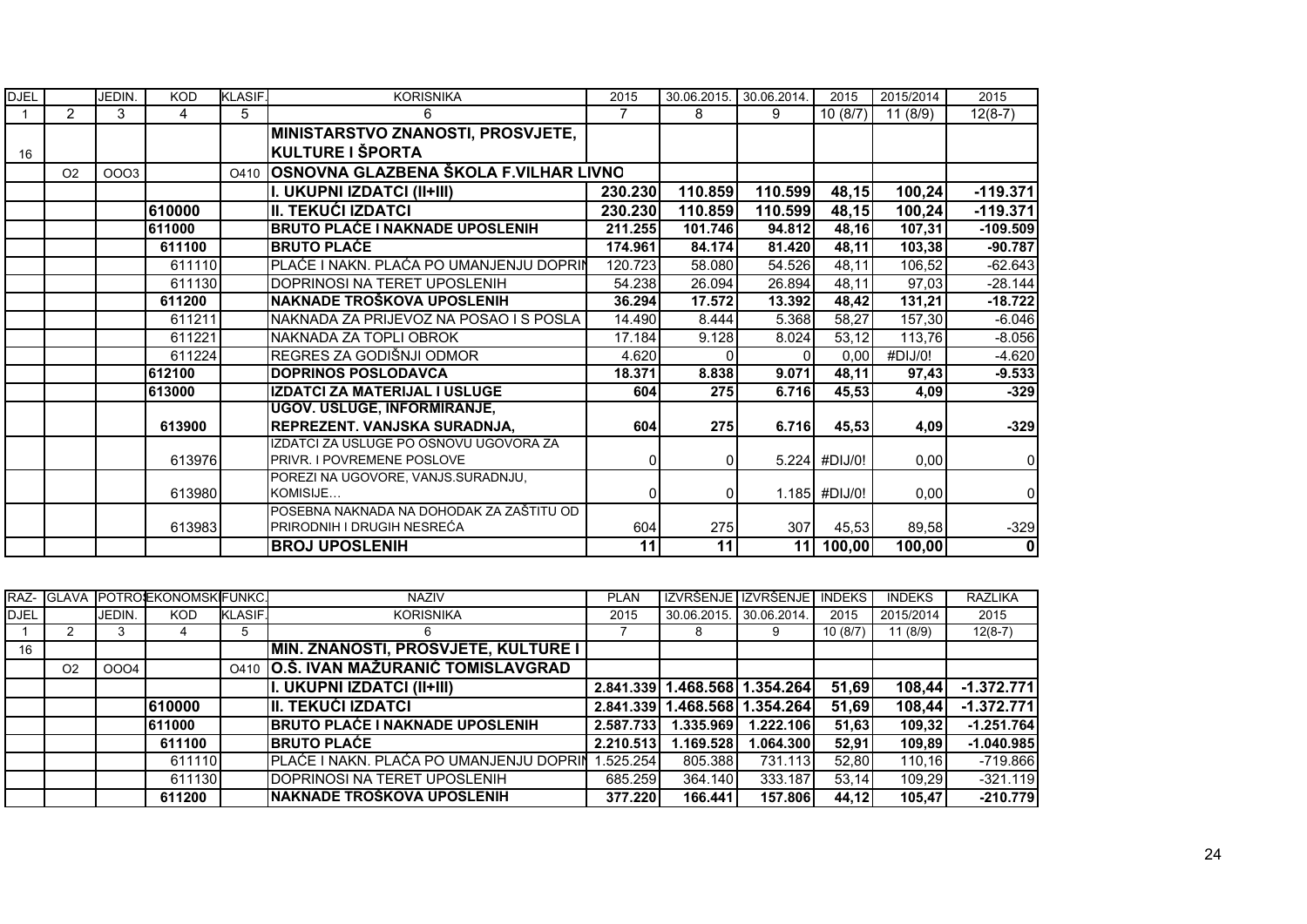| <b>DJEL</b> |                | JEDIN.      | <b>KOD</b> | <b>KLASIF.</b> | <b>KORISNIKA</b>                                                        | 2015     | 30.06.2015.    | 30.06.2014. | 2015            | 2015/2014 | 2015           |
|-------------|----------------|-------------|------------|----------------|-------------------------------------------------------------------------|----------|----------------|-------------|-----------------|-----------|----------------|
|             | $\overline{2}$ | 3           | 4          | 5              | 6                                                                       |          | 8              | 9           | 10(8/7)         | 11(8/9)   | $12(8-7)$      |
|             |                |             |            |                | <b>MINISTARSTVO ZNANOSTI, PROSVJETE,</b>                                |          |                |             |                 |           |                |
| 16          |                |             |            |                | KULTURE I ŠPORTA                                                        |          |                |             |                 |           |                |
|             | O <sub>2</sub> | <b>OOO3</b> |            | O410           | OSNOVNA GLAZBENA ŠKOLA F.VILHAR LIVNO                                   |          |                |             |                 |           |                |
|             |                |             |            |                | I. UKUPNI IZDATCI (II+III)                                              | 230.230  | 110.859        | 110.599     | 48,15           | 100,24    | $-119.371$     |
|             |                |             | 610000     |                | II. TEKUĆI IZDATCI                                                      | 230.230  | 110.859        | 110.599     | 48,15           | 100,24    | $-119.371$     |
|             |                |             | 611000     |                | <b>BRUTO PLAĆE I NAKNADE UPOSLENIH</b>                                  | 211.255  | 101.746        | 94.812      | 48,16           | 107,31    | $-109.509$     |
|             |                |             | 611100     |                | <b>BRUTO PLACE</b>                                                      | 174.961  | 84.174         | 81.420      | 48,11           | 103,38    | $-90.787$      |
|             |                |             | 611110     |                | PLAĆE I NAKN. PLAĆA PO UMANJENJU DOPRIN                                 | 120.723  | 58.080         | 54.526      | 48,11           | 106,52    | $-62.643$      |
|             |                |             | 611130     |                | IDOPRINOSI NA TERET UPOSLENIH                                           | 54.238   | 26.094         | 26.894      | 48,11           | 97,03     | $-28.144$      |
|             |                |             | 611200     |                | NAKNADE TROŠKOVA UPOSLENIH                                              | 36.294   | 17.572         | 13.392      | 48,42           | 131,21    | $-18.722$      |
|             |                |             | 611211     |                | NAKNADA ZA PRIJEVOZ NA POSAO I S POSLA                                  | 14.490   | 8.444          | 5.368       | 58,27           | 157,30    | $-6.046$       |
|             |                |             | 611221     |                | INAKNADA ZA TOPLI OBROK                                                 | 17.184   | 9.128          | 8.024       | 53,12           | 113,76    | $-8.056$       |
|             |                |             | 611224     |                | REGRES ZA GODIŠNJI ODMOR                                                | 4.620    |                |             | 0,00            | #DIJ/0!   | $-4.620$       |
|             |                |             | 612100     |                | <b>DOPRINOS POSLODAVCA</b>                                              | 18.371   | 8.838          | 9.071       | 48,11           | 97,43     | $-9.533$       |
|             |                |             | 613000     |                | IZDATCI ZA MATERIJAL I USLUGE                                           | 604      | 275            | 6.716       | 45,53           | 4,09      | $-329$         |
|             |                |             |            |                | UGOV. USLUGE, INFORMIRANJE,                                             |          |                |             |                 |           |                |
|             |                |             | 613900     |                | REPREZENT. VANJSKA SURADNJA,                                            | 604      | 275            | 6.716       | 45,53           | 4,09      | $-329$         |
|             |                |             |            |                | IZDATCI ZA USLUGE PO OSNOVU UGOVORA ZA                                  |          |                |             |                 |           |                |
|             |                |             | 613976     |                | <b>PRIVR. I POVREMENE POSLOVE</b>                                       | 0        | $\overline{0}$ |             | 5.224 #DIJ/0!   | 0,00      | $\mathbf 0$    |
|             |                |             |            |                | POREZI NA UGOVORE, VANJS.SURADNJU,                                      |          |                |             |                 |           |                |
|             |                |             | 613980     |                | KOMISIJE                                                                | $\Omega$ | $\Omega$       |             | $1.185$ #DIJ/0! | 0,00      | $\overline{0}$ |
|             |                |             |            |                | POSEBNA NAKNADA NA DOHODAK ZA ZAŠTITU OD<br>IPRIRODNIH I DRUGIH NESREĆA |          |                |             |                 |           |                |
|             |                |             | 613983     |                |                                                                         | 604      | 275            | 307         | 45,53           | 89,58     | $-329$         |
|             |                |             |            |                | <b>BROJ UPOSLENIH</b>                                                   | 11       | 11             | 11          | 100,00          | 100,00    | 0              |

|             | RAZ- GLAVA     |        | POTROLEKONOMSKIFUNKC. |                | <b>NAZIV</b>                               | <b>PLAN</b> |             | IZVRŠENJE IZVRŠENJE | <b>INDEKS</b> | <b>INDEKS</b> | <b>RAZLIKA</b> |
|-------------|----------------|--------|-----------------------|----------------|--------------------------------------------|-------------|-------------|---------------------|---------------|---------------|----------------|
| <b>DJEL</b> |                | JEDIN. | <b>KOD</b>            | <b>KLASIF.</b> | <b>KORISNIKA</b>                           | 2015        | 30.06.2015. | 30.06.2014.         | 2015          | 2015/2014     | 2015           |
|             |                | 3      |                       | 5              | 6                                          |             | 8           |                     | 10(8/7)       | 11(8/9)       | $12(8-7)$      |
| 16          |                |        |                       |                | <b>MIN. ZNANOSTI, PROSVJETE, KULTURE I</b> |             |             |                     |               |               |                |
|             | O <sub>2</sub> | 0004   |                       |                | 0410 O.Š. IVAN MAŽURANIĆ TOMISLAVGRAD      |             |             |                     |               |               |                |
|             |                |        |                       |                | II. UKUPNI IZDATCI (II+III)                | 2.841.339   |             | 1.468.568 1.354.264 | 51,69         | 108,44        | $-1.372.771$   |
|             |                |        | 610000                |                | III. TEKUĆI IZDATCI                        | 2.841.339   |             | 1.468.568 1.354.264 | 51.69         | 108,44        | $-1.372.771$   |
|             |                |        | 611000                |                | <b>BRUTO PLAĆE I NAKNADE UPOSLENIH</b>     | 2.587.733   | 1.335.969   | 1.222.106           | 51.63         | 109.32        | $-1.251.764$   |
|             |                |        | 611100                |                | <b>IBRUTO PLAĆE</b>                        | 2.210.513   | 1.169.528   | 1.064.300           | 52.91         | 109,89        | $-1.040.985$   |
|             |                |        | 611110                |                | PLAĆE I NAKN. PLAĆA PO UMANJENJU DOPRIN    | 1.525.254   | 805.388     | 731.113             | 52.80         | 110.16        | $-719.866$     |
|             |                |        | 611130                |                | <b>IDOPRINOSI NA TERET UPOSLENIH</b>       | 685.259     | 364.140     | 333.187             | 53.14         | 109.29        | $-321.119$     |
|             |                |        | 611200                |                | <b>NAKNADE TROŠKOVA UPOSLENIH</b>          | 377.220     | 166.441     | 157.806             | 44.12         | 105.47        | $-210.779$     |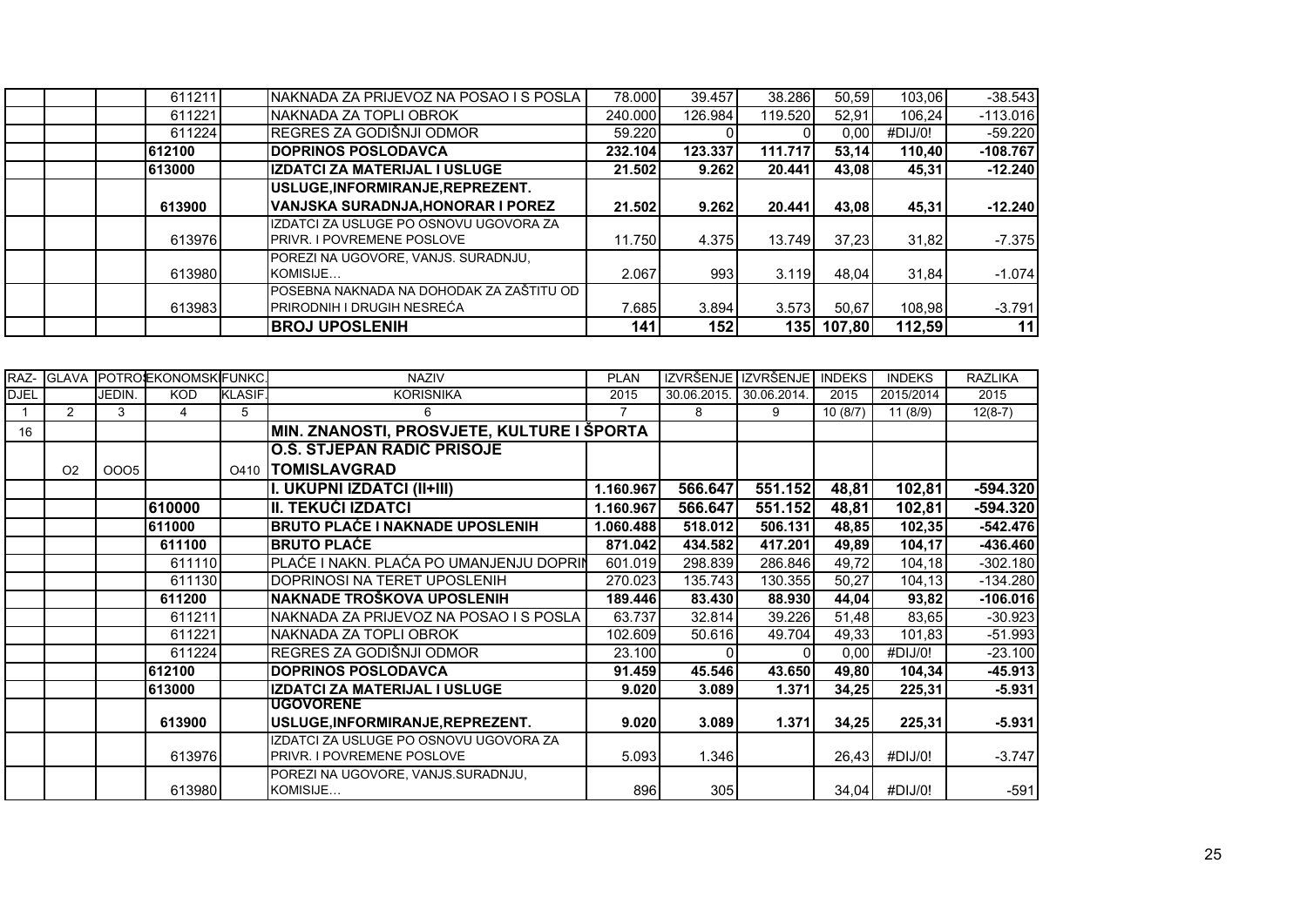| 611211 | NAKNADA ZA PRIJEVOZ NA POSAO I S POSLA                                       | 78,000  | 39.457  | 38.286  | 50.59  | 103,06  | $-38.543$  |
|--------|------------------------------------------------------------------------------|---------|---------|---------|--------|---------|------------|
| 611221 | NAKNADA ZA TOPLI OBROK                                                       | 240.000 | 126.984 | 119.520 | 52.91  | 106,24  | $-113.016$ |
| 611224 | REGRES ZA GODIŠNJI ODMOR                                                     | 59.220  |         |         | 0.00   | #DIJ/0! | $-59.220$  |
| 612100 | <b>DOPRINOS POSLODAVCA</b>                                                   | 232.104 | 123.337 | 111.717 | 53.14  | 110.40  | $-108.767$ |
| 613000 | IZDATCI ZA MATERIJAL I USLUGE                                                | 21.502  | 9.262   | 20.441  | 43.08  | 45,31   | $-12.240$  |
|        | USLUGE, INFORMIRANJE, REPREZENT.                                             |         |         |         |        |         |            |
| 613900 | VANJSKA SURADNJA, HONORAR I POREZ                                            | 21.502  | 9.262   | 20.441  | 43,08  | 45,31   | $-12.240$  |
| 613976 | IZDATCI ZA USLUGE PO OSNOVU UGOVORA ZA<br><b>IPRIVR. I POVREMENE POSLOVE</b> | 11.750  | 4.375   | 13.749  | 37,23  | 31,82   | $-7.375$   |
| 613980 | POREZI NA UGOVORE. VANJS. SURADNJU.<br>KOMISIJE                              | 2.067   | 993     | 3.119   | 48.04  | 31,84   | $-1.074$   |
| 613983 | IPOSEBNA NAKNADA NA DOHODAK ZA ZAŠTITU OD<br>PRIRODNIH I DRUGIH NESREĆA      | 7.685   | 3.894   | 3.573   | 50,67  | 108,98  | $-3.791$   |
|        | <b>BROJ UPOSLENIH</b>                                                        | 141     | 152     | 1351    | 107,80 | 112,59  | 11         |

| RAZ-        |                |             | GLAVA POTROEKONOMSKIFUNKC. |                | <b>NAZIV</b>                                   | <b>PLAN</b>    | IZVRŠENJE   | <b>IZVRŠENJE</b> | <b>INDEKS</b> | <b>INDEKS</b>         | <b>RAZLIKA</b> |
|-------------|----------------|-------------|----------------------------|----------------|------------------------------------------------|----------------|-------------|------------------|---------------|-----------------------|----------------|
| <b>DJEL</b> |                | JEDIN.      | <b>KOD</b>                 | <b>KLASIF.</b> | <b>KORISNIKA</b>                               | 2015           | 30.06.2015. | 30.06.2014.      | 2015          | 2015/2014             | 2015           |
|             | 2              | 3           | 4                          | 5              | 6                                              | $\overline{7}$ | 8           | 9                | 10(8/7)       | 11(8/9)               | $12(8-7)$      |
| 16          |                |             |                            |                | MIN. ZNANOSTI, PROSVJETE, KULTURE I ŠPORTA     |                |             |                  |               |                       |                |
|             |                |             |                            |                | <b>O.S. STJEPAN RADIC PRISOJE</b>              |                |             |                  |               |                       |                |
|             | O <sub>2</sub> | <b>OOO5</b> |                            |                | 0410  TOMISLAVGRAD                             |                |             |                  |               |                       |                |
|             |                |             |                            |                | I. UKUPNI IZDATCI (II+III)                     | 1.160.967      | 566.647     | 551.152          | 48,81         | 102,81                | $-594.320$     |
|             |                |             | 610000                     |                | <b>II. TEKUĆI IZDATCI</b>                      | 1.160.967      | 566.647     | 551.152          | 48,81         | 102,81                | $-594.320$     |
|             |                |             | 611000                     |                | <b>BRUTO PLAĆE I NAKNADE UPOSLENIH</b>         | 1.060.488      | 518.012     | 506.131          | 48,85         | 102,35                | $-542.476$     |
|             |                |             | 611100                     |                | <b>BRUTO PLACE</b>                             | 871.042        | 434.582     | 417.201          | 49,89         | 104,17                | $-436.460$     |
|             |                |             | 611110                     |                | PLAĆE I NAKN. PLAĆA PO UMANJENJU DOPRIN        | 601.019        | 298.839     | 286.846          | 49,72         | $\overline{104}$ , 18 | $-302.180$     |
|             |                |             | 611130                     |                | DOPRINOSI NA TERET UPOSLENIH                   | 270.023        | 135.743     | 130.355          | 50,27         | 104,13                | $-134.280$     |
|             |                |             | 611200                     |                | NAKNADE TROŠKOVA UPOSLENIH                     | 189.446        | 83.430      | 88.930           | 44,04         | 93,82                 | $-106.016$     |
|             |                |             | 611211                     |                | NAKNADA ZA PRIJEVOZ NA POSAO I S POSLA         | 63.737         | 32.814      | 39.226           | 51,48         | 83,65                 | $-30.923$      |
|             |                |             | 611221                     |                | NAKNADA ZA TOPLI OBROK                         | 102.609        | 50.616      | 49.704           | 49,33         | 101,83                | $-51.993$      |
|             |                |             | 611224                     |                | REGRES ZA GODIŠNJI ODMOR                       | 23.100         |             |                  | 0,00          | #DIJ/0!               | $-23.100$      |
|             |                |             | 612100                     |                | <b>DOPRINOS POSLODAVCA</b>                     | 91.459         | 45.546      | 43.650           | 49,80         | 104,34                | $-45.913$      |
|             |                |             | 613000                     |                | IZDATCI ZA MATERIJAL I USLUGE                  | 9.020          | 3.089       | 1.371            | 34,25         | 225,31                | $-5.931$       |
|             |                |             |                            |                | <b>UGOVORENE</b>                               |                |             |                  |               |                       |                |
|             |                |             | 613900                     |                | USLUGE, INFORMIRANJE, REPREZENT.               | 9.020          | 3.089       | 1.371            | 34,25         | 225,31                | $-5.931$       |
|             |                |             |                            |                | IZDATCI ZA USLUGE PO OSNOVU UGOVORA ZA         |                |             |                  |               |                       |                |
|             |                |             | 613976                     |                | PRIVR. I POVREMENE POSLOVE                     | 5.093          | 1.346       |                  | 26,43         | #DIJ/0!               | $-3.747$       |
|             |                |             | 613980                     |                | POREZI NA UGOVORE, VANJS.SURADNJU,<br>KOMISIJE | 896            | 305         |                  | 34,04         | #DIJ/0!               | $-591$         |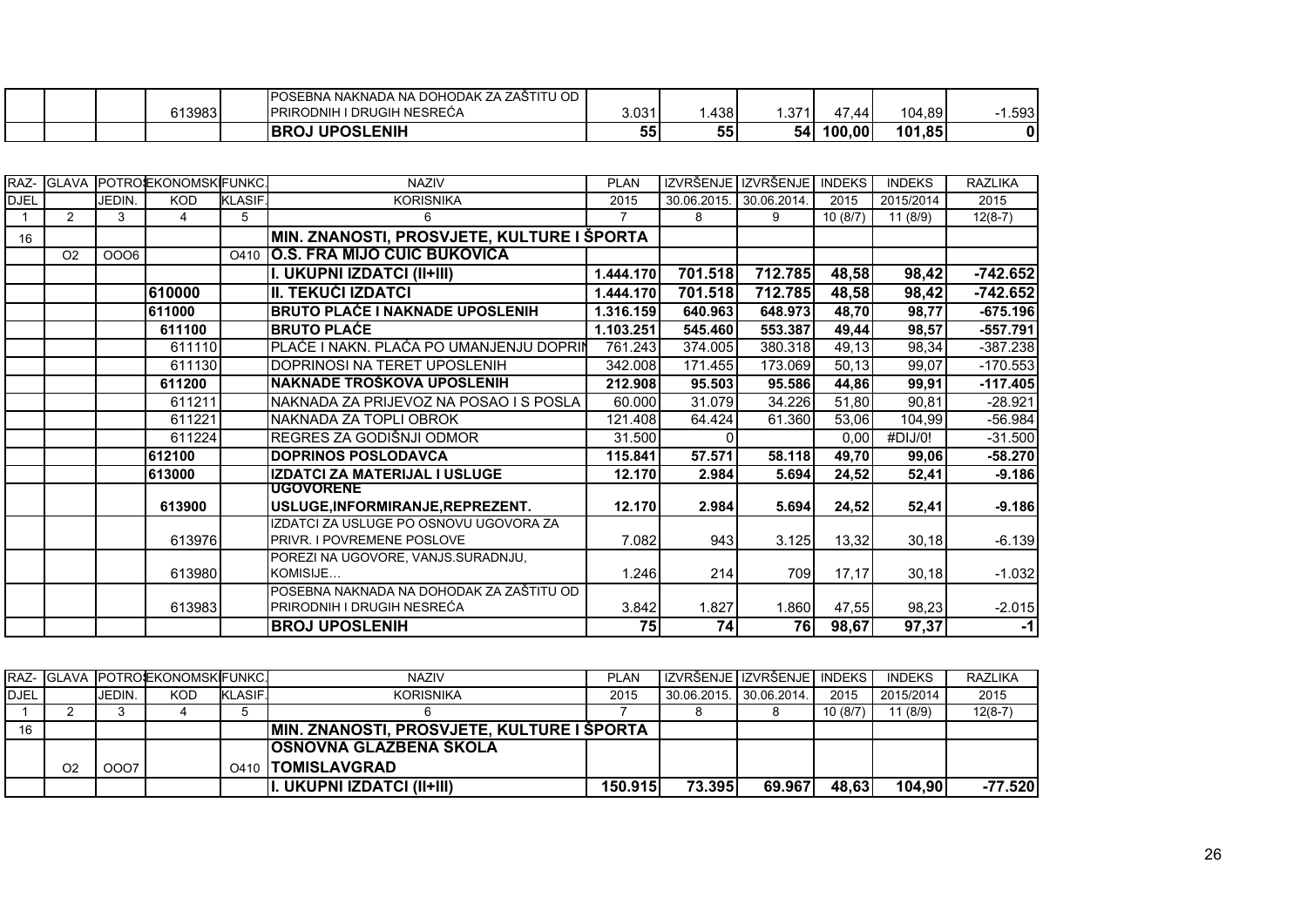|  |        | IPOSEBNA NAKNADA NA DOHODAK ZA ZAŠTITU OD |       |      |           |                       |        |       |
|--|--------|-------------------------------------------|-------|------|-----------|-----------------------|--------|-------|
|  | 613983 | <b>IPRIRODNIH I DRUGIH NESREĆA</b>        | 3.031 | .438 | .371      | 47<br>$\overline{44}$ | 104,89 | 1.593 |
|  |        | <b>UPOSLENIH</b><br><b>BROJ</b>           | 55    | 55   | <b>54</b> | 100,00                | 101,85 |       |

|             |                |        | RAZ- GLAVA POTROEKONOMSKIFUNKC. |                | <b>NAZIV</b>                               | <b>PLAN</b> | <b>IZVRŠENJE</b> | <b>IZVRŠENJE</b> | <b>INDEKS</b> | <b>INDEKS</b> | <b>RAZLIKA</b> |
|-------------|----------------|--------|---------------------------------|----------------|--------------------------------------------|-------------|------------------|------------------|---------------|---------------|----------------|
| <b>DJEL</b> |                | JEDIN. | <b>KOD</b>                      | <b>KLASIF.</b> | <b>KORISNIKA</b>                           | 2015        | 30.06.2015.      | 30.06.2014.      | 2015          | 2015/2014     | 2015           |
|             | $\overline{2}$ | 3      | 4                               | 5              | 6                                          |             | 8                | 9                | 10(8/7)       | 11(8/9)       | $12(8-7)$      |
| 16          |                |        |                                 |                | MIN. ZNANOSTI, PROSVJETE, KULTURE I ŠPORTA |             |                  |                  |               |               |                |
|             | O <sub>2</sub> | OOO6   |                                 | O410           | <u>  O.S. FRA MIJO CUIC BUKOVICA</u>       |             |                  |                  |               |               |                |
|             |                |        |                                 |                | I. UKUPNI IZDATCI (II+III)                 | 1.444.170   | 701.518          | 712.785          | 48,58         | 98,42         | $-742.652$     |
|             |                |        | 610000                          |                | II. TEKUĆI IZDATCI                         | 1.444.170   | 701.518          | 712.785          | 48,58         | 98,42         | $-742.652$     |
|             |                |        | 611000                          |                | <b>BRUTO PLAĆE I NAKNADE UPOSLENIH</b>     | 1.316.159   | 640.963          | 648.973          | 48,70         | 98,77         | $-675.196$     |
|             |                |        | 611100                          |                | <b>BRUTO PLACE</b>                         | 1.103.251   | 545.460          | 553.387          | 49,44         | 98,57         | $-557.791$     |
|             |                |        | 611110                          |                | PLAĆE I NAKN. PLAĆA PO UMANJENJU DOPRIN    | 761.243     | 374.005          | 380.318          | 49,13         | 98,34         | $-387.238$     |
|             |                |        | 611130                          |                | DOPRINOSI NA TERET UPOSLENIH               | 342.008     | 171.455          | 173.069          | 50,13         | 99,07         | $-170.553$     |
|             |                |        | 611200                          |                | NAKNADE TROŠKOVA UPOSLENIH                 | 212.908     | 95.503           | 95.586           | 44,86         | 99,91         | $-117.405$     |
|             |                |        | 611211                          |                | NAKNADA ZA PRIJEVOZ NA POSAO I S POSLA     | 60.000      | 31.079           | 34.226           | 51,80         | 90,81         | $-28.921$      |
|             |                |        | 611221                          |                | NAKNADA ZA TOPLI OBROK                     | 121.408     | 64.424           | 61.360           | 53,06         | 104,99        | $-56.984$      |
|             |                |        | 611224                          |                | REGRES ZA GODIŠNJI ODMOR                   | 31.500      |                  |                  | 0,00          | #DIJ/0!       | $-31.500$      |
|             |                |        | 612100                          |                | <b>DOPRINOS POSLODAVCA</b>                 | 115.841     | 57.571           | 58.118           | 49,70         | 99,06         | $-58.270$      |
|             |                |        | 613000                          |                | IZDATCI ZA MATERIJAL I USLUGE              | 12.170      | 2.984            | 5.694            | 24,52         | 52,41         | $-9.186$       |
|             |                |        |                                 |                | <b>UGOVORENE</b>                           |             |                  |                  |               |               |                |
|             |                |        | 613900                          |                | USLUGE, INFORMIRANJE, REPREZENT.           | 12.170      | 2.984            | 5.694            | 24,52         | 52,41         | $-9.186$       |
|             |                |        |                                 |                | IZDATCI ZA USLUGE PO OSNOVU UGOVORA ZA     |             |                  |                  |               |               |                |
|             |                |        | 613976                          |                | PRIVR. I POVREMENE POSLOVE                 | 7.082       | 943              | 3.125            | 13,32         | 30,18         | $-6.139$       |
|             |                |        |                                 |                | POREZI NA UGOVORE, VANJS.SURADNJU,         |             |                  |                  |               |               |                |
|             |                |        | 613980                          |                | KOMISIJE                                   | 1.246       | 214              | 709              | 17,17         | 30,18         | $-1.032$       |
|             |                |        |                                 |                | POSEBNA NAKNADA NA DOHODAK ZA ZAŠTITU OD   |             |                  |                  |               |               |                |
|             |                |        | 613983                          |                | PRIRODNIH I DRUGIH NESREĆA                 | 3.842       | 1.827            | 1.860            | 47,55         | 98,23         | $-2.015$       |
|             |                |        |                                 |                | <b>BROJ UPOSLENIH</b>                      | 75          | 74               | 76               | 98,67         | 97,37         | $-1$           |

|             |                |        | RAZ- GLAVA POTROEKONOMSKIFUNKC. |               | <b>NAZIV</b>                                      | <b>PLAN</b> | IZVRŠENJE I IZVRŠENJE I INDEKS I |        |         | <b>INDEKS</b> | <b>RAZLIKA</b> |
|-------------|----------------|--------|---------------------------------|---------------|---------------------------------------------------|-------------|----------------------------------|--------|---------|---------------|----------------|
| <b>DJEL</b> |                | JEDIN. | <b>KOD</b>                      | <b>KLASIF</b> | <b>KORISNIKA</b>                                  | 2015        | 30.06.2015. 30.06.2014.          |        | 2015    | 2015/2014     | 2015           |
|             |                |        |                                 |               |                                                   |             |                                  |        | 10(8/7) | 1(8/9)        | $12(8-7)$      |
|             |                |        |                                 |               | <b>MIN. ZNANOSTI, PROSVJETE, KULTURE I SPORTA</b> |             |                                  |        |         |               |                |
|             |                |        |                                 |               | <b>OSNOVNA GLAZBENA SKOLA</b>                     |             |                                  |        |         |               |                |
|             | O <sub>2</sub> | 0007   |                                 |               | 0410 <b>TOMISLAVGRAD</b>                          |             |                                  |        |         |               |                |
|             |                |        |                                 |               | I. UKUPNI IZDATCI (II+III)                        | 150.915     | 73.395                           | 69.967 | 48,63   | 104,90        | $-77.520$      |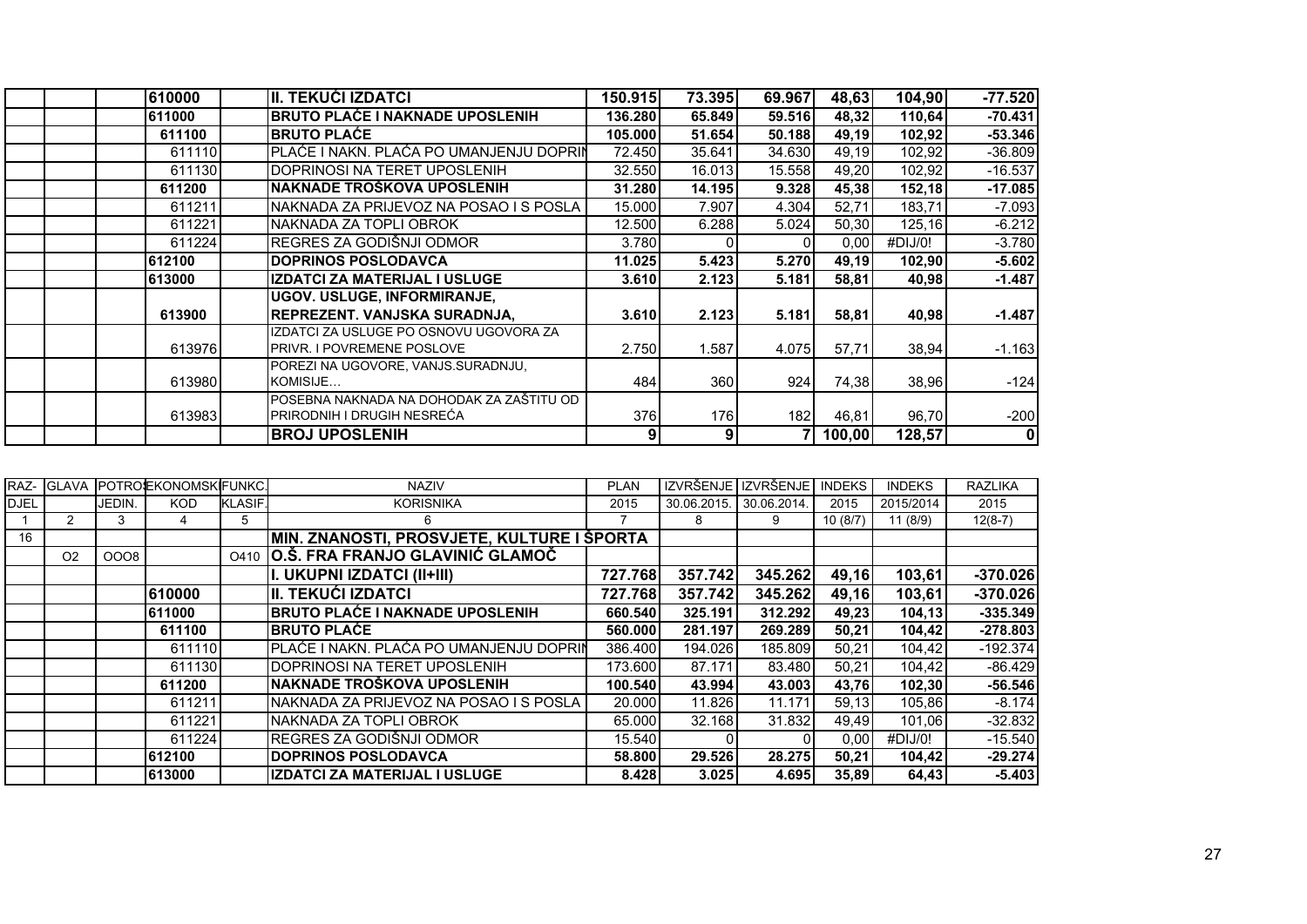| 610000 | II. TEKUĆI IZDATCI                       | 150.915 | 73.395 | 69.967 | 48,63  | 104,90  | $-77.520$   |
|--------|------------------------------------------|---------|--------|--------|--------|---------|-------------|
| 611000 | <b>BRUTO PLAĆE I NAKNADE UPOSLENIH</b>   | 136.280 | 65.849 | 59.516 | 48,32  | 110,64  | $-70.431$   |
| 611100 | <b>BRUTO PLACE</b>                       | 105.000 | 51.654 | 50.188 | 49,19  | 102,92  | $-53.346$   |
| 611110 | PLAĆE I NAKN. PLAĆA PO UMANJENJU DOPRIN  | 72.450  | 35.641 | 34.630 | 49,19  | 102,92  | $-36.809$   |
| 611130 | DOPRINOSI NA TERET UPOSLENIH             | 32.550  | 16.013 | 15.558 | 49,20  | 102,92  | $-16.537$   |
| 611200 | NAKNADE TROŠKOVA UPOSLENIH               | 31.280  | 14.195 | 9.328  | 45,38  | 152,18  | $-17.085$   |
| 611211 | NAKNADA ZA PRIJEVOZ NA POSAO I S POSLA   | 15.000  | 7.907  | 4.304  | 52,71  | 183,71  | $-7.093$    |
| 611221 | NAKNADA ZA TOPLI OBROK                   | 12.500  | 6.288  | 5.024  | 50,30  | 125,16  | $-6.212$    |
| 611224 | REGRES ZA GODIŠNJI ODMOR                 | 3.780   |        |        | 0,00   | #DIJ/0! | $-3.780$    |
| 612100 | <b>DOPRINOS POSLODAVCA</b>               | 11.025  | 5.423  | 5.270  | 49,19  | 102,90  | $-5.602$    |
| 613000 | <b>IZDATCI ZA MATERIJAL I USLUGE</b>     | 3.610   | 2.123  | 5.181  | 58,81  | 40,98   | $-1.487$    |
|        | UGOV. USLUGE, INFORMIRANJE,              |         |        |        |        |         |             |
| 613900 | IREPREZENT. VANJSKA SURADNJA.            | 3.610   | 2.123  | 5.181  | 58,81  | 40,98   | $-1.487$    |
|        | IZDATCI ZA USLUGE PO OSNOVU UGOVORA ZA   |         |        |        |        |         |             |
| 613976 | <b>PRIVR. I POVREMENE POSLOVE</b>        | 2.750   | 1.587  | 4.075  | 57,71  | 38,94   | $-1.163$    |
|        | POREZI NA UGOVORE, VANJS.SURADNJU,       |         |        |        |        |         |             |
| 613980 | KOMISIJE                                 | 484     | 360    | 924    | 74,38  | 38,96   | $-124$      |
|        | POSEBNA NAKNADA NA DOHODAK ZA ZAŠTITU OD |         |        |        |        |         |             |
| 613983 | PRIRODNIH I DRUGIH NESREĆA               | 376     | 176    | 182    | 46,81  | 96,70   | $-200$      |
|        | <b>BROJ UPOSLENIH</b>                    |         | 9      |        | 100,00 | 128,57  | $\mathbf 0$ |

|             |                |        | RAZ- GLAVA POTROEKONOMSKIFUNKC. |                | <b>NAZIV</b>                               | <b>PLAN</b> |             | IZVRŠENJE I IZVRŠENJE | <b>INDEKS</b> | <b>INDEKS</b> | <b>RAZLIKA</b> |
|-------------|----------------|--------|---------------------------------|----------------|--------------------------------------------|-------------|-------------|-----------------------|---------------|---------------|----------------|
| <b>DJEL</b> |                | JEDIN. | <b>KOD</b>                      | <b>KLASIF.</b> | <b>KORISNIKA</b>                           | 2015        | 30.06.2015. | 30.06.2014            | 2015          | 2015/2014     | 2015           |
|             |                |        |                                 | 5              | 6                                          |             | 8           | 9                     | 10(8/7)       | 11(8/9)       | $12(8-7)$      |
| 16          |                |        |                                 |                | MIN. ZNANOSTI, PROSVJETE, KULTURE I ŠPORTA |             |             |                       |               |               |                |
|             | O <sub>2</sub> | 0008   |                                 |                | 0410 O.Š. FRA FRANJO GLAVINIĆ GLAMOČ       |             |             |                       |               |               |                |
|             |                |        |                                 |                | II. UKUPNI IZDATCI (II+III)                | 727.768     | 357.742     | 345.262               | 49,16         | 103,61        | $-370.026$     |
|             |                |        | 610000                          |                | II. TEKUĆI IZDATCI                         | 727.768     | 357.742     | 345.262               | 49,16         | 103,61        | $-370.026$     |
|             |                |        | 611000                          |                | <b>BRUTO PLAĆE I NAKNADE UPOSLENIH</b>     | 660.540     | 325.191     | 312.292               | 49,23         | 104,13        | $-335.349$     |
|             |                |        | 611100                          |                | <b>IBRUTO PLAĆE</b>                        | 560,000     | 281.197     | 269.289               | 50,21         | 104,42        | $-278.803$     |
|             |                |        | 611110                          |                | PLAĆE I NAKN. PLAĆA PO UMANJENJU DOPRIN    | 386.400     | 194.026     | 185.809               | 50,21         | 104,42        | $-192.374$     |
|             |                |        | 611130                          |                | DOPRINOSI NA TERET UPOSLENIH               | 173.600     | 87.171      | 83.480                | 50,21         | 104,42        | $-86.429$      |
|             |                |        | 611200                          |                | NAKNADE TROŠKOVA UPOSLENIH                 | 100.540     | 43.994      | 43.003                | 43,76         | 102,30        | $-56.546$      |
|             |                |        | 611211                          |                | NAKNADA ZA PRIJEVOZ NA POSAO I S POSLA     | 20.000      | 11.826      | 11.171                | 59,13         | 105,86        | $-8.174$       |
|             |                |        | 611221                          |                | INAKNADA ZA TOPLI OBROK                    | 65,000      | 32.168      | 31.832                | 49,49         | 101.06        | $-32.832$      |
|             |                |        | 611224                          |                | REGRES ZA GODIŠNJI ODMOR                   | 15.540      |             |                       | 0,00          | #DIJ/0!       | $-15.540$      |
|             |                |        | 612100                          |                | <b>DOPRINOS POSLODAVCA</b>                 | 58.800      | 29.526      | 28.275                | 50,21         | 104,42        | $-29.274$      |
|             |                |        | 613000                          |                | IZDATCI ZA MATERIJAL I USLUGE              | 8.428       | 3.025       | 4.695                 | 35,89         | 64,43         | $-5.403$       |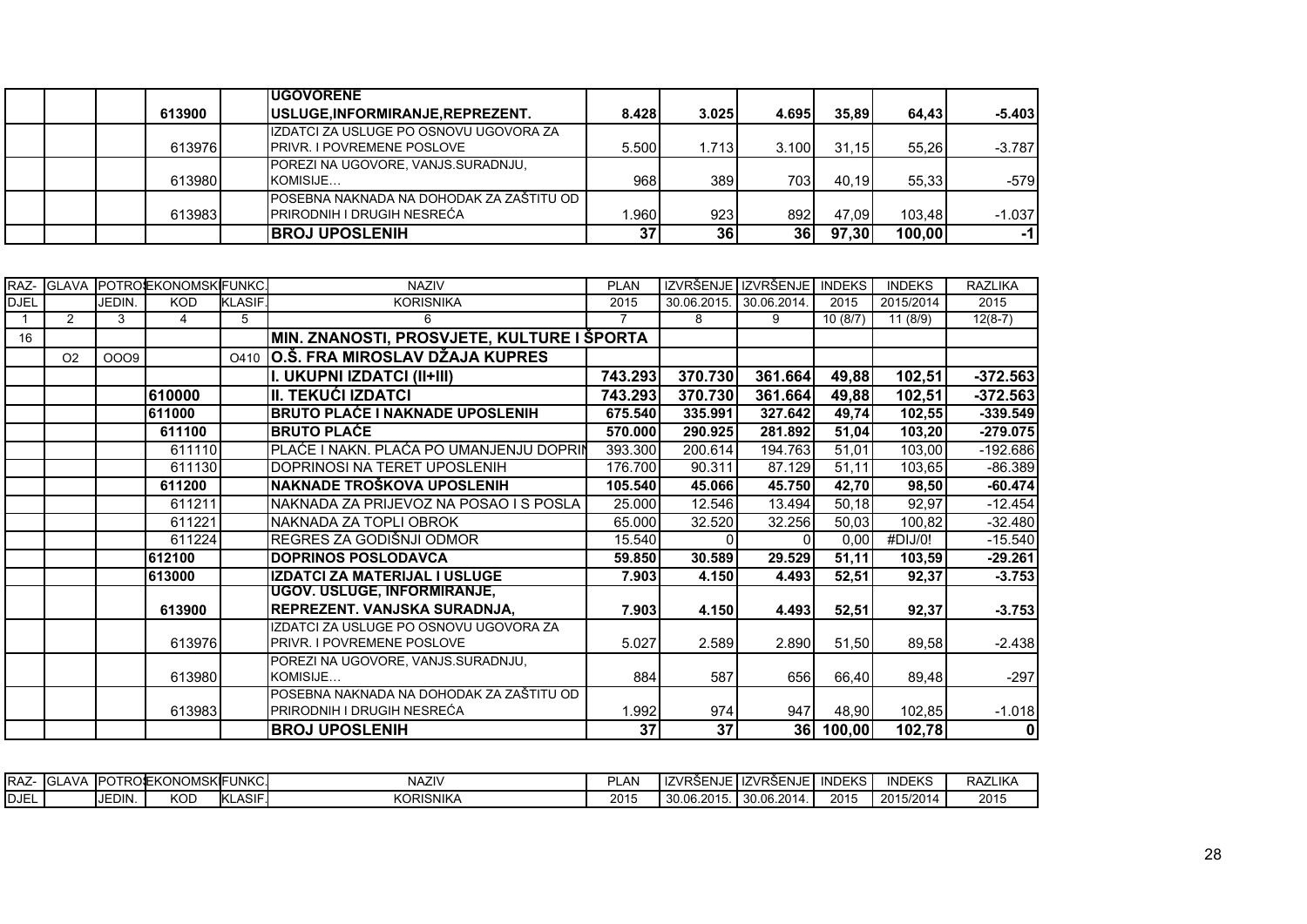|  |        | <b>IUGOVORENE</b>                          |       |       |       |       |        |          |
|--|--------|--------------------------------------------|-------|-------|-------|-------|--------|----------|
|  | 613900 | USLUGE, INFORMIRANJE, REPREZENT.           | 8.428 | 3.025 | 4.695 | 35.89 | 64.43  | $-5.403$ |
|  |        | IZDATCI ZA USLUGE PO OSNOVU UGOVORA ZA     |       |       |       |       |        |          |
|  | 613976 | <b>PRIVR. I POVREMENE POSLOVE</b>          | 5.500 | 1.713 | 3.100 | 31.15 | 55.26  | $-3.787$ |
|  |        | <b>IPOREZI NA UGOVORE, VANJS SURADNJU.</b> |       |       |       |       |        |          |
|  | 613980 | KOMISIJE                                   | 968   | 389   | 703.  | 40.19 | 55.33  | -579     |
|  |        | POSEBNA NAKNADA NA DOHODAK ZA ZAŠTITU OD   |       |       |       |       |        |          |
|  | 613983 | <b>PRIRODNIH I DRUGIH NESREĆA</b>          | .960  | 923   | 892   | 47.09 | 103.48 | $-1.037$ |
|  |        | <b>BROJ UPOSLENIH</b>                      | 37    | 36    | 36    | 97,30 | 100,00 | -11      |

|             |                |        | RAZ- GLAVA POTROEKONOMSKIFUNKC. |                | <b>NAZIV</b>                               | <b>PLAN</b>    |             | IZVRŠENJE IZVRŠENJE | <b>INDEKS</b> | <b>INDEKS</b> | <b>RAZLIKA</b> |
|-------------|----------------|--------|---------------------------------|----------------|--------------------------------------------|----------------|-------------|---------------------|---------------|---------------|----------------|
| <b>DJEL</b> |                | JEDIN. | <b>KOD</b>                      | <b>KLASIF.</b> | <b>KORISNIKA</b>                           | 2015           | 30.06.2015. | 30.06.2014.         | 2015          | 2015/2014     | 2015           |
|             | 2              | 3      | 4                               | 5              | 6                                          | $\overline{7}$ | 8           | 9                   | 10(8/7)       | 11(8/9)       | $12(8-7)$      |
| 16          |                |        |                                 |                | MIN. ZNANOSTI, PROSVJETE, KULTURE I ŠPORTA |                |             |                     |               |               |                |
|             | O <sub>2</sub> | 0009   |                                 | O410           | O.Š. FRA MIROSLAV DŽAJA KUPRES             |                |             |                     |               |               |                |
|             |                |        |                                 |                | I. UKUPNI IZDATCI (II+III)                 | 743.293        | 370.730     | 361.664             | 49,88         | 102,51        | $-372.563$     |
|             |                |        | 610000                          |                | III. TEKUĆI IZDATCI                        | 743.293        | 370.730     | 361.664             | 49,88         | 102,51        | $-372.563$     |
|             |                |        | 611000                          |                | <b>BRUTO PLAĆE I NAKNADE UPOSLENIH</b>     | 675.540        | 335.991     | 327.642             | 49,74         | 102,55        | $-339.549$     |
|             |                |        | 611100                          |                | <b>BRUTO PLAĆE</b>                         | 570.000        | 290.925     | 281.892             | 51,04         | 103,20        | $-279.075$     |
|             |                |        | 611110                          |                | PLAĆE I NAKN. PLAĆA PO UMANJENJU DOPRIN    | 393.300        | 200.614     | 194.763             | 51,01         | 103,00        | $-192.686$     |
|             |                |        | 611130                          |                | DOPRINOSI NA TERET UPOSLENIH               | 176.700        | 90.311      | 87.129              | 51,11         | 103,65        | $-86.389$      |
|             |                |        | 611200                          |                | NAKNADE TROŠKOVA UPOSLENIH                 | 105.540        | 45.066      | 45.750              | 42,70         | 98,50         | $-60.474$      |
|             |                |        | 611211                          |                | NAKNADA ZA PRIJEVOZ NA POSAO I S POSLA     | 25.000         | 12.546      | 13.494              | 50,18         | 92,97         | $-12.454$      |
|             |                |        | 611221                          |                | NAKNADA ZA TOPLI OBROK                     | 65.000         | 32.520      | 32.256              | 50,03         | 100,82        | $-32.480$      |
|             |                |        | 611224                          |                | REGRES ZA GODIŠNJI ODMOR                   | 15.540         | 0           | ΩI                  | 0,00          | #DIJ/0!       | $-15.540$      |
|             |                |        | 612100                          |                | <b>DOPRINOS POSLODAVCA</b>                 | 59.850         | 30.589      | 29.529              | 51,11         | 103,59        | $-29.261$      |
|             |                |        | 613000                          |                | IZDATCI ZA MATERIJAL I USLUGE              | 7.903          | 4.150       | 4.493               | 52,51         | 92,37         | $-3.753$       |
|             |                |        |                                 |                | UGOV. USLUGE, INFORMIRANJE,                |                |             |                     |               |               |                |
|             |                |        | 613900                          |                | REPREZENT. VANJSKA SURADNJA,               | 7.903          | 4.150       | 4.493               | 52,51         | 92,37         | $-3.753$       |
|             |                |        |                                 |                | IZDATCI ZA USLUGE PO OSNOVU UGOVORA ZA     |                |             |                     |               |               |                |
|             |                |        | 613976                          |                | <b>PRIVR. I POVREMENE POSLOVE</b>          | 5.027          | 2.589       | 2.890               | 51,50         | 89,58         | $-2.438$       |
|             |                |        |                                 |                | POREZI NA UGOVORE, VANJS.SURADNJU,         |                |             |                     |               |               |                |
|             |                |        | 613980                          |                | KOMISIJE                                   | 884            | 587         | 656                 | 66,40         | 89,48         | $-297$         |
|             |                |        |                                 |                | POSEBNA NAKNADA NA DOHODAK ZA ZAŠTITU OD   |                |             |                     |               |               |                |
|             |                |        | 613983                          |                | IPRIRODNIH I DRUGIH NESREĆA                | 1.992          | 974         | 947                 | 48,90         | 102,85        | $-1.018$       |
|             |                |        |                                 |                | <b>BROJ UPOSLENIH</b>                      | 37             | 37          | 36                  | 100,00        | 102,78        | 0              |

| ⊿ I ⊃ ∆ ⊺<br>ᅑᄍᆇ | _AVA<br>$\sim$<br>் 16ப | <b>IPOT</b>   | TROSEKONOMSKIFUNKC. |                          | NAZIV            | --<br>AN   | I IZVRŠENJE I IZVRŠENJE              |            | El INDEKS       | INDEKS    | <b>RAZLIKA</b> |
|------------------|-------------------------|---------------|---------------------|--------------------------|------------------|------------|--------------------------------------|------------|-----------------|-----------|----------------|
| $-1$<br>IDJEL    |                         | <b>IEDIN.</b> | KOD                 | ASIE<br>11.ZT<br>"NLAOI. | <b>KORISNIKA</b> | 0015<br>∠∪ | 30.08.2015<br>2015<br>U. U. U. U. W. | 30.06.2014 | 2015<br>2 U I J | 2015/2014 | 2015           |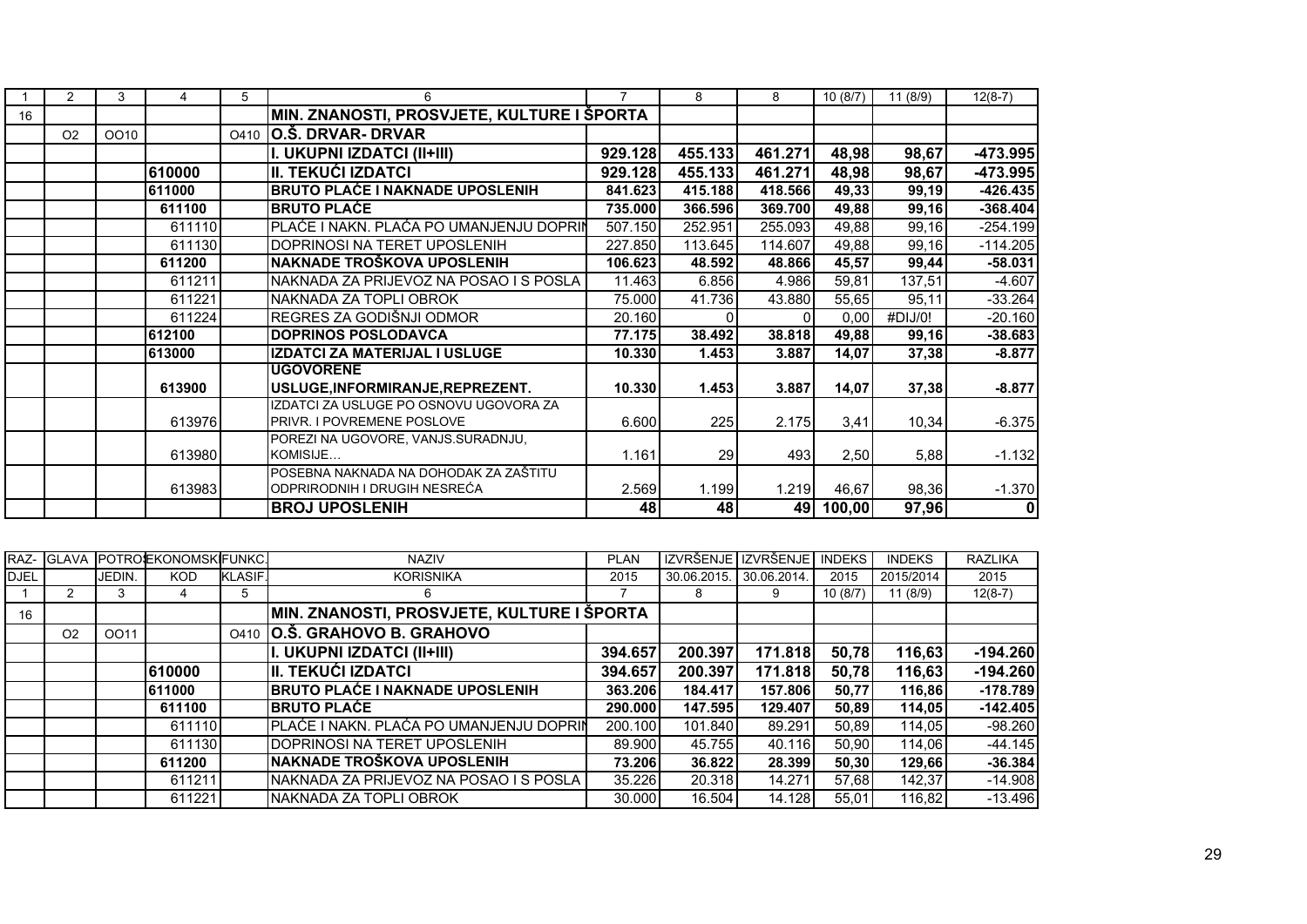|    | 2              | 3    |        | 5 | 6                                                                     | $\overline{7}$ | 8        | 8       | 10(8/7) | 11(8/9) | $12(8-7)$  |
|----|----------------|------|--------|---|-----------------------------------------------------------------------|----------------|----------|---------|---------|---------|------------|
| 16 |                |      |        |   | MIN. ZNANOSTI, PROSVJETE, KULTURE I ŠPORTA                            |                |          |         |         |         |            |
|    | O <sub>2</sub> | OO10 |        |   | 0410 0.Š. DRVAR- DRVAR                                                |                |          |         |         |         |            |
|    |                |      |        |   | I. UKUPNI IZDATCI (II+III)                                            | 929.128        | 455.133  | 461.271 | 48,98   | 98,67   | $-473.995$ |
|    |                |      | 610000 |   | <b>II. TEKUĆI IZDATCI</b>                                             | 929.128        | 455.133  | 461.271 | 48,98   | 98,67   | $-473.995$ |
|    |                |      | 611000 |   | <b>BRUTO PLAĆE I NAKNADE UPOSLENIH</b>                                | 841.623        | 415.188  | 418.566 | 49,33   | 99,19   | $-426.435$ |
|    |                |      | 611100 |   | <b>BRUTO PLACE</b>                                                    | 735.000        | 366.596  | 369.700 | 49,88   | 99,16   | $-368.404$ |
|    |                |      | 611110 |   | PLAĆE I NAKN. PLAĆA PO UMANJENJU DOPRIN                               | 507.150        | 252.951  | 255.093 | 49,88   | 99,16   | $-254.199$ |
|    |                |      | 611130 |   | DOPRINOSI NA TERET UPOSLENIH                                          | 227.850        | 113.645  | 114.607 | 49,88   | 99,16   | $-114.205$ |
|    |                |      | 611200 |   | NAKNADE TROŠKOVA UPOSLENIH                                            | 106.623        | 48.592   | 48.866  | 45,57   | 99,44   | $-58.031$  |
|    |                |      | 611211 |   | NAKNADA ZA PRIJEVOZ NA POSAO I S POSLA                                | 11.463         | 6.856    | 4.986   | 59,81   | 137,51  | $-4.607$   |
|    |                |      | 611221 |   | NAKNADA ZA TOPLI OBROK                                                | 75.000         | 41.736   | 43.880  | 55,65   | 95,11   | $-33.264$  |
|    |                |      | 611224 |   | REGRES ZA GODIŠNJI ODMOR                                              | 20.160         | $\Omega$ |         | 0,00    | #DIJ/0! | $-20.160$  |
|    |                |      | 612100 |   | <b>DOPRINOS POSLODAVCA</b>                                            | 77.175         | 38.492   | 38.818  | 49,88   | 99,16   | $-38.683$  |
|    |                |      | 613000 |   | IZDATCI ZA MATERIJAL I USLUGE                                         | 10.330         | 1.453    | 3.887   | 14,07   | 37,38   | $-8.877$   |
|    |                |      |        |   | <b>UGOVORENE</b>                                                      |                |          |         |         |         |            |
|    |                |      | 613900 |   | USLUGE, INFORMIRANJE, REPREZENT.                                      | 10.330         | 1.453    | 3.887   | 14,07   | 37,38   | $-8.877$   |
|    |                |      |        |   | IZDATCI ZA USLUGE PO OSNOVU UGOVORA ZA                                |                |          |         |         |         |            |
|    |                |      | 613976 |   | PRIVR. I POVREMENE POSLOVE                                            | 6.600          | 225      | 2.175   | 3,41    | 10,34   | $-6.375$   |
|    |                |      |        |   | POREZI NA UGOVORE, VANJS.SURADNJU,                                    |                |          |         |         |         |            |
|    |                |      | 613980 |   | KOMISIJE                                                              | 1.161          | 29       | 493     | 2,50    | 5,88    | $-1.132$   |
|    |                |      |        |   | POSEBNA NAKNADA NA DOHODAK ZA ZAŠTITU<br>ODPRIRODNIH I DRUGIH NESREĆA |                |          |         |         |         |            |
|    |                |      | 613983 |   |                                                                       | 2.569          | 1.199    | 1.219   | 46,67   | 98,36   | $-1.370$   |
|    |                |      |        |   | <b>BROJ UPOSLENIH</b>                                                 | 48             | 48       | 49      | 100,00  | 97,96   | 0          |

|             | RAZ- GLAVA |        | POTROJEKONOMSKIFUNKC. |                | <b>NAZIV</b>                               | <b>PLAN</b> |             | IZVRŠENJE IZVRŠENJE | <b>INDEKS</b> | <b>INDEKS</b> | <b>RAZLIKA</b> |
|-------------|------------|--------|-----------------------|----------------|--------------------------------------------|-------------|-------------|---------------------|---------------|---------------|----------------|
| <b>DJEL</b> |            | JEDIN. | <b>KOD</b>            | <b>KLASIF.</b> | <b>KORISNIKA</b>                           | 2015        | 30.06.2015. | 30.06.2014.         | 2015          | 2015/2014     | 2015           |
|             |            | 3      |                       | 5              | 6                                          |             | 8           | 9                   | 10(8/7)       | 11(8/9)       | $12(8-7)$      |
| 16          |            |        |                       |                | MIN. ZNANOSTI, PROSVJETE, KULTURE I ŠPORTA |             |             |                     |               |               |                |
|             | O2         | OO11   |                       | O410           | O.S. GRAHOVO B. GRAHOVO                    |             |             |                     |               |               |                |
|             |            |        |                       |                | II. UKUPNI IZDATCI (II+III)                | 394.657     | 200.397     | 171.818             | 50,78         | 116,63        | $-194.260$     |
|             |            |        | 610000                |                | III. TEKUĆI IZDATCI                        | 394.657     | 200.397     | 171.818             | 50,78         | 116,63        | $-194.260$     |
|             |            |        | 611000                |                | <b>BRUTO PLAĆE I NAKNADE UPOSLENIH</b>     | 363.206     | 184.417     | 157.806             | 50.77         | 116.86        | $-178.789$     |
|             |            |        | 611100                |                | <b>IBRUTO PLAĆE</b>                        | 290,000     | 147.595     | 129.407             | 50.89         | 114.05        | $-142.405$     |
|             |            |        | 611110                |                | PLAĆE I NAKN. PLAĆA PO UMANJENJU DOPRIN    | 200.100     | 101.840     | 89.291              | 50.89         | 114.05        | $-98.260$      |
|             |            |        | 611130                |                | IDOPRINOSI NA TERET UPOSLENIH              | 89.900      | 45.755      | 40.116              | 50.90         | 114.06        | $-44.145$      |
|             |            |        | 611200                |                | INAKNADE TROŠKOVA UPOSLENIH                | 73.206      | 36.822      | 28.399              | 50.30         | 129,66        | $-36.384$      |
|             |            |        | 611211                |                | INAKNADA ZA PRIJEVOZ NA POSAO I S POSLA    | 35.226      | 20.318      | 14.271              | 57.68         | 142.37        | $-14.908$      |
|             |            |        | 611221                |                | INAKNADA ZA TOPLI OBROK                    | 30,000      | 16.504      | 14.128              | 55.01         | 116.82        | $-13.496$      |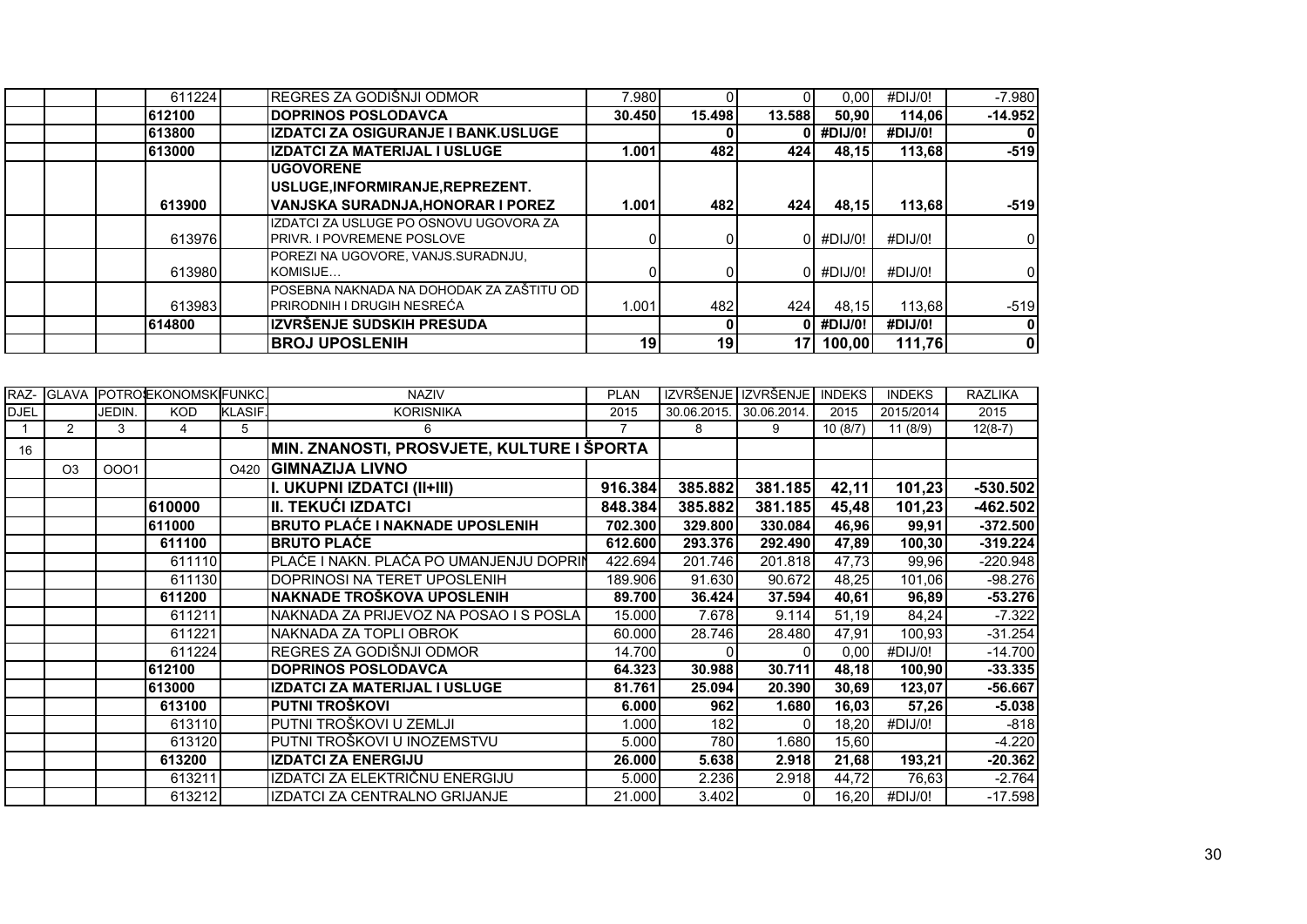| 611224 | REGRES ZA GODIŠNJI ODMOR                                                      | 7.980  |                 |        | 0.00 <sub>l</sub> | #DIJ/0! | $-7.980$       |
|--------|-------------------------------------------------------------------------------|--------|-----------------|--------|-------------------|---------|----------------|
| 612100 | <b>IDOPRINOS POSLODAVCA</b>                                                   | 30.450 | 15.498          | 13.588 | 50.90             | 114.06  | $-14.952$      |
| 613800 | lIZDATCI ZA OSIGURANJE I BANK.USLUGE                                          |        |                 |        | #DIJ/0!           | #DIJ/0! |                |
| 613000 | <b>IIZDATCI ZA MATERIJAL I USLUGE</b>                                         | 1.001  | 482             | 424    | 48.15             | 113,68  | $-519$         |
|        | <b>IUGOVORENE</b>                                                             |        |                 |        |                   |         |                |
|        | USLUGE, INFORMIRANJE, REPREZENT.                                              |        |                 |        |                   |         |                |
| 613900 | VANJSKA SURADNJA,HONORAR I POREZ                                              | 1.001  | 482             | 424    | 48.15             | 113,68  | $-519$         |
| 613976 | IZDATCI ZA USLUGE PO OSNOVU UGOVORA ZA<br><b>IPRIVR. I POVREMENE POSLOVE</b>  |        |                 |        | 0 #DIJ/0!         | #DIJ/0! | $\overline{0}$ |
| 613980 | POREZI NA UGOVORE, VANJS SURADNJU,<br>KOMISIJE                                |        |                 |        | 0 #DIJ/0!         | #DIJ/0! | 01             |
| 613983 | POSEBNA NAKNADA NA DOHODAK ZA ZAŠTITU OD<br><b>PRIRODNIH I DRUGIH NESREĆA</b> | 1.001  | 482             | 424    | 48.15             | 113.68  | $-519$         |
| 614800 | <b>IZVRŠENJE SUDSKIH PRESUDA</b>                                              |        |                 |        | 0 #DIJ/0!         | #DIJ/0! | $\mathbf 0$    |
|        | <b>BROJ UPOSLENIH</b>                                                         | 19     | 19 <sub>l</sub> | 17     | 100,00            | 111,76  | 0              |

| RAZ-        |                |        | GLAVA POTROEKONOMSKIFUNKC. |                | <b>NAZIV</b>                               | <b>PLAN</b>    |             | IZVRŠENJE IZVRŠENJE INDEKS |         | <b>INDEKS</b> | <b>RAZLIKA</b> |
|-------------|----------------|--------|----------------------------|----------------|--------------------------------------------|----------------|-------------|----------------------------|---------|---------------|----------------|
| <b>DJEL</b> |                | JEDIN. | <b>KOD</b>                 | <b>KLASIF.</b> | <b>KORISNIKA</b>                           | 2015           | 30.06.2015. | 30.06.2014.                | 2015    | 2015/2014     | 2015           |
|             | $\overline{2}$ | 3      | 4                          | 5              | 6                                          | $\overline{7}$ | 8           | 9                          | 10(8/7) | 11(8/9)       | $12(8-7)$      |
| 16          |                |        |                            |                | MIN. ZNANOSTI, PROSVJETE, KULTURE I ŠPORTA |                |             |                            |         |               |                |
|             | O <sub>3</sub> | 0001   |                            | O420           | <b>GIMNAZIJA LIVNO</b>                     |                |             |                            |         |               |                |
|             |                |        |                            |                | I. UKUPNI IZDATCI (II+III)                 | 916.384        | 385.882     | 381.185                    | 42,11   | 101,23        | $-530.502$     |
|             |                |        | 610000                     |                | <b>III. TEKUĆI IZDATCI</b>                 | 848.384        | 385.882     | 381.185                    | 45,48   | 101,23        | $-462.502$     |
|             |                |        | 611000                     |                | <b>BRUTO PLAĆE I NAKNADE UPOSLENIH</b>     | 702.300        | 329.800     | 330.084                    | 46,96   | 99,91         | $-372.500$     |
|             |                |        | 611100                     |                | <b>BRUTO PLACE</b>                         | 612.600        | 293.376     | 292.490                    | 47,89   | 100,30        | $-319.224$     |
|             |                |        | 611110                     |                | PLAĆE I NAKN. PLAĆA PO UMANJENJU DOPRIN    | 422.694        | 201.746     | 201.818                    | 47,73   | 99,96         | $-220.948$     |
|             |                |        | 611130                     |                | DOPRINOSI NA TERET UPOSLENIH               | 189.906        | 91.630      | 90.672                     | 48,25   | 101,06        | $-98.276$      |
|             |                |        | 611200                     |                | NAKNADE TROŠKOVA UPOSLENIH                 | 89.700         | 36.424      | 37.594                     | 40,61   | 96,89         | $-53.276$      |
|             |                |        | 611211                     |                | NAKNADA ZA PRIJEVOZ NA POSAO I S POSLA     | 15.000         | 7.678       | 9.114                      | 51,19   | 84,24         | $-7.322$       |
|             |                |        | 611221                     |                | NAKNADA ZA TOPLI OBROK                     | 60.000         | 28.746      | 28.480                     | 47,91   | 100.93        | $-31.254$      |
|             |                |        | 611224                     |                | REGRES ZA GODIŠNJI ODMOR                   | 14.700         |             |                            | 0,00    | #DIJ/0!       | $-14.700$      |
|             |                |        | 612100                     |                | <b>DOPRINOS POSLODAVCA</b>                 | 64.323         | 30.988      | 30.711                     | 48,18   | 100,90        | $-33.335$      |
|             |                |        | 613000                     |                | IZDATCI ZA MATERIJAL I USLUGE              | 81.761         | 25.094      | 20.390                     | 30,69   | 123,07        | $-56.667$      |
|             |                |        | 613100                     |                | PUTNI TROŠKOVI                             | 6.000          | 962         | 1.680                      | 16,03   | 57,26         | $-5.038$       |
|             |                |        | 613110                     |                | PUTNI TROŠKOVI U ZEMLJI                    | 1.000          | 182         |                            | 18,20   | #DIJ/0!       | $-818$         |
|             |                |        | 613120                     |                | PUTNI TROŠKOVI U INOZEMSTVU                | 5.000          | 780         | 1.680                      | 15,60   |               | $-4.220$       |
|             |                |        | 613200                     |                | <b>IZDATCI ZA ENERGIJU</b>                 | 26.000         | 5.638       | 2.918                      | 21,68   | 193,21        | $-20.362$      |
|             |                |        | 613211                     |                | IZDATCI ZA ELEKTRIČNU ENERGIJU             | 5.000          | 2.236       | 2.918                      | 44,72   | 76,63         | $-2.764$       |
|             |                |        | 613212                     |                | IZDATCI ZA CENTRALNO GRIJANJE              | 21.000         | 3.402       |                            | 16,20   | #DIJ/0!       | $-17.598$      |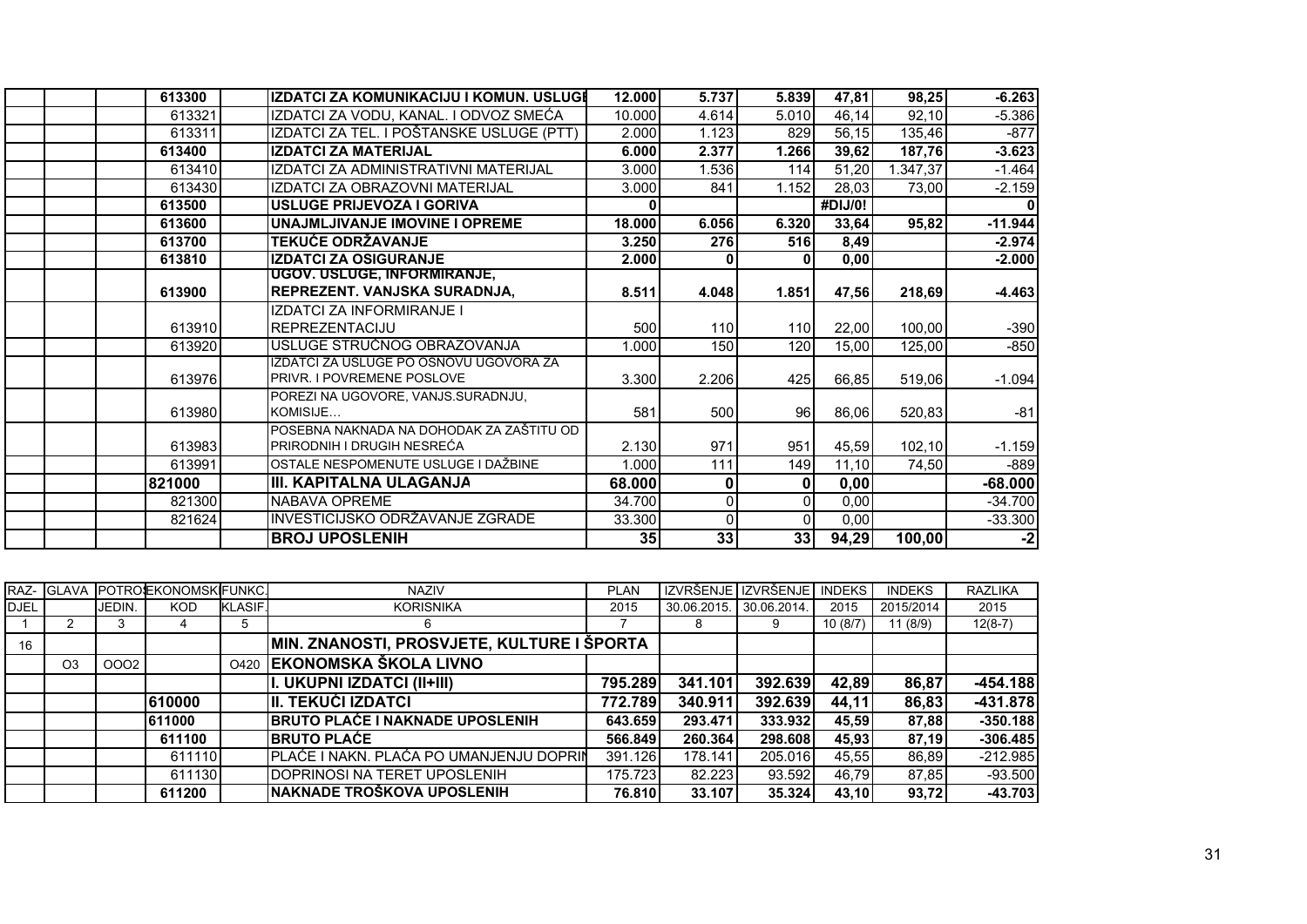| 613300 | IZDATCI ZA KOMUNIKACIJU I KOMUN. USLUGI  | 12.000 | 5.737    | 5.839            | 47,81   | 98,25   | $-6.263$  |
|--------|------------------------------------------|--------|----------|------------------|---------|---------|-----------|
| 613321 | IZDATCI ZA VODU, KANAL. I ODVOZ SMEĆA    | 10.000 | 4.614    | 5.010            | 46,14   | 92,10   | $-5.386$  |
| 613311 | IZDATCI ZA TEL. I POŠTANSKE USLUGE (PTT) | 2.000  | 1.123    | 829              | 56,15   | 135,46  | $-877$    |
| 613400 | <b>IZDATCI ZA MATERIJAL</b>              | 6.000  | 2.377    | 1.266            | 39,62   | 187,76  | $-3.623$  |
| 613410 | IZDATCI ZA ADMINISTRATIVNI MATERIJAL     | 3.000  | 1.536    | 114              | 51,20   | .347,37 | $-1.464$  |
| 613430 | IZDATCI ZA OBRAZOVNI MATERIJAL           | 3.000  | 841      | 1.152            | 28,03   | 73,00   | $-2.159$  |
| 613500 | USLUGE PRIJEVOZA I GORIVA                |        |          |                  | #DIJ/0! |         |           |
| 613600 | UNAJMLJIVANJE IMOVINE I OPREME           | 18.000 | 6.056    | 6.320            | 33,64   | 95,82   | $-11.944$ |
| 613700 | <b>TEKUĆE ODRŽAVANJE</b>                 | 3.250  | 276      | <b>516</b>       | 8,49    |         | $-2.974$  |
| 613810 | <b>IZDATCI ZA OSIGURANJE</b>             | 2.000  | 0        |                  | 0,00    |         | $-2.000$  |
|        | UGOV. USLUGE, INFORMIRANJE,              |        |          |                  |         |         |           |
| 613900 | REPREZENT. VANJSKA SURADNJA,             | 8.511  | 4.048    | 1.851            | 47,56   | 218,69  | $-4.463$  |
|        | IZDATCI ZA INFORMIRANJE I                |        |          |                  |         |         |           |
| 613910 | <b>IREPREZENTACIJU</b>                   | 500    | 110      | 110              | 22,00   | 100,00  | $-390$    |
| 613920 | USLUGE STRUČNOG OBRAZOVANJA              | 1.000  | 150      | 120 <sup>1</sup> | 15,00   | 125,00  | $-850$    |
|        | IZDATCI ZA USLUGE PO OSNOVU UGOVORA ZA   |        |          |                  |         |         |           |
| 613976 | <b>PRIVR. I POVREMENE POSLOVE</b>        | 3.300  | 2.206    | 425              | 66.85   | 519,06  | $-1.094$  |
|        | POREZI NA UGOVORE, VANJS.SURADNJU,       |        |          |                  |         |         |           |
| 613980 | KOMISIJE                                 | 581    | 500      | 96               | 86,06   | 520,83  | $-81$     |
|        | POSEBNA NAKNADA NA DOHODAK ZA ZAŠTITU OD |        |          |                  |         |         |           |
| 613983 | IPRIRODNIH I DRUGIH NESREĆA              | 2.130  | 971      | 951              | 45,59   | 102, 10 | $-1.159$  |
| 613991 | OSTALE NESPOMENUTE USLUGE I DAŽBINE      | 1.000  | 111      | 149              | 11,10   | 74,50   | $-889$    |
| 821000 | III. KAPITALNA ULAGANJA                  | 68.000 | 0        | $\mathbf{0}$     | 0,00    |         | $-68.000$ |
| 821300 | <b>NABAVA OPREME</b>                     | 34.700 | 0        | ΩI               | 0,00    |         | $-34.700$ |
| 821624 | INVESTICIJSKO ODRŽAVANJE ZGRADE.         | 33.300 | $\Omega$ | $\Omega$         | 0,00    |         | $-33.300$ |
|        | <b>BROJ UPOSLENIH</b>                    | 35     | 33       | 33               | 94,29   | 100,00  | $-2$      |

|             |                |        | <b>RAZ- GLAVA POTROEKONOMSKIFUNKC.</b> |                | <b>NAZIV</b>                               | <b>PLAN</b> |             | IZVRŠENJE IZVRŠENJE I | <b>INDEKS</b> | <b>INDEKS</b> | <b>RAZLIKA</b> |
|-------------|----------------|--------|----------------------------------------|----------------|--------------------------------------------|-------------|-------------|-----------------------|---------------|---------------|----------------|
| <b>DJEL</b> |                | JEDIN. | <b>KOD</b>                             | <b>KLASIF.</b> | <b>KORISNIKA</b>                           | 2015        | 30.06.2015. | 30.06.2014.           | 2015          | 2015/2014     | 2015           |
|             |                |        |                                        | 5              | 6                                          |             | 8           | 9                     | 10 (8/7)      | 11 (8/9)      | $12(8-7)$      |
| 16          |                |        |                                        |                | MIN. ZNANOSTI, PROSVJETE, KULTURE I ŠPORTA |             |             |                       |               |               |                |
|             | O <sub>3</sub> | 0002   |                                        | O420           | EKONOMSKA ŠKOLA LIVNO                      |             |             |                       |               |               |                |
|             |                |        |                                        |                | I. UKUPNI IZDATCI (II+III)                 | 795.289     | 341.101     | 392.639               | 42,89         | 86,87         | $-454.188$     |
|             |                |        | 610000                                 |                | III. TEKUĆI IZDATCI                        | 772.789     | 340.911     | 392.639               | 44,11         | 86,83         | $-431.878$     |
|             |                |        | 611000                                 |                | <b>BRUTO PLAĆE I NAKNADE UPOSLENIH</b>     | 643.659     | 293.471     | 333.932               | 45,59         | 87.88         | $-350.188$     |
|             |                |        | 611100                                 |                | <b>IBRUTO PLAĆE</b>                        | 566.849     | 260.364     | 298.608               | 45.93         | 87,19         | $-306.485$     |
|             |                |        | 611110                                 |                | PLAĆE I NAKN. PLAĆA PO UMANJENJU DOPRIN    | 391.126     | 178.141     | 205.016               | 45,55         | 86,89         | $-212.985$     |
|             |                |        | 611130                                 |                | <b>IDOPRINOSI NA TERET UPOSLENIH</b>       | 175.723     | 82.223      | 93.592                | 46.79         | 87.85         | $-93.500$      |
|             |                |        | 611200                                 |                | INAKNADE TROŠKOVA UPOSLENIH                | 76.810      | 33.107      | 35.324                | 43,10         | 93,72         | $-43.703$      |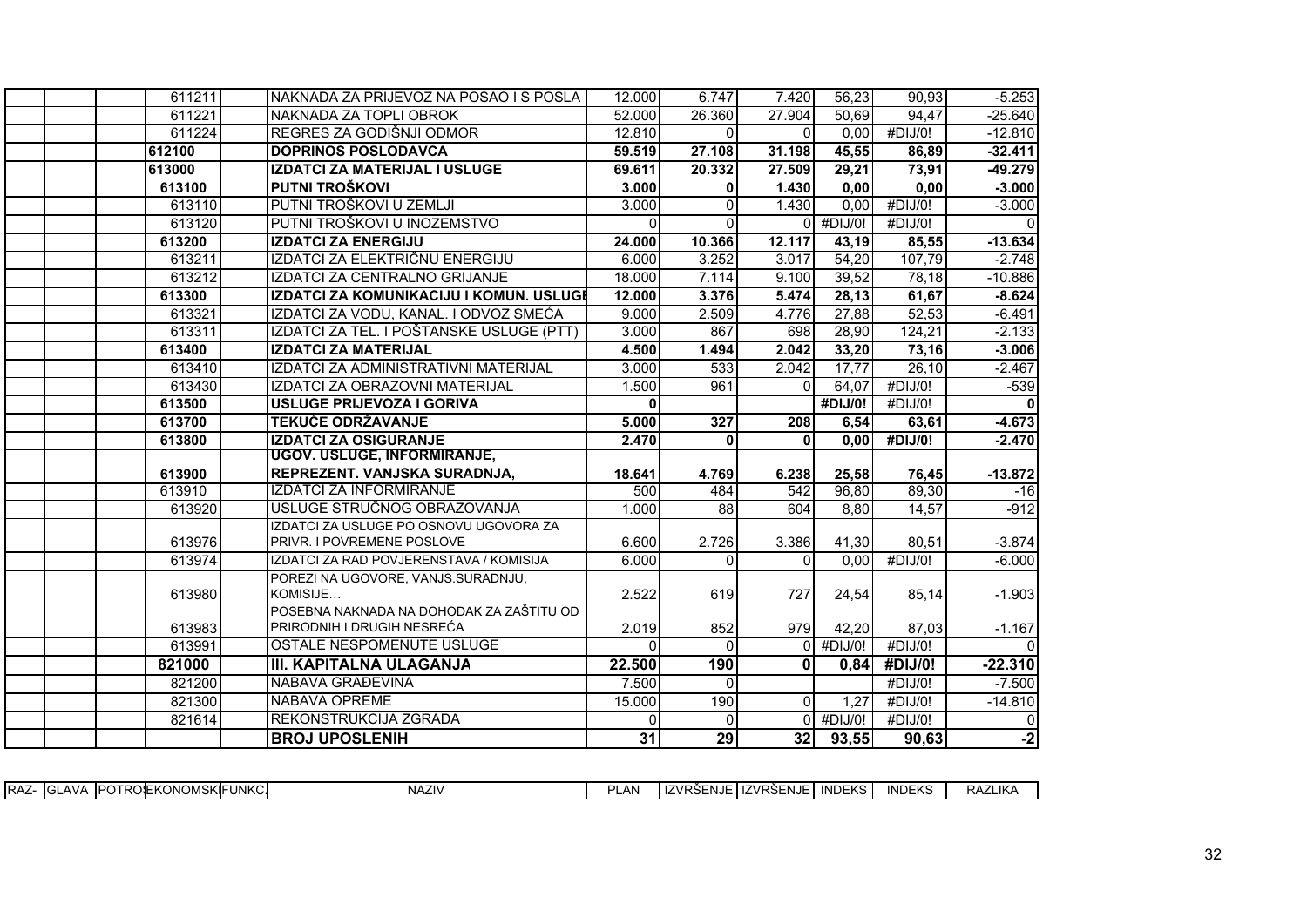| 611211 | NAKNADA ZA PRIJEVOZ NA POSAO I S POSLA         | 12.000          | 6.747                | 7.420        | 56,23                | 90.93            | $-5.253$         |
|--------|------------------------------------------------|-----------------|----------------------|--------------|----------------------|------------------|------------------|
| 611221 | NAKNADA ZA TOPLI OBROK                         | 52.000          | 26.360               | 27.904       | 50,69                | 94,47            | $-25.640$        |
| 611224 | REGRES ZA GODIŠNJI ODMOR                       | 12.810          | $\Omega$             | $\Omega$     | 0,00                 | #DIJ/0!          | $-12.810$        |
| 612100 | <b>DOPRINOS POSLODAVCA</b>                     | 59.519          | 27.108               | 31.198       | 45,55                | 86,89            | $-32.411$        |
| 613000 | IZDATCI ZA MATERIJAL I USLUGE                  | 69.611          | 20.332               | 27.509       | 29,21                | 73,91            | $-49.279$        |
| 613100 | PUTNI TROŠKOVI                                 | 3.000           | $\mathbf{0}$         | 1.430        | 0,00                 | 0,00             | $-3.000$         |
| 613110 | PUTNI TROŠKOVI U ZEMLJI                        | 3.000           | $\Omega$             | 1.430        | 0,00                 | #DIJ/0!          | $-3.000$         |
| 613120 | PUTNI TROŠKOVI U INOZEMSTVO                    | $\Omega$        | $\Omega$             |              | $0$ #DIJ/0!          | #DIJ/0!          | $\Omega$         |
| 613200 | <b>IZDATCI ZA ENERGIJU</b>                     | 24.000          | 10.366               | 12.117       | 43,19                | 85,55            | $-13.634$        |
| 613211 | IZDATCI ZA ELEKTRIČNU ENERGIJU                 | 6.000           | 3.252                | 3.017        | 54,20                | 107,79           | $-2.748$         |
| 613212 | IZDATCI ZA CENTRALNO GRIJANJE                  | 18.000          | 7.114                | 9.100        | 39,52                | 78,18            | $-10.886$        |
| 613300 | IZDATCI ZA KOMUNIKACIJU I KOMUN. USLUGI        | 12.000          | 3.376                | 5.474        | 28,13                | 61,67            | $-8.624$         |
| 613321 | IZDATCI ZA VODU, KANAL. I ODVOZ SMEĆA          | 9.000           | 2.509                | 4.776        | 27,88                | 52,53            | $-6.491$         |
| 613311 | IZDATCI ZA TEL. I POŠTANSKE USLUGE (PTT)       | 3.000           | 867                  | 698          | 28,90                | 124,21           | $-2.133$         |
| 613400 | <b>IZDATCI ZA MATERIJAL</b>                    | 4.500           | 1.494                | 2.042        | 33,20                | 73,16            | $-3.006$         |
| 613410 | IZDATCI ZA ADMINISTRATIVNI MATERIJAL           | 3.000           | 533                  | 2.042        | 17,77                | 26,10            | $-2.467$         |
| 613430 | IZDATCI ZA OBRAZOVNI MATERIJAL                 | 1.500           | 961                  | $\Omega$     | 64,07                | #DIJ/0!          | $-539$           |
| 613500 | USLUGE PRIJEVOZA I GORIVA                      | $\Omega$        |                      |              | #DIJ/0!              | #DIJ/0!          | $\Omega$         |
| 613700 | <b>TEKUĆE ODRŽAVANJE</b>                       | 5.000           | 327                  | 208          | 6,54                 | 63,61            | $-4.673$         |
| 613800 | <b>IZDATCI ZA OSIGURANJE</b>                   | 2.470           | $\mathbf{0}$         | $\mathbf{0}$ | 0,00                 | #DIJ/0!          | $-2.470$         |
|        | UGOV. USLUGE, INFORMIRANJE,                    |                 |                      |              |                      |                  |                  |
| 613900 | REPREZENT. VANJSKA SURADNJA,                   | 18.641          | 4.769                | 6.238        | 25,58                | 76,45            | $-13.872$        |
| 613910 | <b>IZDATCI ZA INFORMIRANJE</b>                 | 500             | 484                  | 542          | 96,80                | 89,30            | $-16$            |
| 613920 | USLUGE STRUČNOG OBRAZOVANJA                    | 1.000           | 88                   | 604          | 8,80                 | 14,57            | $-912$           |
|        | IZDATCI ZA USLUGE PO OSNOVU UGOVORA ZA         |                 |                      |              |                      |                  |                  |
| 613976 | PRIVR. I POVREMENE POSLOVE                     | 6.600           | 2.726                | 3.386        | 41,30                | 80,51            | $-3.874$         |
| 613974 | IZDATCI ZA RAD POVJERENSTAVA / KOMISIJA        | 6.000           | $\Omega$             | $\Omega$     | 0.00                 | #DIJ/O!          | $-6.000$         |
| 613980 | POREZI NA UGOVORE, VANJS.SURADNJU,<br>KOMISIJE | 2.522           | 619                  | 727          | 24,54                | 85,14            | $-1.903$         |
|        | POSEBNA NAKNADA NA DOHODAK ZA ZAŠTITU OD       |                 |                      |              |                      |                  |                  |
| 613983 | PRIRODNIH I DRUGIH NESREĆA                     | 2.019           | 852                  | 979          | 42,20                | 87,03            | $-1.167$         |
| 613991 | OSTALE NESPOMENUTE USLUGE                      |                 | $\Omega$             | $\Omega$     | #DIJ/0!              | #DIJ/0!          |                  |
| 821000 | III. KAPITALNA ULAGANJA                        | 22.500          | 190                  | $\mathbf{0}$ | 0,84                 | #DIJ/0!          | $-22.310$        |
| 821200 | NABAVA GRAĐEVINA                               | 7.500           | $\Omega$             |              |                      | #DIJ/0!          | $-7.500$         |
| 821300 | <b>NABAVA OPREME</b>                           | 15.000          | 190                  | $\Omega$     | 1,27                 | #DIJ/0!          | $-14.810$        |
|        |                                                |                 |                      |              |                      |                  |                  |
|        |                                                | $\Omega$        |                      |              |                      |                  |                  |
| 821614 | REKONSTRUKCIJA ZGRADA<br><b>BROJ UPOSLENIH</b> | $\overline{31}$ | $\overline{0}$<br>29 | 32           | $0$ #DIJ/0!<br>93,55 | #DIJ/0!<br>90,63 | $\Omega$<br>$-2$ |

| <b>INDEKS</b><br>EKONOMSK <b>I</b> FUNKC.<br><b>NAZIV</b><br><b>INDEKS</b><br>RAZLIKA<br>$- - - - - - -$<br>∩∩∝г<br>$-$<br>AN<br>⊶⊾AV ⊸<br>- 11<br>`'− I IZVRS∟.<br>' ′Vko∟<br>. <del>.</del><br>פר INJ<br>ີ∪⊁<br>$\cdot$ 17<br>− ¬⊢l\J∟ |             |  |  |  |  |  |  |
|------------------------------------------------------------------------------------------------------------------------------------------------------------------------------------------------------------------------------------------|-------------|--|--|--|--|--|--|
|                                                                                                                                                                                                                                          | <b>IRAZ</b> |  |  |  |  |  |  |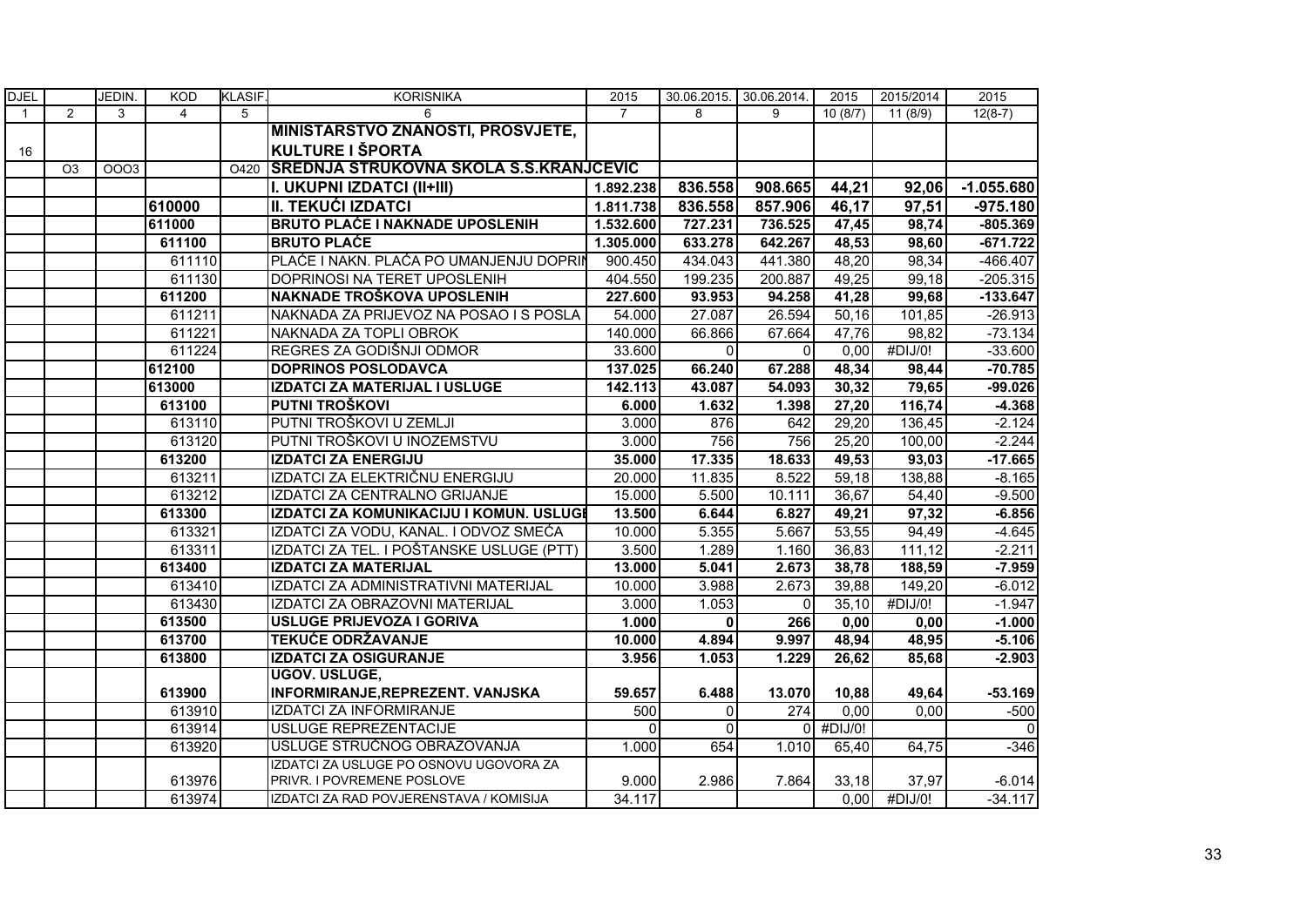| <b>DJEL</b>  |                | JEDIN. | <b>KOD</b> | <b>KLASIF.</b> | <b>KORISNIKA</b>                              | 2015           | 30.06.2015. 30.06.2014. |                  | 2015      | 2015/2014 | 2015         |
|--------------|----------------|--------|------------|----------------|-----------------------------------------------|----------------|-------------------------|------------------|-----------|-----------|--------------|
| $\mathbf{1}$ | 2              | 3      | 4          | 5              | 6                                             | $\overline{7}$ | 8                       | 9                | 10(8/7)   | 11(8/9)   | $12(8-7)$    |
|              |                |        |            |                | <b>MINISTARSTVO ZNANOSTI, PROSVJETE,</b>      |                |                         |                  |           |           |              |
| 16           |                |        |            |                | <b>KULTURE I ŠPORTA</b>                       |                |                         |                  |           |           |              |
|              | O <sub>3</sub> | 0003   |            | O420           | <b>SREDNJA STRUKOVNA SKOLA S.S.KRANJCEVIC</b> |                |                         |                  |           |           |              |
|              |                |        |            |                | I. UKUPNI IZDATCI (II+III)                    | 1.892.238      | 836.558                 | 908.665          | 44,21     | 92,06     | $-1.055.680$ |
|              |                |        | 610000     |                | II. TEKUĆI IZDATCI                            | 1.811.738      | 836.558                 | 857.906          | 46,17     | 97,51     | $-975.180$   |
|              |                |        | 611000     |                | <b>BRUTO PLAĆE I NAKNADE UPOSLENIH</b>        | 1.532.600      | 727.231                 | 736.525          | 47,45     | 98,74     | $-805.369$   |
|              |                |        | 611100     |                | <b>BRUTO PLACE</b>                            | 1.305.000      | 633.278                 | 642.267          | 48,53     | 98,60     | $-671.722$   |
|              |                |        | 611110     |                | PLAĆE I NAKN. PLAĆA PO UMANJENJU DOPRIN       | 900.450        | 434.043                 | 441.380          | 48,20     | 98,34     | $-466.407$   |
|              |                |        | 611130     |                | DOPRINOSI NA TERET UPOSLENIH                  | 404.550        | 199.235                 | 200.887          | 49,25     | 99,18     | $-205.315$   |
|              |                |        | 611200     |                | NAKNADE TROŠKOVA UPOSLENIH                    | 227.600        | 93.953                  | 94.258           | 41,28     | 99,68     | $-133.647$   |
|              |                |        | 611211     |                | NAKNADA ZA PRIJEVOZ NA POSAO I S POSLA        | 54.000         | 27.087                  | 26.594           | 50,16     | 101,85    | $-26.913$    |
|              |                |        | 611221     |                | NAKNADA ZA TOPLI OBROK                        | 140.000        | 66.866                  | 67.664           | 47,76     | 98,82     | $-73.134$    |
|              |                |        | 611224     |                | REGRES ZA GODIŠNJI ODMOR                      | 33.600         | $\Omega$                | $\mathbf{0}$     | 0,00      | #DIJ/0!   | $-33.600$    |
|              |                |        | 612100     |                | <b>DOPRINOS POSLODAVCA</b>                    | 137.025        | 66.240                  | 67.288           | 48,34     | 98,44     | $-70.785$    |
|              |                |        | 613000     |                | IZDATCI ZA MATERIJAL I USLUGE                 | 142.113        | 43.087                  | 54.093           | 30,32     | 79,65     | $-99.026$    |
|              |                |        | 613100     |                | PUTNI TROŠKOVI                                | 6.000          | 1.632                   | 1.398            | 27,20     | 116,74    | $-4.368$     |
|              |                |        | 613110     |                | PUTNI TROŠKOVI U ZEMLJI                       | 3.000          | 876                     | 642              | 29,20     | 136,45    | $-2.124$     |
|              |                |        | 613120     |                | PUTNI TROŠKOVI U INOZEMSTVU                   | 3.000          | 756                     | 756              | 25,20     | 100,00    | $-2.244$     |
|              |                |        | 613200     |                | <b>IZDATCI ZA ENERGIJU</b>                    | 35.000         | 17.335                  | 18.633           | 49,53     | 93,03     | $-17.665$    |
|              |                |        | 613211     |                | IZDATCI ZA ELEKTRIČNU ENERGIJU                | 20.000         | 11.835                  | 8.522            | 59,18     | 138,88    | $-8.165$     |
|              |                |        | 613212     |                | IZDATCI ZA CENTRALNO GRIJANJE                 | 15.000         | 5.500                   | 10.111           | 36,67     | 54,40     | $-9.500$     |
|              |                |        | 613300     |                | IZDATCI ZA KOMUNIKACIJU I KOMUN. USLUGI       | 13.500         | 6.644                   | 6.827            | 49,21     | 97,32     | $-6.856$     |
|              |                |        | 613321     |                | IZDATCI ZA VODU, KANAL. I ODVOZ SMEĆA         | 10.000         | 5.355                   | 5.667            | 53,55     | 94,49     | $-4.645$     |
|              |                |        | 613311     |                | IZDATCI ZA TEL. I POŠTANSKE USLUGE (PTT)      | 3.500          | 1.289                   | 1.160            | 36,83     | 111,12    | $-2.211$     |
|              |                |        | 613400     |                | <b>IZDATCI ZA MATERIJAL</b>                   | 13.000         | 5.041                   | 2.673            | 38,78     | 188,59    | $-7.959$     |
|              |                |        | 613410     |                | IZDATCI ZA ADMINISTRATIVNI MATERIJAL          | 10.000         | 3.988                   | 2.673            | 39,88     | 149,20    | $-6.012$     |
|              |                |        | 613430     |                | IZDATCI ZA OBRAZOVNI MATERIJAL                | 3.000          | 1.053                   | $\Omega$         | 35,10     | #DIJ/0!   | $-1.947$     |
|              |                |        | 613500     |                | USLUGE PRIJEVOZA I GORIVA                     | 1.000          | $\mathbf{0}$            | 266              | 0,00      | 0,00      | $-1.000$     |
|              |                |        | 613700     |                | <b>TEKUĆE ODRŽAVANJE</b>                      | 10.000         | 4.894                   | 9.997            | 48,94     | 48,95     | $-5.106$     |
|              |                |        | 613800     |                | <b>IZDATCI ZA OSIGURANJE</b>                  | 3.956          | 1.053                   | 1.229            | 26,62     | 85,68     | $-2.903$     |
|              |                |        |            |                | UGOV. USLUGE,                                 |                |                         |                  |           |           |              |
|              |                |        | 613900     |                | INFORMIRANJE, REPREZENT. VANJSKA              | 59.657         | 6.488                   | 13.070           | 10,88     | 49,64     | $-53.169$    |
|              |                |        | 613910     |                | <b>IZDATCI ZA INFORMIRANJE</b>                | 500            | $\Omega$                | $\overline{274}$ | 0,00      | 0,00      | $-500$       |
|              |                |        | 613914     |                | USLUGE REPREZENTACIJE                         | $\Omega$       | $\Omega$                |                  | 0 #DIJ/0! |           | $\mathbf{0}$ |
|              |                |        | 613920     |                | USLUGE STRUČNOG OBRAZOVANJA                   | 1.000          | 654                     | 1.010            | 65,40     | 64,75     | $-346$       |
|              |                |        |            |                | IZDATCI ZA USLUGE PO OSNOVU UGOVORA ZA        |                |                         |                  |           |           |              |
|              |                |        | 613976     |                | PRIVR. I POVREMENE POSLOVE                    | 9.000          | 2.986                   | 7.864            | 33,18     | 37,97     | $-6.014$     |
|              |                |        | 613974     |                | IZDATCI ZA RAD POVJERENSTAVA / KOMISIJA       | 34.117         |                         |                  | 0.00      | #DIJ/0!   | $-34.117$    |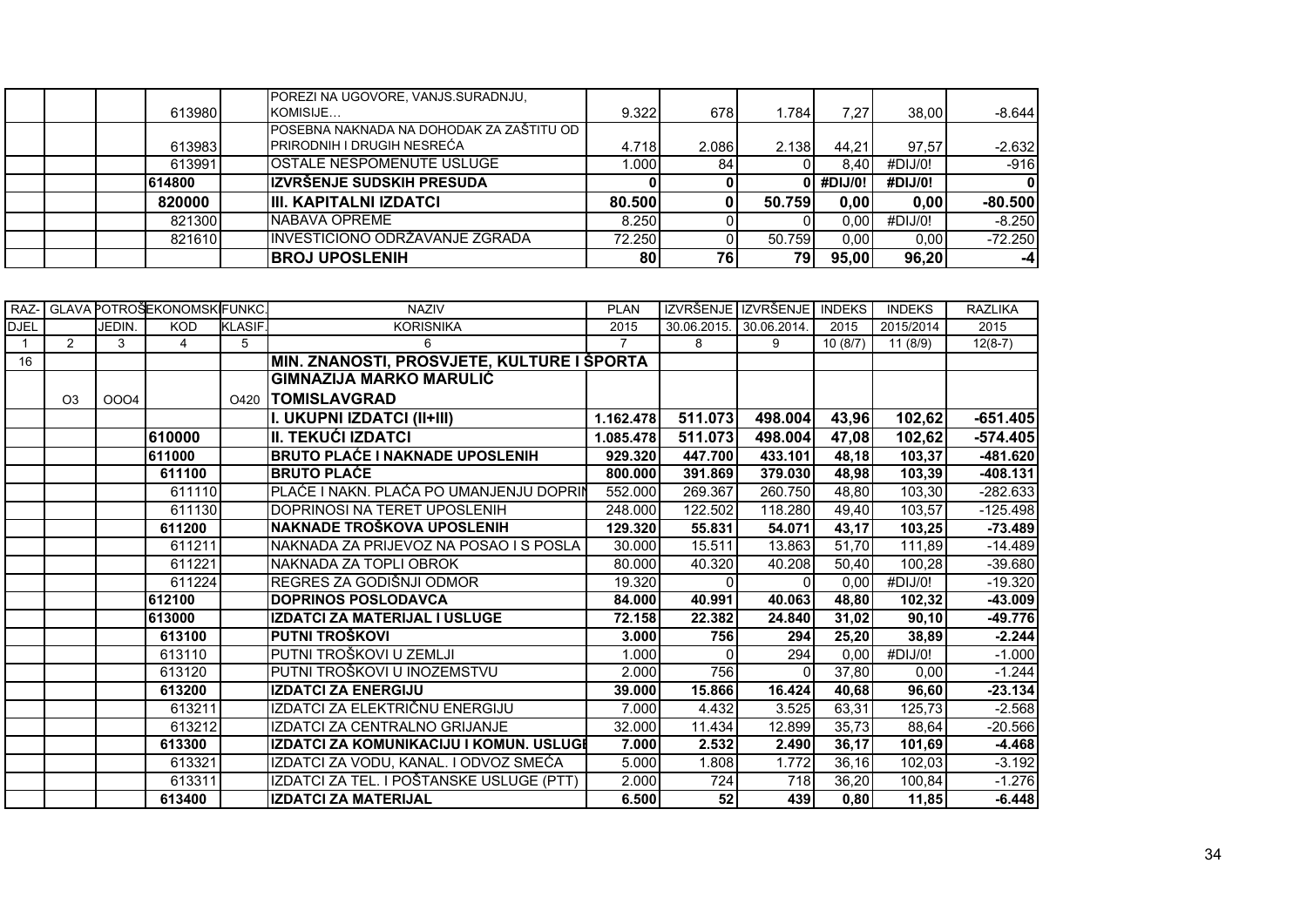|  | 613980 | POREZI NA UGOVORE, VANJS SURADNJU,<br>KOMISIJE | 9.322  | 678I  | 1.784  | 7.27      | 38.00   | $-8.644$  |
|--|--------|------------------------------------------------|--------|-------|--------|-----------|---------|-----------|
|  |        | POSEBNA NAKNADA NA DOHODAK ZA ZAŠTITU OD       |        |       |        |           |         |           |
|  | 613983 | <b>PRIRODNIH I DRUGIH NESREĆA</b>              | 4.718  | 2.086 | 2.138  | 44.21     | 97.57   | $-2.632$  |
|  | 613991 | <b>IOSTALE NESPOMENUTE USLUGE</b>              | .000   | 84    |        | 8.401     | #DIJ/0! | $-916$    |
|  | 614800 | <b>IZVRŠENJE SUDSKIH PRESUDA</b>               |        |       |        | #DIJ/0!   | #DIJ/0! | 0         |
|  | 820000 | <b>IIII. KAPITALNI IZDATCI</b>                 | 80.500 |       | 50.759 | 0,00      | 0,00    | $-80.500$ |
|  | 821300 | NABAVA OPREME                                  | 8.250  |       |        | 0.00      | #DIJ/0! | $-8.250$  |
|  | 821610 | INVESTICIONO ODRŽAVANJE ZGRADA                 | 72.250 |       | 50.759 | $0.00 \,$ | 0.00    | $-72.250$ |
|  |        | <b>BROJ UPOSLENIH</b>                          | 80     | 76    | 79     | 95,00     | 96,20   | -41       |

| RAZ-           |                |        | <b>GLAVA POTROŠEKONOMSKIFUNKC.</b> |                | <b>NAZIV</b>                               | <b>PLAN</b>    |             | IZVRŠENJE IZVRŠENJE | <b>INDEKS</b> | <b>INDEKS</b> | <b>RAZLIKA</b> |
|----------------|----------------|--------|------------------------------------|----------------|--------------------------------------------|----------------|-------------|---------------------|---------------|---------------|----------------|
| <b>DJEL</b>    |                | JEDIN. | <b>KOD</b>                         | <b>KLASIF.</b> | <b>KORISNIKA</b>                           | 2015           | 30.06.2015. | 30.06.2014.         | 2015          | 2015/2014     | 2015           |
| $\overline{1}$ | $\mathcal{P}$  | 3      | 4                                  | 5              | 6                                          | $\overline{7}$ | 8           | 9                   | 10(8/7)       | 11 (8/9)      | $12(8-7)$      |
| 16             |                |        |                                    |                | MIN. ZNANOSTI, PROSVJETE, KULTURE I ŠPORTA |                |             |                     |               |               |                |
|                |                |        |                                    |                | <b>GIMNAZIJA MARKO MARULIĆ</b>             |                |             |                     |               |               |                |
|                | O <sub>3</sub> | 0004   |                                    |                | 0420   TOMISLAVGRAD                        |                |             |                     |               |               |                |
|                |                |        |                                    |                | I. UKUPNI IZDATCI (II+III)                 | 1.162.478      | 511.073     | 498.004             | 43,96         | 102,62        | $-651.405$     |
|                |                |        | 610000                             |                | <b>II. TEKUĆI IZDATCI</b>                  | 1.085.478      | 511.073     | 498.004             | 47,08         | 102,62        | $-574.405$     |
|                |                |        | 611000                             |                | <b>BRUTO PLAĆE I NAKNADE UPOSLENIH</b>     | 929.320        | 447.700     | 433.101             | 48,18         | 103,37        | -481.620       |
|                |                |        | 611100                             |                | <b>BRUTO PLACE</b>                         | 800.000        | 391.869     | 379.030             | 48,98         | 103,39        | $-408.131$     |
|                |                |        | 611110                             |                | PLAĆE I NAKN. PLAĆA PO UMANJENJU DOPRIN    | 552.000        | 269.367     | 260.750             | 48,80         | 103,30        | $-282.633$     |
|                |                |        | 611130                             |                | DOPRINOSI NA TERET UPOSLENIH               | 248.000        | 122.502     | 118.280             | 49,40         | 103,57        | $-125.498$     |
|                |                |        | 611200                             |                | <b>NAKNADE TROŠKOVA UPOSLENIH</b>          | 129.320        | 55.831      | 54.071              | 43,17         | 103,25        | $-73.489$      |
|                |                |        | 611211                             |                | NAKNADA ZA PRIJEVOZ NA POSAO I S POSLA     | 30.000         | 15.511      | 13.863              | 51,70         | 111,89        | $-14.489$      |
|                |                |        | 611221                             |                | NAKNADA ZA TOPLI OBROK                     | 80.000         | 40.320      | 40.208              | 50,40         | 100,28        | $-39.680$      |
|                |                |        | 611224                             |                | REGRES ZA GODIŠNJI ODMOR                   | 19.320         |             | $\Omega$            | 0,00          | #DIJ/0!       | $-19.320$      |
|                |                |        | 612100                             |                | <b>DOPRINOS POSLODAVCA</b>                 | 84.000         | 40.991      | 40.063              | 48,80         | 102,32        | -43.009        |
|                |                |        | 613000                             |                | IZDATCI ZA MATERIJAL I USLUGE              | 72.158         | 22.382      | 24.840              | 31,02         | 90, 10        | $-49.776$      |
|                |                |        | 613100                             |                | PUTNI TROŠKOVI                             | 3.000          | 756         | 294                 | 25,20         | 38,89         | $-2.244$       |
|                |                |        | 613110                             |                | PUTNI TROŠKOVI U ZEMLJI                    | 1.000          |             | 294                 | 0,00          | #DIJ/O!       | $-1.000$       |
|                |                |        | 613120                             |                | PUTNI TROŠKOVI U INOZEMSTVU                | 2.000          | 756         | $\Omega$            | 37,80         | 0,00          | $-1.244$       |
|                |                |        | 613200                             |                | <b>IZDATCI ZA ENERGIJU</b>                 | 39.000         | 15.866      | 16.424              | 40,68         | 96,60         | $-23.134$      |
|                |                |        | 613211                             |                | IZDATCI ZA ELEKTRIČNU ENERGIJU             | 7.000          | 4.432       | 3.525               | 63,31         | 125,73        | $-2.568$       |
|                |                |        | 613212                             |                | IZDATCI ZA CENTRALNO GRIJANJE              | 32.000         | 11.434      | 12.899              | 35,73         | 88,64         | $-20.566$      |
|                |                |        | 613300                             |                | IZDATCI ZA KOMUNIKACIJU I KOMUN. USLUGI    | 7.000          | 2.532       | 2.490               | 36,17         | 101,69        | $-4.468$       |
|                |                |        | 613321                             |                | IZDATCI ZA VODU, KANAL. I ODVOZ SMEĆA      | 5.000          | 1.808       | 1.772               | 36,16         | 102,03        | $-3.192$       |
|                |                |        | 613311                             |                | IZDATCI ZA TEL. I POŠTANSKE USLUGE (PTT)   | 2.000          | 724         | 718                 | 36,20         | 100,84        | $-1.276$       |
|                |                |        | 613400                             |                | <b>IZDATCI ZA MATERIJAL</b>                | 6.500          | 52          | 439                 | 0,80          | 11,85         | $-6.448$       |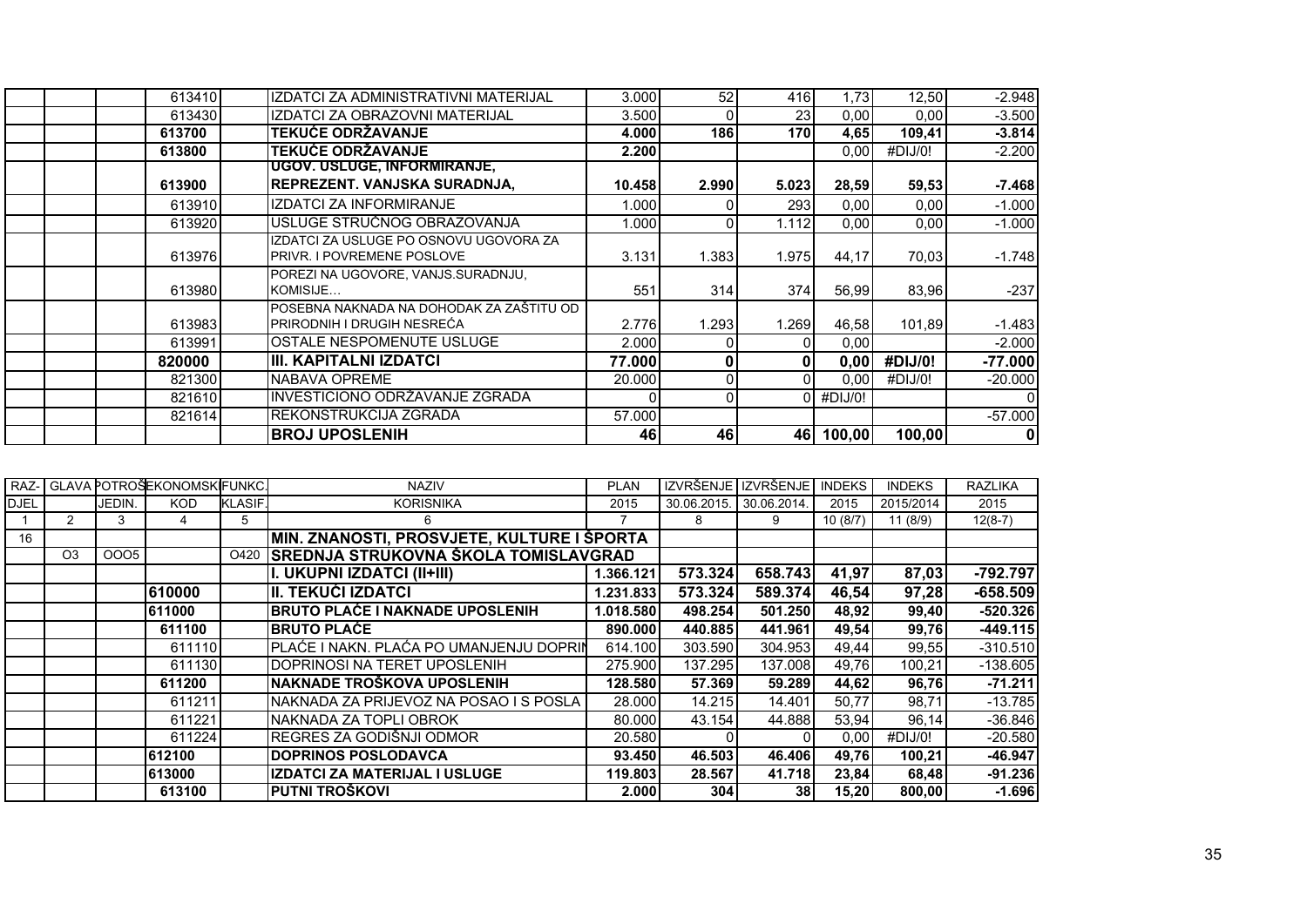| 613410 | IZDATCI ZA ADMINISTRATIVNI MATERIJAL                                        | 3.000  | 52       | 416   | 1.73      | 12,50   | $-2.948$  |
|--------|-----------------------------------------------------------------------------|--------|----------|-------|-----------|---------|-----------|
| 613430 | IZDATCI ZA OBRAZOVNI MATERIJAL                                              | 3.500  |          | 23    | 0,00      | 0.00    | $-3.500$  |
| 613700 | <b>TEKUĆE ODRŽAVANJE</b>                                                    | 4.000  | 186      | 170   | 4.65      | 109.41  | $-3.814$  |
| 613800 | <b>TEKUĆE ODRŽAVANJE</b>                                                    | 2.200  |          |       | 0.00      | #DIJ/0! | $-2.200$  |
|        | UGOV. USLUGE, INFORMIRANJE,                                                 |        |          |       |           |         |           |
| 613900 | <b>REPREZENT. VANJSKA SURADNJA,</b>                                         | 10.458 | 2.990    | 5.023 | 28,59     | 59,53   | $-7.468$  |
| 613910 | IZDATCI ZA INFORMIRANJE                                                     | 1.000  |          | 293   | 0,00      | 0,00    | $-1.000$  |
| 613920 | USLUGE STRUČNOG OBRAZOVANJA                                                 | 1.000  |          | 1.112 | 0.00      | 0,00    | $-1.000$  |
| 613976 | IZDATCI ZA USLUGE PO OSNOVU UGOVORA ZA<br><b>PRIVR. I POVREMENE POSLOVE</b> | 3.131  | 1.383    | 1.975 | 44.17     | 70.03   | $-1.748$  |
| 613980 | POREZI NA UGOVORE, VANJS.SURADNJU,<br>KOMISIJE                              | 551    | 314I     | 374I  | 56,99     | 83,96   | $-237$    |
| 613983 | IPOSEBNA NAKNADA NA DOHODAK ZA ZAŠTITU OD<br>IPRIRODNIH I DRUGIH NESREĆA    | 2.776  | 1.293    | 1.269 | 46,58     | 101.89  | $-1.483$  |
| 613991 | OSTALE NESPOMENUTE USLUGE                                                   | 2.000  |          |       | 0,00      |         | $-2.000$  |
| 820000 | IIII. KAPITALNI IZDATCI                                                     | 77.000 | $\bf{0}$ |       | 0,00      | #DIJ/0! | $-77.000$ |
| 821300 | <b>INABAVA OPREME</b>                                                       | 20,000 |          |       | 0,00      | #DIJ/0! | $-20.000$ |
| 821610 | INVESTICIONO ODRŽAVANJE ZGRADA                                              |        |          |       | #DIJ/0!   |         |           |
| 821614 | IREKONSTRUKCIJA ZGRADA                                                      | 57.000 |          |       |           |         | $-57.000$ |
|        | <b>BROJ UPOSLENIH</b>                                                       | 46     | 46       |       | 46 100,00 | 100,00  | 0         |

|             |                |        | RAZ- GLAVA POTROŠEKONOMSKI FUNKC. |                | <b>NAZIV</b>                                | <b>PLAN</b> | IZVRŠENJE I IZVRŠENJE |                 | <b>INDEKS</b> | <b>INDEKS</b> | <b>RAZLIKA</b> |
|-------------|----------------|--------|-----------------------------------|----------------|---------------------------------------------|-------------|-----------------------|-----------------|---------------|---------------|----------------|
| <b>DJEL</b> |                | JEDIN. | <b>KOD</b>                        | <b>KLASIF.</b> | <b>KORISNIKA</b>                            | 2015        | 30.06.2015            | 30.06.2014.     | 2015          | 2015/2014     | 2015           |
|             |                | 3      |                                   | 5              | 6                                           |             | 8                     | 9               | 10(8/7)       | 11(8/9)       | $12(8-7)$      |
| 16          |                |        |                                   |                | MIN. ZNANOSTI, PROSVJETE, KULTURE I ŠPORTA  |             |                       |                 |               |               |                |
|             | O <sub>3</sub> | 0005   |                                   | O420           | <b>SREDNJA STRUKOVNA ŠKOLA TOMISLAVGRAD</b> |             |                       |                 |               |               |                |
|             |                |        |                                   |                | I. UKUPNI IZDATCI (II+III)                  | 1.366.121   | 573.324               | 658.743         | 41,97         | 87,03         | -792.797       |
|             |                |        | 610000                            |                | III. TEKUĆI IZDATCI                         | 1.231.833   | 573.324               | 589.374         | 46,54         | 97,28         | $-658.509$     |
|             |                |        | 611000                            |                | <b>BRUTO PLAĆE I NAKNADE UPOSLENIH</b>      | 1.018.580   | 498.254               | 501.250         | 48,92         | 99,40         | $-520.326$     |
|             |                |        | 611100                            |                | <b>IBRUTO PLAĆE</b>                         | 890.000     | 440.885               | 441.961         | 49,54         | 99,76         | $-449.115$     |
|             |                |        | 611110                            |                | PLAĆE I NAKN. PLAĆA PO UMANJENJU DOPRIN     | 614.100     | 303.590               | 304.953         | 49,44         | 99,55         | $-310.510$     |
|             |                |        | 611130                            |                | DOPRINOSI NA TERET UPOSLENIH                | 275.900     | 137.295               | 137.008         | 49.76         | 100,21        | $-138.605$     |
|             |                |        | 611200                            |                | NAKNADE TROŠKOVA UPOSLENIH                  | 128,580     | 57.369                | 59.289          | 44,62         | 96,76         | $-71.211$      |
|             |                |        | 611211                            |                | INAKNADA ZA PRIJEVOZ NA POSAO I S POSLA I   | 28.000      | 14.215                | 14.401          | 50,77         | 98,71         | $-13.785$      |
|             |                |        | 611221                            |                | NAKNADA ZA TOPLI OBROK                      | 80.000      | 43.154                | 44.888          | 53,94         | 96,14         | $-36.846$      |
|             |                |        | 611224                            |                | REGRES ZA GODIŠNJI ODMOR                    | 20.580      |                       |                 | 0,00          | #DIJ/0!       | $-20.580$      |
|             |                |        | 612100                            |                | <b>DOPRINOS POSLODAVCA</b>                  | 93.450      | 46.503                | 46.406          | 49,76         | 100,21        | $-46.947$      |
|             |                |        | 613000                            |                | IZDATCI ZA MATERIJAL I USLUGE               | 119.803     | 28.567                | 41.718          | 23,84         | 68,48         | $-91.236$      |
|             |                |        | 613100                            |                | PUTNI TROŠKOVI                              | 2.000       | 304                   | 38 <sup>l</sup> | 15,20         | 800,00        | $-1.696$       |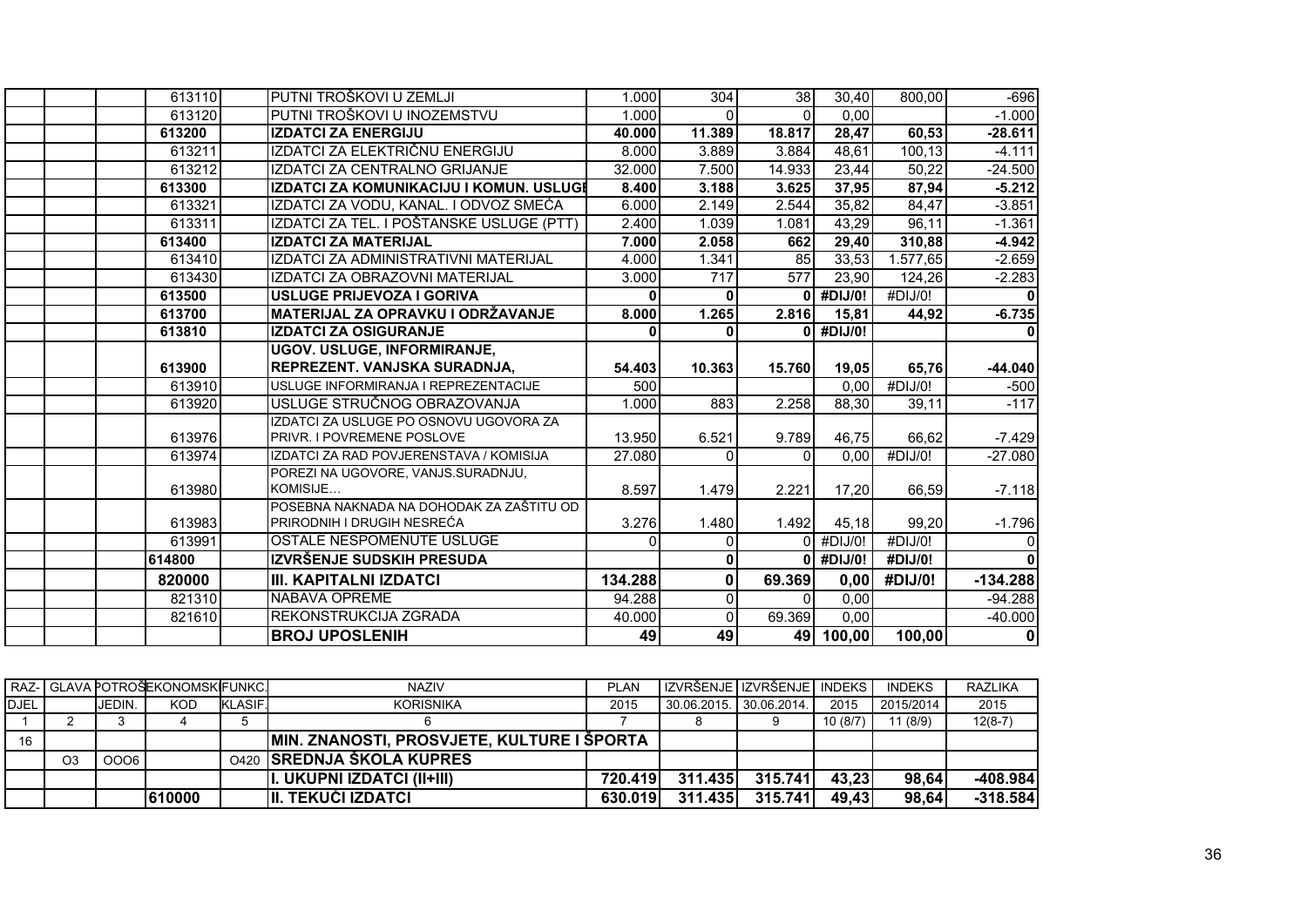| 613110           | PUTNI TROŠKOVI U ZEMLJI                                                | 1.000   | 304            | 38                 | 30.40            | 800,00                       | $-696$        |
|------------------|------------------------------------------------------------------------|---------|----------------|--------------------|------------------|------------------------------|---------------|
| 613120           | PUTNI TROŠKOVI U INOZEMSTVU                                            | 1.000   | $\Omega$       | $\Omega$           | 0.00             |                              | $-1.000$      |
| 613200           | <b>IZDATCI ZA ENERGIJU</b>                                             | 40.000  | 11.389         | 18.817             | 28,47            | 60,53                        | -28.611       |
| 613211           | IZDATCI ZA ELEKTRIČNU ENERGIJU                                         | 8.000   | 3.889          | 3.884              | 48,61            | 100,13                       | $-4.111$      |
| 613212           | IZDATCI ZA CENTRALNO GRIJANJE                                          | 32.000  | 7.500          | 14.933             | 23,44            | 50,22                        | $-24.500$     |
| 613300           | IZDATCI ZA KOMUNIKACIJU I KOMUN. USLUGI                                | 8.400   | 3.188          | 3.625              | 37,95            | 87,94                        | $-5.212$      |
| 613321           | IZDATCI ZA VODU, KANAL. I ODVOZ SMEĆA                                  | 6.000   | 2.149          | $\overline{2.544}$ | 35,82            | 84,47                        | $-3.851$      |
| 613311           | IZDATCI ZA TEL. I POŠTANSKE USLUGE (PTT)                               | 2.400   | 1.039          | 1.081              | 43,29            | 96,11                        | $-1.361$      |
| 613400           | <b>IZDATCI ZA MATERIJAL</b>                                            | 7.000   | 2.058          | 662                | 29,40            | 310,88                       | $-4.942$      |
| 613410           | IZDATCI ZA ADMINISTRATIVNI MATERIJAL                                   | 4.000   | 1.341          | 85                 | 33,53            | 1.577,65                     | $-2.659$      |
| 613430           | IZDATCI ZA OBRAZOVNI MATERIJAL                                         | 3.000   | 717            | 577                | 23,90            | 124,26                       | $-2.283$      |
| 613500           | USLUGE PRIJEVOZA I GORIVA                                              |         | $\mathbf{0}$   |                    | $0$ #DIJ/0!      | #DJJ/O!                      |               |
| 613700           | MATERIJAL ZA OPRAVKU I ODRŽAVANJE                                      | 8.000   | 1.265          | 2.816              | 15,81            | 44,92                        | $-6.735$      |
| 613810           | <b>IZDATCI ZA OSIGURANJE</b>                                           | ŋ       | $\Omega$       | ΩI                 | #DIJ/0!          |                              |               |
|                  | <b>UGOV. USLUGE, INFORMIRANJE,</b>                                     |         |                |                    |                  |                              |               |
| 613900           | REPREZENT. VANJSKA SURADNJA,                                           | 54.403  | 10.363         | 15.760             | 19,05            | 65,76                        | -44.040       |
| 613910           | USLUGE INFORMIRANJA I REPREZENTACIJE                                   | 500     |                |                    | 0,00             | #DIJ/O!                      | $-500$        |
| 613920           | USLUGE STRUČNOG OBRAZOVANJA                                            | 1.000   | 883            | 2.258              | 88,30            | 39,11                        | $-117$        |
|                  | IZDATCI ZA USLUGE PO OSNOVU UGOVORA ZA                                 |         |                |                    |                  |                              |               |
| 613976           | PRIVR. I POVREMENE POSLOVE                                             | 13.950  | 6.521          | 9.789              | 46,75            | 66,62                        | $-7.429$      |
| 613974           | IZDATCI ZA RAD POVJERENSTAVA / KOMISIJA                                | 27.080  | $\Omega$       | $\Omega$           | 0.00             | $\overline{\text{H}}$ DIJ/0! | $-27.080$     |
|                  | POREZI NA UGOVORE, VANJS.SURADNJU,                                     |         |                |                    |                  |                              |               |
| 613980           | KOMISIJE                                                               | 8.597   | 1.479          | 2.221              | 17,20            | 66,59                        | $-7.118$      |
|                  | POSEBNA NAKNADA NA DOHODAK ZA ZAŠTITU OD<br>PRIRODNIH I DRUGIH NESREĆA | 3.276   | 1.480          |                    |                  |                              |               |
| 613983<br>613991 | OSTALE NESPOMENUTE USLUGE                                              |         | $\Omega$       | 1.492              | 45,18<br>#DIJ/0! | 99,20<br>#DIJ/0!             | $-1.796$<br>O |
| 614800           | IZVRŠENJE SUDSKIH PRESUDA                                              |         | $\mathbf{0}$   |                    | #DIJ/0!          | #DIJ/0!                      |               |
|                  |                                                                        |         |                |                    |                  |                              |               |
| 820000           | III. KAPITALNI IZDATCI                                                 | 134.288 | $\mathbf{0}$   | 69.369             | 0,00             | #DIJ/0!                      | $-134.288$    |
| 821310           | NABAVA OPREME                                                          | 94.288  | $\overline{0}$ | $\Omega$           | 0,00             |                              | $-94.288$     |
| 821610           | REKONSTRUKCIJA ZGRADA                                                  | 40.000  | $\Omega$       | 69.369             | 0,00             |                              | $-40.000$     |
|                  | <b>BROJ UPOSLENIH</b>                                                  | 49      | 49             |                    | 49 100,00        | 100,00                       | 0             |

|             |                |        | RAZ- GLAVA POTROŠEKONOMSK FUNKC. |               | <b>NAZIV</b>                                      | <b>PLAN</b> | l IZVRŠENJE I IZVRŠENJE I INDEKS I |         |         | <b>INDEKS</b> | <b>RAZLIKA</b> |
|-------------|----------------|--------|----------------------------------|---------------|---------------------------------------------------|-------------|------------------------------------|---------|---------|---------------|----------------|
| <b>DJEL</b> |                | JEDIN. | <b>KOD</b>                       | <b>KLASIF</b> | <b>KORISNIKA</b>                                  | 2015        | 30.06.2015. 30.06.2014.            |         | 2015    | 2015/2014     | 2015           |
|             |                |        |                                  |               |                                                   |             |                                    |         | 10(8/7) | 1 (8/9)       | $12(8-7)$      |
| 16          |                |        |                                  |               | <b>MIN. ZNANOSTI, PROSVJETE, KULTURE I ŠPORTA</b> |             |                                    |         |         |               |                |
|             | O <sub>3</sub> | 0006   |                                  |               | 0420 SREDNJA ŠKOLA KUPRES                         |             |                                    |         |         |               |                |
|             |                |        |                                  |               | II. UKUPNI IZDATCI (II+III)                       | 720.419     | 311.435                            | 315.741 | 43,23   | 98.64         | $-408.984$     |
|             |                |        | 610000                           |               | III. TEKUĆI IZDATCI                               | 630.019     | 311.435                            | 315.741 | 49,43   | 98,64         | $-318.584$     |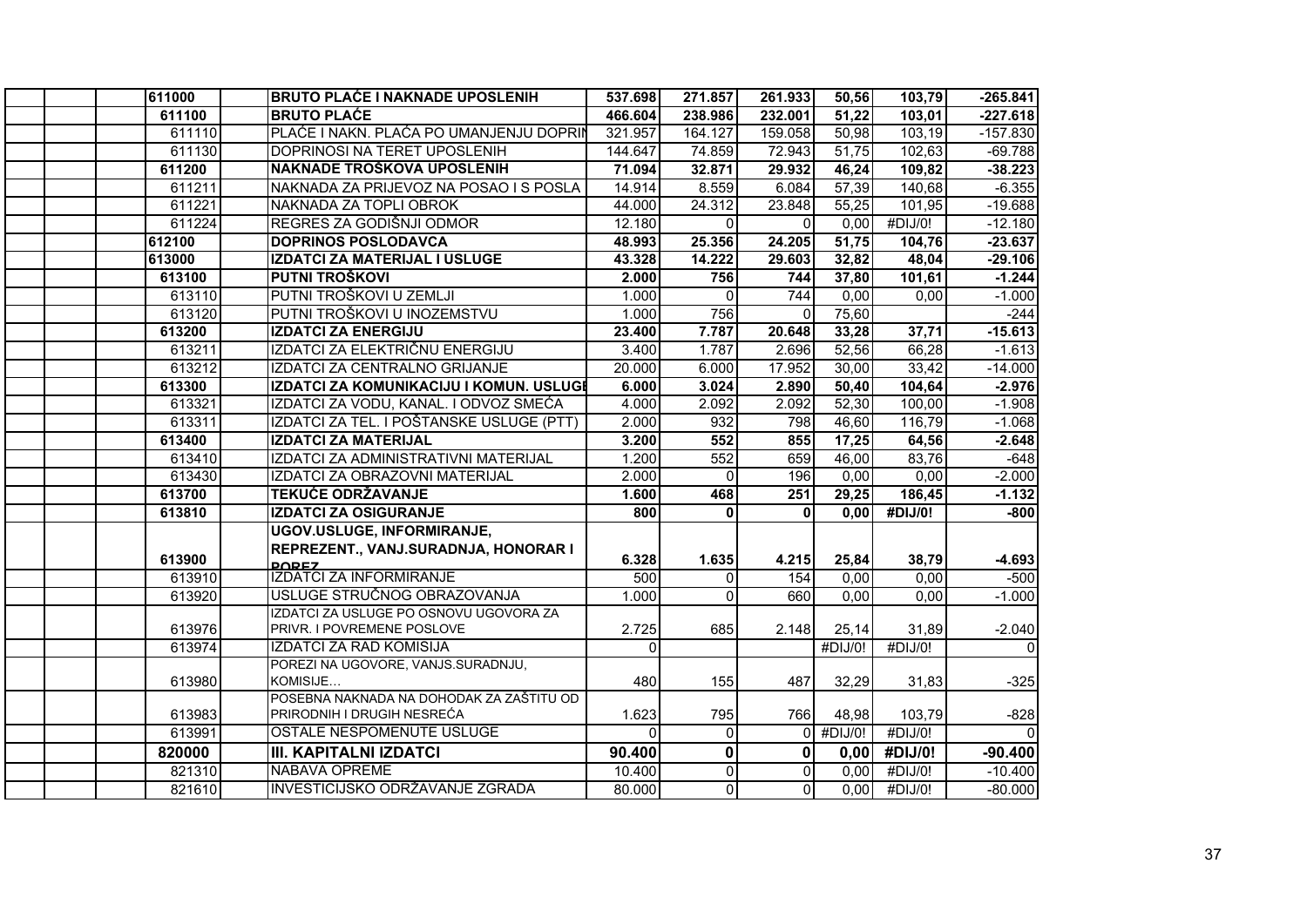|  | 611000 | <b>BRUTO PLAĆE I NAKNADE UPOSLENIH</b>                               | 537.698  | 271.857     | 261.933      | 50,56       | 103,79  | $-265.841$ |
|--|--------|----------------------------------------------------------------------|----------|-------------|--------------|-------------|---------|------------|
|  | 611100 | <b>BRUTO PLACE</b>                                                   | 466.604  | 238.986     | 232.001      | 51,22       | 103,01  | $-227.618$ |
|  | 611110 | PLAĆE I NAKN. PLAĆA PO UMANJENJU DOPRIN                              | 321.957  | 164.127     | 159.058      | 50,98       | 103,19  | $-157.830$ |
|  | 611130 | DOPRINOSI NA TERET UPOSLENIH                                         | 144.647  | 74.859      | 72.943       | 51,75       | 102,63  | $-69.788$  |
|  | 611200 | NAKNADE TROŠKOVA UPOSLENIH                                           | 71.094   | 32.871      | 29.932       | 46,24       | 109,82  | $-38.223$  |
|  | 611211 | NAKNADA ZA PRIJEVOZ NA POSAO I S POSLA                               | 14.914   | 8.559       | 6.084        | 57,39       | 140,68  | $-6.355$   |
|  | 611221 | NAKNADA ZA TOPLI OBROK                                               | 44.000   | 24.312      | 23.848       | 55,25       | 101,95  | $-19.688$  |
|  | 611224 | REGRES ZA GODIŠNJI ODMOR                                             | 12.180   | $\Omega$    | $\Omega$     | 0,00        | #DIJ/0! | $-12.180$  |
|  | 612100 | <b>DOPRINOS POSLODAVCA</b>                                           | 48.993   | 25.356      | 24.205       | 51,75       | 104,76  | $-23.637$  |
|  | 613000 | IZDATCI ZA MATERIJAL I USLUGE                                        | 43.328   | 14.222      | 29.603       | 32,82       | 48,04   | $-29.106$  |
|  | 613100 | PUTNI TROŠKOVI                                                       | 2.000    | 756         | 744          | 37,80       | 101,61  | $-1.244$   |
|  | 613110 | PUTNI TROŠKOVI U ZEMLJI                                              | 1.000    | $\Omega$    | 744          | 0,00        | 0.00    | $-1.000$   |
|  | 613120 | PUTNI TROŠKOVI U INOZEMSTVU                                          | 1.000    | 756         | $\mathbf 0$  | 75,60       |         | $-244$     |
|  | 613200 | <b>IZDATCI ZA ENERGIJU</b>                                           | 23.400   | 7.787       | 20.648       | 33,28       | 37,71   | $-15.613$  |
|  | 613211 | IZDATCI ZA ELEKTRIČNU ENERGIJU                                       | 3.400    | 1.787       | 2.696        | 52,56       | 66,28   | $-1.613$   |
|  | 613212 | IZDATCI ZA CENTRALNO GRIJANJE                                        | 20.000   | 6.000       | 17.952       | 30,00       | 33,42   | $-14.000$  |
|  | 613300 | IZDATCI ZA KOMUNIKACIJU I KOMUN. USLUGI                              | 6.000    | 3.024       | 2.890        | 50,40       | 104,64  | $-2.976$   |
|  | 613321 | IZDATCI ZA VODU, KANAL. I ODVOZ SMEĆA                                | 4.000    | 2.092       | 2.092        | 52,30       | 100,00  | $-1.908$   |
|  | 613311 | IZDATCI ZA TEL. I POŠTANSKE USLUGE (PTT)                             | 2.000    | 932         | 798          | 46,60       | 116,79  | $-1.068$   |
|  | 613400 | <b>IZDATCI ZA MATERIJAL</b>                                          | 3.200    | 552         | 855          | 17,25       | 64,56   | $-2.648$   |
|  | 613410 | IZDATCI ZA ADMINISTRATIVNI MATERIJAL                                 | 1.200    | 552         | 659          | 46,00       | 83,76   | $-648$     |
|  | 613430 | IZDATCI ZA OBRAZOVNI MATERIJAL                                       | 2.000    | $\Omega$    | 196          | 0,00        | 0,00    | $-2.000$   |
|  | 613700 | <b>TEKUĆE ODRŽAVANJE</b>                                             | 1.600    | 468         | 251          | 29,25       | 186,45  | $-1.132$   |
|  | 613810 | <b>IZDATCI ZA OSIGURANJE</b>                                         | 800      | $\Omega$    | ΩI           | 0,00        | #DIJ/0! | $-800$     |
|  |        | UGOV.USLUGE, INFORMIRANJE,                                           |          |             |              |             |         |            |
|  |        | REPREZENT., VANJ.SURADNJA, HONORAR I                                 |          |             |              |             |         |            |
|  | 613900 | <b>DODEZ</b>                                                         | 6.328    | 1.635       | 4.215        | 25,84       | 38,79   | $-4.693$   |
|  | 613910 | <b>IZDATCI ZA INFORMIRANJE</b>                                       | 500      | $\Omega$    | 154          | 0,00        | 0,00    | $-500$     |
|  | 613920 | USLUGE STRUČNOG OBRAZOVANJA                                          | 1.000    | $\Omega$    | 660          | 0,00        | 0,00    | $-1.000$   |
|  | 613976 | IZDATCI ZA USLUGE PO OSNOVU UGOVORA ZA<br>PRIVR. I POVREMENE POSLOVE | 2.725    | 685         | 2.148        | 25,14       | 31,89   | $-2.040$   |
|  | 613974 | <b>IZDATCI ZA RAD KOMISIJA</b>                                       | $\Omega$ |             |              | #DIJ/0!     | #DIJ/0! | $\Omega$   |
|  |        | POREZI NA UGOVORE, VANJS.SURADNJU,                                   |          |             |              |             |         |            |
|  | 613980 | KOMISIJE                                                             | 480      | 155         | 487          | 32,29       | 31,83   | $-325$     |
|  |        | POSEBNA NAKNADA NA DOHODAK ZA ZAŠTITU OD                             |          |             |              |             |         |            |
|  | 613983 | PRIRODNIH I DRUGIH NESREĆA                                           | 1.623    | 795         | 766          | 48,98       | 103,79  | $-828$     |
|  | 613991 | OSTALE NESPOMENUTE USLUGE                                            | $\Omega$ | $\Omega$    |              | $0$ #DIJ/0! | #DIJ/0! | $\Omega$   |
|  | 820000 | <b>III. KAPITALNI IZDATCI</b>                                        | 90.400   | $\mathbf 0$ | $\mathbf{0}$ | 0,00        | #DIJ/0! | $-90.400$  |
|  | 821310 | <b>NABAVA OPREME</b>                                                 | 10.400   | $\Omega$    | $\Omega$     | 0,00        | #DIJ/0! | $-10.400$  |
|  | 821610 | INVESTICIJSKO ODRŽAVANJE ZGRADA                                      | 80.000   | $\Omega$    | $\Omega$     | 0,00        | #DIJ/0! | $-80.000$  |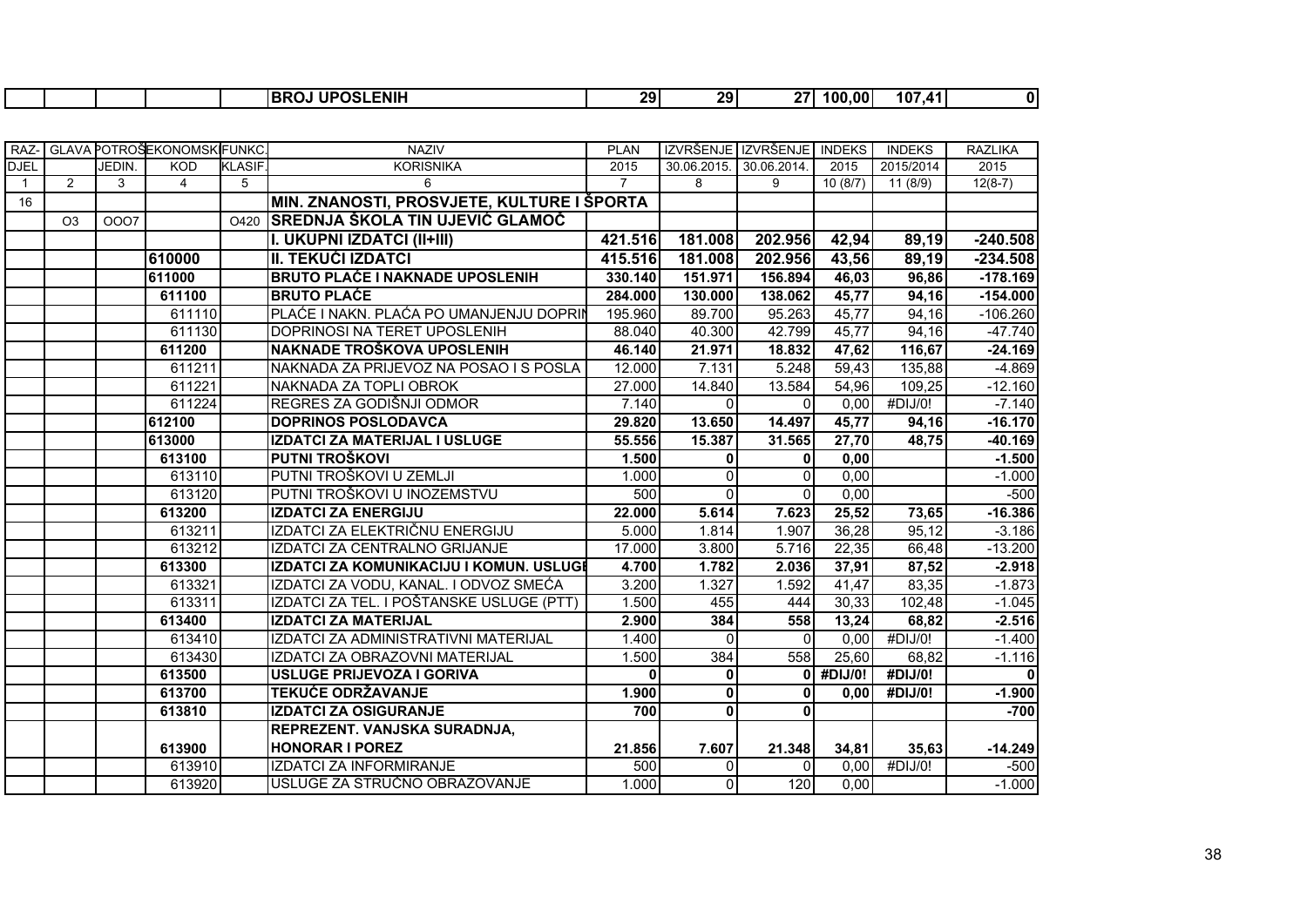|  |  |  |  |  | <b>UPOSLENIH</b><br>---<br><b>IBRO</b><br>… UPOS' ∶ | 29 <sub>l</sub> | 29 | <b>27.</b> | 100.00 | 107<br>$\overline{A}$ 1 |  |
|--|--|--|--|--|-----------------------------------------------------|-----------------|----|------------|--------|-------------------------|--|
|--|--|--|--|--|-----------------------------------------------------|-----------------|----|------------|--------|-------------------------|--|

|              |                |        | RAZ- GLAVA POTROŠEKONOMSKIFUNKC. |               | <b>NAZIV</b>                               | <b>PLAN</b>    | IZVRŠENJE IZVRŠENJE INDEKS |                         |             | <b>INDEKS</b> | <b>RAZLIKA</b> |
|--------------|----------------|--------|----------------------------------|---------------|--------------------------------------------|----------------|----------------------------|-------------------------|-------------|---------------|----------------|
| <b>DJEL</b>  |                | JEDIN. | KOD                              | <b>KLASIF</b> | <b>KORISNIKA</b>                           | 2015           |                            | 30.06.2015. 30.06.2014. | 2015        | 2015/2014     | 2015           |
| $\mathbf{1}$ | 2              | 3      | $\overline{4}$                   | 5             | 6                                          | $\overline{7}$ | 8                          | 9                       | 10(8/7)     | 11(8/9)       | $12(8-7)$      |
| 16           |                |        |                                  |               | MIN. ZNANOSTI, PROSVJETE, KULTURE I ŠPORTA |                |                            |                         |             |               |                |
|              | O <sub>3</sub> | 0007   |                                  | O420          | <b>SREDNJA ŠKOLA TIN UJEVIĆ GLAMOČ</b>     |                |                            |                         |             |               |                |
|              |                |        |                                  |               | I. UKUPNI IZDATCI (II+III)                 | 421.516        | 181.008                    | 202.956                 | 42,94       | 89,19         | $-240.508$     |
|              |                |        | 610000                           |               | <b>II. TEKUĆI IZDATCI</b>                  | 415.516        | 181.008                    | 202.956                 | 43,56       | 89,19         | $-234.508$     |
|              |                |        | 611000                           |               | <b>BRUTO PLAĆE I NAKNADE UPOSLENIH</b>     | 330.140        | 151.971                    | 156.894                 | 46,03       | 96,86         | $-178.169$     |
|              |                |        | 611100                           |               | <b>BRUTO PLAĆE</b>                         | 284.000        | 130.000                    | 138.062                 | 45,77       | 94,16         | $-154.000$     |
|              |                |        | 611110                           |               | PLAĆE I NAKN. PLAĆA PO UMANJENJU DOPRIN    | 195.960        | 89.700                     | 95.263                  | 45,77       | 94,16         | $-106.260$     |
|              |                |        | 611130                           |               | DOPRINOSI NA TERET UPOSLENIH               | 88.040         | 40.300                     | 42.799                  | 45,77       | 94,16         | $-47.740$      |
|              |                |        | 611200                           |               | NAKNADE TROŠKOVA UPOSLENIH                 | 46.140         | 21.971                     | 18.832                  | 47,62       | 116,67        | $-24.169$      |
|              |                |        | 611211                           |               | NAKNADA ZA PRIJEVOZ NA POSAO I S POSLA     | 12.000         | 7.131                      | 5.248                   | 59,43       | 135,88        | $-4.869$       |
|              |                |        | 611221                           |               | NAKNADA ZA TOPLI OBROK                     | 27.000         | 14.840                     | 13.584                  | 54,96       | 109,25        | $-12.160$      |
|              |                |        | 611224                           |               | REGRES ZA GODIŠNJI ODMOR                   | 7.140          | $\Omega$                   |                         | 0,00        | #DJJ/0!       | $-7.140$       |
|              |                |        | 612100                           |               | <b>DOPRINOS POSLODAVCA</b>                 | 29.820         | 13.650                     | 14.497                  | 45,77       | 94,16         | $-16.170$      |
|              |                |        | 613000                           |               | <b>IZDATCI ZA MATERIJAL I USLUGE</b>       | 55.556         | 15.387                     | 31.565                  | 27,70       | 48,75         | -40.169        |
|              |                |        | 613100                           |               | PUTNI TROŠKOVI                             | 1.500          | $\bf{0}$                   | $\mathbf{0}$            | 0,00        |               | $-1.500$       |
|              |                |        | 613110                           |               | PUTNI TROŠKOVI U ZEMLJI                    | 1.000          | $\Omega$                   | 0                       | 0,00        |               | $-1.000$       |
|              |                |        | 613120                           |               | PUTNI TROŠKOVI U INOZEMSTVU                | 500            | $\Omega$                   | $\Omega$                | 0,00        |               | $-500$         |
|              |                |        | 613200                           |               | <b>IZDATCI ZA ENERGIJU</b>                 | 22.000         | 5.614                      | 7.623                   | 25,52       | 73,65         | $-16.386$      |
|              |                |        | 613211                           |               | IZDATCI ZA ELEKTRIČNU ENERGIJU             | 5.000          | 1.814                      | 1.907                   | 36,28       | 95,12         | $-3.186$       |
|              |                |        | 613212                           |               | IZDATCI ZA CENTRALNO GRIJANJE              | 17.000         | 3.800                      | 5.716                   | 22,35       | 66,48         | $-13.200$      |
|              |                |        | 613300                           |               | IZDATCI ZA KOMUNIKACIJU I KOMUN. USLUGI    | 4.700          | 1.782                      | 2.036                   | 37,91       | 87,52         | $-2.918$       |
|              |                |        | 613321                           |               | IZDATCI ZA VODU, KANAL. I ODVOZ SMEĆA      | 3.200          | 1.327                      | 1.592                   | 41,47       | 83,35         | $-1.873$       |
|              |                |        | 613311                           |               | IZDATCI ZA TEL. I POŠTANSKE USLUGE (PTT)   | 1.500          | 455                        | 444                     | 30,33       | 102,48        | $-1.045$       |
|              |                |        | 613400                           |               | <b>IZDATCI ZA MATERIJAL</b>                | 2.900          | 384                        | 558                     | 13,24       | 68,82         | $-2.516$       |
|              |                |        | 613410                           |               | IZDATCI ZA ADMINISTRATIVNI MATERIJAL       | 1.400          | $\Omega$                   | $\Omega$                | 0,00        | #DIJ/0!       | $-1.400$       |
|              |                |        | 613430                           |               | IZDATCI ZA OBRAZOVNI MATERIJAL             | 1.500          | 384                        | 558                     | 25,60       | 68.82         | $-1.116$       |
|              |                |        | 613500                           |               | <b>USLUGE PRIJEVOZA I GORIVA</b>           | $\Omega$       | $\bf{0}$                   |                         | $0$ #DIJ/0! | #DIJ/0!       | $\Omega$       |
|              |                |        | 613700                           |               | <b>TEKUĆE ODRŽAVANJE</b>                   | 1.900          | $\mathbf{0}$               | $\bf{0}$                | 0.00        | #DIJ/0!       | $-1.900$       |
|              |                |        | 613810                           |               | <b>IZDATCI ZA OSIGURANJE</b>               | 700            | $\mathbf{0}$               | 0                       |             |               | $-700$         |
|              |                |        |                                  |               | REPREZENT. VANJSKA SURADNJA,               |                |                            |                         |             |               |                |
|              |                |        | 613900                           |               | <b>HONORAR I POREZ</b>                     | 21.856         | 7.607                      | 21.348                  | 34,81       | 35,63         | $-14.249$      |
|              |                |        | 613910                           |               | <b>IZDATCI ZA INFORMIRANJE</b>             | 500            | $\Omega$                   |                         | 0.00        | #DIJ/0!       | $-500$         |
|              |                |        | 613920                           |               | USLUGE ZA STRUČNO OBRAZOVANJE              | 1.000          | $\Omega$                   | 120                     | 0,00        |               | $-1.000$       |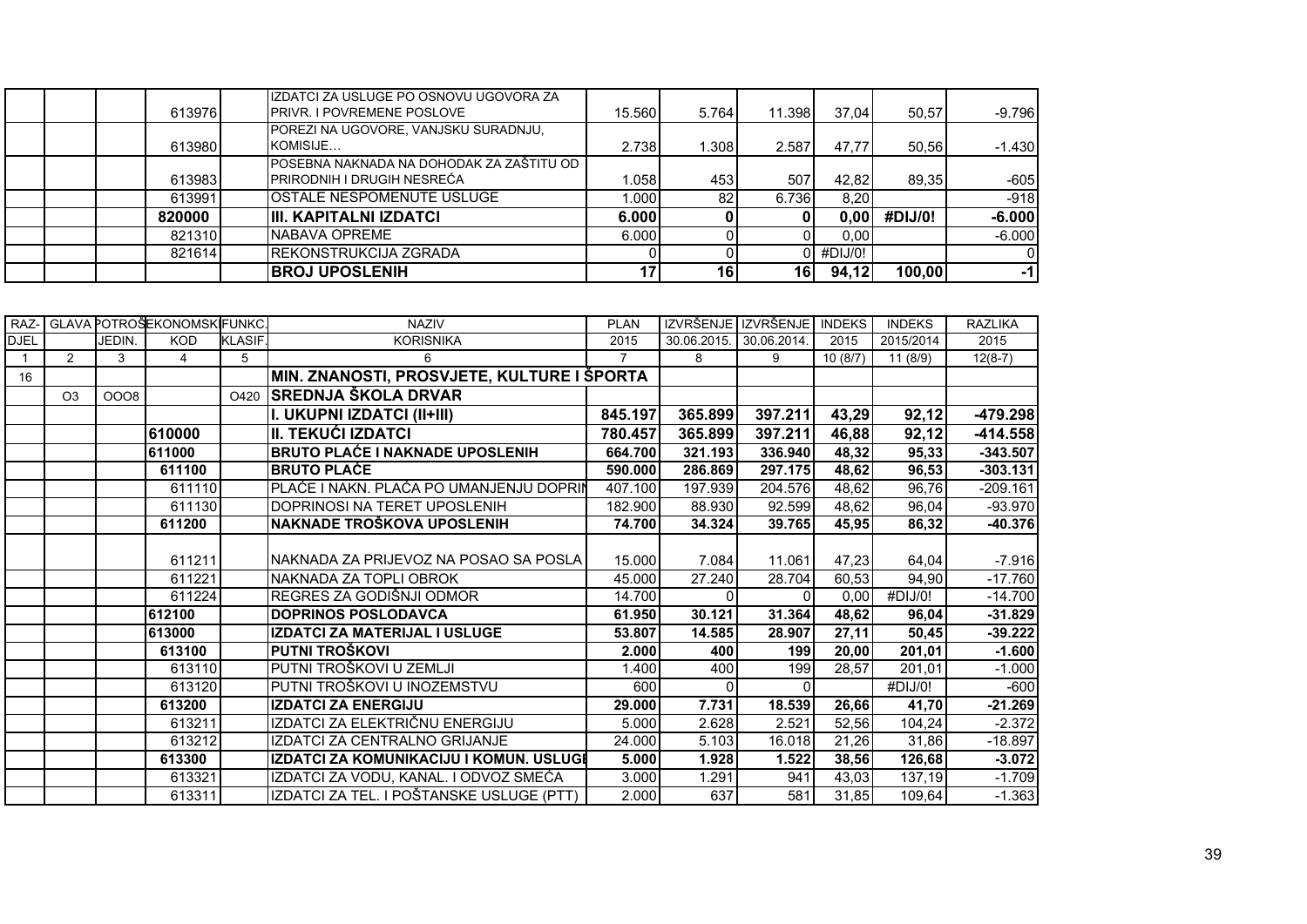|  | 613976 | IZDATCI ZA USLUGE PO OSNOVU UGOVORA ZA<br><b>PRIVR. I POVREMENE POSLOVE</b>    | 15.560 | 5.764           | 11.398 | 37.04       | 50.57   | $-9.796$ |
|--|--------|--------------------------------------------------------------------------------|--------|-----------------|--------|-------------|---------|----------|
|  | 613980 | POREZI NA UGOVORE, VANJSKU SURADNJU,<br>KOMISIJE                               | 2.738  | .308            | 2.587  | 47.77       | 50.56   | $-1.430$ |
|  | 613983 | IPOSEBNA NAKNADA NA DOHODAK ZA ZAŠTITU OD<br><b>PRIRODNIH I DRUGIH NESREĆA</b> | 1.058  | 453             | 507    | 42.82       | 89.35   | $-605$   |
|  | 613991 | <b>OSTALE NESPOMENUTE USLUGE</b>                                               | 1.000  | 82              | 6.736  | 8.20        |         | $-918$   |
|  | 820000 | <b>IIII. KAPITALNI IZDATCI</b>                                                 | 6.000  |                 |        | 0.001       | #DIJ/0! | $-6.000$ |
|  | 821310 | <b>INABAVA OPREME</b>                                                          | 6.000  |                 |        | 0,00        |         | $-6.000$ |
|  | 821614 | <b>IREKONSTRUKCIJA ZGRADA</b>                                                  |        |                 |        | $0$ #DIJ/0! |         |          |
|  |        | <b>BROJ UPOSLENIH</b>                                                          |        | 16 <sub>l</sub> | 16     | 94,12       | 100,00  | -11      |

| RAZ-        |                |             | GLAVA POTROŠEKONOMSKI FUNKC. |                | <b>NAZIV</b>                               | <b>PLAN</b>    | IZVRŠENJE IZVRŠENJE |             | <b>INDEKS</b> | <b>INDEKS</b> | <b>RAZLIKA</b> |
|-------------|----------------|-------------|------------------------------|----------------|--------------------------------------------|----------------|---------------------|-------------|---------------|---------------|----------------|
| <b>DJEL</b> |                | JEDIN.      | <b>KOD</b>                   | <b>KLASIF.</b> | <b>KORISNIKA</b>                           | 2015           | 30.06.2015          | 30.06.2014. | 2015          | 2015/2014     | 2015           |
|             | 2              | 3           | $\overline{4}$               | 5              | 6                                          | $\overline{7}$ | 8                   | 9           | 10(8/7)       | 11 (8/9)      | $12(8-7)$      |
| 16          |                |             |                              |                | MIN. ZNANOSTI, PROSVJETE, KULTURE I ŠPORTA |                |                     |             |               |               |                |
|             | O <sub>3</sub> | <b>OOO8</b> |                              | O420           | <b>SREDNJA ŠKOLA DRVAR</b>                 |                |                     |             |               |               |                |
|             |                |             |                              |                | I. UKUPNI IZDATCI (II+III)                 | 845.197        | 365.899             | 397.211     | 43,29         | 92,12         | $-479.298$     |
|             |                |             | 610000                       |                | II. TEKUĆI IZDATCI                         | 780.457        | 365.899             | 397.211     | 46,88         | 92,12         | $-414.558$     |
|             |                |             | 611000                       |                | <b>BRUTO PLAĆE I NAKNADE UPOSLENIH</b>     | 664.700        | 321.193             | 336.940     | 48,32         | 95,33         | $-343.507$     |
|             |                |             | 611100                       |                | <b>BRUTO PLAĆE</b>                         | 590.000        | 286.869             | 297.175     | 48,62         | 96,53         | $-303.131$     |
|             |                |             | 611110                       |                | PLAĆE I NAKN. PLAĆA PO UMANJENJU DOPRIN    | 407.100        | 197.939             | 204.576     | 48,62         | 96,76         | $-209.161$     |
|             |                |             | 611130                       |                | DOPRINOSI NA TERET UPOSLENIH               | 182.900        | 88.930              | 92.599      | 48,62         | 96,04         | $-93.970$      |
|             |                |             | 611200                       |                | <b>NAKNADE TROŠKOVA UPOSLENIH</b>          | 74.700         | 34.324              | 39.765      | 45,95         | 86,32         | $-40.376$      |
|             |                |             |                              |                |                                            |                |                     |             |               |               |                |
|             |                |             | 611211                       |                | INAKNADA ZA PRIJEVOZ NA POSAO SA POSLA I   | 15.000         | 7.084               | 11.061      | 47.23         | 64,04         | $-7.916$       |
|             |                |             | 611221                       |                | NAKNADA ZA TOPLI OBROK                     | 45.000         | 27.240              | 28.704      | 60,53         | 94,90         | $-17.760$      |
|             |                |             | 611224                       |                | REGRES ZA GODIŠNJI ODMOR                   | 14.700         |                     |             | 0,00          | #DIJ/0!       | $-14.700$      |
|             |                |             | 612100                       |                | <b>DOPRINOS POSLODAVCA</b>                 | 61.950         | 30.121              | 31.364      | 48,62         | 96,04         | $-31.829$      |
|             |                |             | 613000                       |                | IZDATCI ZA MATERIJAL I USLUGE              | 53.807         | 14.585              | 28.907      | 27,11         | 50,45         | $-39.222$      |
|             |                |             | 613100                       |                | <b>PUTNI TROŠKOVI</b>                      | 2.000          | 400                 | 199         | 20,00         | 201,01        | $-1.600$       |
|             |                |             | 613110                       |                | PUTNI TROŠKOVI U ZEMLJI                    | 1.400          | 400                 | 199         | 28,57         | 201,01        | $-1.000$       |
|             |                |             | 613120                       |                | PUTNI TROŠKOVI U INOZEMSTVU                | 600            | $\Omega$            |             |               | #DIJ/0!       | $-600$         |
|             |                |             | 613200                       |                | <b>IZDATCI ZA ENERGIJU</b>                 | 29.000         | 7.731               | 18.539      | 26,66         | 41,70         | $-21.269$      |
|             |                |             | 613211                       |                | IZDATCI ZA ELEKTRIČNU ENERGIJU             | 5.000          | 2.628               | 2.521       | 52,56         | 104,24        | $-2.372$       |
|             |                |             | 613212                       |                | IZDATCI ZA CENTRALNO GRIJANJE              | 24.000         | 5.103               | 16.018      | 21,26         | 31,86         | $-18.897$      |
|             |                |             | 613300                       |                | IZDATCI ZA KOMUNIKACIJU I KOMUN. USLUGI    | 5.000          | 1.928               | 1.522       | 38,56         | 126,68        | $-3.072$       |
|             |                |             | 613321                       |                | IZDATCI ZA VODU, KANAL. I ODVOZ SMEĆA      | 3.000          | 1.291               | 941         | 43,03         | 137,19        | $-1.709$       |
|             |                |             | 613311                       |                | IZDATCI ZA TEL. I POŠTANSKE USLUGE (PTT)   | 2.000          | 637                 | 581         | 31,85         | 109.64        | $-1.363$       |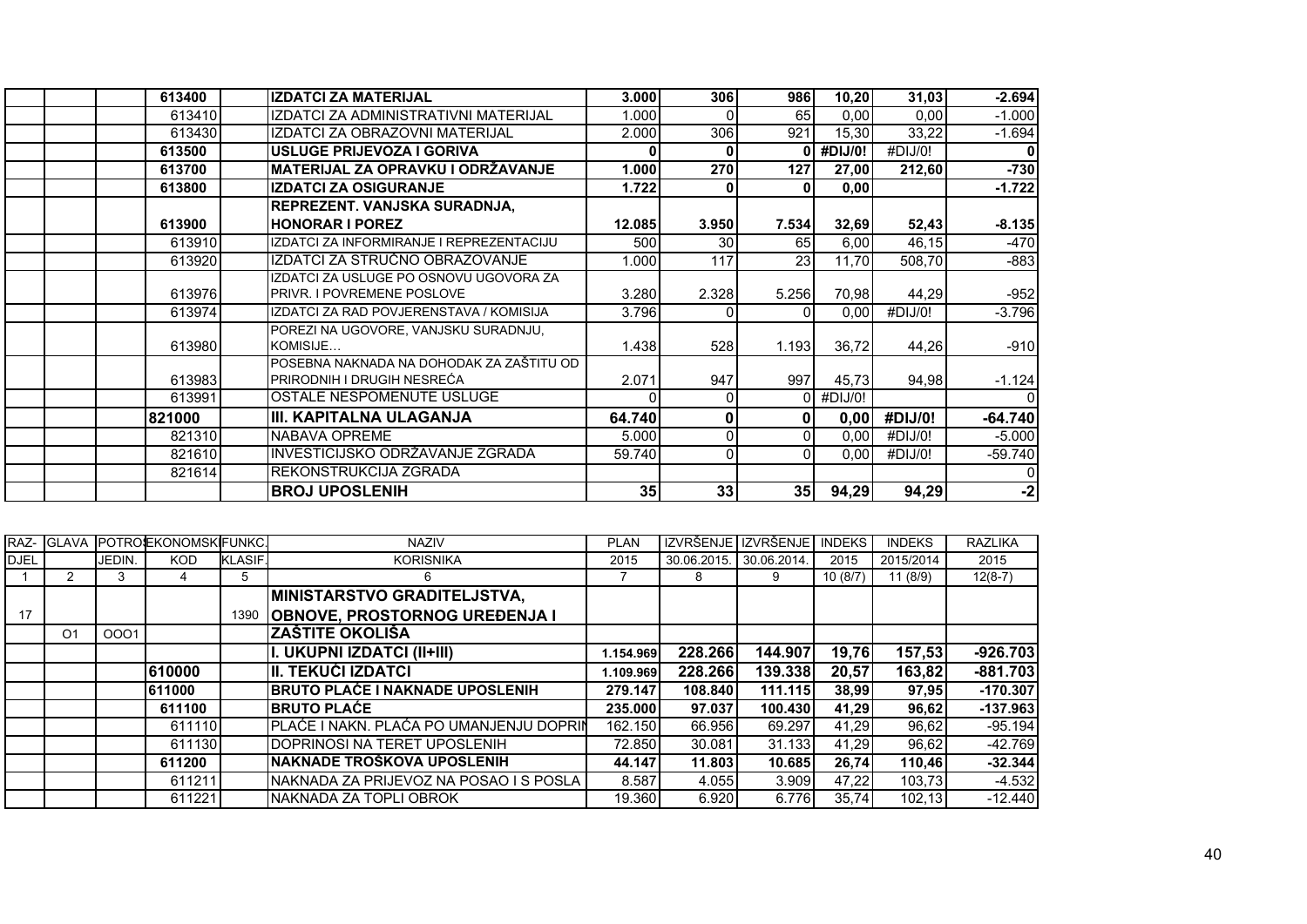| 613400 | <b>IZDATCI ZA MATERIJAL</b>              | 3.000  | <b>306</b>     | 986             | 10,20   | 31,03   | $-2.694$  |
|--------|------------------------------------------|--------|----------------|-----------------|---------|---------|-----------|
| 613410 | IZDATCI ZA ADMINISTRATIVNI MATERIJAL     | 1.000  | $\Omega$       | 65              | 0,00    | 0,00    | $-1.000$  |
| 613430 | IZDATCI ZA OBRAZOVNI MATERIJAL           | 2.000  | 306            | 921             | 15,30   | 33,22   | $-1.694$  |
| 613500 | USLUGE PRIJEVOZA I GORIVA                |        | $\mathbf{0}$   |                 | #DIJ/0! | #DIJ/0! | 0         |
| 613700 | MATERIJAL ZA OPRAVKU I ODRŽAVANJE        | 1.000  | 270            | 127             | 27,00   | 212,60  | $-730$    |
| 613800 | <b>IZDATCI ZA OSIGURANJE</b>             | 1.722  | 0              | 0               | 0,00    |         | $-1.722$  |
|        | REPREZENT. VANJSKA SURADNJA,             |        |                |                 |         |         |           |
| 613900 | <b>HONORAR I POREZ</b>                   | 12.085 | 3.950          | 7.534           | 32,69   | 52,43   | $-8.135$  |
| 613910 | IZDATCI ZA INFORMIRANJE I REPREZENTACIJU | 500    | 30             | 65              | 6,00    | 46,15   | $-470$    |
| 613920 | IZDATCI ZA STRUČNO OBRAZOVANJE           | 1.000  | 117            | 23 <sub>l</sub> | 11.70   | 508.70  | $-883$    |
|        | IZDATCI ZA USLUGE PO OSNOVU UGOVORA ZA   |        |                |                 |         |         |           |
| 613976 | PRIVR. I POVREMENE POSLOVE               | 3.280  | 2.328          | 5.256           | 70,98   | 44.29   | $-952$    |
| 613974 | IZDATCI ZA RAD POVJERENSTAVA / KOMISIJA  | 3.796  | 0              | $\Omega$        | 0.00    | #DIJ/0! | $-3.796$  |
|        | POREZI NA UGOVORE, VANJSKU SURADNJU,     |        |                |                 |         |         |           |
| 613980 | KOMISIJE                                 | 1.438  | 528            | 1.193           | 36.72   | 44,26   | $-910$    |
|        | POSEBNA NAKNADA NA DOHODAK ZA ZAŠTITU OD |        |                |                 |         |         |           |
| 613983 | PRIRODNIH I DRUGIH NESREĆA               | 2.071  | 947            | 997             | 45.73   | 94,98   | $-1.124$  |
| 613991 | OSTALE NESPOMENUTE USLUGE                |        | $\Omega$       | ΩI              | #DIJ/0! |         | $\Omega$  |
| 821000 | III. KAPITALNA ULAGANJA                  | 64.740 | $\mathbf{0}$   | 01              | 0,00    | #DIJ/0! | $-64.740$ |
| 821310 | NABAVA OPREME                            | 5.000  | $\overline{0}$ | $\Omega$        | 0,00    | #DIJ/0! | $-5.000$  |
| 821610 | INVESTICIJSKO ODRŽAVANJE ZGRADA          | 59.740 | 0              | $\Omega$        | 0,00    | #DIJ/0! | $-59.740$ |
| 821614 | REKONSTRUKCIJA ZGRADA                    |        |                |                 |         |         |           |
|        | <b>BROJ UPOSLENIH</b>                    | 35     | 33             | 35              | 94,29   | 94,29   | $-2$      |

| RAZ-        | <b>GLAVA</b>   |        | <b>POTROSEKONOMSKIFUNKC.</b> |                | <b>NAZIV</b>                              | <b>PLAN</b> | <b>IZVRŠENJE</b> | <b>IZVRŠENJE</b> | <b>INDEKS</b> | <b>INDEKS</b> | <b>RAZLIKA</b> |
|-------------|----------------|--------|------------------------------|----------------|-------------------------------------------|-------------|------------------|------------------|---------------|---------------|----------------|
| <b>DJEL</b> |                | JEDIN. | KOD.                         | <b>KLASIF.</b> | <b>KORISNIKA</b>                          | 2015        | 30.06.2015.      | 30.06.2014.      | 2015          | 2015/2014     | 2015           |
|             |                | 3      |                              | 5              | 6                                         |             | 8                | 9                | 10(8/7)       | 11(8/9)       | $12(8-7)$      |
|             |                |        |                              |                | MINISTARSTVO GRADITELJSTVA,               |             |                  |                  |               |               |                |
| 17          |                |        |                              | 1390           | <b>OBNOVE, PROSTORNOG UREĐENJA I</b>      |             |                  |                  |               |               |                |
|             | O <sub>1</sub> | 0001   |                              |                | <b>ZAŠTITE OKOLIŠA</b>                    |             |                  |                  |               |               |                |
|             |                |        |                              |                | II. UKUPNI IZDATCI (II+III)               | 1.154.969   | 228.266          | 144.907          | 19,76         | 157,53        | $-926.703$     |
|             |                |        | 610000                       |                | III. TEKUĆI IZDATCI                       | 1.109.969   | 228.266          | 139.338          | 20,57         | 163,82        | $-881.703$     |
|             |                |        | 611000                       |                | <b>BRUTO PLAĆE I NAKNADE UPOSLENIH</b>    | 279.147     | 108.840          | 111.115          | 38,99         | 97,95         | $-170.307$     |
|             |                |        | 611100                       |                | <b>IBRUTO PLAĆE</b>                       | 235.000     | 97.037           | 100.430          | 41,29         | 96,62         | $-137.963$     |
|             |                |        | 611110                       |                | PLAĆE I NAKN. PLAĆA PO UMANJENJU DOPRIN   | 162.150     | 66.956           | 69.297           | 41.29         | 96,62         | $-95.194$      |
|             |                |        | 611130                       |                | <b>IDOPRINOSI NA TERET UPOSLENIH</b>      | 72.850      | 30.081           | 31.133           | 41,29         | 96,62         | $-42.769$      |
|             |                |        | 611200                       |                | INAKNADE TROŠKOVA UPOSLENIH               | 44.147      | 11.803           | 10.685           | 26,74         | 110.46        | $-32.344$      |
|             |                |        | 611211                       |                | INAKNADA ZA PRIJEVOZ NA POSAO I S POSLA I | 8.587       | 4.055            | 3.909            | 47,22         | 103,73        | $-4.532$       |
|             |                |        | 611221                       |                | INAKNADA ZA TOPLI OBROK                   | 19.360      | 6.920            | 6.776            | 35,74         | 102.13        | $-12.440$      |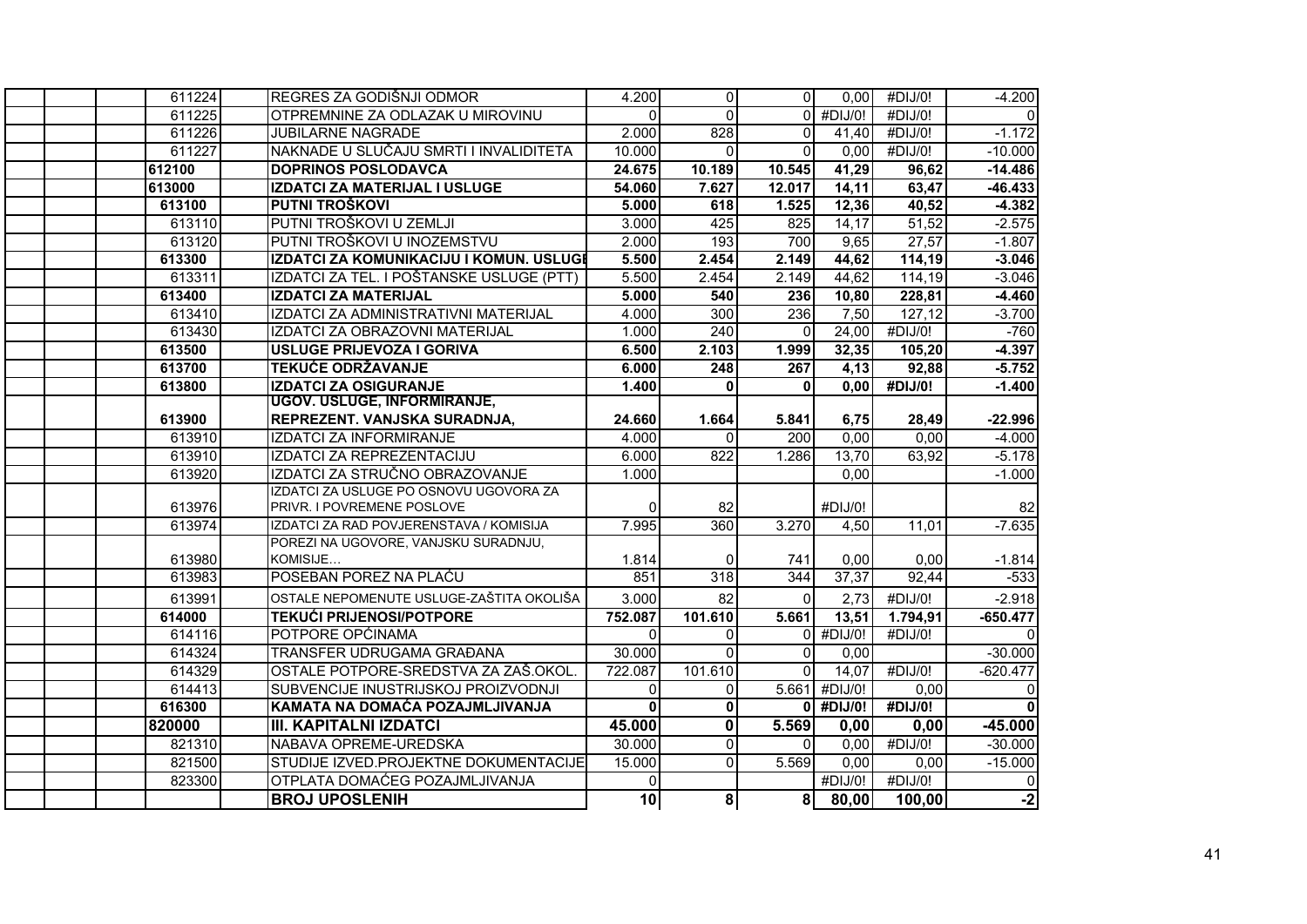| 611224 | REGRES ZA GODIŠNJI ODMOR                 | 4.200           | $\overline{0}$          | $\Omega$         | 0,00          | #DIJ/0!               | $-4.200$   |
|--------|------------------------------------------|-----------------|-------------------------|------------------|---------------|-----------------------|------------|
| 611225 | OTPREMNINE ZA ODLAZAK U MIROVINU         | $\Omega$        | $\overline{0}$          | $\Omega$         | #DIJ/0!       | #DIJ/0!               | $\Omega$   |
| 611226 | <b>JUBILARNE NAGRADE</b>                 | 2.000           | $\overline{828}$        | $\Omega$         | 41,40         | #DIJ/0!               | $-1.172$   |
| 611227 | NAKNADE U SLUČAJU SMRTI I INVALIDITETA   | 10.000          | $\Omega$                | $\Omega$         | 0,00          | #DIJ/0!               | $-10.000$  |
| 612100 | <b>DOPRINOS POSLODAVCA</b>               | 24.675          | 10.189                  | 10.545           | 41,29         | 96,62                 | $-14.486$  |
| 613000 | <b>IZDATCI ZA MATERIJAL I USLUGE</b>     | 54.060          | 7.627                   | 12.017           | 14,11         | 63,47                 | $-46.433$  |
| 613100 | <b>PUTNI TROŠKOVI</b>                    | 5.000           | 618                     | 1.525            | 12,36         | 40,52                 | $-4.382$   |
| 613110 | PUTNI TROŠKOVI U ZEMLJI                  | 3.000           | 425                     | 825              | 14,17         | 51,52                 | $-2.575$   |
| 613120 | PUTNI TROŠKOVI U INOZEMSTVU              | 2.000           | 193                     | 700              | 9,65          | 27,57                 | $-1.807$   |
| 613300 | IZDATCI ZA KOMUNIKACIJU I KOMUN. USLUGI  | 5.500           | 2.454                   | 2.149            | 44,62         | 114,19                | $-3.046$   |
| 613311 | IZDATCI ZA TEL. I POŠTANSKE USLUGE (PTT) | 5.500           | 2.454                   | 2.149            | 44,62         | 114,19                | $-3.046$   |
| 613400 | <b>IZDATCI ZA MATERIJAL</b>              | 5.000           | 540                     | 236              | 10,80         | 228,81                | $-4.460$   |
| 613410 | IZDATCI ZA ADMINISTRATIVNI MATERIJAL     | 4.000           | 300                     | 236              | 7,50          | 127,12                | $-3.700$   |
| 613430 | IZDATCI ZA OBRAZOVNI MATERIJAL           | 1.000           | 240                     | $\Omega$         | 24,00         | #DIJ/0!               | $-760$     |
| 613500 | <b>USLUGE PRIJEVOZA I GORIVA</b>         | 6.500           | 2.103                   | 1.999            | 32,35         | 105,20                | $-4.397$   |
| 613700 | <b>TEKUĆE ODRŽAVANJE</b>                 | 6.000           | $\overline{248}$        | $\overline{267}$ | 4,13          | 92,88                 | $-5.752$   |
| 613800 | <b>IZDATCI ZA OSIGURANJE</b>             | 1.400           | $\bf{0}$                | $\Omega$         | 0,00          | $\overline{H}$ DIJ/0! | $-1.400$   |
|        | <b>UGOV. USLUGE, INFORMIRANJE,</b>       |                 |                         |                  |               |                       |            |
| 613900 | REPREZENT. VANJSKA SURADNJA,             | 24.660          | 1.664                   | 5.841            | 6,75          | 28,49                 | $-22.996$  |
| 613910 | <b>IZDATCI ZA INFORMIRANJE</b>           | 4.000           | $\Omega$                | 200              | 0,00          | 0,00                  | $-4.000$   |
| 613910 | IZDATCI ZA REPREZENTACIJU                | 6.000           | 822                     | 1.286            | 13,70         | 63,92                 | $-5.178$   |
| 613920 | IZDATCI ZA STRUČNO OBRAZOVANJE           | 1.000           |                         |                  | 0,00          |                       | $-1.000$   |
|        | IZDATCI ZA USLUGE PO OSNOVU UGOVORA ZA   |                 |                         |                  |               |                       |            |
| 613976 | PRIVR. I POVREMENE POSLOVE               | $\Omega$        | 82                      |                  | #DIJ/0!       |                       | 82         |
| 613974 | IZDATCI ZA RAD POVJERENSTAVA / KOMISIJA  | 7.995           | 360                     | 3.270            | 4,50          | 11,01                 | $-7.635$   |
|        | POREZI NA UGOVORE, VANJSKU SURADNJU,     |                 |                         |                  |               |                       |            |
| 613980 | KOMISIJE<br>POSEBAN POREZ NA PLACU       | 1.814           | $\mathbf{0}$            | 741              | 0,00          | 0,00                  | $-1.814$   |
| 613983 |                                          | 851             | 318                     | 344              | 37,37         | 92,44                 | $-533$     |
| 613991 | OSTALE NEPOMENUTE USLUGE-ZAŠTITA OKOLIŠA | 3.000           | 82                      | $\Omega$         | 2,73          | #DIJ/0!               | $-2.918$   |
| 614000 | <b>TEKUĆI PRIJENOSI/POTPORE</b>          | 752.087         | 101.610                 | 5.661            | 13,51         | 1.794,91              | $-650.477$ |
| 614116 | POTPORE OPĆINAMA                         | $\Omega$        | $\Omega$                | ΩI               | #DIJ/0!       | #DIJ/0!               | $\Omega$   |
| 614324 | TRANSFER UDRUGAMA GRAĐANA                | 30.000          | $\Omega$                | $\Omega$         | 0,00          |                       | $-30.000$  |
| 614329 | OSTALE POTPORE-SREDSTVA ZA ZAŠ.OKOL      | 722.087         | 101.610                 | $\Omega$         | 14,07         | #DIJ/0!               | $-620.477$ |
| 614413 | SUBVENCIJE INUSTRIJSKOJ PROIZVODNJI      | $\Omega$        | $\overline{0}$          |                  | 5.661 #DIJ/0! | 0,00                  | $\Omega$   |
| 616300 | KAMATA NA DOMAĆA POZAJMLJIVANJA          | $\mathbf 0$     | 0                       | $\bf{0}$         | #DIJ/0!       | #DIJ/0!               |            |
| 820000 | <b>III. KAPITALNI IZDATCI</b>            | 45.000          | $\mathbf{0}$            | 5.569            | 0,00          | 0,00                  | $-45.000$  |
| 821310 | NABAVA OPREME-UREDSKA                    | 30.000          | $\overline{0}$          | $\Omega$         | 0,00          | #DIJ/0!               | $-30.000$  |
| 821500 | STUDIJE IZVED.PROJEKTNE DOKUMENTACIJE    | 15.000          | $\Omega$                | 5.569            | 0,00          | 0,00                  | $-15.000$  |
| 823300 | OTPLATA DOMAĆEG POZAJMLJIVANJA           | $\Omega$        |                         |                  | #DIJ/0!       | #DIJ/0!               | 0          |
|        | <b>BROJ UPOSLENIH</b>                    | $\overline{10}$ | $\overline{\mathbf{8}}$ | 8 <sup>1</sup>   | 80,00         | 100,00                | $-2$       |
|        |                                          |                 |                         |                  |               |                       |            |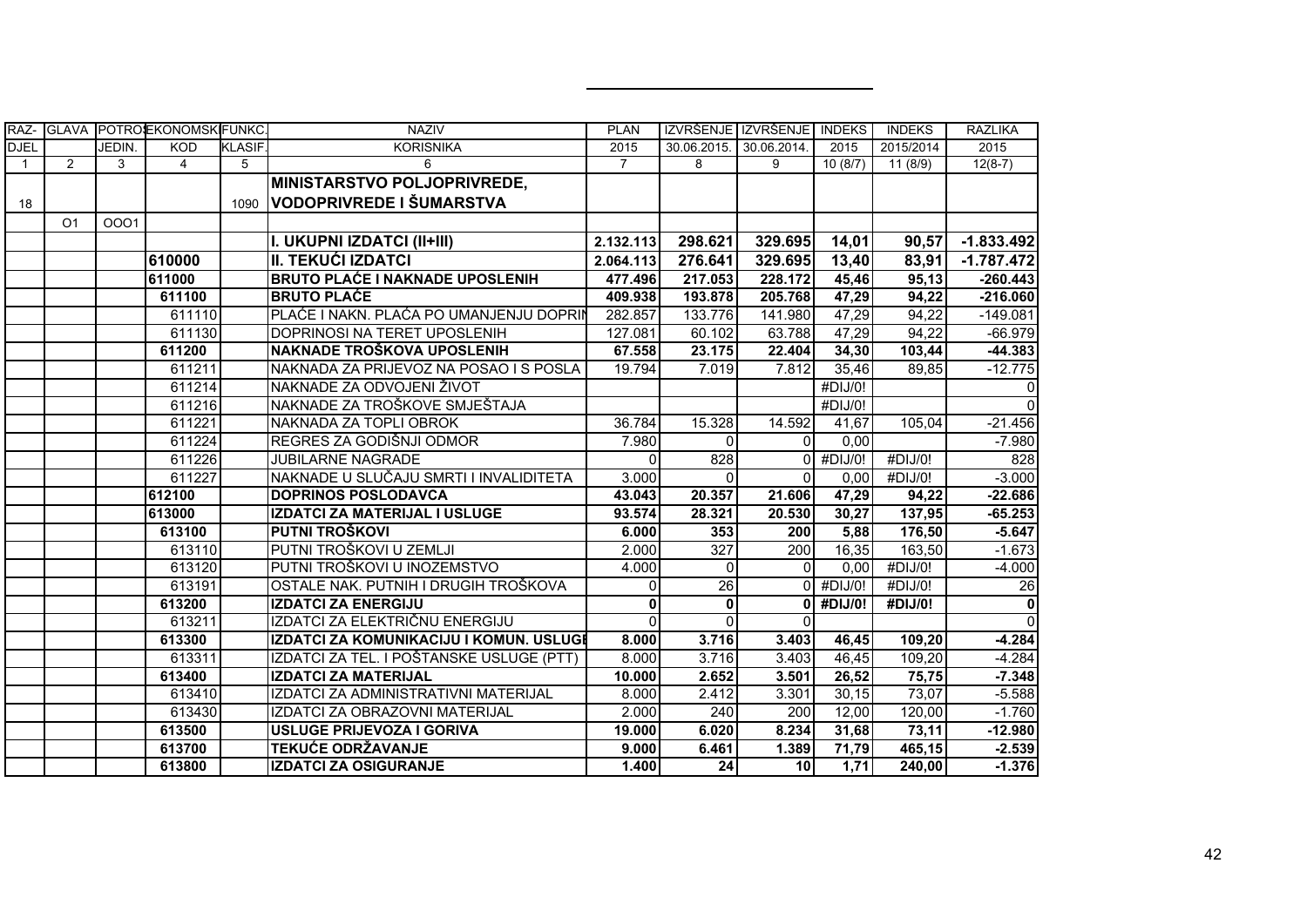| RAZ-         |                |        | GLAVA POTROSEKONOMSKIFUNKC. |                | <b>NAZIV</b>                             | <b>PLAN</b>    | IZVRŠENJE IZVRŠENJE INDEKS |              |         | <b>INDEKS</b> | <b>RAZLIKA</b>  |
|--------------|----------------|--------|-----------------------------|----------------|------------------------------------------|----------------|----------------------------|--------------|---------|---------------|-----------------|
| <b>DJEL</b>  |                | JEDIN. | <b>KOD</b>                  | <b>KLASIF.</b> | <b>KORISNIKA</b>                         | 2015           | 30.06.2015.                | 30.06.2014.  | 2015    | 2015/2014     | 2015            |
| $\mathbf{1}$ | 2              | 3      | $\overline{4}$              | 5              | 6                                        | $\overline{7}$ | 8                          | 9            | 10(8/7) | 11 (8/9)      | $12(8-7)$       |
|              |                |        |                             |                | MINISTARSTVO POLJOPRIVREDE,              |                |                            |              |         |               |                 |
| 18           |                |        |                             | 1090           | VODOPRIVREDE I ŠUMARSTVA                 |                |                            |              |         |               |                 |
|              | O <sub>1</sub> | 0001   |                             |                |                                          |                |                            |              |         |               |                 |
|              |                |        |                             |                | I. UKUPNI IZDATCI (II+III)               | 2.132.113      | 298.621                    | 329.695      | 14,01   | 90,57         | $-1.833.492$    |
|              |                |        | 610000                      |                | <b>II. TEKUĆI IZDATCI</b>                | 2.064.113      | 276.641                    | 329.695      | 13,40   | 83,91         | $-1.787.472$    |
|              |                |        | 611000                      |                | <b>BRUTO PLAĆE I NAKNADE UPOSLENIH</b>   | 477.496        | 217.053                    | 228.172      | 45,46   | 95,13         | $-260.443$      |
|              |                |        | 611100                      |                | <b>BRUTO PLACE</b>                       | 409.938        | 193.878                    | 205.768      | 47,29   | 94,22         | $-216.060$      |
|              |                |        | 611110                      |                | PLAĆE I NAKN. PLAĆA PO UMANJENJU DOPRIN  | 282.857        | 133.776                    | 141.980      | 47,29   | 94,22         | $-149.081$      |
|              |                |        | 611130                      |                | DOPRINOSI NA TERET UPOSLENIH             | 127.081        | 60.102                     | 63.788       | 47,29   | 94,22         | $-66.979$       |
|              |                |        | 611200                      |                | NAKNADE TROŠKOVA UPOSLENIH               | 67.558         | 23.175                     | 22.404       | 34,30   | 103,44        | $-44.383$       |
|              |                |        | 611211                      |                | NAKNADA ZA PRIJEVOZ NA POSAO I S POSLA   | 19.794         | 7.019                      | 7.812        | 35,46   | 89,85         | $-12.775$       |
|              |                |        | 611214                      |                | NAKNADE ZA ODVOJENI ŽIVOT                |                |                            |              | #DIJ/0! |               | $\Omega$        |
|              |                |        | 611216                      |                | NAKNADE ZA TROŠKOVE SMJEŠTAJA            |                |                            |              | #DIJ/0! |               |                 |
|              |                |        | 611221                      |                | NAKNADA ZA TOPLI OBROK                   | 36.784         | 15.328                     | 14.592       | 41.67   | 105.04        | $-21.456$       |
|              |                |        | 611224                      |                | REGRES ZA GODIŠNJI ODMOR                 | 7.980          | $\Omega$                   | $\Omega$     | 0,00    |               | $-7.980$        |
|              |                |        | 611226                      |                | <b>JUBILARNE NAGRADE</b>                 | $\Omega$       | 828                        | $\Omega$     | #DIJ/0! | #DIJ/0!       | 828             |
|              |                |        | 611227                      |                | NAKNADE U SLUČAJU SMRTI I INVALIDITETA   | 3.000          | $\Omega$                   | $\Omega$     | 0,00    | #DIJ/0!       | $-3.000$        |
|              |                |        | 612100                      |                | <b>DOPRINOS POSLODAVCA</b>               | 43.043         | 20.357                     | 21.606       | 47,29   | 94,22         | $-22.686$       |
|              |                |        | 613000                      |                | IZDATCI ZA MATERIJAL I USLUGE            | 93.574         | 28.321                     | 20.530       | 30,27   | 137,95        | $-65.253$       |
|              |                |        | 613100                      |                | PUTNI TROŠKOVI                           | 6.000          | 353                        | 200          | 5,88    | 176,50        | $-5.647$        |
|              |                |        | 613110                      |                | PUTNI TROŠKOVI U ZEMLJI                  | 2.000          | $\overline{327}$           | 200          | 16,35   | 163,50        | $-1.673$        |
|              |                |        | 613120                      |                | PUTNI TROŠKOVI U INOZEMSTVO              | 4.000          | $\Omega$                   | $\Omega$     | 0,00    | #DIJ/0!       | $-4.000$        |
|              |                |        | 613191                      |                | OSTALE NAK. PUTNIH I DRUGIH TROŠKOVA     | $\Omega$       | 26                         | $\Omega$     | #DIJ/0! | #DIJ/0!       | $\overline{26}$ |
|              |                |        | 613200                      |                | <b>IZDATCI ZA ENERGIJU</b>               | $\mathbf 0$    | $\mathbf{0}$               | $\mathbf{0}$ | #DIJ/0! | #DIJ/0!       | $\mathbf{0}$    |
|              |                |        | 613211                      |                | IZDATCI ZA ELEKTRIČNU ENERGIJU           | $\Omega$       | $\Omega$                   | $\Omega$     |         |               | $\Omega$        |
|              |                |        | 613300                      |                | IZDATCI ZA KOMUNIKACIJU I KOMUN. USLUGI  | 8.000          | 3.716                      | 3.403        | 46,45   | 109,20        | $-4.284$        |
|              |                |        | 613311                      |                | IZDATCI ZA TEL. I POŠTANSKE USLUGE (PTT) | 8.000          | 3.716                      | 3.403        | 46,45   | 109,20        | $-4.284$        |
|              |                |        | 613400                      |                | <b>IZDATCI ZA MATERIJAL</b>              | 10.000         | 2.652                      | 3.501        | 26,52   | 75,75         | $-7.348$        |
|              |                |        | 613410                      |                | IZDATCI ZA ADMINISTRATIVNI MATERIJAL     | 8.000          | 2.412                      | 3.301        | 30,15   | 73,07         | $-5.588$        |
|              |                |        | 613430                      |                | IZDATCI ZA OBRAZOVNI MATERIJAL           | 2.000          | 240                        | 200          | 12,00   | 120,00        | $-1.760$        |
|              |                |        | 613500                      |                | <b>USLUGE PRIJEVOZA I GORIVA</b>         | 19.000         | 6.020                      | 8.234        | 31,68   | 73,11         | $-12.980$       |
|              |                |        | 613700                      |                | <b>TEKUĆE ODRŽAVANJE</b>                 | 9.000          | 6.461                      | 1.389        | 71,79   | 465,15        | $-2.539$        |
|              |                |        | 613800                      |                | <b>IZDATCI ZA OSIGURANJE</b>             | 1.400          | 24                         | 10           | 1,71    | 240,00        | $-1.376$        |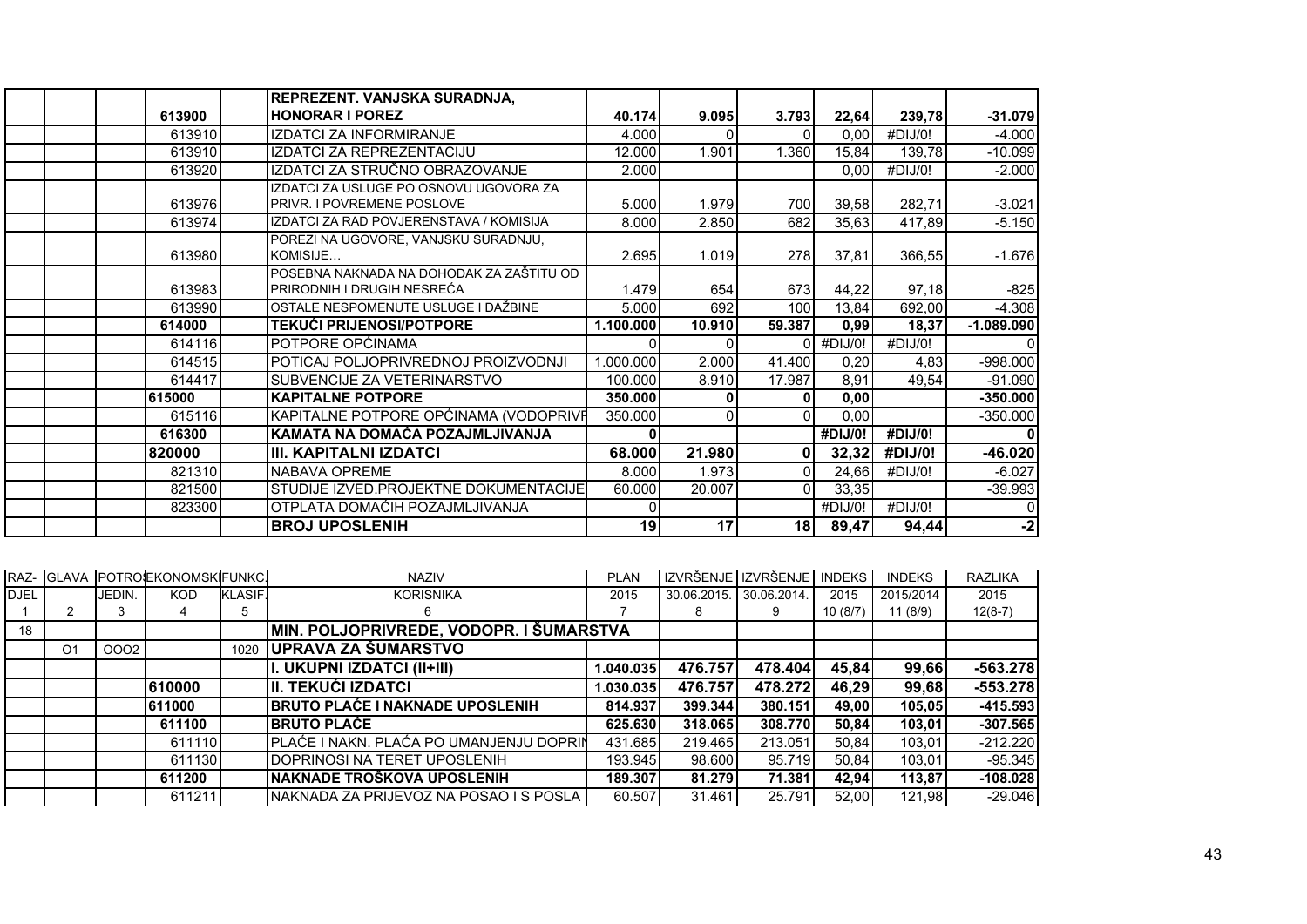|        | REPREZENT. VANJSKA SURADNJA,                                                |           |          |              |         |         |              |
|--------|-----------------------------------------------------------------------------|-----------|----------|--------------|---------|---------|--------------|
| 613900 | <b>HONORAR I POREZ</b>                                                      | 40.174    | 9.095    | 3.793        | 22,64   | 239,78  | $-31.079$    |
| 613910 | <b>IZDATCI ZA INFORMIRANJE</b>                                              | 4.000     | ΩI       |              | 0,00    | #DIJ/0! | $-4.000$     |
| 613910 | <b>IZDATCI ZA REPREZENTACIJU</b>                                            | 12.000    | 1.901    | 1.360        | 15,84   | 139,78  | $-10.099$    |
| 613920 | IZDATCI ZA STRUČNO OBRAZOVANJE                                              | 2.000     |          |              | 0.00    | #DIJ/0! | $-2.000$     |
| 613976 | IZDATCI ZA USLUGE PO OSNOVU UGOVORA ZA<br><b>PRIVR. I POVREMENE POSLOVE</b> | 5.000     | 1.979    | 700          | 39,58   | 282,71  | $-3.021$     |
| 613974 | IZDATCI ZA RAD POVJERENSTAVA / KOMISIJA                                     | 8.000     | 2.850    | 682          | 35,63   | 417,89  | $-5.150$     |
| 613980 | POREZI NA UGOVORE, VANJSKU SURADNJU,<br>KOMISIJE                            | 2.695     | 1.019    | 278          | 37,81   | 366,55  | $-1.676$     |
| 613983 | POSEBNA NAKNADA NA DOHODAK ZA ZAŠTITU OD<br>IPRIRODNIH I DRUGIH NESREĆA     | 1.479     | 654      | 673          | 44,22   | 97,18   | $-825$       |
| 613990 | OSTALE NESPOMENUTE USLUGE I DAŽBINE                                         | 5.000     | 692      | 100          | 13,84   | 692,00  | $-4.308$     |
| 614000 | <b>TEKUĆI PRIJENOSI/POTPORE</b>                                             | 1.100.000 | 10.910   | 59.387       | 0,99    | 18,37   | $-1.089.090$ |
| 614116 | POTPORE OPĆINAMA                                                            |           | $\Omega$ |              | #DIJ/0! | #DIJ/0! |              |
| 614515 | POTICAJ POLJOPRIVREDNOJ PROIZVODNJI                                         | 1.000.000 | 2.000    | 41.400       | 0,20    | 4,83    | $-998.000$   |
| 614417 | SUBVENCIJE ZA VETERINARSTVO                                                 | 100.000   | 8.910    | 17.987       | 8,91    | 49,54   | $-91.090$    |
| 615000 | <b>KAPITALNE POTPORE</b>                                                    | 350.000   | 0        |              | 0,00    |         | $-350.000$   |
| 615116 | KAPITALNE POTPORE OPĆINAMA (VODOPRIVE                                       | 350.000   | $\Omega$ | <sup>n</sup> | 0,00    |         | $-350.000$   |
| 616300 | KAMATA NA DOMAĆA POZAJMLJIVANJA                                             |           |          |              | #DIJ/0! | #DIJ/0! |              |
| 820000 | <b>III. KAPITALNI IZDATCI</b>                                               | 68.000    | 21.980   |              | 32,32   | #DIJ/0! | $-46.020$    |
| 821310 | NABAVA OPREME                                                               | 8.000     | 1.973    | ΩI           | 24,66   | #DIJ/0! | $-6.027$     |
| 821500 | STUDIJE IZVED.PROJEKTNE DOKUMENTACIJE                                       | 60.000    | 20.007   | $\Omega$     | 33,35   |         | $-39.993$    |
| 823300 | OTPLATA DOMAĆIH POZAJMLJIVANJA                                              |           |          |              | #DIJ/0! | #DIJ/0! |              |
|        | <b>BROJ UPOSLENIH</b>                                                       | 19        | 17       | 18 I         | 89,47   | 94,44   | $-2$         |

|             |                |        | <b>IRAZ- IGLAVA IPOTROJEKONOMSKIFUNKC.</b> |                | <b>NAZIV</b>                            | <b>PLAN</b> | <b>IZVRŠENJE</b> | <b>IZVRŠENJE</b> | <b>INDEKS</b> | <b>INDEKS</b> | <b>RAZLIKA</b> |
|-------------|----------------|--------|--------------------------------------------|----------------|-----------------------------------------|-------------|------------------|------------------|---------------|---------------|----------------|
| <b>DJEL</b> |                | JEDIN. | <b>KOD</b>                                 | <b>KLASIF.</b> | <b>KORISNIKA</b>                        | 2015        | 30.06.2015.      | 30.06.2014.      | 2015          | 2015/2014     | 2015           |
|             |                |        |                                            | 5              | 6                                       |             | 8                | 9                | 10(8/7)       | 11 (8/9)      | $12(8-7)$      |
| 18          |                |        |                                            |                | MIN. POLJOPRIVREDE, VODOPR. I ŠUMARSTVA |             |                  |                  |               |               |                |
|             | O <sub>1</sub> | 0002   |                                            | 1020           | UPRAVA ZA ŠUMARSTVO                     |             |                  |                  |               |               |                |
|             |                |        |                                            |                | I. UKUPNI IZDATCI (II+III)              | 1.040.035   | 476.757          | 478.404          | 45,84         | 99,66         | $-563.278$     |
|             |                |        | 610000                                     |                | III. TEKUĆI IZDATCI                     | 1.030.035   | 476.757          | 478.272          | 46,29         | 99,68         | $-553.278$     |
|             |                |        | 611000                                     |                | <b>BRUTO PLAĆE I NAKNADE UPOSLENIH</b>  | 814.937     | 399.344          | 380.151          | 49,00         | 105,05        | $-415.593$     |
|             |                |        | 611100                                     |                | <b>IBRUTO PLAČE</b>                     | 625.630     | 318,065          | 308.770          | 50.84         | 103,01        | $-307.565$     |
|             |                |        | 611110                                     |                | PLAĆE I NAKN. PLAĆA PO UMANJENJU DOPRIN | 431.685     | 219.465          | 213.051          | 50.84         | 103,01        | $-212.220$     |
|             |                |        | 611130                                     |                | DOPRINOSI NA TERET UPOSLENIH            | 193.945     | 98,600           | 95.719           | 50.84         | 103,01        | $-95.345$      |
|             |                |        | 611200                                     |                | INAKNADE TROŠKOVA UPOSLENIH             | 189.307     | 81.279           | 71.381           | 42,94         | 113,87        | $-108.028$     |
|             |                |        | 611211                                     |                | NAKNADA ZA PRIJEVOZ NA POSAO I S POSLA  | 60.507      | 31.461           | 25.791           | 52,00         | 121.98        | $-29.046$      |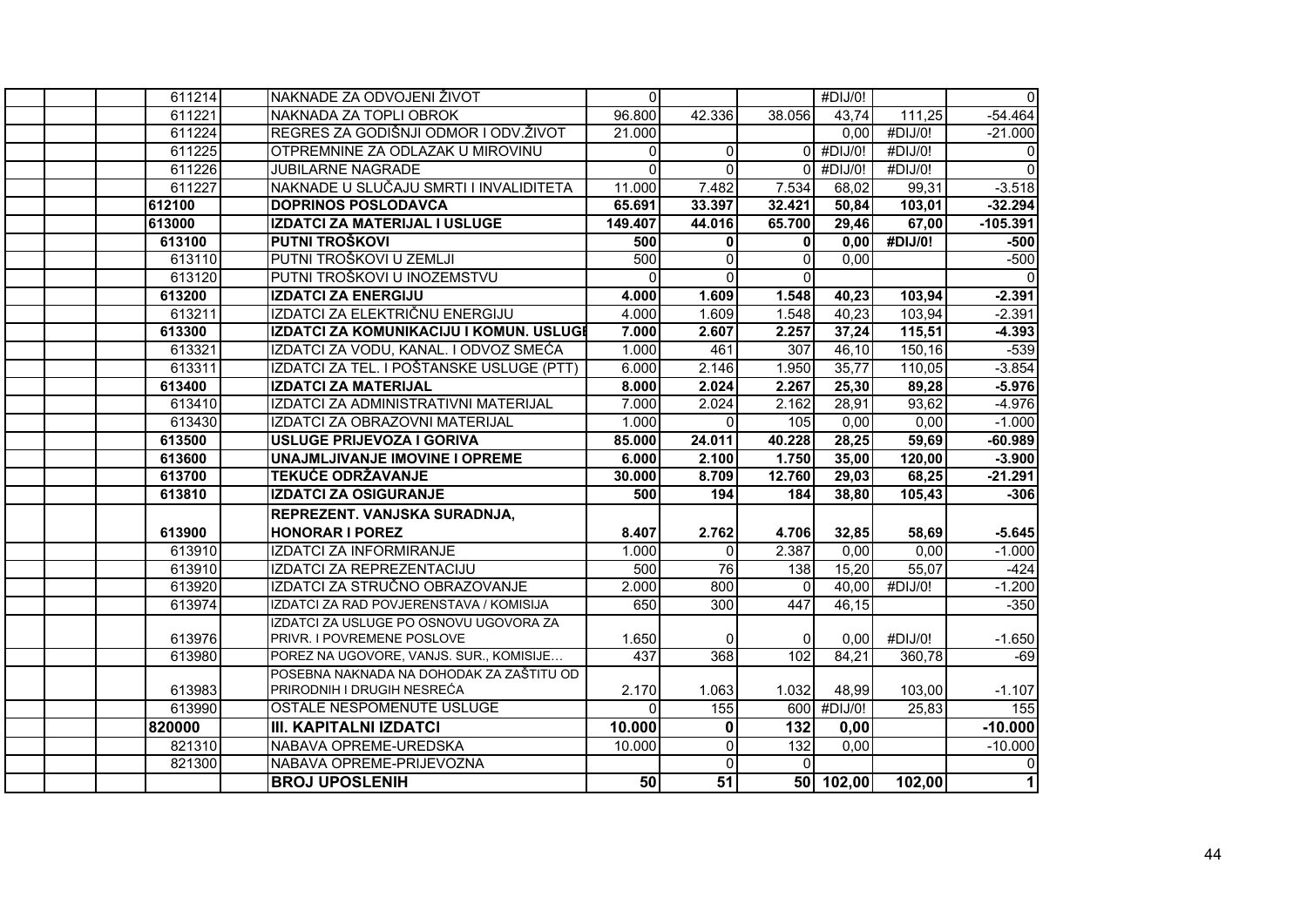| 611214 | NAKNADE ZA ODVOJENI ŽIVOT                | $\overline{0}$ |                |          | #DIJ/0!                |                       | $\overline{0}$ |
|--------|------------------------------------------|----------------|----------------|----------|------------------------|-----------------------|----------------|
| 611221 | NAKNADA ZA TOPLI OBROK                   | 96.800         | 42.336         | 38.056   | 43,74                  | 111,25                | $-54.464$      |
| 611224 | REGRES ZA GODIŠNJI ODMOR I ODV. ŽIVOT    | 21.000         |                |          | 0,00                   | #DIJ/0!               | $-21.000$      |
| 611225 | OTPREMNINE ZA ODLAZAK U MIROVINU         | $\overline{0}$ | $\overline{0}$ |          | $\overline{0}$ #DIJ/0! | #DIJ/0!               | $\pmb{0}$      |
| 611226 | <b>JUBILARNE NAGRADE</b>                 | $\Omega$       | $\Omega$       | $\Omega$ | #DIJ/0!                | #DIJ/0!               | $\overline{0}$ |
| 611227 | NAKNADE U SLUČAJU SMRTI I INVALIDITETA   | 11.000         | 7.482          | 7.534    | 68,02                  | 99,31                 | $-3.518$       |
| 612100 | <b>DOPRINOS POSLODAVCA</b>               | 65.691         | 33.397         | 32.421   | 50,84                  | 103,01                | $-32.294$      |
| 613000 | <b>IZDATCI ZA MATERIJAL I USLUGE</b>     | 149.407        | 44.016         | 65.700   | 29,46                  | 67,00                 | $-105.391$     |
| 613100 | PUTNI TROŠKOVI                           | 500            | $\mathbf{0}$   | ΩI       | 0,00                   | $\overline{H}$ DIJ/0! | $-500$         |
| 613110 | PUTNI TROŠKOVI U ZEMLJI                  | 500            | $\mathbf 0$    | ΩI       | 0,00                   |                       | $-500$         |
| 613120 | PUTNI TROŠKOVI U INOZEMSTVU              | $\Omega$       | $\Omega$       | $\Omega$ |                        |                       | $\mathbf{0}$   |
| 613200 | <b>IZDATCI ZA ENERGIJU</b>               | 4.000          | 1.609          | 1.548    | 40,23                  | 103,94                | $-2.391$       |
| 613211 | IZDATCI ZA ELEKTRIČNU ENERGIJU           | 4.000          | 1.609          | 1.548    | 40,23                  | 103,94                | $-2.391$       |
| 613300 | IZDATCI ZA KOMUNIKACIJU I KOMUN. USLUGI  | 7.000          | 2.607          | 2.257    | 37,24                  | 115,51                | $-4.393$       |
| 613321 | IZDATCI ZA VODU, KANAL. I ODVOZ SMEĆA    | 1.000          | 461            | 307      | 46,10                  | $\overline{150, 16}$  | $-539$         |
| 613311 | IZDATCI ZA TEL. I POŠTANSKE USLUGE (PTT) | 6.000          | 2.146          | 1.950    | 35,77                  | 110,05                | $-3.854$       |
| 613400 | <b>IZDATCI ZA MATERIJAL</b>              | 8.000          | 2.024          | 2.267    | 25,30                  | 89,28                 | $-5.976$       |
| 613410 | IZDATCI ZA ADMINISTRATIVNI MATERIJAL     | 7.000          | 2.024          | 2.162    | 28,91                  | 93,62                 | $-4.976$       |
| 613430 | IZDATCI ZA OBRAZOVNI MATERIJAL           | 1.000          | $\Omega$       | 105      | 0,00                   | 0,00                  | $-1.000$       |
| 613500 | USLUGE PRIJEVOZA I GORIVA                | 85.000         | 24.011         | 40.228   | 28,25                  | 59,69                 | $-60.989$      |
| 613600 | UNAJMLJIVANJE IMOVINE I OPREME           | 6.000          | 2.100          | 1.750    | 35,00                  | 120,00                | $-3.900$       |
| 613700 | <b>TEKUĆE ODRŽAVANJE</b>                 | 30.000         | 8.709          | 12.760   | 29,03                  | 68,25                 | $-21.291$      |
| 613810 | <b>IZDATCI ZA OSIGURANJE</b>             | 500            | 194            | 184      | 38,80                  | 105,43                | $-306$         |
|        | REPREZENT. VANJSKA SURADNJA,             |                |                |          |                        |                       |                |
| 613900 | <b>HONORAR I POREZ</b>                   | 8.407          | 2.762          | 4.706    | 32,85                  | 58,69                 | $-5.645$       |
| 613910 | IZDATCI ZA INFORMIRANJE                  | 1.000          | $\mathbf{0}$   | 2.387    | 0,00                   | 0,00                  | $-1.000$       |
| 613910 | IZDATCI ZA REPREZENTACIJU                | 500            | 76             | 138      | 15,20                  | 55,07                 | $-424$         |
| 613920 | IZDATCI ZA STRUČNO OBRAZOVANJE           | 2.000          | 800            | $\Omega$ | 40,00                  | $\overline{H}$ DIJ/0! | $-1.200$       |
| 613974 | IZDATCI ZA RAD POVJERENSTAVA / KOMISIJA  | 650            | 300            | 447      | 46,15                  |                       | $-350$         |
|        | IZDATCI ZA USLUGE PO OSNOVU UGOVORA ZA   |                |                |          |                        |                       |                |
| 613976 | PRIVR. I POVREMENE POSLOVE               | 1.650          | $\Omega$       | $\Omega$ | 0.00                   | #DIJ/0!               | $-1.650$       |
| 613980 | POREZ NA UGOVORE, VANJS. SUR., KOMISIJE  | 437            | 368            | 102      | 84,21                  | 360,78                | $-69$          |
|        | POSEBNA NAKNADA NA DOHODAK ZA ZAŠTITU OD |                |                |          |                        |                       |                |
| 613983 | PRIRODNIH I DRUGIH NESREĆA               | 2.170          | 1.063          | 1.032    | 48,99                  | 103,00                | $-1.107$       |
| 613990 | OSTALE NESPOMENUTE USLUGE                | $\Omega$       | 155            |          | 600 #DIJ/0!            | 25,83                 | 155            |
| 820000 | <b>III. KAPITALNI IZDATCI</b>            | 10.000         | $\mathbf 0$    | 132      | 0,00                   |                       | $-10.000$      |
| 821310 | NABAVA OPREME-UREDSKA                    | 10.000         | $\overline{0}$ | 132      | 0,00                   |                       | $-10.000$      |
| 821300 | NABAVA OPREME-PRIJEVOZNA                 |                | $\Omega$       | $\Omega$ |                        |                       | 0              |
|        | <b>BROJ UPOSLENIH</b>                    | 50             | 51             |          | 50 102,00              | 102,00                | $\mathbf{1}$   |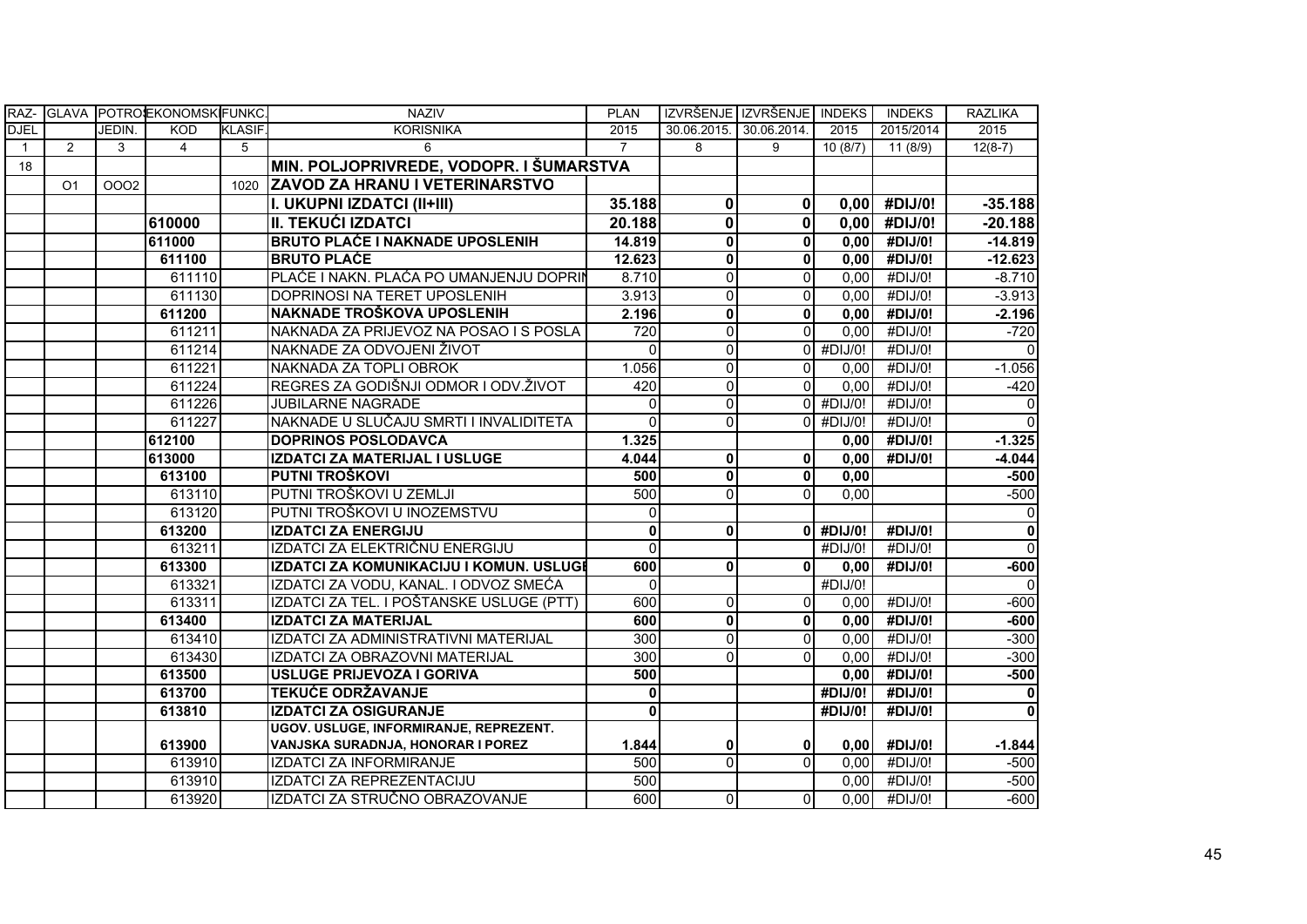| RAZ-         |                |        | GLAVA POTROEKONOMSKIFUNKC. |                | <b>NAZIV</b>                             | <b>PLAN</b>    |                         | IZVRŠENJE IZVRŠENJE INDEKS |             | <b>INDEKS</b> | <b>RAZLIKA</b>          |
|--------------|----------------|--------|----------------------------|----------------|------------------------------------------|----------------|-------------------------|----------------------------|-------------|---------------|-------------------------|
| <b>DJEL</b>  |                | JEDIN. | <b>KOD</b>                 | <b>KLASIF.</b> | <b>KORISNIKA</b>                         | 2015           | 30.06.2015.             | 30.06.2014.                | 2015        | 2015/2014     | 2015                    |
| $\mathbf{1}$ | 2              | 3      | 4                          | 5              | 6                                        | $\overline{7}$ | 8                       | 9                          | 10(8/7)     | 11 (8/9)      | $12(8-7)$               |
| 18           |                |        |                            |                | MIN. POLJOPRIVREDE, VODOPR. I ŠUMARSTVA  |                |                         |                            |             |               |                         |
|              | O <sub>1</sub> | 0002   |                            | 1020           | <b>ZAVOD ZA HRANU I VETERINARSTVO</b>    |                |                         |                            |             |               |                         |
|              |                |        |                            |                | I. UKUPNI IZDATCI (II+III)               | 35.188         | $\mathbf 0$             | $\mathbf{0}$               | 0,00        | #DIJ/0!       | $-35.188$               |
|              |                |        | 610000                     |                | II. TEKUĆI IZDATCI                       | 20.188         | $\mathbf 0$             | $\mathbf{0}$               | 0,00        | #DIJ/0!       | $-20.188$               |
|              |                |        | 611000                     |                | <b>BRUTO PLAĆE I NAKNADE UPOSLENIH</b>   | 14.819         | $\overline{\mathbf{0}}$ | $\mathbf{0}$               | 0,00        | #DIJ/0!       | $-14.819$               |
|              |                |        | 611100                     |                | <b>BRUTO PLAĆE</b>                       | 12.623         | $\mathbf{0}$            | $\mathbf{0}$               | 0,00        | #DIJ/0!       | $-12.623$               |
|              |                |        | 611110                     |                | PLAĆE I NAKN. PLAĆA PO UMANJENJU DOPRIN  | 8.710          | $\mathbf{0}$            | $\Omega$                   | 0,00        | #DIJ/0!       | $-8.710$                |
|              |                |        | 611130                     |                | DOPRINOSI NA TERET UPOSLENIH             | 3.913          | $\Omega$                | $\Omega$                   | 0,00        | #DIJ/0!       | $-3.913$                |
|              |                |        | 611200                     |                | NAKNADE TROŠKOVA UPOSLENIH               | 2.196          | $\pmb{0}$               | $\mathbf{0}$               | 0,00        | #DIJ/0!       | $-2.196$                |
|              |                |        | 611211                     |                | NAKNADA ZA PRIJEVOZ NA POSAO I S POSLA   | 720            | $\Omega$                | $\Omega$                   | 0,00        | #DIJ/0!       | $-720$                  |
|              |                |        | 611214                     |                | NAKNADE ZA ODVOJENI ŽIVOT                | $\mathbf 0$    | $\mathbf 0$             |                            | $0$ #DIJ/0! | #DIJ/0!       | $\Omega$                |
|              |                |        | 611221                     |                | NAKNADA ZA TOPLI OBROK                   | 1.056          | $\Omega$                | $\Omega$                   | 0,00        | #DIJ/0!       | $-1.056$                |
|              |                |        | 611224                     |                | REGRES ZA GODIŠNJI ODMOR I ODV. ŽIVOT    | 420            | $\mathbf 0$             | $\Omega$                   | 0,00        | #DIJ/0!       | $-420$                  |
|              |                |        | 611226                     |                | <b>JUBILARNE NAGRADE</b>                 | $\Omega$       | $\Omega$                |                            | $0$ #DIJ/0! | #DIJ/0!       | $\Omega$                |
|              |                |        | 611227                     |                | NAKNADE U SLUČAJU SMRTI I INVALIDITETA   | $\Omega$       | $\Omega$                |                            | $0$ #DIJ/0! | #DIJ/0!       | $\Omega$                |
|              |                |        | 612100                     |                | <b>DOPRINOS POSLODAVCA</b>               | 1.325          |                         |                            | 0,00        | #DIJ/0!       | $-1.325$                |
|              |                |        | 613000                     |                | <b>IZDATCI ZA MATERIJAL I USLUGE</b>     | 4.044          | $\pmb{0}$               | $\mathbf{0}$               | 0,00        | #DIJ/0!       | $-4.044$                |
|              |                |        | 613100                     |                | PUTNI TROŠKOVI                           | 500            | $\mathbf{0}$            | $\mathbf{0}$               | 0,00        |               | $-500$                  |
|              |                |        | 613110                     |                | PUTNI TROŠKOVI U ZEMLJI                  | 500            | $\Omega$                | $\Omega$                   | 0,00        |               | $-500$                  |
|              |                |        | 613120                     |                | PUTNI TROŠKOVI U INOZEMSTVU              | $\Omega$       |                         |                            |             |               | 0                       |
|              |                |        | 613200                     |                | <b>IZDATCI ZA ENERGIJU</b>               | $\mathbf 0$    | $\mathbf 0$             |                            | $0$ #DIJ/0! | #DIJ/0!       | $\overline{\mathbf{0}}$ |
|              |                |        | 613211                     |                | IZDATCI ZA ELEKTRIČNU ENERGIJU           | $\Omega$       |                         |                            | #DIJ/0!     | #DIJ/0!       | $\overline{0}$          |
|              |                |        | 613300                     |                | IZDATCI ZA KOMUNIKACIJU I KOMUN. USLUGI  | 600            | $\mathbf 0$             | $\mathbf{0}$               | 0,00        | #DIJ/0!       | $-600$                  |
|              |                |        | 613321                     |                | IZDATCI ZA VODU, KANAL. I ODVOZ SMEĆA    | $\mathbf 0$    |                         |                            | #DIJ/0!     |               | $\Omega$                |
|              |                |        | 613311                     |                | IZDATCI ZA TEL. I POŠTANSKE USLUGE (PTT) | 600            | $\mathbf 0$             | $\Omega$                   | 0,00        | #DIJ/0!       | $-600$                  |
|              |                |        | 613400                     |                | <b>IZDATCI ZA MATERIJAL</b>              | 600            | $\mathbf{0}$            | $\mathbf{0}$               | 0,00        | #DIJ/0!       | $-600$                  |
|              |                |        | 613410                     |                | IZDATCI ZA ADMINISTRATIVNI MATERIJAL     | 300            | $\Omega$                | $\Omega$                   | 0,00        | #DIJ/0!       | $-300$                  |
|              |                |        | 613430                     |                | IZDATCI ZA OBRAZOVNI MATERIJAL           | 300            | $\Omega$                | $\Omega$                   | 0,00        | #DIJ/0!       | $-300$                  |
|              |                |        | 613500                     |                | <b>USLUGE PRIJEVOZA I GORIVA</b>         | 500            |                         |                            | 0,00        | #DIJ/0!       | $-500$                  |
|              |                |        | 613700                     |                | <b>TEKUĆE ODRŽAVANJE</b>                 | $\mathbf 0$    |                         |                            | #DIJ/0!     | #DIJ/0!       | $\mathbf 0$             |
|              |                |        | 613810                     |                | <b>IZDATCI ZA OSIGURANJE</b>             | $\mathbf 0$    |                         |                            | #DIJ/0!     | #DIJ/0!       | $\mathbf{0}$            |
|              |                |        |                            |                | UGOV. USLUGE, INFORMIRANJE, REPREZENT.   |                |                         |                            |             |               |                         |
|              |                |        | 613900                     |                | VANJSKA SURADNJA, HONORAR I POREZ        | 1.844          | 0                       | $\mathbf{0}$               | 0,00        | #DIJ/0!       | $-1.844$                |
|              |                |        | 613910                     |                | <b>IZDATCI ZA INFORMIRANJE</b>           | 500            | $\Omega$                | $\Omega$                   | 0,00        | #DIJ/0!       | $-500$                  |
|              |                |        | 613910                     |                | IZDATCI ZA REPREZENTACIJU                | 500            |                         |                            | 0,00        | #DIJ/0!       | $-500$                  |
|              |                |        | 613920                     |                | IZDATCI ZA STRUČNO OBRAZOVANJE           | 600            | $\mathbf 0$             | $\Omega$                   | 0,00        | #DIJ/0!       | $-600$                  |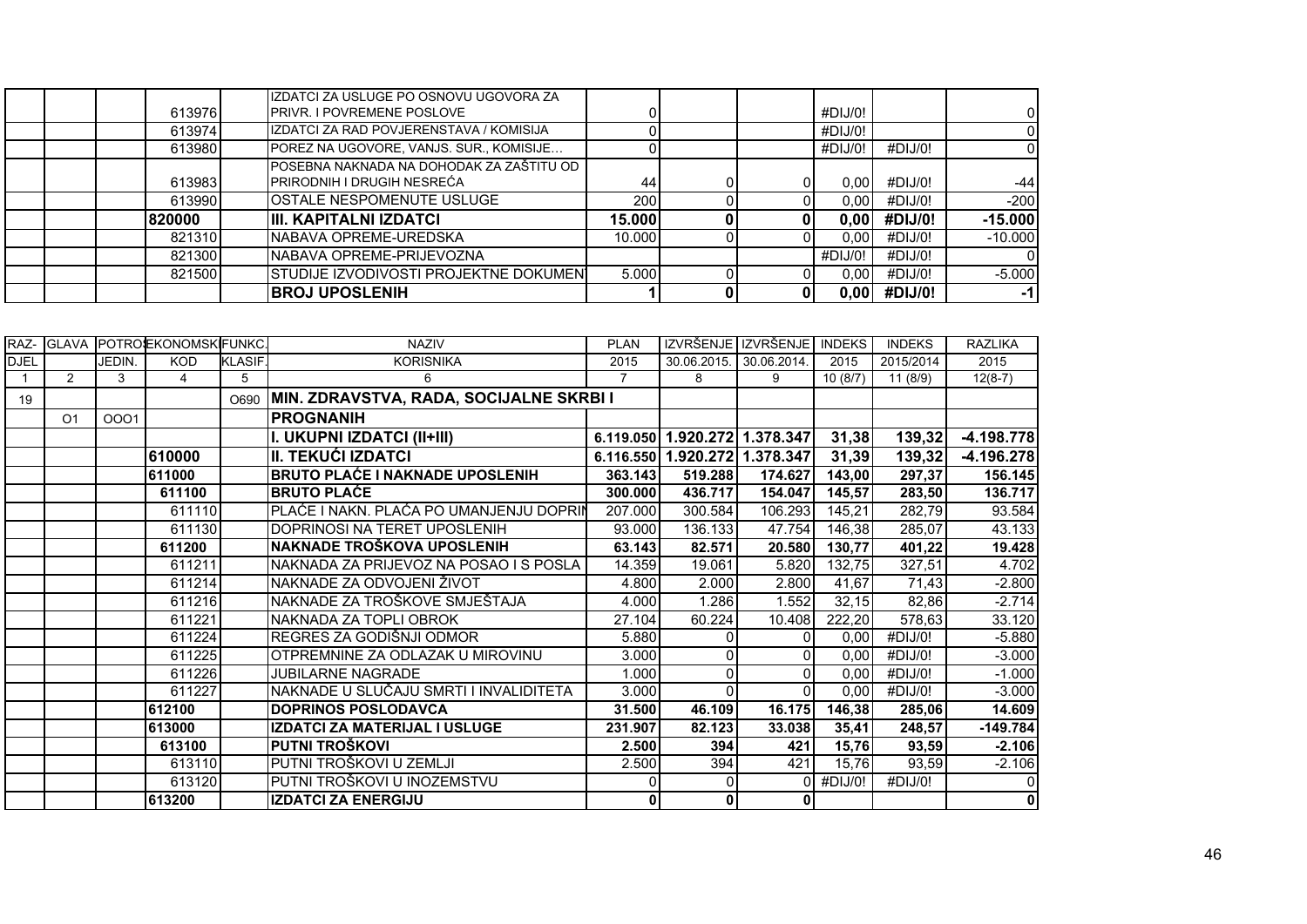|         | <b>BROJ UPOSLENIH</b>                                                         |        |  | 0.001             | #DIJ/0! | -11       |
|---------|-------------------------------------------------------------------------------|--------|--|-------------------|---------|-----------|
| 821500  | STUDIJE IZVODIVOSTI PROJEKTNE DOKUMENI                                        | 5.000  |  | 0.00              | #DIJ/0! | $-5.000$  |
| 821300  | <b>INABAVA OPREME-PRIJEVOZNA</b>                                              |        |  | #DIJ/0!           | #DIJ/0! |           |
| 821310  | <b>INABAVA OPREME-UREDSKA</b>                                                 | 10.000 |  | 0.00              | #DIJ/0! | $-10.000$ |
| 820000  | III. KAPITALNI IZDATCI                                                        | 15.000 |  | 0,00              | #DIJ/0! | $-15.000$ |
| 613990  | <b>IOSTALE NESPOMENUTE USLUGE</b>                                             | 200    |  | 0.00 <sub>l</sub> | #DIJ/0! | $-200$    |
| 613983  | POSEBNA NAKNADA NA DOHODAK ZA ZAŠTITU OD<br><b>PRIRODNIH I DRUGIH NESREĆA</b> | 44     |  | 0.00 <sub>l</sub> | #DIJ/0! | -441      |
| 613980  | POREZ NA UGOVORE, VANJS. SUR., KOMISIJE                                       |        |  | #DIJ/0!           | #DIJ/0! |           |
| 613974  | IZDATCI ZA RAD POVJERENSTAVA / KOMISIJA                                       |        |  | #DIJ/0!           |         |           |
| 6139761 | IZDATCI ZA USLUGE PO OSNOVU UGOVORA ZA<br><b>PRIVR. I POVREMENE POSLOVE</b>   |        |  | #DIJ/0!           |         |           |

| RAZ-        | <b>GLAVA</b>   |        | POTROLEKONOMSKIFUNKC. |               | <b>NAZIV</b>                            | <b>PLAN</b> | IZVRŠENJE IZVRŠENJE           |             | <b>INDEKS</b> | <b>INDEKS</b> | <b>RAZLIKA</b> |
|-------------|----------------|--------|-----------------------|---------------|-----------------------------------------|-------------|-------------------------------|-------------|---------------|---------------|----------------|
| <b>DJEL</b> |                | JEDIN. | <b>KOD</b>            | <b>KLASIF</b> | <b>KORISNIKA</b>                        | 2015        | 30.06.2015.                   | 30.06.2014. | 2015          | 2015/2014     | 2015           |
|             | $\overline{2}$ | 3      | 4                     | 5             | 6                                       |             | 8                             | 9           | 10(8/7)       | 11(8/9)       | $12(8-7)$      |
| 19          |                |        |                       | O690          | MIN. ZDRAVSTVA, RADA, SOCIJALNE SKRBI I |             |                               |             |               |               |                |
|             | O <sub>1</sub> | 0001   |                       |               | <b>PROGNANIH</b>                        |             |                               |             |               |               |                |
|             |                |        |                       |               | I. UKUPNI IZDATCI (II+III)              |             | 6.119.050 1.920.272 1.378.347 |             | 31,38         | 139,32        | $-4.198.778$   |
|             |                |        | 610000                |               | II. TEKUĆI IZDATCI                      |             | 6.116.550 1.920.272 1.378.347 |             | 31,39         | 139,32        | $-4.196.278$   |
|             |                |        | 611000                |               | <b>BRUTO PLAĆE I NAKNADE UPOSLENIH</b>  | 363.143     | 519.288                       | 174.627     | 143,00        | 297,37        | 156.145        |
|             |                |        | 611100                |               | <b>BRUTO PLAĆE</b>                      | 300.000     | 436.717                       | 154.047     | 145,57        | 283,50        | 136.717        |
|             |                |        | 611110                |               | PLAĆE I NAKN. PLAĆA PO UMANJENJU DOPRIN | 207.000     | 300.584                       | 106.293     | 145,21        | 282,79        | 93.584         |
|             |                |        | 611130                |               | DOPRINOSI NA TERET UPOSLENIH            | 93.000      | 136.133                       | 47.754      | 146,38        | 285,07        | 43.133         |
|             |                |        | 611200                |               | NAKNADE TROŠKOVA UPOSLENIH              | 63.143      | 82.571                        | 20.580      | 130,77        | 401,22        | 19.428         |
|             |                |        | 611211                |               | NAKNADA ZA PRIJEVOZ NA POSAO I S POSLA  | 14.359      | 19.061                        | 5.820       | 132,75        | 327,51        | 4.702          |
|             |                |        | 611214                |               | NAKNADE ZA ODVOJENI ŽIVOT               | 4.800       | 2.000                         | 2.800       | 41,67         | 71,43         | $-2.800$       |
|             |                |        | 611216                |               | NAKNADE ZA TROŠKOVE SMJEŠTAJA           | 4.000       | 1.286                         | 1.552       | 32,15         | 82,86         | $-2.714$       |
|             |                |        | 611221                |               | NAKNADA ZA TOPLI OBROK                  | 27.104      | 60.224                        | 10.408      | 222,20        | 578,63        | 33.120         |
|             |                |        | 611224                |               | REGRES ZA GODIŠNJI ODMOR                | 5.880       | 0                             | $\Omega$    | 0,00          | #DIJ/0!       | $-5.880$       |
|             |                |        | 611225                |               | OTPREMNINE ZA ODLAZAK U MIROVINU        | 3.000       | 0                             | ΩI          | 0,00          | #DIJ/0!       | $-3.000$       |
|             |                |        | 611226                |               | <b>JUBILARNE NAGRADE</b>                | 1.000       | 0                             | ΩI          | 0,00          | #DIJ/0!       | $-1.000$       |
|             |                |        | 611227                |               | NAKNADE U SLUČAJU SMRTI I INVALIDITETA  | 3.000       | $\Omega$                      | ΩI          | 0,00          | #DIJ/0!       | $-3.000$       |
|             |                |        | 612100                |               | <b>DOPRINOS POSLODAVCA</b>              | 31.500      | 46.109                        | 16.175      | 146,38        | 285,06        | 14.609         |
|             |                |        | 613000                |               | IZDATCI ZA MATERIJAL I USLUGE           | 231.907     | 82.123                        | 33.038      | 35,41         | 248,57        | $-149.784$     |
|             |                |        | 613100                |               | PUTNI TROŠKOVI                          | 2.500       | 394                           | 421         | 15,76         | 93,59         | $-2.106$       |
|             |                |        | 613110                |               | PUTNI TROŠKOVI U ZEMLJI                 | 2.500       | 394                           | 421         | 15.76         | 93,59         | $-2.106$       |
|             |                |        | 613120                |               | PUTNI TROŠKOVI U INOZEMSTVU             |             | 0                             |             | #DIJ/0!       | #DIJ/0!       | 0              |
|             |                |        | 613200                |               | <b>IZDATCI ZA ENERGIJU</b>              |             | 0                             |             |               |               |                |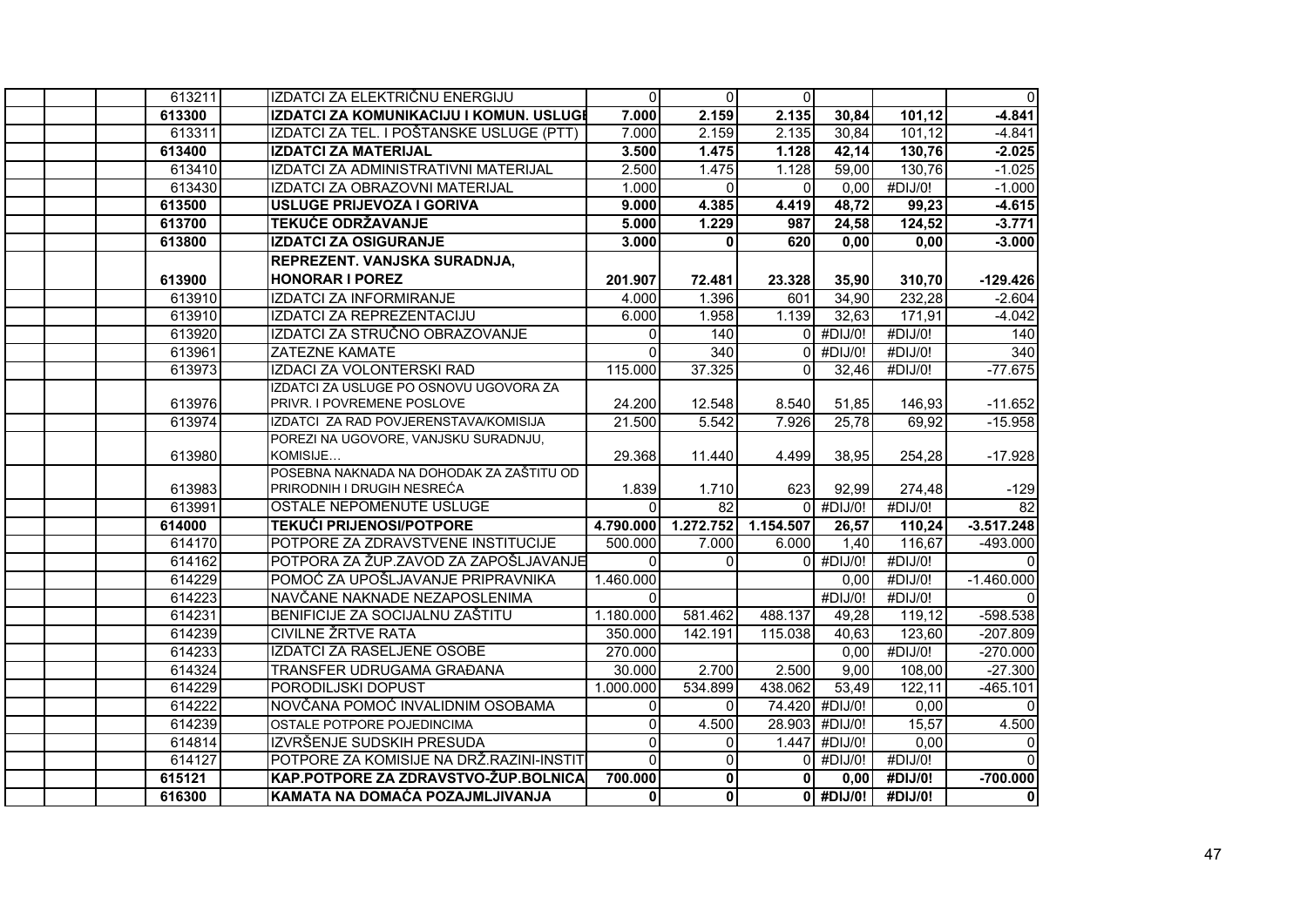| 613211 | IZDATCI ZA ELEKTRIČNU ENERGIJU           | $\Omega$     | $\Omega$        | $\Omega$  |                |                     | $\mathbf 0$  |
|--------|------------------------------------------|--------------|-----------------|-----------|----------------|---------------------|--------------|
| 613300 | IZDATCI ZA KOMUNIKACIJU I KOMUN. USLUGI  | 7.000        | 2.159           | 2.135     | 30,84          | 101,12              | $-4.841$     |
| 613311 | IZDATCI ZA TEL. I POŠTANSKE USLUGE (PTT) | 7.000        | 2.159           | 2.135     | 30,84          | 101,12              | $-4.841$     |
| 613400 | <b>IZDATCI ZA MATERIJAL</b>              | 3.500        | 1.475           | 1.128     | 42,14          | 130,76              | $-2.025$     |
| 613410 | IZDATCI ZA ADMINISTRATIVNI MATERIJAL     | 2.500        | 1.475           | 1.128     | 59,00          | 130,76              | $-1.025$     |
| 613430 | IZDATCI ZA OBRAZOVNI MATERIJAL           | 1.000        | $\Omega$        | $\Omega$  | 0,00           | #DIJ/0!             | $-1.000$     |
| 613500 | <b>USLUGE PRIJEVOZA I GORIVA</b>         | 9.000        | 4.385           | 4.419     | 48,72          | 99,23               | $-4.615$     |
| 613700 | <b>TEKUĆE ODRŽAVANJE</b>                 | 5.000        | 1.229           | 987       | 24,58          | 124,52              | $-3.771$     |
| 613800 | <b>IZDATCI ZA OSIGURANJE</b>             | 3.000        | 0               | 620       | 0,00           | 0,00                | $-3.000$     |
|        | REPREZENT, VANJSKA SURADNJA,             |              |                 |           |                |                     |              |
| 613900 | <b>HONORAR I POREZ</b>                   | 201.907      | 72.481          | 23.328    | 35,90          | 310,70              | $-129.426$   |
| 613910 | <b>IZDATCI ZA INFORMIRANJE</b>           | 4.000        | 1.396           | 601       | 34,90          | $\overline{232,28}$ | $-2.604$     |
| 613910 | IZDATCI ZA REPREZENTACIJU                | 6.000        | 1.958           | 1.139     | 32,63          | 171,91              | $-4.042$     |
| 613920 | IZDATCI ZA STRUČNO OBRAZOVANJE           | $\Omega$     | 140             |           | $0$ #DIJ/0!    | #DIJ/0!             | 140          |
| 613961 | <b>ZATEZNE KAMATE</b>                    | $\Omega$     | 340             | $\Omega$  | #DIJ/0!        | #DIJ/0!             | 340          |
| 613973 | <b>IZDACI ZA VOLONTERSKI RAD</b>         | 115.000      | 37.325          | $\Omega$  | 32,46          | #DIJ/0!             | $-77.675$    |
|        | IZDATCI ZA USLUGE PO OSNOVU UGOVORA ZA   |              |                 |           |                |                     |              |
| 613976 | PRIVR. I POVREMENE POSLOVE               | 24.200       | 12.548          | 8.540     | 51,85          | 146,93              | $-11.652$    |
| 613974 | IZDATCI ZA RAD POVJERENSTAVA/KOMISIJA    | 21.500       | 5.542           | 7.926     | 25,78          | 69,92               | $-15.958$    |
|        | POREZI NA UGOVORE, VANJSKU SURADNJU,     |              |                 |           |                |                     |              |
| 613980 | KOMISIJE                                 | 29.368       | 11.440          | 4.499     | 38,95          | 254,28              | $-17.928$    |
|        | POSEBNA NAKNADA NA DOHODAK ZA ZAŠTITU OD |              |                 |           |                |                     |              |
| 613983 | PRIRODNIH I DRUGIH NESREĆA               | 1.839        | 1.710           | 623       | 92,99          | 274,48              | $-129$       |
| 613991 | OSTALE NEPOMENUTE USLUGE                 | $\Omega$     | $\overline{82}$ |           | $0$ #DIJ/0!    | #DIJ/0!             | 82           |
| 614000 | <b>TEKUĆI PRIJENOSI/POTPORE</b>          | 4.790.000    | 1.272.752       | 1.154.507 | 26,57          | 110,24              | $-3.517.248$ |
| 614170 | POTPORE ZA ZDRAVSTVENE INSTITUCIJE       | 500.000      | 7.000           | 6.000     | 1,40           | 116,67              | $-493.000$   |
| 614162 | POTPORA ZA ŽUP.ZAVOD ZA ZAPOŠLJAVANJE    | $\mathbf 0$  | $\Omega$        |           | $0$ #DIJ/0!    | #DIJ/0!             |              |
| 614229 | POMOĆ ZA UPOŠLJAVANJE PRIPRAVNIKA        | 1.460.000    |                 |           | 0,00           | #DIJ/0!             | $-1.460.000$ |
| 614223 | NAVČANE NAKNADE NEZAPOSLENIMA            | $\Omega$     |                 |           | #DIJ/0!        | #DIJ/0!             | $\Omega$     |
| 614231 | BENIFICIJE ZA SOCIJALNU ZAŠTITU          | 1.180.000    | 581.462         | 488.137   | 49,28          | 119,12              | -598.538     |
| 614239 | <b>CIVILNE ŽRTVE RATA</b>                | 350.000      | 142.191         | 115.038   | 40,63          | 123,60              | $-207.809$   |
| 614233 | <b>IZDATCI ZA RASELJENE OSOBE</b>        | 270.000      |                 |           | 0,00           | #DIJ/0!             | $-270.000$   |
| 614324 | TRANSFER UDRUGAMA GRAĐANA                | 30.000       | 2.700           | 2.500     | 9,00           | 108,00              | $-27.300$    |
| 614229 | PORODILJSKI DOPUST                       | 1.000.000    | 534.899         | 438.062   | 53,49          | 122,11              | $-465.101$   |
| 614222 | NOVČANA POMOĆ INVALIDNIM OSOBAMA         | $\mathbf{0}$ | $\Omega$        |           | 74.420 #DIJ/0! | 0,00                | $\Omega$     |
| 614239 | OSTALE POTPORE POJEDINCIMA               | $\Omega$     | 4.500           | 28.903    | #DIJ/0!        | 15,57               | 4.500        |
| 614814 | IZVRŠENJE SUDSKIH PRESUDA                | $\mathbf 0$  | $\overline{0}$  |           | 1.447 #DIJ/0!  | 0,00                | $\mathbf 0$  |
| 614127 | POTPORE ZA KOMISIJE NA DRŽ.RAZINI-INSTIT | $\mathbf{0}$ | $\Omega$        |           | $0$ #DIJ/0!    | #DIJ/0!             |              |
| 615121 | KAP.POTPORE ZA ZDRAVSTVO-ŽUP.BOLNICA     | 700.000      | $\mathbf{0}$    | $\Omega$  | 0,00           | #DIJ/0!             | $-700.000$   |
| 616300 | KAMATA NA DOMAĆA POZAJMLJIVANJA          | $\mathbf 0$  | $\mathbf{0}$    |           | $0$ #DIJ/0!    | #DIJ/0!             | $\pmb{0}$    |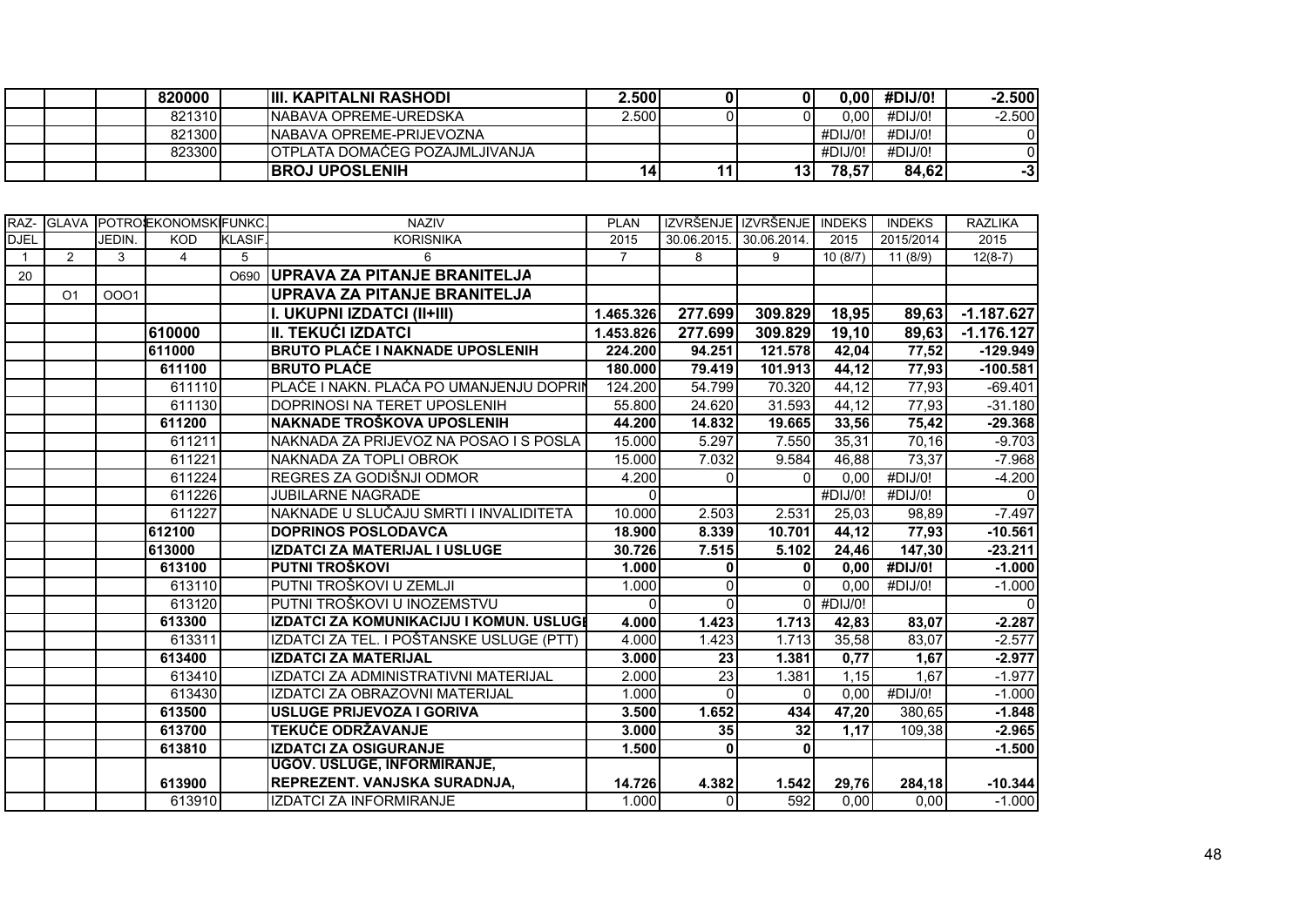|  | 820000 | <b>IIII. KAPITALNI RASHODI</b>         | ∠.500! | 01   | 100.C   | #DIJ/0! | $-2.500$ |
|--|--------|----------------------------------------|--------|------|---------|---------|----------|
|  | 821310 | INABAVA OPREME-UREDSKA                 | 2.500  |      | 0.001   | #DIJ/O! | $-2.500$ |
|  | 821300 | INABAVA OPREME-PRIJEVOZNA              |        |      | #DIJ/0! | #DIJ/O! |          |
|  | 823300 | <b>IOTPLATA DOMACEG POZAJMLJIVANJA</b> |        |      | #DIJ/0! | #DIJ/O! |          |
|  |        | <b>BROJ UPOSLENIH</b>                  | 14     | 13 I | 78,57   | 84,62   | -31      |

| RAZ-         |                |        | GLAVA POTROEKONOMSKIFUNKC |               | <b>NAZIV</b>                             | <b>PLAN</b>    |             | IZVRŠENJE IZVRŠENJE | <b>INDEKS</b> | <b>INDEKS</b> | <b>RAZLIKA</b> |
|--------------|----------------|--------|---------------------------|---------------|------------------------------------------|----------------|-------------|---------------------|---------------|---------------|----------------|
| <b>DJEL</b>  |                | JEDIN. | <b>KOD</b>                | <b>KLASIF</b> | <b>KORISNIKA</b>                         | 2015           | 30.06.2015. | 30.06.2014.         | 2015          | 2015/2014     | 2015           |
| $\mathbf{1}$ | $\overline{2}$ | 3      | $\overline{4}$            | 5             | 6                                        | $\overline{7}$ | 8           | 9                   | 10(8/7)       | 11 (8/9)      | $12(8-7)$      |
| 20           |                |        |                           | O690          | UPRAVA ZA PITANJE BRANITELJA             |                |             |                     |               |               |                |
|              | O <sub>1</sub> | 0001   |                           |               | <b>UPRAVA ZA PITANJE BRANITELJA</b>      |                |             |                     |               |               |                |
|              |                |        |                           |               | I. UKUPNI IZDATCI (II+III)               | 1.465.326      | 277.699     | 309.829             | 18,95         | 89,63         | $-1.187.627$   |
|              |                |        | 610000                    |               | <b>II. TEKUĆI IZDATCI</b>                | 1.453.826      | 277.699     | 309.829             | 19, 10        | 89,63         | $-1.176.127$   |
|              |                |        | 611000                    |               | <b>BRUTO PLAĆE I NAKNADE UPOSLENIH</b>   | 224.200        | 94.251      | 121.578             | 42,04         | 77,52         | $-129.949$     |
|              |                |        | 611100                    |               | <b>BRUTO PLACE</b>                       | 180.000        | 79.419      | 101.913             | 44,12         | 77,93         | $-100.581$     |
|              |                |        | 611110                    |               | PLAĆE I NAKN. PLAĆA PO UMANJENJU DOPRIN  | 124.200        | 54.799      | 70.320              | 44,12         | 77,93         | $-69.401$      |
|              |                |        | 611130                    |               | DOPRINOSI NA TERET UPOSLENIH             | 55.800         | 24.620      | 31.593              | 44,12         | 77,93         | $-31.180$      |
|              |                |        | 611200                    |               | NAKNADE TROŠKOVA UPOSLENIH               | 44.200         | 14.832      | 19.665              | 33,56         | 75,42         | $-29.368$      |
|              |                |        | 611211                    |               | NAKNADA ZA PRIJEVOZ NA POSAO I S POSLA   | 15.000         | 5.297       | 7.550               | 35,31         | 70,16         | $-9.703$       |
|              |                |        | 611221                    |               | NAKNADA ZA TOPLI OBROK                   | 15.000         | 7.032       | 9.584               | 46,88         | 73,37         | $-7.968$       |
|              |                |        | 611224                    |               | REGRES ZA GODIŠNJI ODMOR                 | 4.200          | $\Omega$    | $\Omega$            | 0,00          | #DIJ/0!       | $-4.200$       |
|              |                |        | 611226                    |               | <b>JUBILARNE NAGRADE</b>                 | <sup>0</sup>   |             |                     | #DIJ/0!       | #DIJ/0!       | $\Omega$       |
|              |                |        | 611227                    |               | NAKNADE U SLUČAJU SMRTI I INVALIDITETA   | 10.000         | 2.503       | 2.531               | 25,03         | 98,89         | $-7.497$       |
|              |                |        | 612100                    |               | <b>DOPRINOS POSLODAVCA</b>               | 18.900         | 8.339       | 10.701              | 44,12         | 77,93         | $-10.561$      |
|              |                |        | 613000                    |               | IZDATCI ZA MATERIJAL I USLUGE            | 30.726         | 7.515       | 5.102               | 24,46         | 147,30        | $-23.211$      |
|              |                |        | 613100                    |               | PUTNI TROŠKOVI                           | 1.000          | $\mathbf 0$ | $\mathbf{0}$        | 0,00          | #DIJ/0!       | $-1.000$       |
|              |                |        | 613110                    |               | PUTNI TROŠKOVI U ZEMLJI                  | 1.000          | $\Omega$    | $\Omega$            | 0,00          | #DIJ/0!       | $-1.000$       |
|              |                |        | 613120                    |               | PUTNI TROŠKOVI U INOZEMSTVU              | $\Omega$       | $\Omega$    |                     | $0$ #DIJ/0!   |               | $\Omega$       |
|              |                |        | 613300                    |               | IZDATCI ZA KOMUNIKACIJU I KOMUN. USLUGI  | 4.000          | 1.423       | 1.713               | 42,83         | 83,07         | $-2.287$       |
|              |                |        | 613311                    |               | IZDATCI ZA TEL. I POŠTANSKE USLUGE (PTT) | 4.000          | 1.423       | 1.713               | 35,58         | 83,07         | $-2.577$       |
|              |                |        | 613400                    |               | <b>IZDATCI ZA MATERIJAL</b>              | 3.000          | 23          | 1.381               | 0,77          | 1,67          | $-2.977$       |
|              |                |        | 613410                    |               | IZDATCI ZA ADMINISTRATIVNI MATERIJAL     | 2.000          | 23          | 1.381               | 1,15          | 1,67          | $-1.977$       |
|              |                |        | 613430                    |               | IZDATCI ZA OBRAZOVNI MATERIJAL           | 1.000          | $\Omega$    | $\Omega$            | 0,00          | #DIJ/0!       | $-1.000$       |
|              |                |        | 613500                    |               | <b>USLUGE PRIJEVOZA I GORIVA</b>         | 3.500          | 1.652       | 434                 | 47,20         | 380,65        | $-1.848$       |
|              |                |        | 613700                    |               | <b>TEKUĆE ODRŽAVANJE</b>                 | 3.000          | 35          | 32                  | 1,17          | 109,38        | $-2.965$       |
|              |                |        | 613810                    |               | <b>IZDATCI ZA OSIGURANJE</b>             | 1.500          | 0           | $\mathbf{0}$        |               |               | $-1.500$       |
|              |                |        |                           |               | <b>UGOV. USLUGE, INFORMIRANJE,</b>       |                |             |                     |               |               |                |
|              |                |        | 613900                    |               | REPREZENT. VANJSKA SURADNJA,             | 14.726         | 4.382       | 1.542               | 29,76         | 284,18        | $-10.344$      |
|              |                |        | 613910                    |               | <b>IZDATCI ZA INFORMIRANJE</b>           | 1.000          | $\Omega$    | 592                 | 0,00          | 0,00          | $-1.000$       |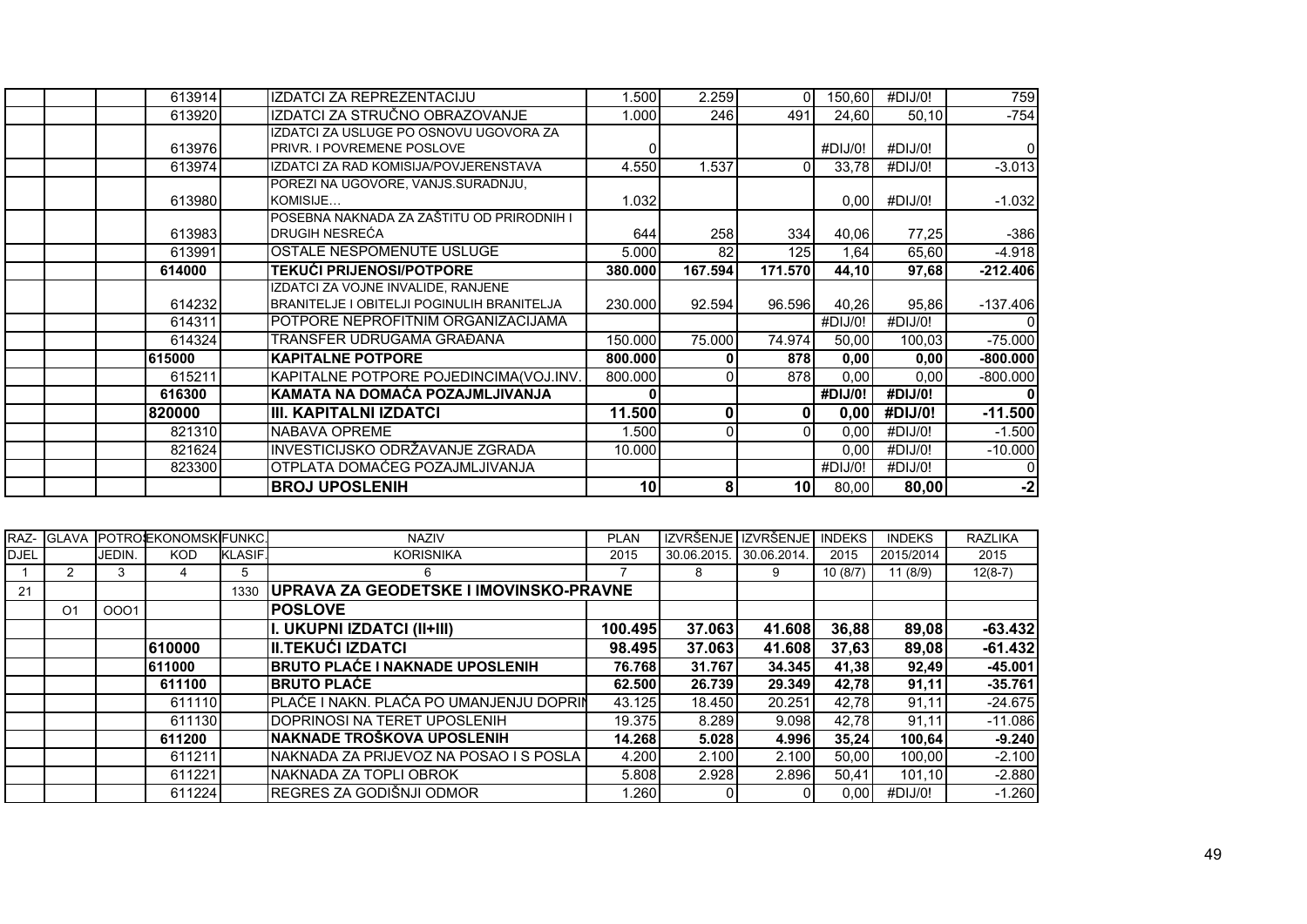| 613914 | IZDATCI ZA REPREZENTACIJU                         | 1.500   | 2.259   | ΩI              | 150,60  | #DIJ/0! | 759            |
|--------|---------------------------------------------------|---------|---------|-----------------|---------|---------|----------------|
| 613920 | IZDATCI ZA STRUČNO OBRAZOVANJE                    | 1.000   | 246     | 491             | 24,60   | 50,10   | $-754$         |
|        | IZDATCI ZA USLUGE PO OSNOVU UGOVORA ZA            |         |         |                 |         |         |                |
| 613976 | <b>IPRIVR. I POVREMENE POSLOVE</b>                |         |         |                 | #DIJ/O! | #DIJ/0! | $\overline{0}$ |
| 613974 | IZDATCI ZA RAD KOMISIJA/POVJERENSTAVA             | 4.550   | 1.537   |                 | 33,78   | #DIJ/0! | $-3.013$       |
|        | POREZI NA UGOVORE, VANJS.SURADNJU,                |         |         |                 |         |         |                |
| 613980 | KOMISIJE                                          | 1.032   |         |                 | 0,00    | #DIJ/0! | $-1.032$       |
|        | POSEBNA NAKNADA ZA ZAŠTITU OD PRIRODNIH I         |         |         |                 |         |         |                |
| 613983 | <b>DRUGIH NESREĆA</b>                             | 644     | 258     | 334             | 40,06   | 77,25   | $-386$         |
| 613991 | OSTALE NESPOMENUTE USLUGE                         | 5.000   | 82      | 125             | 1,64    | 65,60   | $-4.918$       |
| 614000 | <b>TEKUĆI PRIJENOSI/POTPORE</b>                   | 380.000 | 167.594 | 171.570         | 44,10   | 97,68   | $-212.406$     |
|        | IZDATCI ZA VOJNE INVALIDE. RANJENE                |         |         |                 |         |         |                |
| 614232 | <b>BRANITELJE I OBITELJI POGINULIH BRANITELJA</b> | 230,000 | 92.594  | 96.596          | 40,26   | 95,86   | $-137.406$     |
| 614311 | POTPORE NEPROFITNIM ORGANIZACIJAMA                |         |         |                 | #DIJ/0! | #DIJ/0! |                |
| 614324 | TRANSFER UDRUGAMA GRAĐANA                         | 150.000 | 75.000  | 74.974          | 50,00   | 100,03  | $-75.000$      |
| 615000 | <b>IKAPITALNE POTPORE</b>                         | 800.000 |         | 878             | 0,00    | 0,00    | $-800.000$     |
| 615211 | KAPITALNE POTPORE POJEDINCIMA(VOJ.INV.            | 800.000 |         | 878             | 0,00    | 0,00    | $-800.000$     |
| 616300 | KAMATA NA DOMAĆA POZAJMLJIVANJA                   |         |         |                 | #DIJ/0! | #DIJ/0! | 0              |
| 820000 | III. KAPITALNI IZDATCI                            | 11.500  |         | 0               | 0,00    | #DIJ/0! | $-11.500$      |
| 821310 | NABAVA OPREME                                     | 1.500   |         | $\Omega$        | 0,00    | #DIJ/0! | $-1.500$       |
| 821624 | INVESTICIJSKO ODRŽAVANJE ZGRADA                   | 10.000  |         |                 | 0,00    | #DIJ/0! | $-10.000$      |
| 823300 | OTPLATA DOMAĆEG POZAJMLJIVANJA                    |         |         |                 | #DIJ/0! | #DIJ/0! | 0              |
|        | <b>BROJ UPOSLENIH</b>                             | 10      | 8       | 10 <sub>l</sub> | 80,00   | 80,00   | $-2$           |

|             | RAZ- GLAVA     |        | POTROSEKONOMSKIFUNKC. |         | <b>NAZIV</b>                            | <b>PLAN</b> | IZVRŠEN     | IZVRŠENJE   | <b>INDEKS</b> | <b>INDEKS</b> | <b>RAZLIKA</b> |
|-------------|----------------|--------|-----------------------|---------|-----------------------------------------|-------------|-------------|-------------|---------------|---------------|----------------|
| <b>DJEL</b> |                | JEDIN. | <b>KOD</b>            | KLASIF. | <b>KORISNIKA</b>                        | 2015        | 30.06.2015. | 30.06.2014. | 2015          | 2015/2014     | 2015           |
|             |                | 3      |                       | 5       | 6                                       |             | 8           | 9           | 10(8/7)       | 11(8/9)       | $12(8-7)$      |
| 21          |                |        |                       | 1330    | UPRAVA ZA GEODETSKE I IMOVINSKO-PRAVNE  |             |             |             |               |               |                |
|             | O <sub>1</sub> | 0001   |                       |         | <b>POSLOVE</b>                          |             |             |             |               |               |                |
|             |                |        |                       |         | I. UKUPNI IZDATCI (II+III)              | 100.495     | 37.063      | 41.608      | 36,88         | 89,08         | $-63.432$      |
|             |                |        | 610000                |         | III.TEKUĆI IZDATCI                      | 98.495      | 37.063      | 41.608      | 37,63         | 89,08         | $-61.432$      |
|             |                |        | 611000                |         | <b>BRUTO PLAĆE I NAKNADE UPOSLENIH</b>  | 76.768      | 31.767      | 34.345      | 41,38         | 92,49         | $-45.001$      |
|             |                |        | 611100                |         | <b>IBRUTO PLAĆE</b>                     | 62.500      | 26.739      | 29.349      | 42.78         | 91,11         | $-35.761$      |
|             |                |        | 611110                |         | PLAĆE I NAKN. PLAĆA PO UMANJENJU DOPRIN | 43.125      | 18.450      | 20.251      | 42,78         | 91,11         | $-24.675$      |
|             |                |        | 611130                |         | IDOPRINOSI NA TERET UPOSLENIH           | 19.375      | 8.289       | 9.098       | 42,78         | 91,11         | $-11.086$      |
|             |                |        | 611200                |         | NAKNADE TROŠKOVA UPOSLENIH              | 14.268      | 5.028       | 4.996       | 35,24         | 100,64        | $-9.240$       |
|             |                |        | 611211                |         | NAKNADA ZA PRIJEVOZ NA POSAO I S POSLA  | 4.200       | 2.100       | 2.100       | 50.00         | 100.00        | $-2.100$       |
|             |                |        | 611221                |         | NAKNADA ZA TOPLI OBROK                  | 5.808       | 2.928       | 2.896       | 50,41         | 101,10        | $-2.880$       |
|             |                |        | 611224                |         | REGRES ZA GODIŠNJI ODMOR                | .260        |             | 01          | 0.00          | #DIJ/0!       | $-1.260$       |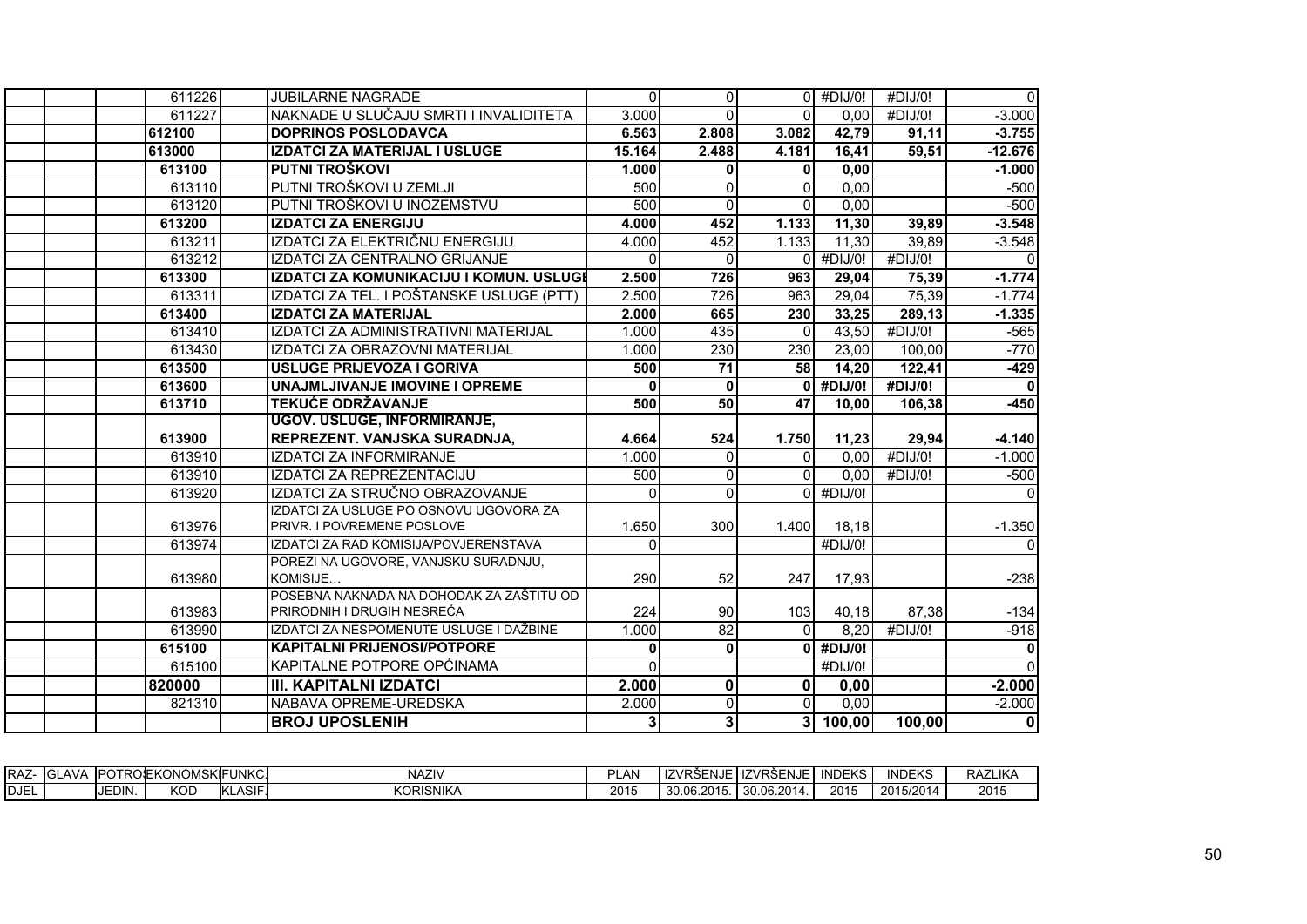| 611226 | <b>JUBILARNE NAGRADE</b>                                               | $\Omega$ | $\overline{0}$  |                 | $0$ #DIJ/0!   | #DIJ/0!          | $\Omega$             |
|--------|------------------------------------------------------------------------|----------|-----------------|-----------------|---------------|------------------|----------------------|
| 611227 | NAKNADE U SLUČAJU SMRTI I INVALIDITETA                                 | 3.000    | $\Omega$        | $\Omega$        | 0,00          | #DIJ/0!          | $-3.000$             |
| 612100 | <b>DOPRINOS POSLODAVCA</b>                                             | 6.563    | 2.808           | 3.082           | 42,79         | 91,11            | $-3.755$             |
| 613000 | IZDATCI ZA MATERIJAL I USLUGE                                          | 15.164   | 2.488           | 4.181           | 16,41         | 59,51            | $-12.676$            |
| 613100 | <b>PUTNI TROŠKOVI</b>                                                  | 1.000    | $\mathbf{0}$    | 0               | 0,00          |                  | $-1.000$             |
| 613110 | PUTNI TROŠKOVI U ZEMLJI                                                | 500      | $\Omega$        | ΩI              | 0,00          |                  | $-500$               |
| 613120 | PUTNI TROŠKOVI U INOZEMSTVU                                            | 500      | $\Omega$        | $\Omega$        | 0,00          |                  | $-500$               |
| 613200 | <b>IZDATCI ZA ENERGIJU</b>                                             | 4.000    | 452             | 1.133           | 11,30         | 39,89            | $-3.548$             |
| 613211 | IZDATCI ZA ELEKTRIČNU ENERGIJU                                         | 4.000    | 452             | 1.133           | 11,30         | 39,89            | $-3.548$             |
| 613212 | IZDATCI ZA CENTRALNO GRIJANJE                                          | $\Omega$ | $\mathbf{0}$    | $\Omega$        | #DIJ/0!       | #DIJ/0!          | $\Omega$             |
| 613300 | IZDATCI ZA KOMUNIKACIJU I KOMUN. USLUGI                                | 2.500    | 726             | 963             | 29,04         | 75,39            | $-1.774$             |
| 613311 | IZDATCI ZA TEL. I POŠTANSKE USLUGE (PTT)                               | 2.500    | 726             | 963             | 29,04         | 75,39            | $-1.774$             |
| 613400 | <b>IZDATCI ZA MATERIJAL</b>                                            | 2.000    | 665             | 230             | 33,25         | 289,13           | $-1.335$             |
| 613410 | IZDATCI ZA ADMINISTRATIVNI MATERIJAL                                   | 1.000    | 435             | $\Omega$        | 43,50         | #DIJ/0!          | $-565$               |
| 613430 | IZDATCI ZA OBRAZOVNI MATERIJAL                                         | 1.000    | 230             | 230             | 23,00         | 100,00           | $-770$               |
| 613500 | USLUGE PRIJEVOZA I GORIVA                                              | 500      | $\overline{71}$ | 58              | 14,20         | 122,41           | $-429$               |
| 613600 | UNAJMLJIVANJE IMOVINE I OPREME                                         | n        | $\mathbf{0}$    | ΩI              | #DIJ/0!       | #DIJ/0!          | $\Omega$             |
| 613710 | <b>TEKUĆE ODRŽAVANJE</b>                                               | 500      | $\overline{50}$ | 47              | 10,00         | 106,38           | $-450$               |
|        | <b>UGOV. USLUGE, INFORMIRANJE,</b>                                     |          |                 |                 |               |                  |                      |
| 613900 | REPREZENT. VANJSKA SURADNJA,                                           | 4.664    | 524             | 1.750           | 11,23         | 29,94            | $-4.140$             |
| 613910 | IZDATCI ZA INFORMIRANJE                                                | 1.000    | $\Omega$        | $\Omega$        | 0,00          | #DIJ/0!          | $-1.000$             |
| 613910 | IZDATCI ZA REPREZENTACIJU                                              | 500      | $\Omega$        | $\Omega$        | 0,00          | #DIJ/0!          | $-500$               |
| 613920 | IZDATCI ZA STRUČNO OBRAZOVANJE                                         | $\Omega$ | $\Omega$        |                 | $0$ #DIJ/0!   |                  |                      |
|        | IZDATCI ZA USLUGE PO OSNOVU UGOVORA ZA                                 |          |                 |                 |               |                  |                      |
| 613976 | PRIVR. I POVREMENE POSLOVE                                             | 1.650    | 300             | 1.400           | 18,18         |                  | $-1.350$             |
| 613974 | IZDATCI ZA RAD KOMISIJA/POVJERENSTAVA                                  | $\Omega$ |                 |                 | #DIJ/0!       |                  |                      |
|        | POREZI NA UGOVORE, VANJSKU SURADNJU,                                   |          |                 |                 |               |                  |                      |
| 613980 | KOMISIJE                                                               | 290      | 52              | 247             | 17,93         |                  | $-238$               |
|        | POSEBNA NAKNADA NA DOHODAK ZA ZAŠTITU OD<br>PRIRODNIH I DRUGIH NESREĆA |          |                 |                 |               |                  |                      |
| 613983 | IZDATCI ZA NESPOMENUTE USLUGE I DAŽBINE                                | 224      | 90<br>82        | 103<br>$\Omega$ | 40,18<br>8,20 | 87,38<br>#DIJ/0! | $-134$               |
| 613990 | <b>KAPITALNI PRIJENOSI/POTPORE</b>                                     | 1.000    |                 |                 |               |                  | $-918$               |
| 615100 | KAPITALNE POTPORE OPĆINAMA                                             | 0        | $\mathbf 0$     | ΩI              | #DIJ/0!       |                  | $\bf{0}$<br>$\Omega$ |
| 615100 |                                                                        | $\Omega$ |                 |                 | #DIJ/0!       |                  |                      |
| 820000 | <b>III. KAPITALNI IZDATCI</b>                                          | 2.000    | $\mathbf 0$     | $\mathbf{0}$    | 0,00          |                  | $-2.000$             |
| 821310 | NABAVA OPREME-UREDSKA                                                  | 2.000    | $\overline{0}$  | $\Omega$        | 0,00          |                  | $-2.000$             |
|        | <b>BROJ UPOSLENIH</b>                                                  | 3        | 3               | 3 <sup>1</sup>  | 100,00        | 100,00           | $\mathbf 0$          |

| <b>IRA2</b> | AV A<br>$\mathsf{L}$ | . IPOTRO <b>J</b> | :Konomsk <b>i</b> fl | UNKC.                        | <b>NAZIV</b>     | <b>LAN</b><br>D. | .ZVRS<br><b>ENJE</b><br>וכא<br>$\mathbf{z}$ | ∎IZVRSEN<br>NJE.<br>ᄂᄭ | <b>INDEKS</b>   | <b>INDEKS</b> | <b>RAZLIKA</b> |
|-------------|----------------------|-------------------|----------------------|------------------------------|------------------|------------------|---------------------------------------------|------------------------|-----------------|---------------|----------------|
| 'IDJEL      |                      | JEDIN.            | KOD                  | <b>ASIF</b><br>11.ZT<br>nLA. | <b>KORISNIKA</b> | 2015             | .2015.<br>30.06.20                          | 30.06.2014.            | 2015<br>$\cdot$ | 2015/2014     | 2015           |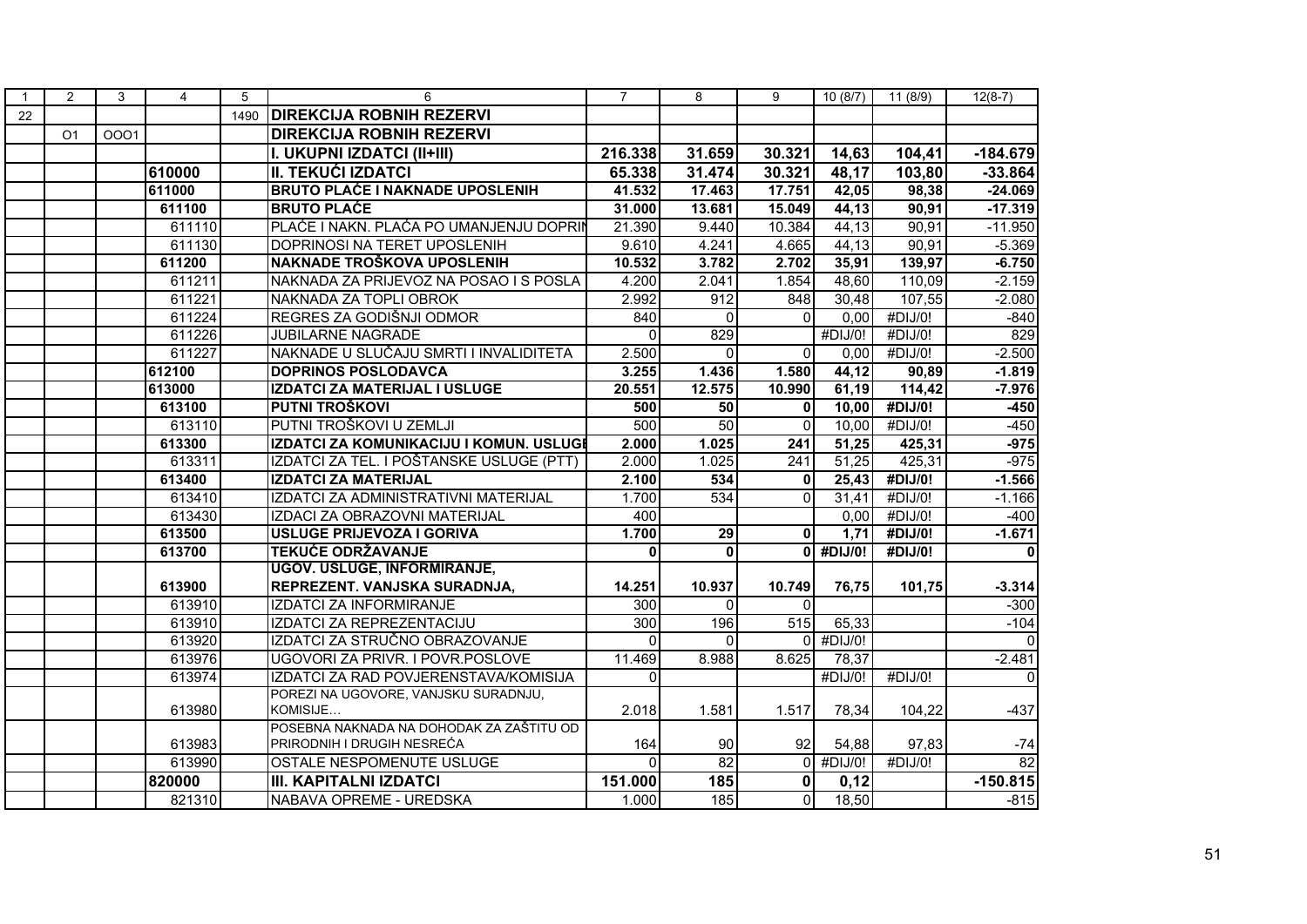| $\mathbf{1}$ | 2              | 3    | $\overline{4}$ | 5    | 6                                        | $\overline{7}$   | 8            | 9            | 10(8/7) | 11 (8/9)              | $12(8-7)$               |
|--------------|----------------|------|----------------|------|------------------------------------------|------------------|--------------|--------------|---------|-----------------------|-------------------------|
| 22           |                |      |                | 1490 | <b>DIREKCIJA ROBNIH REZERVI</b>          |                  |              |              |         |                       |                         |
|              | O <sub>1</sub> | 0001 |                |      | <b>DIREKCIJA ROBNIH REZERVI</b>          |                  |              |              |         |                       |                         |
|              |                |      |                |      | I. UKUPNI IZDATCI (II+III)               | 216.338          | 31.659       | 30.321       | 14,63   | 104,41                | $-184.679$              |
|              |                |      | 610000         |      | <b>II. TEKUĆI IZDATCI</b>                | 65.338           | 31.474       | 30.321       | 48,17   | 103,80                | $-33.864$               |
|              |                |      | 611000         |      | <b>BRUTO PLAĆE I NAKNADE UPOSLENIH</b>   | 41.532           | 17.463       | 17.751       | 42,05   | 98,38                 | $-24.069$               |
|              |                |      | 611100         |      | <b>BRUTO PLAĆE</b>                       | 31.000           | 13.681       | 15.049       | 44,13   | 90,91                 | $-17.319$               |
|              |                |      | 611110         |      | PLAĆE I NAKN. PLAĆA PO UMANJENJU DOPRIN  | 21.390           | 9.440        | 10.384       | 44,13   | 90,91                 | $-11.950$               |
|              |                |      | 611130         |      | DOPRINOSI NA TERET UPOSLENIH             | 9.610            | 4.241        | 4.665        | 44,13   | 90,91                 | $-5.369$                |
|              |                |      | 611200         |      | <b>NAKNADE TROŠKOVA UPOSLENIH</b>        | 10.532           | 3.782        | 2.702        | 35,91   | 139,97                | $-6.750$                |
|              |                |      | 611211         |      | NAKNADA ZA PRIJEVOZ NA POSAO I S POSLA   | 4.200            | 2.041        | 1.854        | 48,60   | 110,09                | $-2.159$                |
|              |                |      | 611221         |      | NAKNADA ZA TOPLI OBROK                   | 2.992            | 912          | 848          | 30,48   | 107,55                | $-2.080$                |
|              |                |      | 611224         |      | REGRES ZA GODIŠNJI ODMOR                 | 840              | $\Omega$     | $\Omega$     | 0,00    | #DIJ/0!               | $-840$                  |
|              |                |      | 611226         |      | <b>JUBILARNE NAGRADE</b>                 | $\Omega$         | 829          |              | #DIJ/0! | #DIJ/0!               | 829                     |
|              |                |      | 611227         |      | NAKNADE U SLUČAJU SMRTI I INVALIDITETA   | 2.500            | $\Omega$     | $\Omega$     | 0,00    | #DIJ/0!               | $-2.500$                |
|              |                |      | 612100         |      | <b>DOPRINOS POSLODAVCA</b>               | 3.255            | 1.436        | 1.580        | 44,12   | 90,89                 | $-1.819$                |
|              |                |      | 613000         |      | <b>IZDATCI ZA MATERIJAL I USLUGE</b>     | 20.551           | 12.575       | 10.990       | 61,19   | 114,42                | $-7.976$                |
|              |                |      | 613100         |      | PUTNI TROŠKOVI                           | 500              | 50           | $\mathbf{0}$ | 10,00   | #DIJ/0!               | $-450$                  |
|              |                |      | 613110         |      | PUTNI TROŠKOVI U ZEMLJI                  | 500              | 50           | $\Omega$     | 10,00   | #DIJ/0!               | $-450$                  |
|              |                |      | 613300         |      | IZDATCI ZA KOMUNIKACIJU I KOMUN. USLUGI  | 2.000            | 1.025        | 241          | 51,25   | 425,31                | $-975$                  |
|              |                |      | 613311         |      | IZDATCI ZA TEL. I POŠTANSKE USLUGE (PTT) | 2.000            | 1.025        | 241          | 51,25   | 425,31                | $-975$                  |
|              |                |      | 613400         |      | <b>IZDATCI ZA MATERIJAL</b>              | 2.100            | 534          | $\mathbf{0}$ | 25,43   | #DIJ/0!               | $-1.566$                |
|              |                |      | 613410         |      | IZDATCI ZA ADMINISTRATIVNI MATERIJAL     | 1.700            | 534          | $\Omega$     | 31,41   | #DIJ/0!               | $-1.166$                |
|              |                |      | 613430         |      | IZDACI ZA OBRAZOVNI MATERIJAL            | 400              |              |              | 0,00    | #DIJ/0!               | $-400$                  |
|              |                |      | 613500         |      | USLUGE PRIJEVOZA I GORIVA                | 1.700            | 29           | $\mathbf{0}$ | 1,71    | #DIJ/0!               | $-1.671$                |
|              |                |      | 613700         |      | <b>TEKUĆE ODRŽAVANJE</b>                 | $\mathbf 0$      | $\mathbf{0}$ | $\mathbf{0}$ | #DIJ/0! | #DIJ/0!               | $\overline{\mathbf{0}}$ |
|              |                |      |                |      | <b>UGOV. USLUGE, INFORMIRANJE,</b>       |                  |              |              |         |                       |                         |
|              |                |      | 613900         |      | REPREZENT. VANJSKA SURADNJA,             | 14.251           | 10.937       | 10.749       | 76,75   | 101,75                | $-3.314$                |
|              |                |      | 613910         |      | <b>IZDATCI ZA INFORMIRANJE</b>           | 300              | $\Omega$     | $\Omega$     |         |                       | $-300$                  |
|              |                |      | 613910         |      | IZDATCI ZA REPREZENTACIJU                | $\overline{300}$ | 196          | 515          | 65,33   |                       | $-104$                  |
|              |                |      | 613920         |      | IZDATCI ZA STRUČNO OBRAZOVANJE           | $\Omega$         | 0            | $\Omega$     | #DIJ/0! |                       | $\Omega$                |
|              |                |      | 613976         |      | UGOVORI ZA PRIVR. I POVR.POSLOVE         | 11.469           | 8.988        | 8.625        | 78,37   |                       | $-2.481$                |
|              |                |      | 613974         |      | IZDATCI ZA RAD POVJERENSTAVA/KOMISIJA    | $\Omega$         |              |              | #DIJ/0! | $\overline{H}$ DIJ/0! | $\Omega$                |
|              |                |      |                |      | POREZI NA UGOVORE, VANJSKU SURADNJU,     |                  |              |              |         |                       |                         |
|              |                |      | 613980         |      | KOMISIJE                                 | 2.018            | 1.581        | 1.517        | 78,34   | 104,22                | $-437$                  |
|              |                |      |                |      | POSEBNA NAKNADA NA DOHODAK ZA ZAŠTITU OD |                  |              |              |         |                       |                         |
|              |                |      | 613983         |      | PRIRODNIH I DRUGIH NESREĆA               | 164              | 90           | 92           | 54,88   | 97,83                 | $-74$                   |
|              |                |      | 613990         |      | OSTALE NESPOMENUTE USLUGE                | $\Omega$         | 82           | $\Omega$     | #DIJ/O! | $\overline{H}$ DIJ/0! | 82                      |
|              |                |      | 820000         |      | <b>III. KAPITALNI IZDATCI</b>            | 151.000          | 185          | 0            | 0,12    |                       | $-150.815$              |
|              |                |      | 821310         |      | NABAVA OPREME - UREDSKA                  | 1.000            | 185          | $\mathbf 0$  | 18,50   |                       | $-815$                  |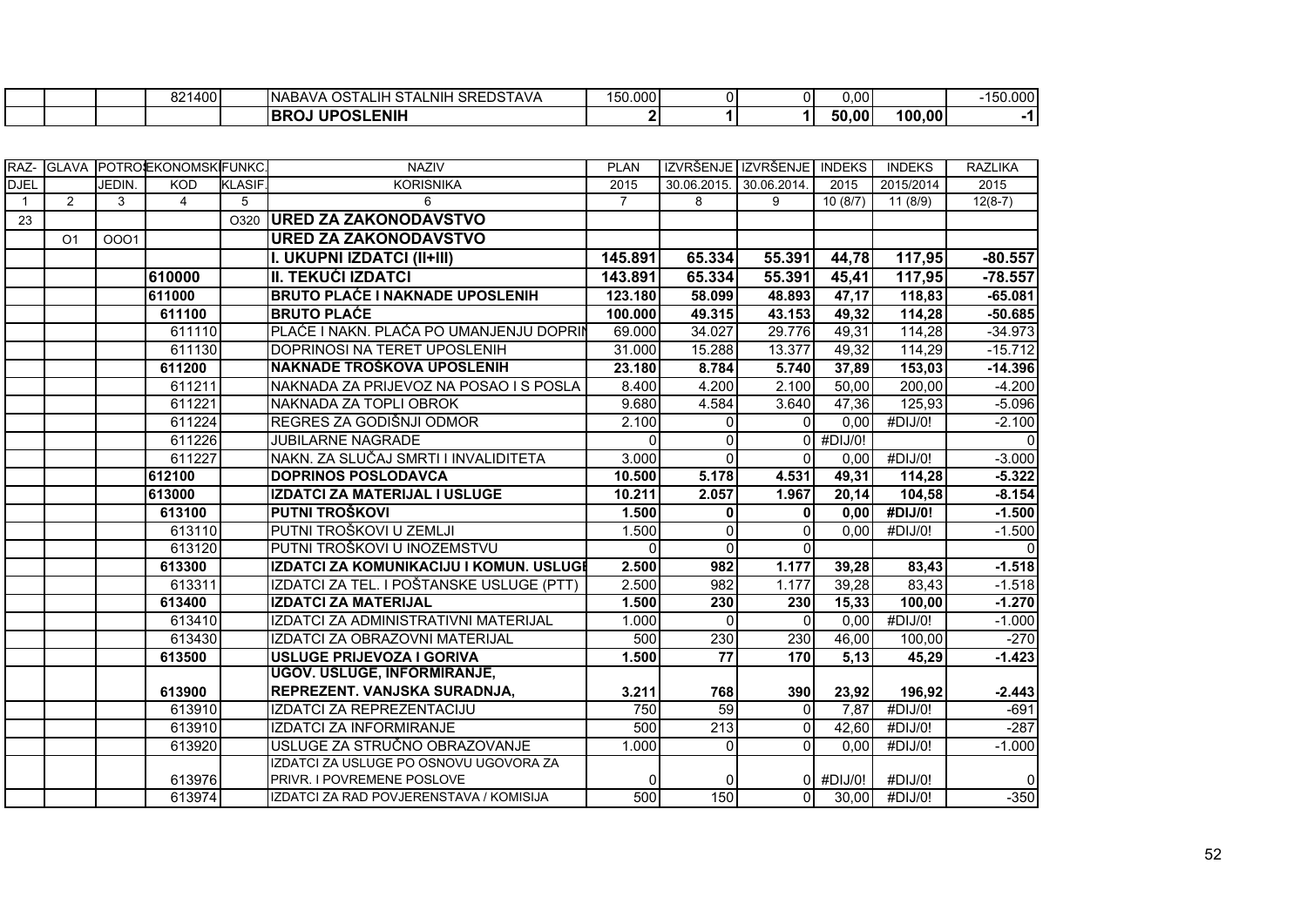|  | 821400 | <b>SREDSTAVA</b><br>. OST<br>$\sim$<br>∟NIH<br>`TALı.<br><b>INABAVA</b><br>.SIA!<br>- 11 - 11 | 150.000 | ЭI | 0.001 |        | $-150.000$ |
|--|--------|-----------------------------------------------------------------------------------------------|---------|----|-------|--------|------------|
|  |        | <b>UPOSLENIH</b><br><b>IBRC</b>                                                               |         |    | 50,00 | 100,00 |            |

|             |                |        | IRAZ- IGLAVA IPOTROJEKONOMSKIFUNKC. |               | <b>NAZIV</b>                                                         | <b>PLAN</b> |                  | IZVRŠENJE IZVRŠENJE INDEKS |         | <b>INDEKS</b>         | <b>RAZLIKA</b> |
|-------------|----------------|--------|-------------------------------------|---------------|----------------------------------------------------------------------|-------------|------------------|----------------------------|---------|-----------------------|----------------|
| <b>DJEL</b> |                | JEDIN. | <b>KOD</b>                          | <b>KLASIF</b> | <b>KORISNIKA</b>                                                     | 2015        |                  | 30.06.2015. 30.06.2014.    | 2015    | 2015/2014             | 2015           |
| 1           | $\overline{2}$ | 3      | $\overline{4}$                      | 5             | 6                                                                    | 7           | 8                | 9                          | 10(8/7) | 11(8/9)               | $12(8-7)$      |
| 23          |                |        |                                     | O320          | <b>URED ZA ZAKONODAVSTVO</b>                                         |             |                  |                            |         |                       |                |
|             | O <sub>1</sub> | 0001   |                                     |               | <b>URED ZA ZAKONODAVSTVO</b>                                         |             |                  |                            |         |                       |                |
|             |                |        |                                     |               | I. UKUPNI IZDATCI (II+III)                                           | 145.891     | 65.334           | 55.391                     | 44,78   | 117,95                | $-80.557$      |
|             |                |        | 610000                              |               | <b>II. TEKUĆI IZDATCI</b>                                            | 143.891     | 65.334           | 55.391                     | 45,41   | 117,95                | $-78.557$      |
|             |                |        | 611000                              |               | <b>BRUTO PLAĆE I NAKNADE UPOSLENIH</b>                               | 123.180     | 58.099           | 48.893                     | 47,17   | 118,83                | $-65.081$      |
|             |                |        | 611100                              |               | <b>BRUTO PLAĆE</b>                                                   | 100.000     | 49.315           | 43.153                     | 49,32   | 114,28                | $-50.685$      |
|             |                |        | 611110                              |               | PLAĆE I NAKN. PLAĆA PO UMANJENJU DOPRIN                              | 69.000      | 34.027           | 29.776                     | 49,31   | 114,28                | $-34.973$      |
|             |                |        | 611130                              |               | DOPRINOSI NA TERET UPOSLENIH                                         | 31.000      | 15.288           | 13.377                     | 49,32   | 114,29                | $-15.712$      |
|             |                |        | 611200                              |               | NAKNADE TROŠKOVA UPOSLENIH                                           | 23.180      | 8.784            | 5.740                      | 37,89   | 153,03                | $-14.396$      |
|             |                |        | 611211                              |               | NAKNADA ZA PRIJEVOZ NA POSAO I S POSLA                               | 8.400       | 4.200            | 2.100                      | 50,00   | 200,00                | $-4.200$       |
|             |                |        | 611221                              |               | NAKNADA ZA TOPLI OBROK                                               | 9.680       | 4.584            | 3.640                      | 47,36   | 125,93                | $-5.096$       |
|             |                |        | 611224                              |               | REGRES ZA GODIŠNJI ODMOR                                             | 2.100       | $\Omega$         | $\Omega$                   | 0,00    | #DIJ/0!               | $-2.100$       |
|             |                |        | 611226                              |               | <b>JUBILARNE NAGRADE</b>                                             | $\Omega$    | $\mathbf{0}$     | $\Omega$                   | #DIJ/0! |                       | $\Omega$       |
|             |                |        | 611227                              |               | NAKN. ZA SLUČAJ SMRTI I INVALIDITETA                                 | 3.000       | $\Omega$         | $\Omega$                   | 0,00    | #DIJ/0!               | $-3.000$       |
|             |                |        | 612100                              |               | <b>DOPRINOS POSLODAVCA</b>                                           | 10.500      | 5.178            | 4.531                      | 49,31   | 114,28                | $-5.322$       |
|             |                |        | 613000                              |               | IZDATCI ZA MATERIJAL I USLUGE                                        | 10.211      | 2.057            | 1.967                      | 20,14   | 104,58                | $-8.154$       |
|             |                |        | 613100                              |               | PUTNI TROŠKOVI                                                       | 1.500       | $\mathbf{0}$     | $\mathbf{0}$               | 0.00    | #DIJ/0!               | $-1.500$       |
|             |                |        | 613110                              |               | ÍPUTNI TROŠKOVI U ZEMLJI                                             | 1.500       | $\mathbf 0$      | $\Omega$                   | 0,00    | $\overline{H}$ DIJ/0! | $-1.500$       |
|             |                |        | 613120                              |               | PUTNI TROŠKOVI U INOZEMSTVU                                          | $\Omega$    | $\mathbf{0}$     | $\Omega$                   |         |                       | $\Omega$       |
|             |                |        | 613300                              |               | IZDATCI ZA KOMUNIKACIJU I KOMUN. USLUGI                              | 2.500       | 982              | 1.177                      | 39,28   | 83,43                 | $-1.518$       |
|             |                |        | 613311                              |               | IZDATCI ZA TEL. I POŠTANSKE USLUGE (PTT)                             | 2.500       | $\overline{982}$ | 1.177                      | 39,28   | 83,43                 | $-1.518$       |
|             |                |        | 613400                              |               | <b>IZDATCI ZA MATERIJAL</b>                                          | 1.500       | 230              | 230                        | 15,33   | 100,00                | $-1.270$       |
|             |                |        | 613410                              |               | IZDATCI ZA ADMINISTRATIVNI MATERIJAL                                 | 1.000       | $\Omega$         | $\Omega$                   | 0,00    | $\overline{H}$ DIJ/0! | $-1.000$       |
|             |                |        | 613430                              |               | IZDATCI ZA OBRAZOVNI MATERIJAL                                       | 500         | 230              | 230                        | 46,00   | 100,00                | $-270$         |
|             |                |        | 613500                              |               | <b>USLUGE PRIJEVOZA I GORIVA</b>                                     | 1.500       | $\overline{77}$  | 170                        | 5,13    | 45,29                 | $-1.423$       |
|             |                |        |                                     |               | <b>UGOV. USLUGE, INFORMIRANJE,</b>                                   |             |                  |                            |         |                       |                |
|             |                |        | 613900                              |               | REPREZENT. VANJSKA SURADNJA,                                         | 3.211       | 768              | 390                        | 23,92   | 196,92                | $-2.443$       |
|             |                |        | 613910                              |               | <b>IZDATCI ZA REPREZENTACIJU</b>                                     | 750         | 59               | $\overline{0}$             | 7,87    | #DIJ/0!               | $-691$         |
|             |                |        | 613910                              |               | IZDATCI ZA INFORMIRANJE                                              | 500         | 213              | $\overline{0}$             | 42,60   | #DIJ/0!               | $-287$         |
|             |                |        | 613920                              |               | USLUGE ZA STRUČNO OBRAZOVANJE                                        | 1.000       | $\Omega$         | $\Omega$                   | 0,00    | #DIJ/0!               | $-1.000$       |
|             |                |        | 613976                              |               | IZDATCI ZA USLUGE PO OSNOVU UGOVORA ZA<br>PRIVR. I POVREMENE POSLOVE | $\Omega$    | $\Omega$         | ΩI                         | #DIJ/0! | #DIJ/0!               | 0              |
|             |                |        | 613974                              |               | IZDATCI ZA RAD POVJERENSTAVA / KOMISIJA                              | 500         | 150              | $\Omega$                   | 30,00   | #DIJ/0!               | $-350$         |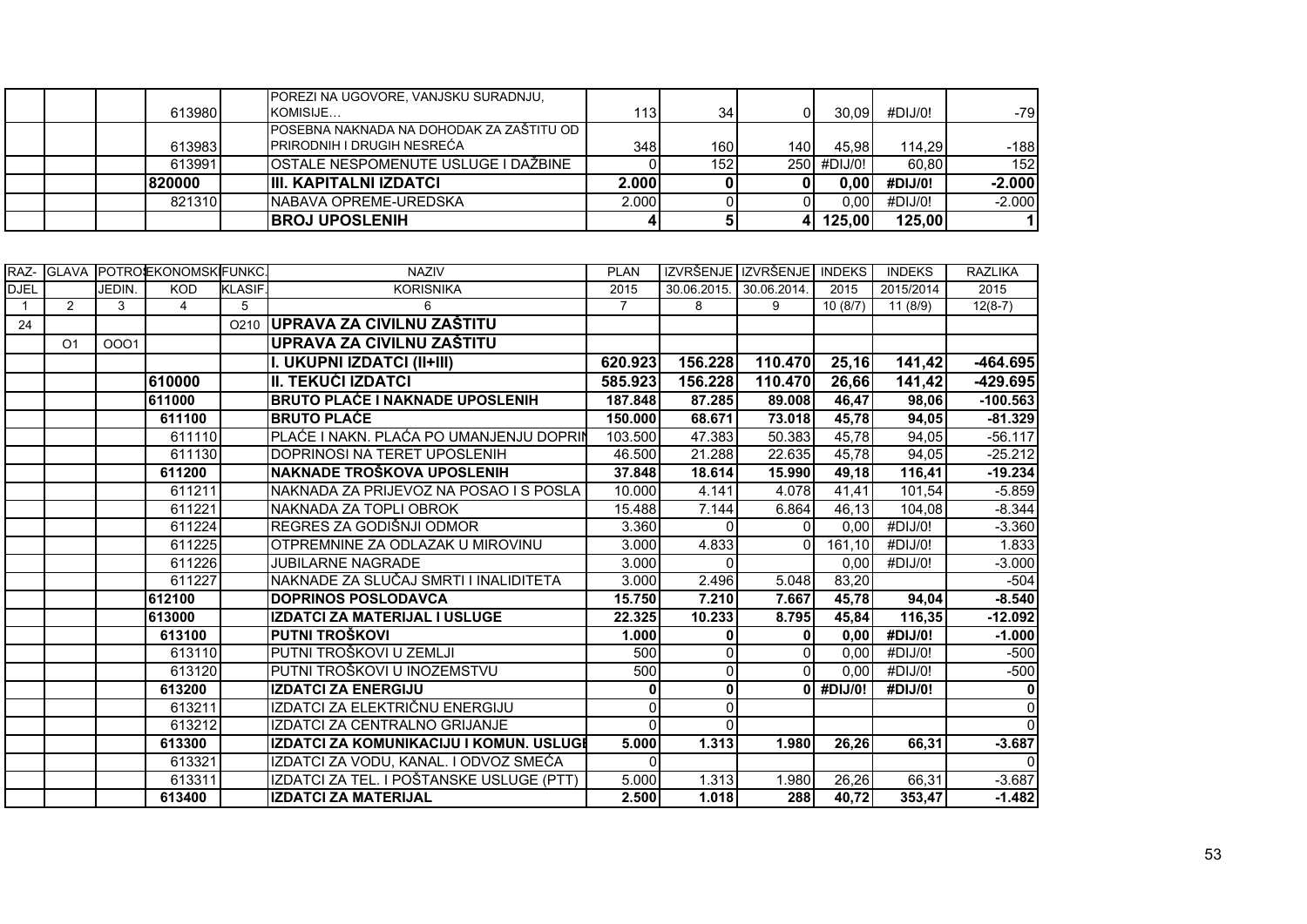|         | POREZI NA UGOVORE, VANJSKU SURADNJU,      |       |                  |       |             |         |                  |
|---------|-------------------------------------------|-------|------------------|-------|-------------|---------|------------------|
| 6139801 | KOMISIJE                                  | 113   | 34               |       | 30.09       | #DIJ/0! | -791             |
|         | IPOSEBNA NAKNADA NA DOHODAK ZA ZAŠTITU OD |       |                  |       |             |         |                  |
| 613983  | <b>PRIRODNIH I DRUGIH NESREĆA</b>         | 348   | 160 l            | 140 I | 45.98       | 114.29  | $-188$           |
| 613991  | IOSTALE NESPOMENUTE USLUGE I DAŽBINE      |       | 152 <sub>1</sub> |       | 250 #DIJ/0! | 60.80   | 152 <sub>l</sub> |
| 820000  | <b>IIII. KAPITALNI IZDATCI</b>            | 2.000 |                  |       | 0.00        | #DIJ/0! | $-2.000$         |
| 821310  | <b>INABAVA OPREME-UREDSKA</b>             | 2.000 |                  |       | 0.00        | #DIJ/0! | $-2.000$         |
|         | <b>IBROJ UPOSLENIH</b>                    |       |                  |       | 125.001     | 125,00  |                  |

|                |                |        | IRAZ- IGLAVA IPOTROJEKONOMSKIFUNKC. |                  | <b>NAZIV</b>                             | <b>PLAN</b>        |              | IZVRŠENJE IZVRŠENJE INDEKS |                    | <b>INDEKS</b> | <b>RAZLIKA</b> |
|----------------|----------------|--------|-------------------------------------|------------------|------------------------------------------|--------------------|--------------|----------------------------|--------------------|---------------|----------------|
| <b>DJEL</b>    |                | JEDIN. | <b>KOD</b>                          | <b>KLASIF</b>    | <b>KORISNIKA</b>                         | 2015               | 30.06.2015.  | 30.06.2014.                | 2015               | 2015/2014     | 2015           |
| $\overline{1}$ | 2              | 3      | $\overline{4}$                      | 5                | 6                                        | $\overline{7}$     | 8            | 9                          | 10(8/7)            | 11(8/9)       | $12(8-7)$      |
| 24             |                |        |                                     | O <sub>210</sub> | <b>UPRAVA ZA CIVILNU ZAŠTITU</b>         |                    |              |                            |                    |               |                |
|                | O <sub>1</sub> | 0001   |                                     |                  | UPRAVA ZA CIVILNU ZAŠTITU                |                    |              |                            |                    |               |                |
|                |                |        |                                     |                  | I. UKUPNI IZDATCI (II+III)               | 620.923            | 156.228      | 110.470                    | 25,16              | 141,42        | $-464.695$     |
|                |                |        | 610000                              |                  | II. TEKUĆI IZDATCI                       | 585.923            | 156.228      | 110.470                    | 26,66              | 141,42        | $-429.695$     |
|                |                |        | 611000                              |                  | <b>BRUTO PLAĆE I NAKNADE UPOSLENIH</b>   | 187.848            | 87.285       | 89,008                     | 46,47              | 98,06         | $-100.563$     |
|                |                |        | 611100                              |                  | <b>BRUTO PLAĆE</b>                       | 150.000            | 68.671       | 73.018                     | 45,78              | 94,05         | $-81.329$      |
|                |                |        | 611110                              |                  | PLAĆE I NAKN. PLAĆA PO UMANJENJU DOPRIN  | 103.500            | 47.383       | 50.383                     | 45,78              | 94,05         | $-56.117$      |
|                |                |        | 611130                              |                  | DOPRINOSI NA TERET UPOSLENIH             | 46.500             | 21.288       | 22.635                     | 45,78              | 94,05         | $-25.212$      |
|                |                |        | 611200                              |                  | NAKNADE TROŠKOVA UPOSLENIH               | 37.848             | 18.614       | 15.990                     | 49,18              | 116,41        | $-19.234$      |
|                |                |        | 611211                              |                  | NAKNADA ZA PRIJEVOZ NA POSAO I S POSLA   | 10.000             | 4.141        | 4.078                      | 41,41              | 101,54        | $-5.859$       |
|                |                |        | 611221                              |                  | NAKNADA ZA TOPLI OBROK                   | 15.488             | 7.144        | 6.864                      | $\overline{46,13}$ | 104,08        | $-8.344$       |
|                |                |        | 611224                              |                  | REGRES ZA GODIŠNJI ODMOR                 | 3.360              | 0            | $\Omega$                   | 0,00               | #DIJ/0!       | $-3.360$       |
|                |                |        | 611225                              |                  | OTPREMNINE ZA ODLAZAK U MIROVINU         | 3.000              | 4.833        | $\Omega$                   | 161,10             | #DIJ/0!       | 1.833          |
|                |                |        | 611226                              |                  | <b>JUBILARNE NAGRADE</b>                 | 3.000              | 0            |                            | 0.00               | #DIJ/0!       | $-3.000$       |
|                |                |        | 611227                              |                  | NAKNADE ZA SLUČAJ SMRTI I INALIDITETA    | 3.000              | 2.496        | 5.048                      | 83,20              |               | $-504$         |
|                |                |        | 612100                              |                  | <b>DOPRINOS POSLODAVCA</b>               | 15.750             | 7.210        | 7.667                      | 45,78              | 94,04         | $-8.540$       |
|                |                |        | 613000                              |                  | <b>IZDATCI ZA MATERIJAL I USLUGE</b>     | 22.325             | 10.233       | 8.795                      | 45.84              | 116,35        | $-12.092$      |
|                |                |        | 613100                              |                  | PUTNI TROŠKOVI                           | 1.000              | 0            | $\mathbf{0}$               | 0,00               | #DIJ/0!       | $-1.000$       |
|                |                |        | 613110                              |                  | PUTNI TROŠKOVI U ZEMLJI                  | 500                | 0            | $\Omega$                   | 0,00               | #DIJ/0!       | $-500$         |
|                |                |        | 613120                              |                  | PUTNI TROŠKOVI U INOZEMSTVU              | 500                | $\Omega$     | <sup>n</sup>               | 0.00               | #DIJ/0!       | $-500$         |
|                |                |        | 613200                              |                  | <b>IZDATCI ZA ENERGIJU</b>               | $\mathbf{0}$       | 0            | ΩI                         | #DIJ/0!            | #DIJ/0!       | 0              |
|                |                |        | 613211                              |                  | IZDATCI ZA ELEKTRIČNU ENERGIJU           | $\Omega$           | <sup>0</sup> |                            |                    |               | $\Omega$       |
|                |                |        | 613212                              |                  | IZDATCI ZA CENTRALNO GRIJANJE            | $\Omega$           | $\Omega$     |                            |                    |               | $\Omega$       |
|                |                |        | 613300                              |                  | IZDATCI ZA KOMUNIKACIJU I KOMUN. USLUGI  | 5.000              | 1.313        | 1.980                      | 26,26              | 66,31         | $-3.687$       |
|                |                |        | 613321                              |                  | IZDATCI ZA VODU, KANAL. I ODVOZ SMEĆA    | $\Omega$           |              |                            |                    |               | $\Omega$       |
|                |                |        | 613311                              |                  | IZDATCI ZA TEL. I POŠTANSKE USLUGE (PTT) | $\overline{5.000}$ | 1.313        | 1.980                      | 26,26              | 66,31         | $-3.687$       |
|                |                |        | 613400                              |                  | <b>IZDATCI ZA MATERIJAL</b>              | 2.500              | 1.018        | 288                        | 40,72              | 353,47        | $-1.482$       |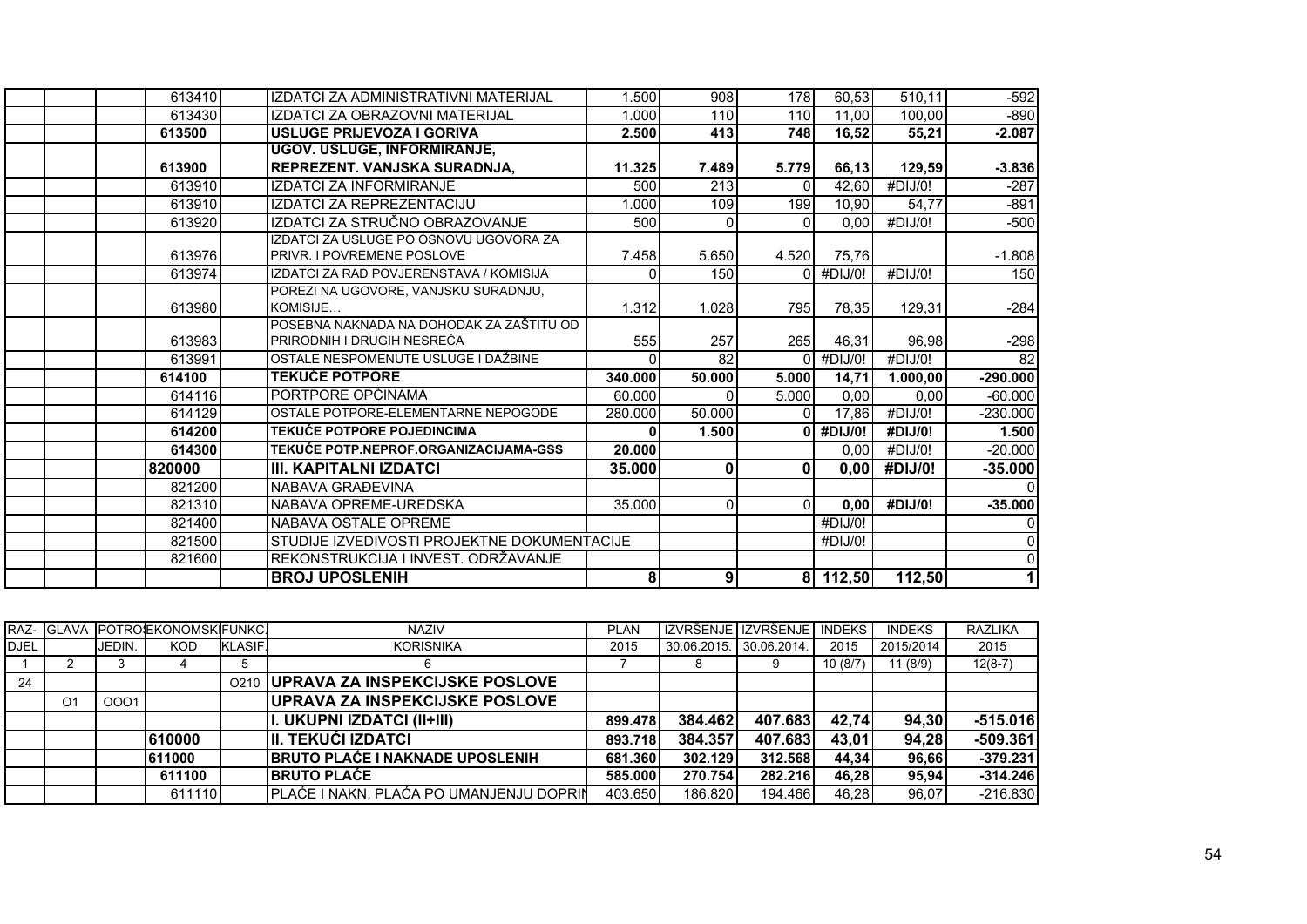| 613410 | IZDATCI ZA ADMINISTRATIVNI MATERIJAL        | 1.500   | 908            | 178      | 60,53    | 510,11   | $-592$          |
|--------|---------------------------------------------|---------|----------------|----------|----------|----------|-----------------|
| 613430 | IZDATCI ZA OBRAZOVNI MATERIJAL              | 1.000   | 110            | 110      | 11.00    | 100.00   | $-890$          |
| 613500 | USLUGE PRIJEVOZA I GORIVA                   | 2.500   | 413            | 748      | 16,52    | 55,21    | $-2.087$        |
|        | <b>UGOV. USLUGE, INFORMIRANJE,</b>          |         |                |          |          |          |                 |
| 613900 | REPREZENT. VANJSKA SURADNJA,                | 11.325  | 7.489          | 5.779    | 66,13    | 129,59   | $-3.836$        |
| 613910 | <b>IZDATCI ZA INFORMIRANJE</b>              | 500     | 213            | 0        | 42,60    | #DIJ/0!  | $-287$          |
| 613910 | IZDATCI ZA REPREZENTACIJU                   | 1.000   | 109            | 199      | 10,90    | 54,77    | $-891$          |
| 613920 | IZDATCI ZA STRUČNO OBRAZOVANJE              | 500     | $\Omega$       | $\Omega$ | 0.00     | #DIJ/0!  | $-500$          |
|        | IZDATCI ZA USLUGE PO OSNOVU UGOVORA ZA      |         |                |          |          |          |                 |
| 613976 | <b>PRIVR. I POVREMENE POSLOVE</b>           | 7.458   | 5.650          | 4.520    | 75,76    |          | $-1.808$        |
| 613974 | IZDATCI ZA RAD POVJERENSTAVA / KOMISIJA     |         | 150            |          | #DIJ/0!  | #DIJ/0!  | 150             |
|        | POREZI NA UGOVORE, VANJSKU SURADNJU,        |         |                |          |          |          |                 |
| 613980 | KOMISIJE                                    | 1.312   | 1.028          | 795I     | 78.35    | 129,31   | $-284$          |
|        | POSEBNA NAKNADA NA DOHODAK ZA ZAŠTITU OD    |         |                |          |          |          |                 |
| 613983 | PRIRODNIH I DRUGIH NESREĆA                  | 555     | 257            | 265      | 46,31    | 96,98    | $-298$          |
| 613991 | OSTALE NESPOMENUTE USLUGE I DAŽBINE         |         | 82             | $\Omega$ | #DIJ/0!  | #DJ/O!   | $\overline{82}$ |
| 614100 | <b>TEKUĆE POTPORE</b>                       | 340.000 | 50.000         | 5.000    | 14,71    | 1.000,00 | $-290.000$      |
| 614116 | PORTPORE OPĆINAMA                           | 60.000  | $\Omega$       | 5.000    | 0.00     | 0.00     | $-60.000$       |
| 614129 | OSTALE POTPORE-ELEMENTARNE NEPOGODE         | 280.000 | 50.000         |          | 17,86    | #DIJ/0!  | $-230.000$      |
| 614200 | <b>TEKUĆE POTPORE POJEDINCIMA</b>           |         | 1.500          | ΩI       | #DIJ/0!  | #DIJ/0!  | 1.500           |
| 614300 | TEKUĆE POTP.NEPROF.ORGANIZACIJAMA-GSS       | 20.000  |                |          | 0.00     | #DIJ/0!  | $-20.000$       |
| 820000 | III. KAPITALNI IZDATCI                      | 35.000  | $\mathbf{0}$   | ΩI       | 0,00     | #DIJ/0!  | $-35.000$       |
| 821200 | NABAVA GRAĐEVINA                            |         |                |          |          |          |                 |
| 821310 | NABAVA OPREME-UREDSKA                       | 35.000  | $\overline{0}$ | $\Omega$ | 0.00     | #DIJ/0!  | $-35,000$       |
| 821400 | NABAVA OSTALE OPREME                        |         |                |          | #DIJ/0!  |          |                 |
| 821500 | STUDIJE IZVEDIVOSTI PROJEKTNE DOKUMENTACIJE |         |                |          | #DIJ/0!  |          | 0               |
| 821600 | REKONSTRUKCIJA I INVEST. ODRŽAVANJE         |         |                |          |          |          | 0               |
|        | <b>BROJ UPOSLENIH</b>                       | 81      | 9 <sup>1</sup> |          | 8 112,50 | 112,50   |                 |

|             |                |        | RAZ- GLAVA POTROEKONOMSKFUNKC. |                  | <b>NAZIV</b>                                   | <b>PLAN</b> |             | IZVRŠENJE I IZVRŠENJE I | <b>INDEKS</b> | <b>INDEKS</b> | <b>RAZLIKA</b> |
|-------------|----------------|--------|--------------------------------|------------------|------------------------------------------------|-------------|-------------|-------------------------|---------------|---------------|----------------|
| <b>DJEL</b> |                | JEDIN. | <b>KOD</b>                     | <b>KLASIF.</b>   | <b>KORISNIKA</b>                               | 2015        | 30.06.2015. | 30.06.2014.             | 2015          | 2015/2014     | 2015           |
|             |                |        |                                |                  | 6                                              |             |             |                         | 10(8/7)       | 11(8/9)       | $12(8-7)$      |
| 24          |                |        |                                | O <sub>210</sub> | <b>UPRAVA ZA INSPEKCIJSKE POSLOVE</b>          |             |             |                         |               |               |                |
|             | O <sub>1</sub> | 0001   |                                |                  | <b>IUPRAVA ZA INSPEKCIJSKE POSLOVE</b>         |             |             |                         |               |               |                |
|             |                |        |                                |                  | II. UKUPNI IZDATCI (II+III)                    | 899.478     | 384.462     | 407.683                 | 42,74         | 94,30         | $-515.016$     |
|             |                |        | 610000                         |                  | <b>III. TEKUĆI IZDATCI</b>                     | 893.718     | 384.357     | 407.683                 | 43.01         | 94,28         | $-509.361$     |
|             |                |        | 611000                         |                  | <b>BRUTO PLAĆE I NAKNADE UPOSLENIH</b>         | 681.360     | 302.129     | 312.568                 | 44.34         | 96.66         | $-379.231$     |
|             |                |        | 611100                         |                  | <b>IBRUTO PLACE</b>                            | 585,000     | 270.754     | 282.216                 | 46.28         | 95.94         | $-314.246$     |
|             |                |        | 611110                         |                  | <b>PLAĆE I NAKN. PLAĆA PO UMANJENJU DOPRIN</b> | 403.650     | 186.820     | 194.466                 | 46.28         | 96.07         | $-216.830$     |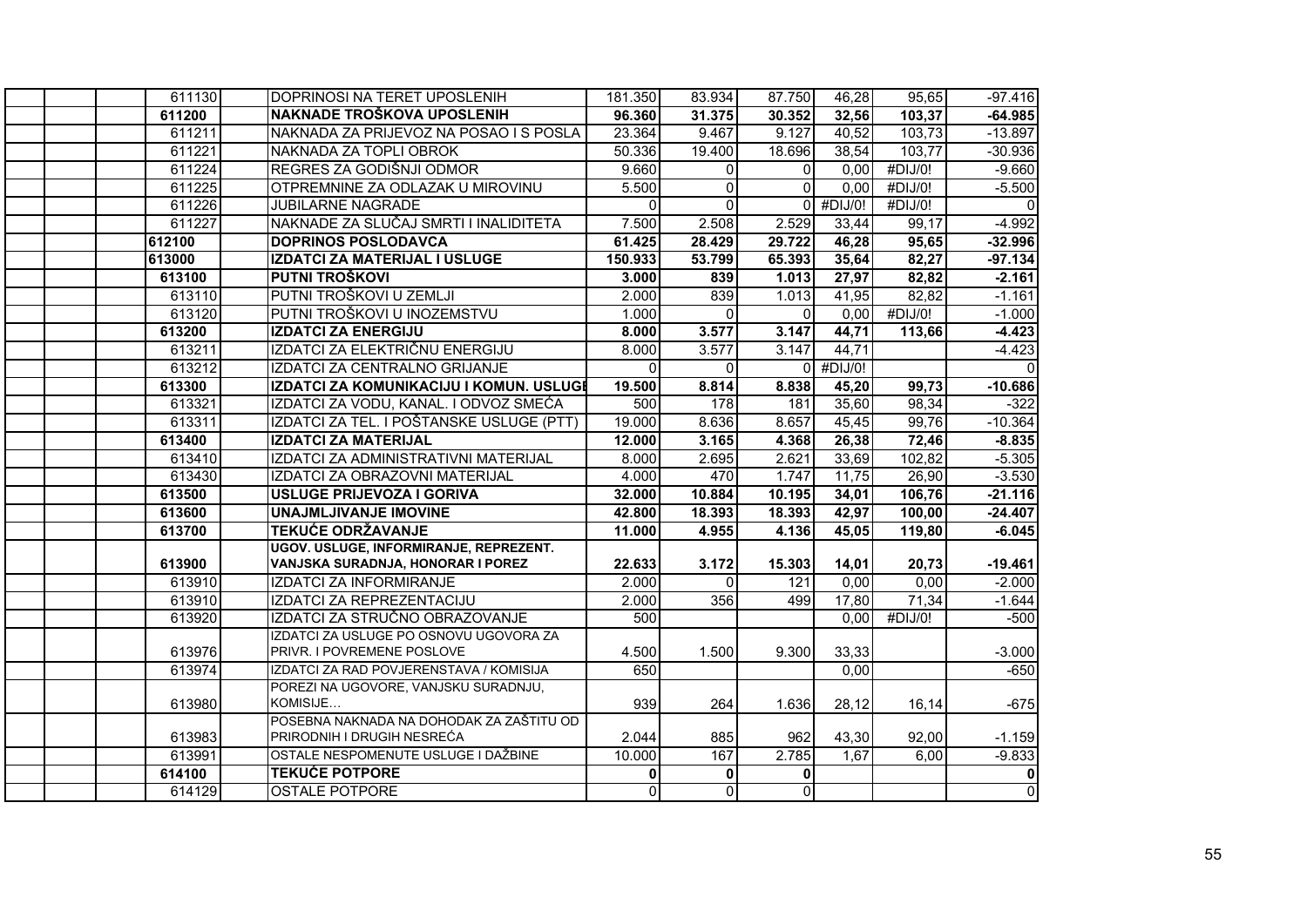| 611130 | DOPRINOSI NA TERET UPOSLENIH             | 181.350      | 83.934         | 87.750           | 46,28       | 95,65   | $-97.416$      |
|--------|------------------------------------------|--------------|----------------|------------------|-------------|---------|----------------|
| 611200 | NAKNADE TROŠKOVA UPOSLENIH               | 96.360       | 31.375         | 30.352           | 32,56       | 103,37  | $-64.985$      |
| 611211 | NAKNADA ZA PRIJEVOZ NA POSAO I S POSLA   | 23.364       | 9.467          | 9.127            | 40,52       | 103,73  | $-13.897$      |
| 611221 | NAKNADA ZA TOPLI OBROK                   | 50.336       | 19.400         | 18.696           | 38,54       | 103,77  | $-30.936$      |
| 611224 | REGRES ZA GODIŠNJI ODMOR                 | 9.660        | $\overline{0}$ | $\Omega$         | 0,00        | #DIJ/0! | $-9.660$       |
| 611225 | OTPREMNINE ZA ODLAZAK U MIROVINU         | 5.500        | $\mathbf 0$    | $\Omega$         | 0,00        | #DIJ/0! | $-5.500$       |
| 611226 | <b>JUBILARNE NAGRADE</b>                 | $\Omega$     | $\Omega$       |                  | $0$ #DIJ/0! | #DIJ/0! | $\Omega$       |
| 611227 | NAKNADE ZA SLUČAJ SMRTI I INALIDITETA    | 7.500        | 2.508          | 2.529            | 33,44       | 99,17   | $-4.992$       |
| 612100 | <b>DOPRINOS POSLODAVCA</b>               | 61.425       | 28.429         | 29.722           | 46,28       | 95,65   | $-32.996$      |
| 613000 | IZDATCI ZA MATERIJAL I USLUGE            | 150.933      | 53.799         | 65.393           | 35,64       | 82,27   | $-97.134$      |
| 613100 | PUTNI TROŠKOVI                           | 3.000        | 839            | 1.013            | 27,97       | 82,82   | $-2.161$       |
| 613110 | PUTNI TROŠKOVI U ZEMLJI                  | 2.000        | 839            | 1.013            | 41,95       | 82,82   | $-1.161$       |
| 613120 | PUTNI TROŠKOVI U INOZEMSTVU              | 1.000        | $\Omega$       | $\Omega$         | 0,00        | #DIJ/0! | $-1.000$       |
| 613200 | <b>IZDATCI ZA ENERGIJU</b>               | 8.000        | 3.577          | 3.147            | 44,71       | 113,66  | $-4.423$       |
| 613211 | IZDATCI ZA ELEKTRIČNU ENERGIJU           | 8.000        | 3.577          | 3.147            | 44,71       |         | $-4.423$       |
| 613212 | IZDATCI ZA CENTRALNO GRIJANJE            | $\mathbf{0}$ | $\overline{0}$ |                  | $0$ #DIJ/0! |         |                |
| 613300 | IZDATCI ZA KOMUNIKACIJU I KOMUN. USLUGI  | 19.500       | 8.814          | 8.838            | 45,20       | 99,73   | $-10.686$      |
| 613321 | IZDATCI ZA VODU, KANAL. I ODVOZ SMEĆA    | 500          | 178            | 181              | 35,60       | 98,34   | $-322$         |
| 613311 | IZDATCI ZA TEL. I POŠTANSKE USLUGE (PTT) | 19.000       | 8.636          | 8.657            | 45,45       | 99,76   | $-10.364$      |
| 613400 | <b>IZDATCI ZA MATERIJAL</b>              | 12.000       | 3.165          | 4.368            | 26,38       | 72,46   | $-8.835$       |
| 613410 | IZDATCI ZA ADMINISTRATIVNI MATERIJAL     | 8.000        | 2.695          | 2.621            | 33,69       | 102,82  | $-5.305$       |
| 613430 | IZDATCI ZA OBRAZOVNI MATERIJAL           | 4.000        | 470            | 1.747            | 11,75       | 26,90   | $-3.530$       |
| 613500 | <b>USLUGE PRIJEVOZA I GORIVA</b>         | 32.000       | 10.884         | 10.195           | 34,01       | 106,76  | $-21.116$      |
| 613600 | <b>UNAJMLJIVANJE IMOVINE</b>             | 42.800       | 18.393         | 18.393           | 42,97       | 100,00  | $-24.407$      |
| 613700 | <b>TEKUĆE ODRŽAVANJE</b>                 | 11.000       | 4.955          | 4.136            | 45,05       | 119,80  | $-6.045$       |
|        | UGOV. USLUGE, INFORMIRANJE, REPREZENT.   |              |                |                  |             |         |                |
| 613900 | VANJSKA SURADNJA, HONORAR I POREZ        | 22.633       | 3.172          | 15.303           | 14,01       | 20,73   | $-19.461$      |
| 613910 | <b>IZDATCI ZA INFORMIRANJE</b>           | 2.000        | $\mathbf{0}$   | $\overline{121}$ | 0,00        | 0,00    | $-2.000$       |
| 613910 | IZDATCI ZA REPREZENTACIJU                | 2.000        | 356            | 499              | 17,80       | 71,34   | $-1.644$       |
| 613920 | IZDATCI ZA STRUČNO OBRAZOVANJE           | 500          |                |                  | 0,00        | #DIJ/0! | $-500$         |
|        | IZDATCI ZA USLUGE PO OSNOVU UGOVORA ZA   |              |                |                  |             |         |                |
| 613976 | PRIVR. I POVREMENE POSLOVE               | 4.500        | 1.500          | 9.300            | 33,33       |         | $-3.000$       |
| 613974 | IZDATCI ZA RAD POVJERENSTAVA / KOMISIJA  | 650          |                |                  | 0,00        |         | $-650$         |
|        | POREZI NA UGOVORE, VANJSKU SURADNJU,     |              |                |                  |             |         |                |
| 613980 | KOMISIJE                                 | 939          | 264            | 1.636            | 28,12       | 16,14   | $-675$         |
|        | POSEBNA NAKNADA NA DOHODAK ZA ZAŠTITU OD |              |                |                  |             |         |                |
| 613983 | PRIRODNIH I DRUGIH NESREĆA               | 2.044        | 885            | 962              | 43,30       | 92,00   | $-1.159$       |
| 613991 | OSTALE NESPOMENUTE USLUGE I DAŽBINE      | 10.000       | 167            | 2.785            | 1,67        | 6.00    | $-9.833$       |
| 614100 | <b>TEKUĆE POTPORE</b>                    | $\bf{0}$     | $\mathbf{0}$   | 0                |             |         | 0              |
| 614129 | <b>OSTALE POTPORE</b>                    | $\Omega$     | $\Omega$       | $\overline{0}$   |             |         | $\overline{0}$ |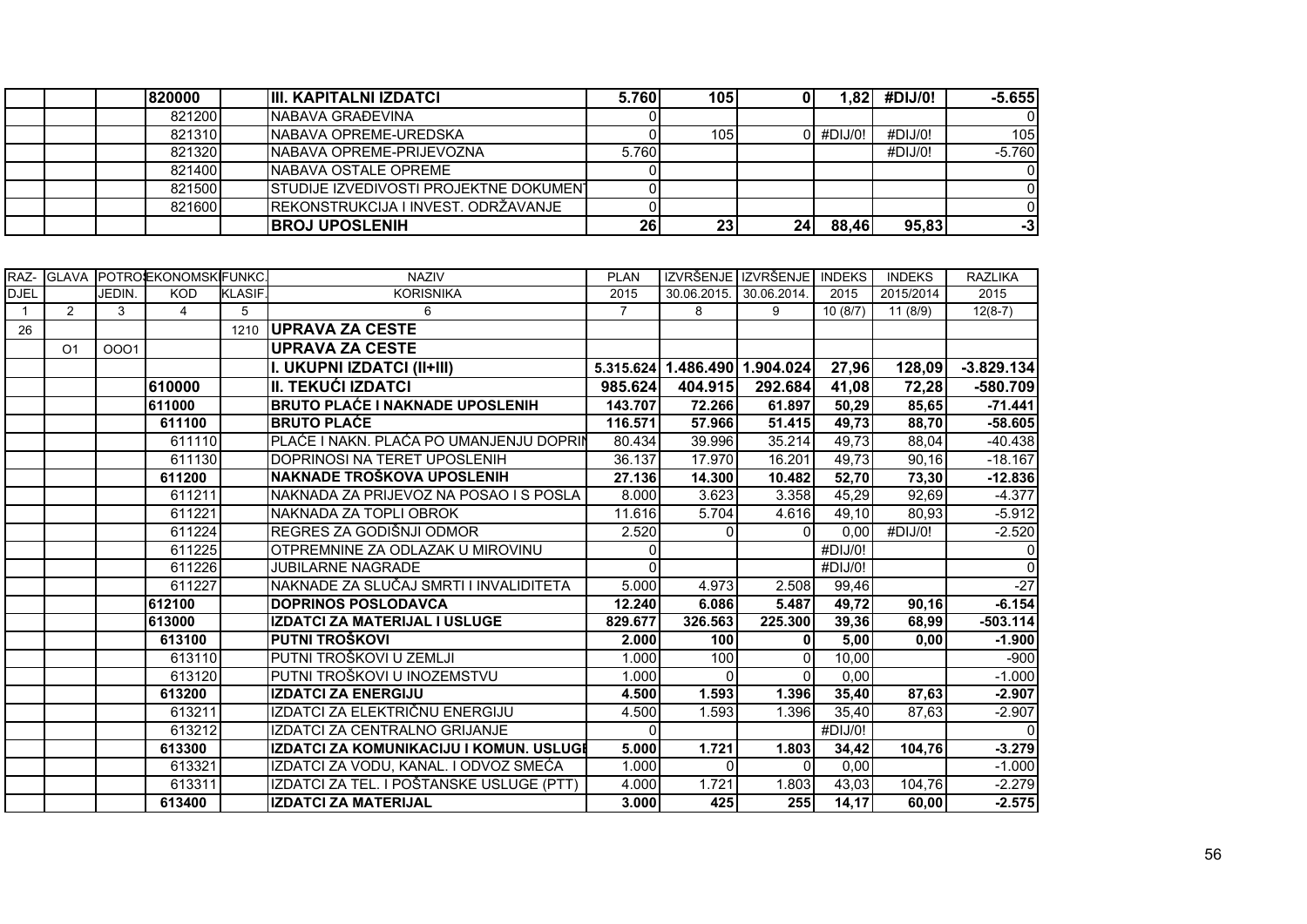|  | 820000 | <b>IIII. KAPITALNI IZDATCI</b>         | 5.760 | <b>105</b>       |                 | .821        | #DIJ/0! | $-5.655$ |
|--|--------|----------------------------------------|-------|------------------|-----------------|-------------|---------|----------|
|  | 821200 | INABAVA GRAĐEVINA                      |       |                  |                 |             |         |          |
|  | 821310 | <b>INABAVA OPREME-UREDSKA</b>          |       | 105 <sup>1</sup> |                 | $0$ #DIJ/0! | #DIJ/0! | 105      |
|  | 821320 | INABAVA OPREME-PRIJEVOZNA              | 5.760 |                  |                 |             | #DIJ/0! | $-5.760$ |
|  | 821400 | <b>INABAVA OSTALE OPREME</b>           |       |                  |                 |             |         |          |
|  | 821500 | STUDIJE IZVEDIVOSTI PROJEKTNE DOKUMENT |       |                  |                 |             |         |          |
|  | 821600 | IREKONSTRUKCIJA I INVEST. ODRŽAVANJE   |       |                  |                 |             |         |          |
|  |        | <b>BROJ UPOSLENIH</b>                  | 26    | 23               | 24 <sub>1</sub> | 88,46       | 95,83   | -31      |

|             | RAZ- GLAVA     |        | <b>IPOTROJEKONOMSKIFUNKC</b> |               | <b>NAZIV</b>                             | <b>PLAN</b> |             | IZVRŠENJE IZVRŠENJE | <b>INDEKS</b> | <b>INDEKS</b> | <b>RAZLIKA</b> |
|-------------|----------------|--------|------------------------------|---------------|------------------------------------------|-------------|-------------|---------------------|---------------|---------------|----------------|
| <b>DJEL</b> |                | JEDIN. | <b>KOD</b>                   | <b>KLASIF</b> | <b>KORISNIKA</b>                         | 2015        | 30.06.2015. | 30.06.2014.         | 2015          | 2015/2014     | 2015           |
|             | $\overline{2}$ | 3      | 4                            | 5             | 6                                        | 7           | 8           | 9                   | 10(8/7)       | 11(8/9)       | $12(8-7)$      |
| 26          |                |        |                              | 1210          | <b>UPRAVA ZA CESTE</b>                   |             |             |                     |               |               |                |
|             | O <sub>1</sub> | 0001   |                              |               | <b>UPRAVA ZA CESTE</b>                   |             |             |                     |               |               |                |
|             |                |        |                              |               | I. UKUPNI IZDATCI (II+III)               | 5.315.624   |             | 1.486.490 1.904.024 | 27,96         | 128,09        | $-3.829.134$   |
|             |                |        | 610000                       |               | <b>II. TEKUĆI IZDATCI</b>                | 985.624     | 404.915     | 292.684             | 41,08         | 72,28         | -580.709       |
|             |                |        | 611000                       |               | <b>BRUTO PLAĆE I NAKNADE UPOSLENIH</b>   | 143.707     | 72.266      | 61.897              | 50,29         | 85,65         | $-71.441$      |
|             |                |        | 611100                       |               | <b>BRUTO PLACE</b>                       | 116.571     | 57.966      | 51.415              | 49,73         | 88,70         | $-58.605$      |
|             |                |        | 611110                       |               | PLAĆE I NAKN. PLAĆA PO UMANJENJU DOPRIN  | 80.434      | 39.996      | 35.214              | 49,73         | 88,04         | $-40.438$      |
|             |                |        | 611130                       |               | DOPRINOSI NA TERET UPOSLENIH             | 36.137      | 17.970      | 16.201              | 49,73         | 90,16         | $-18.167$      |
|             |                |        | 611200                       |               | NAKNADE TROŠKOVA UPOSLENIH               | 27.136      | 14.300      | 10.482              | 52,70         | 73,30         | $-12.836$      |
|             |                |        | 611211                       |               | NAKNADA ZA PRIJEVOZ NA POSAO I S POSLA   | 8.000       | 3.623       | 3.358               | 45,29         | 92,69         | $-4.377$       |
|             |                |        | 611221                       |               | NAKNADA ZA TOPLI OBROK                   | 11.616      | 5.704       | 4.616               | 49,10         | 80,93         | $-5.912$       |
|             |                |        | 611224                       |               | REGRES ZA GODIŠNJI ODMOR                 | 2.520       | 0           | $\Omega$            | 0,00          | #DIJ/0!       | $-2.520$       |
|             |                |        | 611225                       |               | OTPREMNINE ZA ODLAZAK U MIROVINU         |             |             |                     | #DIJ/0!       |               | $\Omega$       |
|             |                |        | 611226                       |               | <b>JUBILARNE NAGRADE</b>                 |             |             |                     | #DIJ/0!       |               | $\Omega$       |
|             |                |        | 611227                       |               | NAKNADE ZA SLUČAJ SMRTI I INVALIDITETA   | 5.000       | 4.973       | 2.508               | 99,46         |               | $-27$          |
|             |                |        | 612100                       |               | <b>DOPRINOS POSLODAVCA</b>               | 12.240      | 6.086       | 5.487               | 49,72         | 90,16         | $-6.154$       |
|             |                |        | 613000                       |               | <b>IZDATCI ZA MATERIJAL I USLUGE</b>     | 829.677     | 326.563     | 225.300             | 39,36         | 68,99         | $-503.114$     |
|             |                |        | 613100                       |               | PUTNI TROŠKOVI                           | 2.000       | 100         | $\mathbf{0}$        | 5,00          | 0,00          | $-1.900$       |
|             |                |        | 613110                       |               | PUTNI TROŠKOVI U ZEMLJI                  | 1.000       | 100         | $\Omega$            | 10,00         |               | $-900$         |
|             |                |        | 613120                       |               | PUTNI TROŠKOVI U INOZEMSTVU              | 1.000       | $\Omega$    | $\Omega$            | 0,00          |               | $-1.000$       |
|             |                |        | 613200                       |               | <b>IZDATCI ZA ENERGIJU</b>               | 4.500       | 1.593       | 1.396               | 35,40         | 87,63         | $-2.907$       |
|             |                |        | 613211                       |               | IZDATCI ZA ELEKTRIČNU ENERGIJU           | 4.500       | 1.593       | 1.396               | 35,40         | 87,63         | $-2.907$       |
|             |                |        | 613212                       |               | IZDATCI ZA CENTRALNO GRIJANJE            |             |             |                     | #DIJ/0!       |               | $\Omega$       |
|             |                |        | 613300                       |               | IZDATCI ZA KOMUNIKACIJU I KOMUN. USLUGI  | 5.000       | 1.721       | 1.803               | 34,42         | 104,76        | $-3.279$       |
|             |                |        | 613321                       |               | IZDATCI ZA VODU, KANAL. I ODVOZ SMEĆA    | 1.000       | $\Omega$    | $\Omega$            | 0,00          |               | $-1.000$       |
|             |                |        | 613311                       |               | IZDATCI ZA TEL. I POŠTANSKE USLUGE (PTT) | 4.000       | 1.721       | 1.803               | 43,03         | 104,76        | $-2.279$       |
|             |                |        | 613400                       |               | <b>IZDATCI ZA MATERIJAL</b>              | 3.000       | 425         | 255                 | 14,17         | 60,00         | $-2.575$       |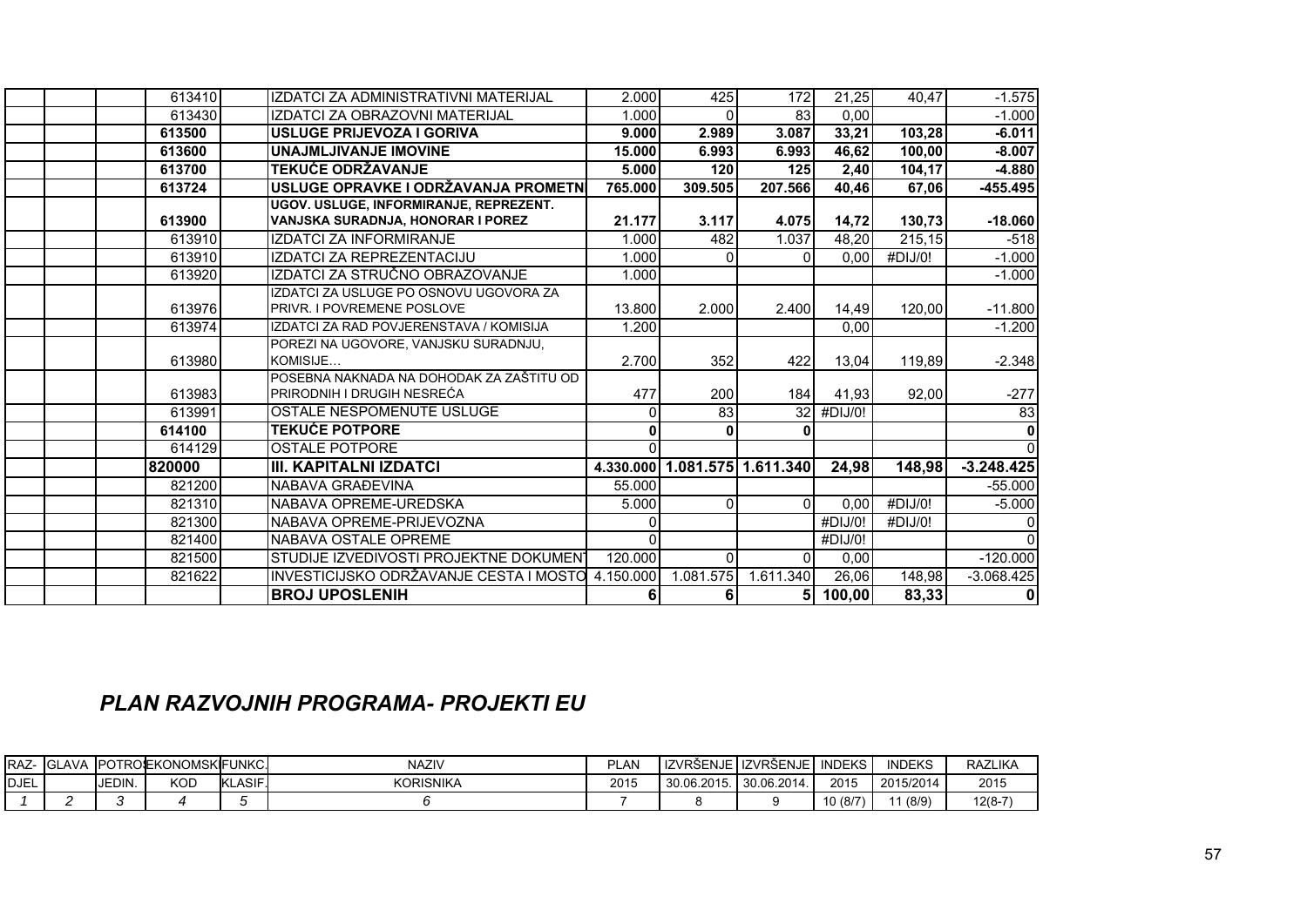| 613410 | IZDATCI ZA ADMINISTRATIVNI MATERIJAL     | 2.000        | 425                           | 172          | 21.25   | 40.47               | $-1.575$     |
|--------|------------------------------------------|--------------|-------------------------------|--------------|---------|---------------------|--------------|
| 613430 | IZDATCI ZA OBRAZOVNI MATERIJAL           | 1.000        |                               | 83           | 0,00    |                     | $-1.000$     |
| 613500 | <b>USLUGE PRIJEVOZA I GORIVA</b>         | 9.000        | 2.989                         | 3.087        | 33,21   | 103,28              | $-6.011$     |
| 613600 | <b>UNAJMLJIVANJE IMOVINE</b>             | 15.000       | 6.993                         | 6.993        | 46,62   | 100,00              | $-8.007$     |
| 613700 | <b>TEKUĆE ODRŽAVANJE</b>                 | 5.000        | 120                           | 125          | 2,40    | 104,17              | $-4.880$     |
| 613724 | USLUGE OPRAVKE I ODRŽAVANJA PROMETN      | 765.000      | 309.505                       | 207.566      | 40,46   | 67,06               | -455.495     |
|        | UGOV. USLUGE, INFORMIRANJE, REPREZENT.   |              |                               |              |         |                     |              |
| 613900 | VANJSKA SURADNJA, HONORAR I POREZ        | 21.177       | 3.117                         | 4.075        | 14,72   | 130,73              | $-18.060$    |
| 613910 | <b>IZDATCI ZA INFORMIRANJE</b>           | 1.000        | 482                           | 1.037        | 48,20   | $\overline{215,15}$ | $-518$       |
| 613910 | IZDATCI ZA REPREZENTACIJU                | 1.000        | $\Omega$                      | <sup>0</sup> | 0.00    | #DIJ/0!             | $-1.000$     |
| 613920 | IZDATCI ZA STRUČNO OBRAZOVANJE           | 1.000        |                               |              |         |                     | $-1.000$     |
|        | IZDATCI ZA USLUGE PO OSNOVU UGOVORA ZA   |              |                               |              |         |                     |              |
| 613976 | PRIVR. I POVREMENE POSLOVE               | 13,800       | 2.000                         | 2.400        | 14,49   | 120,00              | $-11.800$    |
| 613974 | IZDATCI ZA RAD POVJERENSTAVA / KOMISIJA  | 1.200        |                               |              | 0,00    |                     | $-1.200$     |
|        | POREZI NA UGOVORE. VANJSKU SURADNJU.     |              |                               |              |         |                     |              |
| 613980 | KOMISIJE                                 | 2.700        | 352                           | 422          | 13,04   | 119,89              | $-2.348$     |
|        | POSEBNA NAKNADA NA DOHODAK ZA ZAŠTITU OD |              |                               |              |         |                     |              |
| 613983 | PRIRODNIH I DRUGIH NESREĆA               | 477          | 200                           | 184          | 41,93   | 92,00               | $-277$       |
| 613991 | OSTALE NESPOMENUTE USLUGE                | 0            | 83                            | 32           | #DIJ/0! |                     | 83           |
| 614100 | <b>TEKUĆE POTPORE</b>                    | 0            | $\bf{0}$                      |              |         |                     |              |
| 614129 | <b>OSTALE POTPORE</b>                    |              |                               |              |         |                     |              |
| 820000 | <b>III. KAPITALNI IZDATCI</b>            |              | 4.330.000 1.081.575 1.611.340 |              | 24,98   | 148,98              | $-3.248.425$ |
| 821200 | NABAVA GRAĐEVINA                         | 55.000       |                               |              |         |                     | $-55.000$    |
| 821310 | NABAVA OPREME-UREDSKA                    | 5.000        | $\overline{0}$                | $\Omega$     | 0,00    | #DIJ/0!             | $-5.000$     |
| 821300 | NABAVA OPREME-PRIJEVOZNA                 | <sup>0</sup> |                               |              | #DIJ/O! | #DIJ/O!             |              |
| 821400 | NABAVA OSTALE OPREME                     |              |                               |              | #DIJ/0! |                     |              |
| 821500 | STUDIJE IZVEDIVOSTI PROJEKTNE DOKUMENT   | 120.000      | $\Omega$                      | ΩI           | 0,00    |                     | $-120.000$   |
| 821622 | INVESTICIJSKO ODRŽAVANJE CESTA I MOSTO   | 4.150.000    | 1.081.575                     | 1.611.340    | 26,06   | 148,98              | $-3.068.425$ |
|        | <b>BROJ UPOSLENIH</b>                    | 6            | 6                             | 5            | 100,00  | 83,33               |              |

## PLAN RAZVOJNIH PROGRAMA- PROJEKTI EU

| IRAZ-       | <b>GLAVA</b> |        |            |                             | <b>NAZIV</b>     | <b>PLAN</b> | I IZVRŠENJE I IZVRŠENJE |            | <b>INDEKS</b> | <b>INDEKS</b> | RAZLIKA   |
|-------------|--------------|--------|------------|-----------------------------|------------------|-------------|-------------------------|------------|---------------|---------------|-----------|
| <b>DJEL</b> |              | JEDIN. | <b>KOD</b> | <b>ASIF</b><br>- 71<br>INL. | <b>KORISNIKA</b> | 2015        | 30.06.2015.             | 30.06.2014 | 2015          | 2015/2014     | 2015      |
|             |              |        |            |                             |                  |             |                         |            | 10 (8/7)      | (8/9)         | $12(8-7)$ |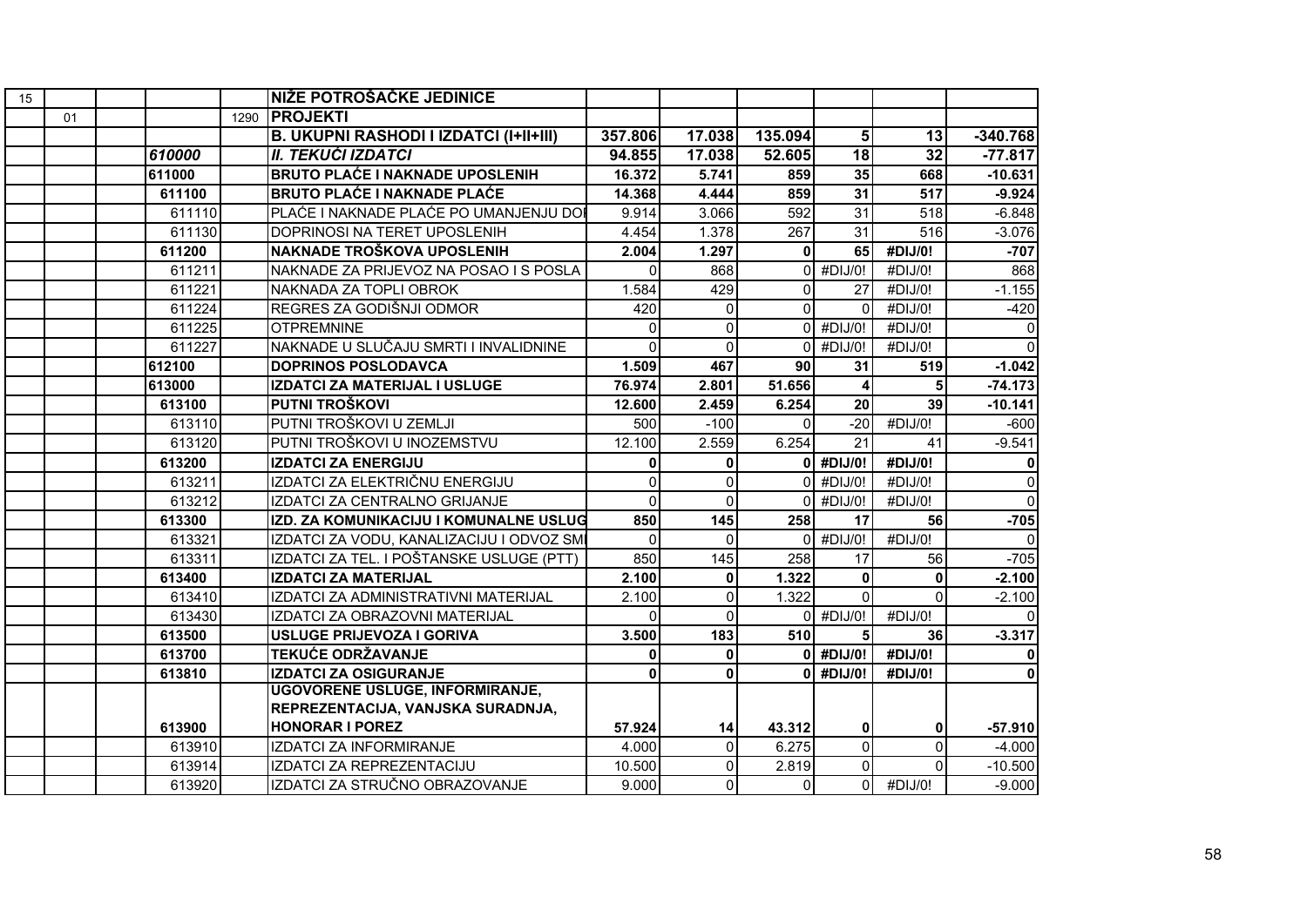| 15 |    |        |      | NIŽE POTROŠAČKE JEDINICE                      |              |                |              |                 |                 |             |
|----|----|--------|------|-----------------------------------------------|--------------|----------------|--------------|-----------------|-----------------|-------------|
|    | 01 |        | 1290 | <b>PROJEKTI</b>                               |              |                |              |                 |                 |             |
|    |    |        |      | <b>B. UKUPNI RASHODI I IZDATCI (I+II+III)</b> | 357.806      | 17.038         | 135.094      | 5               | 13              | $-340.768$  |
|    |    | 610000 |      | II. TEKUĆI IZDATCI                            | 94.855       | 17.038         | 52.605       | $\overline{18}$ | $\overline{32}$ | $-77.817$   |
|    |    | 611000 |      | <b>BRUTO PLAĆE I NAKNADE UPOSLENIH</b>        | 16.372       | 5.741          | 859          | 35              | 668             | $-10.631$   |
|    |    | 611100 |      | <b>BRUTO PLAĆE I NAKNADE PLAĆE</b>            | 14.368       | 4.444          | 859          | 31              | 517             | $-9.924$    |
|    |    | 611110 |      | PLAĆE I NAKNADE PLAĆE PO UMANJENJU DOI        | 9.914        | 3.066          | 592          | 31              | 518             | $-6.848$    |
|    |    | 611130 |      | DOPRINOSI NA TERET UPOSLENIH                  | 4.454        | 1.378          | 267          | 31              | 516             | $-3.076$    |
|    |    | 611200 |      | NAKNADE TROŠKOVA UPOSLENIH                    | 2.004        | 1.297          | $\mathbf{0}$ | 65              | #DIJ/0!         | $-707$      |
|    |    | 611211 |      | NAKNADE ZA PRIJEVOZ NA POSAO I S POSLA        | $\Omega$     | 868            | 0            | #DIJ/0!         | #DIJ/0!         | 868         |
|    |    | 611221 |      | NAKNADA ZA TOPLI OBROK                        | 1.584        | 429            | $\Omega$     | 27              | #DIJ/0!         | $-1.155$    |
|    |    | 611224 |      | REGRES ZA GODIŠNJI ODMOR                      | 420          | $\Omega$       | $\Omega$     | $\Omega$        | #DIJ/0!         | $-420$      |
|    |    | 611225 |      | <b>OTPREMNINE</b>                             | $\Omega$     | $\Omega$       | $\Omega$     | #DIJ/0!         | #DIJ/0!         | $\Omega$    |
|    |    | 611227 |      | NAKNADE U SLUČAJU SMRTI I INVALIDNINE         | $\Omega$     | $\Omega$       | $\Omega$     | #DIJ/0!         | #DIJ/0!         | $\Omega$    |
|    |    | 612100 |      | <b>DOPRINOS POSLODAVCA</b>                    | 1.509        | 467            | 90           | 31              | 519             | $-1.042$    |
|    |    | 613000 |      | IZDATCI ZA MATERIJAL I USLUGE                 | 76.974       | 2.801          | 51.656       | 4               | 5               | $-74.173$   |
|    |    | 613100 |      | PUTNI TROŠKOVI                                | 12.600       | 2.459          | 6.254        | 20              | 39              | $-10.141$   |
|    |    | 613110 |      | PUTNI TROŠKOVI U ZEMLJI                       | 500          | $-100$         | $\Omega$     | $-20$           | #DIJ/0!         | $-600$      |
|    |    | 613120 |      | PUTNI TROŠKOVI U INOZEMSTVU                   | 12.100       | 2.559          | 6.254        | 21              | 41              | $-9.541$    |
|    |    | 613200 |      | <b>IZDATCI ZA ENERGIJU</b>                    | 0            | 0              |              | $0$ #DIJ/0!     | #DIJ/0!         | 0           |
|    |    | 613211 |      | IZDATCI ZA ELEKTRIČNU ENERGIJU                | $\mathbf 0$  | $\Omega$       |              | $0$ #DIJ/0!     | #DIJ/0!         | $\mathbf 0$ |
|    |    | 613212 |      | IZDATCI ZA CENTRALNO GRIJANJE                 | $\Omega$     | $\Omega$       | ΩI           | #DIJ/0!         | #DIJ/0!         | $\Omega$    |
|    |    | 613300 |      | IZD. ZA KOMUNIKACIJU I KOMUNALNE USLUG        | 850          | 145            | 258          | 17              | 56              | $-705$      |
|    |    | 613321 |      | IZDATCI ZA VODU, KANALIZACIJU I ODVOZ SMI     | $\mathbf{0}$ | $\Omega$       |              | $0$ #DIJ/0!     | #DIJ/0!         | $\Omega$    |
|    |    | 613311 |      | IZDATCI ZA TEL. I POŠTANSKE USLUGE (PTT)      | 850          | 145            | 258          | 17              | 56              | $-705$      |
|    |    | 613400 |      | <b>IZDATCI ZA MATERIJAL</b>                   | 2.100        | $\mathbf 0$    | 1.322        | 0               | 0               | $-2.100$    |
|    |    | 613410 |      | IZDATCI ZA ADMINISTRATIVNI MATERIJAL          | 2.100        | $\overline{0}$ | 1.322        | $\Omega$        | $\Omega$        | $-2.100$    |
|    |    | 613430 |      | IZDATCI ZA OBRAZOVNI MATERIJAL                | ∩            | $\Omega$       |              | $0$ #DIJ/0!     | #DIJ/0!         |             |
|    |    | 613500 |      | USLUGE PRIJEVOZA I GORIVA                     | 3.500        | 183            | 510          | 5               | 36              | $-3.317$    |
|    |    | 613700 |      | <b>TEKUĆE ODRŽAVANJE</b>                      | 0            | $\mathbf{0}$   |              | $0$ #DIJ/0!     | #DIJ/0!         | $\bf{0}$    |
|    |    | 613810 |      | <b>IZDATCI ZA OSIGURANJE</b>                  | $\mathbf{0}$ | $\mathbf{0}$   |              | $0$ #DIJ/0!     | #DIJ/0!         |             |
|    |    |        |      | <b>UGOVORENE USLUGE, INFORMIRANJE,</b>        |              |                |              |                 |                 |             |
|    |    |        |      | REPREZENTACIJA, VANJSKA SURADNJA,             |              |                |              |                 |                 |             |
|    |    | 613900 |      | <b>HONORAR I POREZ</b>                        | 57.924       | 14             | 43.312       | 0               | 0               | $-57.910$   |
|    |    | 613910 |      | IZDATCI ZA INFORMIRANJE                       | 4.000        | $\Omega$       | 6.275        | $\overline{0}$  | $\Omega$        | $-4.000$    |
|    |    | 613914 |      | IZDATCI ZA REPREZENTACIJU                     | 10.500       | $\Omega$       | 2.819        | $\overline{0}$  | ΩI              | $-10.500$   |
|    |    | 613920 |      | IZDATCI ZA STRUČNO OBRAZOVANJE                | 9.000        | $\Omega$       | 0            | οI              | #DIJ/0!         | $-9.000$    |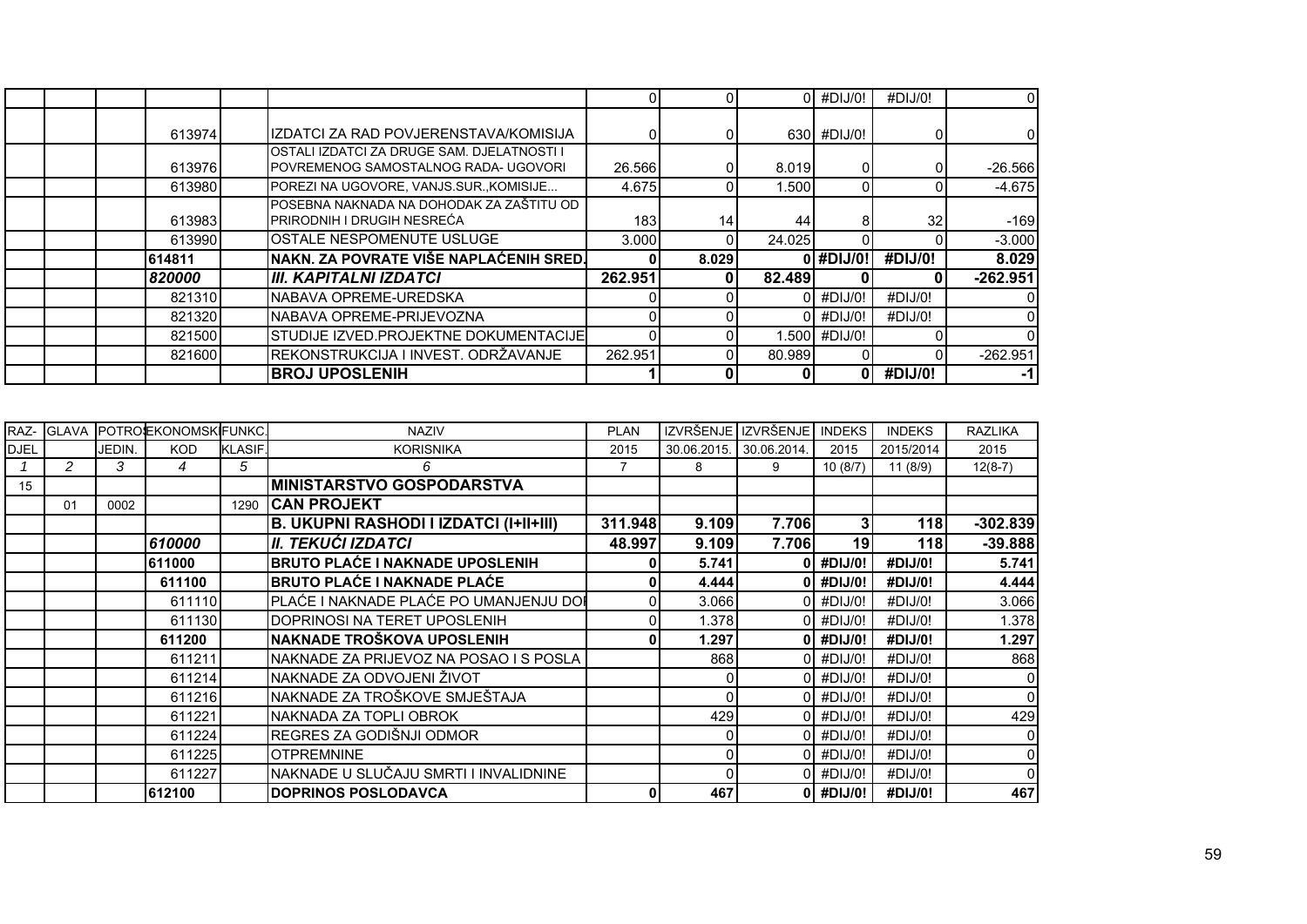|  |        |                                                                                           |         |       |        | $0$ #DIJ/0!   | #DIJ/0!         | $\overline{0}$ |
|--|--------|-------------------------------------------------------------------------------------------|---------|-------|--------|---------------|-----------------|----------------|
|  | 613974 | IZDATCI ZA RAD POVJERENSTAVA/KOMISIJA                                                     |         |       |        | 630 #DIJ/0!   |                 | 01             |
|  | 613976 | <b>OSTALI IZDATCI ZA DRUGE SAM. DJELATNOSTI I</b><br>POVREMENOG SAMOSTALNOG RADA- UGOVORI | 26.566  |       | 8.019  |               |                 | $-26.566$      |
|  | 613980 | POREZI NA UGOVORE, VANJS.SUR., KOMISIJE                                                   | 4.675   |       | 1.500  |               |                 | $-4.675$       |
|  | 613983 | POSEBNA NAKNADA NA DOHODAK ZA ZAŠTITU OD<br><b>PRIRODNIH I DRUGIH NESREĆA</b>             | 183     | 14    | 44     | 8             | 32 <sub>l</sub> | $-169$         |
|  | 613990 | <b>IOSTALE NESPOMENUTE USLUGE</b>                                                         | 3.000   |       | 24.025 |               |                 | $-3.000$       |
|  | 614811 | NAKN. ZA POVRATE VIŠE NAPLAĆENIH SRED.                                                    |         | 8.029 |        | 0 #DIJ/0!     | #DIJ/0!         | 8.029          |
|  | 820000 | III. KAPITALNI IZDATCI                                                                    | 262.951 |       | 82.489 |               |                 | $-262.951$     |
|  | 821310 | INABAVA OPREME-UREDSKA                                                                    |         |       |        | #DIJ/0!       | #DIJ/0!         | ΩI             |
|  | 821320 | <b>NABAVA OPREME-PRIJEVOZNA</b>                                                           |         |       |        | 0 #DIJ/0!     | #DIJ/0!         | 01             |
|  | 821500 | ISTUDIJE IZVED.PROJEKTNE DOKUMENTACIJEI                                                   |         |       |        | 1.500 #DIJ/0! |                 |                |
|  | 821600 | IREKONSTRUKCIJA I INVEST. ODRŽAVANJE                                                      | 262.951 |       | 80.989 |               |                 | $-262.951$     |
|  |        | <b>BROJ UPOSLENIH</b>                                                                     |         |       |        | ΩI            | #DIJ/0!         | -11            |

| RAZ-        |               |        | GLAVA POTROSEKONOMSKIFUNKC. |                | <b>NAZIV</b>                                  | <b>PLAN</b> |             | IZVRŠENJE I IZVRŠENJE | <b>INDEKS</b> | <b>INDEKS</b> | <b>RAZLIKA</b> |
|-------------|---------------|--------|-----------------------------|----------------|-----------------------------------------------|-------------|-------------|-----------------------|---------------|---------------|----------------|
| <b>DJEL</b> |               | JEDIN. | <b>KOD</b>                  | <b>KLASIF.</b> | <b>KORISNIKA</b>                              | 2015        | 30.06.2015. | 30.06.2014.           | 2015          | 2015/2014     | 2015           |
|             | $\mathcal{P}$ | 3      | 4                           | 5              | 6                                             |             | 8           | 9                     | 10(8/7)       | 11(8/9)       | $12(8-7)$      |
| 15          |               |        |                             |                | <b>MINISTARSTVO GOSPODARSTVA</b>              |             |             |                       |               |               |                |
|             | 01            | 0002   |                             | 1290           | <b>ICAN PROJEKT</b>                           |             |             |                       |               |               |                |
|             |               |        |                             |                | <b>B. UKUPNI RASHODI I IZDATCI (I+II+III)</b> | 311.948     | 9.109       | 7.706                 | 3             | 118           | $-302.839$     |
|             |               |        | 610000                      |                | II. TEKUĆI IZDATCI                            | 48.997      | 9.109       | 7.706                 | 19            | 118           | $-39.888$      |
|             |               |        | 611000                      |                | <b>BRUTO PLAĆE I NAKNADE UPOSLENIH</b>        |             | 5.741       |                       | #DIJ/0!       | #DIJ/0!       | 5.741          |
|             |               |        | 611100                      |                | <b>BRUTO PLAĆE I NAKNADE PLAĆE</b>            |             | 4.444       | ΩI                    | #DIJ/0!       | #DIJ/0!       | 4.444          |
|             |               |        | 611110                      |                | PLAĆE I NAKNADE PLAĆE PO UMANJENJU DOI        |             | 3.066       |                       | #DIJ/0!       | #DIJ/0!       | 3.066          |
|             |               |        | 611130                      |                | DOPRINOSI NA TERET UPOSLENIH                  |             | 1.378       |                       | #DIJ/0!       | #DIJ/0!       | 1.378          |
|             |               |        | 611200                      |                | NAKNADE TROŠKOVA UPOSLENIH                    |             | 1.297       |                       | #DIJ/0!       | #DIJ/0!       | 1.297          |
|             |               |        | 611211                      |                | NAKNADE ZA PRIJEVOZ NA POSAO I S POSLA I      |             | 868         |                       | $0$ #DIJ/0!   | #DIJ/O!       | 868            |
|             |               |        | 611214                      |                | NAKNADE ZA ODVOJENI ŽIVOT                     |             |             |                       | #DIJ/0!       | #DIJ/0!       |                |
|             |               |        | 611216                      |                | NAKNADE ZA TROŠKOVE SMJEŠTAJA                 |             |             |                       | #DIJ/0!       | #DIJ/0!       | 0              |
|             |               |        | 611221                      |                | NAKNADA ZA TOPLI OBROK                        |             | 429         |                       | #DIJ/0!       | #DIJ/0!       | 429            |
|             |               |        | 611224                      |                | REGRES ZA GODIŠNJI ODMOR                      |             |             |                       | $0$ #DIJ/0!   | #DIJ/0!       | 0              |
|             |               |        | 611225                      |                | <b>OTPREMNINE</b>                             |             |             |                       | #DIJ/0!       | #DIJ/0!       |                |
|             |               |        | 611227                      |                | NAKNADE U SLUČAJU SMRTI I INVALIDNINE         |             |             |                       | 0 #DIJ/0!     | #DIJ/0!       | 01             |
|             |               |        | 612100                      |                | <b>DOPRINOS POSLODAVCA</b>                    |             | 467         |                       | 0 #DIJ/0!     | #DIJ/0!       | 467            |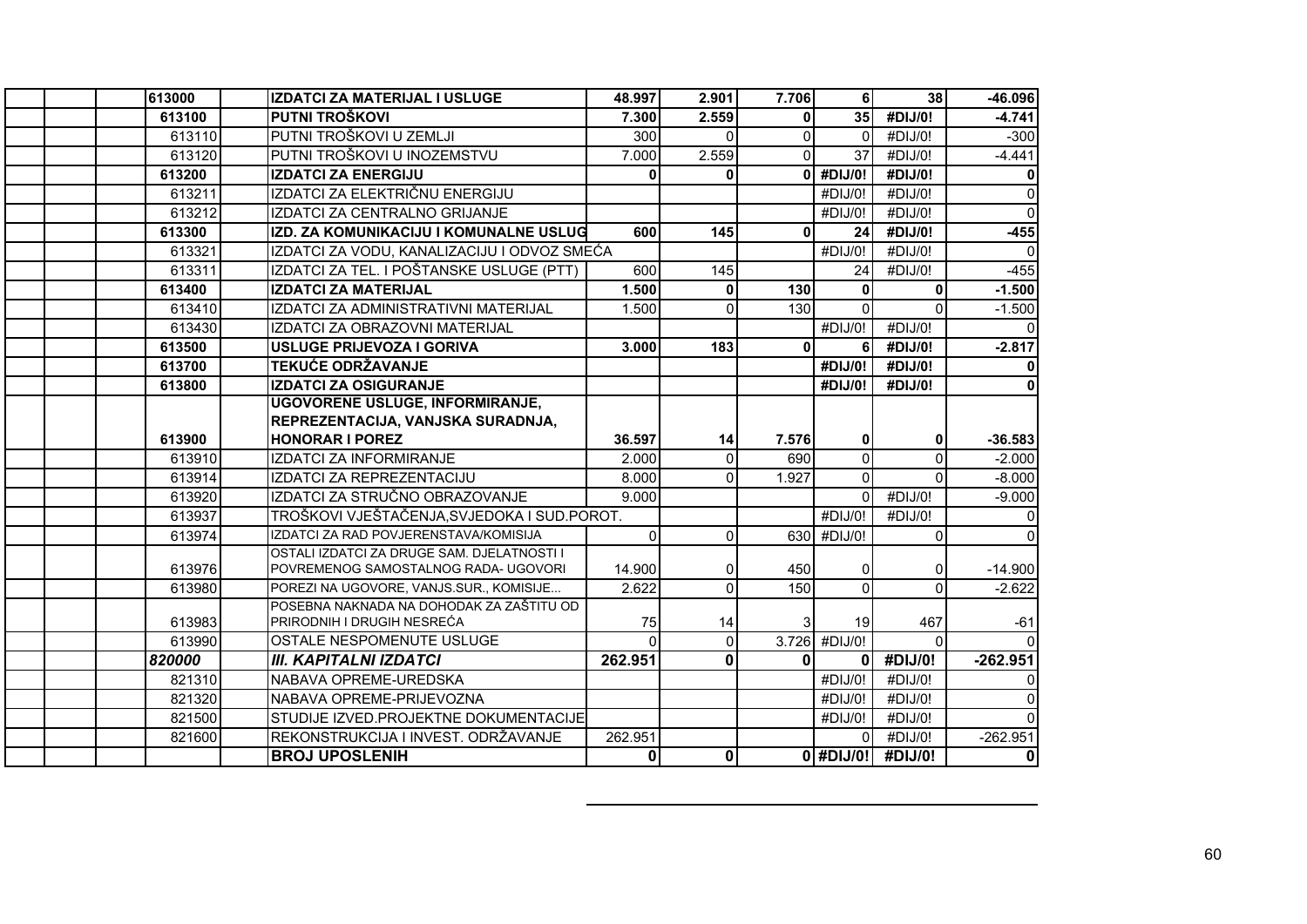| 613000 | <b>IZDATCI ZA MATERIJAL I USLUGE</b>                         | 48.997       | 2.901          | 7.706        | 6 <sup>1</sup>                | 38                 | -46.096                   |
|--------|--------------------------------------------------------------|--------------|----------------|--------------|-------------------------------|--------------------|---------------------------|
| 613100 | PUTNI TROŠKOVI                                               | 7.300        | 2.559          | ΩI           | 35                            | #DIJ/0!            | $-4.741$                  |
| 613110 | PUTNI TROŠKOVI U ZEMLJI                                      | 300          | $\Omega$       | $\Omega$     | $\Omega$                      | #DIJ/0!            | $-300$                    |
| 613120 | PUTNI TROŠKOVI U INOZEMSTVU                                  | 7.000        | 2.559          | $\Omega$     | 37                            | #DIJ/0!            | $-4.441$                  |
| 613200 | <b>IZDATCI ZA ENERGIJU</b>                                   | 0            | $\mathbf{0}$   | 0            | #DIJ/0!                       | #DIJ/0!            | 0                         |
| 613211 | IZDATCI ZA ELEKTRIČNU ENERGIJU                               |              |                |              | #DIJ/0!                       | #DIJ/0!            | $\mathbf 0$               |
| 613212 | IZDATCI ZA CENTRALNO GRIJANJE                                |              |                |              | #DIJ/0!                       | #DIJ/0!            | $\overline{0}$            |
| 613300 | IZD. ZA KOMUNIKACIJU I KOMUNALNE USLUG                       | 600          | 145            | $\mathbf{0}$ | 24                            | #DIJ/0!            | $-455$                    |
| 613321 | IZDATCI ZA VODU, KANALIZACIJU I ODVOZ SMEĆA                  |              |                |              | #DIJ/0!                       | #DIJ/0!            | $\Omega$                  |
| 613311 | IZDATCI ZA TEL. I POŠTANSKE USLUGE (PTT)                     | 600          | 145            |              | 24                            | #DIJ/0!            | $-455$                    |
| 613400 | <b>IZDATCI ZA MATERIJAL</b>                                  | 1.500        | $\mathbf 0$    | 130          | $\mathbf{0}$                  | 0                  | $-1.500$                  |
| 613410 | IZDATCI ZA ADMINISTRATIVNI MATERIJAL                         | 1.500        | $\Omega$       | 130          | $\Omega$                      |                    | $-1.500$                  |
| 613430 | IZDATCI ZA OBRAZOVNI MATERIJAL                               |              |                |              | #DIJ/0!                       | #DIJ/0!            | $\Omega$                  |
| 613500 | <b>USLUGE PRIJEVOZA I GORIVA</b>                             | 3.000        | 183            | ΩI           | 6 <sup>1</sup>                | #DIJ/0!            | $-2.817$                  |
| 613700 | <b>TEKUĆE ODRŽAVANJE</b>                                     |              |                |              | #DIJ/0!                       | #DIJ/0!            | $\mathbf{0}$              |
| 613800 | <b>IZDATCI ZA OSIGURANJE</b>                                 |              |                |              | #DIJ/0!                       | #DIJ/0!            | 0                         |
|        | <b>UGOVORENE USLUGE, INFORMIRANJE,</b>                       |              |                |              |                               |                    |                           |
|        | REPREZENTACIJA, VANJSKA SURADNJA,                            |              |                |              |                               |                    |                           |
|        |                                                              |              |                |              |                               |                    |                           |
| 613900 | <b>HONORAR I POREZ</b>                                       | 36.597       | 14             | 7.576        | 0                             | 0                  | $-36.583$                 |
| 613910 | <b>IZDATCI ZA INFORMIRANJE</b>                               | 2.000        | $\Omega$       | 690          | $\overline{0}$                | $\Omega$           | $-2.000$                  |
| 613914 | IZDATCI ZA REPREZENTACIJU                                    | 8.000        | 0              | 1.927        | $\Omega$                      |                    | $-8.000$                  |
| 613920 | IZDATCI ZA STRUČNO OBRAZOVANJE                               | 9.000        |                |              | $\Omega$                      | #DIJ/0!            | $-9.000$                  |
| 613937 | TROŠKOVI VJEŠTAČENJA, SVJEDOKA I SUD. POROT.                 |              |                |              | #DIJ/0!                       | #DIJ/0!            | $\mathbf 0$               |
| 613974 | IZDATCI ZA RAD POVJERENSTAVA/KOMISIJA                        | $\Omega$     | $\Omega$       |              | 630 #DIJ/0!                   | $\Omega$           | $\Omega$                  |
|        | OSTALI IZDATCI ZA DRUGE SAM. DJELATNOSTI I                   |              |                |              |                               |                    |                           |
| 613976 | POVREMENOG SAMOSTALNOG RADA- UGOVORI                         | 14.900       | 0              | 450          | 01                            |                    | $-14.900$                 |
| 613980 | POREZI NA UGOVORE, VANJS.SUR., KOMISIJE                      | 2.622        | $\overline{0}$ | 150          | $\overline{0}$                | $\Omega$           | $-2.622$                  |
|        | POSEBNA NAKNADA NA DOHODAK ZA ZAŠTITU OD                     |              |                |              |                               |                    |                           |
| 613983 | PRIRODNIH I DRUGIH NESREĆA                                   | 75           | 14             |              | 19 <sup>1</sup>               | 467                | $-61$                     |
| 613990 | OSTALE NESPOMENUTE USLUGE                                    | $\Omega$     | $\overline{0}$ |              | 3.726 #DIJ/0!                 | $\Omega$           |                           |
| 820000 | <b>III. KAPITALNI IZDATCI</b>                                | 262.951      | $\mathbf 0$    | $\mathbf{0}$ | $\mathbf{0}$                  | #DIJ/0!            | $-262.951$                |
| 821310 | NABAVA OPREME-UREDSKA                                        |              |                |              | #DIJ/0!                       | #DIJ/0!            | 0                         |
| 821320 | NABAVA OPREME-PRIJEVOZNA                                     |              |                |              | #DIJ/0!                       | #DIJ/0!            | $\Omega$                  |
| 821500 | STUDIJE IZVED.PROJEKTNE DOKUMENTACIJE                        |              |                |              | #DIJ/0!                       | #DIJ/0!            | $\Omega$                  |
| 821600 | REKONSTRUKCIJA I INVEST. ODRŽAVANJE<br><b>BROJ UPOSLENIH</b> | 262.951<br>0 | $\mathbf 0$    |              | $\overline{0}$<br>$0$ #DIJ/0! | #DIJ/0!<br>#DIJ/0! | $-262.951$<br>$\mathbf 0$ |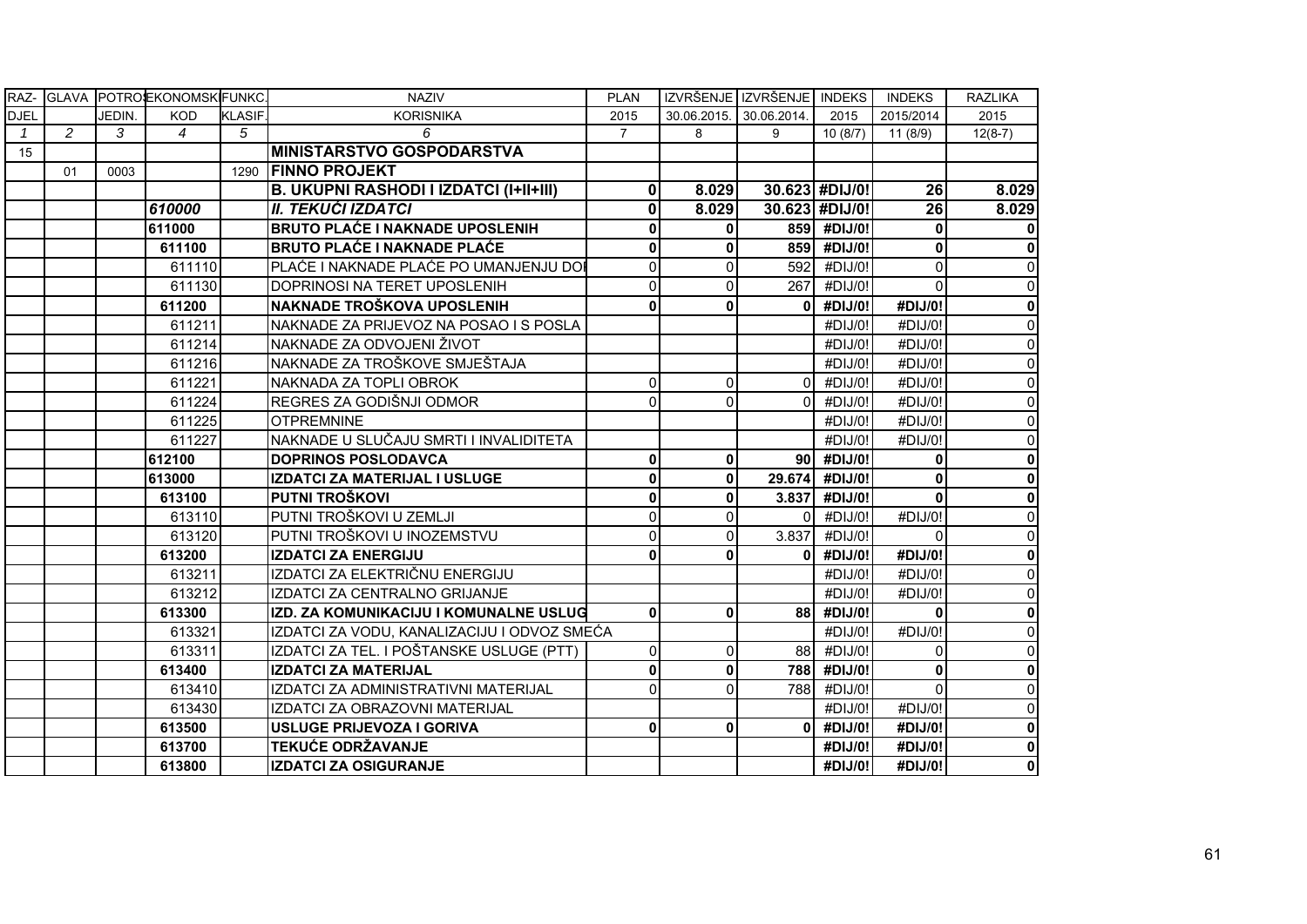|               |    |        | RAZ- GLAVA POTROEKONOMSK FUNKC. |                | <b>NAZIV</b>                                  | <b>PLAN</b>  |              | IZVRŠENJE IZVRŠENJE INDEKS |                | <b>INDEKS</b> | <b>RAZLIKA</b>          |
|---------------|----|--------|---------------------------------|----------------|-----------------------------------------------|--------------|--------------|----------------------------|----------------|---------------|-------------------------|
| <b>DJEL</b>   |    | JEDIN. | <b>KOD</b>                      | <b>KLASIF.</b> | <b>KORISNIKA</b>                              | 2015         |              | 30.06.2015. 30.06.2014.    | 2015           | 2015/2014     | 2015                    |
| $\mathcal{I}$ | 2  | 3      | $\overline{4}$                  | 5              | 6                                             | 7            | 8            | 9                          | 10(8/7)        | 11 (8/9)      | $12(8-7)$               |
| 15            |    |        |                                 |                | <b>MINISTARSTVO GOSPODARSTVA</b>              |              |              |                            |                |               |                         |
|               | 01 | 0003   |                                 |                | 1290 FINNO PROJEKT                            |              |              |                            |                |               |                         |
|               |    |        |                                 |                | <b>B. UKUPNI RASHODI I IZDATCI (I+II+III)</b> | 0            | 8.029        |                            | 30.623 #DIJ/0! | 26            | 8.029                   |
|               |    |        | 610000                          |                | II. TEKUĆI IZDATCI                            | 0            | 8.029        |                            | 30.623 #DIJ/0! | 26            | 8.029                   |
|               |    |        | 611000                          |                | <b>BRUTO PLAĆE I NAKNADE UPOSLENIH</b>        | 0            | $\mathbf{0}$ |                            | 859 #DIJ/0!    | $\mathbf{0}$  | $\bf{0}$                |
|               |    |        | 611100                          |                | <b>BRUTO PLAĆE I NAKNADE PLAĆE</b>            | 0            | 0            |                            | 859 #DIJ/0!    | 0             | $\pmb{0}$               |
|               |    |        | 611110                          |                | PLAĆE I NAKNADE PLAĆE PO UMANJENJU DO         | $\Omega$     | $\Omega$     | 592                        | #DIJ/0!        | $\Omega$      | $\mathbf 0$             |
|               |    |        | 611130                          |                | DOPRINOSI NA TERET UPOSLENIH                  | 0            | $\Omega$     | 267                        | #DIJ/0!        | $\Omega$      | $\mathbf 0$             |
|               |    |        | 611200                          |                | NAKNADE TROŠKOVA UPOSLENIH                    | O            | 0            | $\mathbf{0}$               | #DIJ/0!        | #DIJ/0!       | $\mathbf 0$             |
|               |    |        | 611211                          |                | NAKNADE ZA PRIJEVOZ NA POSAO I S POSLA        |              |              |                            | #DIJ/0!        | #DIJ/0!       | $\mathbf 0$             |
|               |    |        | 611214                          |                | NAKNADE ZA ODVOJENI ŽIVOT                     |              |              |                            | #DIJ/0!        | #DIJ/0!       | 0                       |
|               |    |        | 611216                          |                | NAKNADE ZA TROŠKOVE SMJEŠTAJA                 |              |              |                            | #DIJ/0!        | #DIJ/0!       | $\mathbf 0$             |
|               |    |        | 611221                          |                | NAKNADA ZA TOPLI OBROK                        | $\Omega$     | $\Omega$     | $\Omega$                   | #DIJ/0!        | #DIJ/0!       | $\mathbf{0}$            |
|               |    |        | 611224                          |                | REGRES ZA GODIŠNJI ODMOR                      | 0            | $\Omega$     | $\Omega$                   | #DIJ/0!        | #DIJ/0!       | 0                       |
|               |    |        | 611225                          |                | <b>OTPREMNINE</b>                             |              |              |                            | #DIJ/0!        | #DIJ/0!       | $\mathbf 0$             |
|               |    |        | 611227                          |                | NAKNADE U SLUČAJU SMRTI I INVALIDITETA        |              |              |                            | #DIJ/0!        | #DIJ/0!       | $\overline{0}$          |
|               |    |        | 612100                          |                | <b>DOPRINOS POSLODAVCA</b>                    | 0            | 0            | 90 I                       | #DIJ/0!        | 0             | $\mathbf 0$             |
|               |    |        | 613000                          |                | IZDATCI ZA MATERIJAL I USLUGE                 | 0            | $\mathbf{0}$ | 29.674                     | #DIJ/0!        | 0             | $\bf{0}$                |
|               |    |        | 613100                          |                | <b>PUTNI TROŠKOVI</b>                         | $\mathbf{0}$ | 0            | 3.837                      | #DIJ/0!        | $\Omega$      | $\overline{\mathbf{0}}$ |
|               |    |        | 613110                          |                | PUTNI TROŠKOVI U ZEMLJI                       | 0            | $\Omega$     | $\Omega$                   | #DIJ/0!        | #DIJ/0!       | $\mathbf 0$             |
|               |    |        | 613120                          |                | PUTNI TROŠKOVI U INOZEMSTVU                   | 0            | $\Omega$     | 3.837                      | #DIJ/0!        | $\Omega$      | $\pmb{0}$               |
|               |    |        | 613200                          |                | <b>IZDATCI ZA ENERGIJU</b>                    |              | $\bf{0}$     | $\mathbf{0}$               | #DIJ/0!        | #DIJ/0!       | $\mathbf 0$             |
|               |    |        | 613211                          |                | IZDATCI ZA ELEKTRIČNU ENERGIJU                |              |              |                            | #DIJ/0!        | #DIJ/0!       | 0                       |
|               |    |        | 613212                          |                | IZDATCI ZA CENTRALNO GRIJANJE                 |              |              |                            | #DIJ/0!        | #DIJ/0!       | 0                       |
|               |    |        | 613300                          |                | IZD. ZA KOMUNIKACIJU I KOMUNALNE USLUG        | $\mathbf{0}$ | 0            | 88I                        | #DIJ/0!        | $\mathbf{0}$  | $\mathbf 0$             |
|               |    |        | 613321                          |                | IZDATCI ZA VODU, KANALIZACIJU I ODVOZ SMEĆA   |              |              |                            | #DIJ/0!        | #DIJ/0!       | $\mathbf{0}$            |
|               |    |        | 613311                          |                | IZDATCI ZA TEL. I POŠTANSKE USLUGE (PTT)      | 0            | $\Omega$     | 88                         | #DIJ/0!        | $\Omega$      | $\pmb{0}$               |
|               |    |        | 613400                          |                | <b>IZDATCI ZA MATERIJAL</b>                   | 0            | $\mathbf{0}$ |                            | 788 #DIJ/0!    | $\mathbf{0}$  | $\mathbf 0$             |
|               |    |        | 613410                          |                | IZDATCI ZA ADMINISTRATIVNI MATERIJAL          | $\Omega$     | $\Omega$     | 788I                       | #DIJ/0!        | $\Omega$      | $\mathbf 0$             |
|               |    |        | 613430                          |                | IZDATCI ZA OBRAZOVNI MATERIJAL                |              |              |                            | #DIJ/0!        | #DIJ/0!       | $\pmb{0}$               |
|               |    |        | 613500                          |                | USLUGE PRIJEVOZA I GORIVA                     | $\mathbf{0}$ | $\mathbf{0}$ | ΩI                         | #DIJ/0!        | #DIJ/0!       | $\mathbf 0$             |
|               |    |        | 613700                          |                | <b>TEKUĆE ODRŽAVANJE</b>                      |              |              |                            | #DIJ/0!        | #DIJ/0!       | $\bf{0}$                |
|               |    |        | 613800                          |                | <b>IZDATCI ZA OSIGURANJE</b>                  |              |              |                            | #DIJ/0!        | #DIJ/0!       | $\bf{0}$                |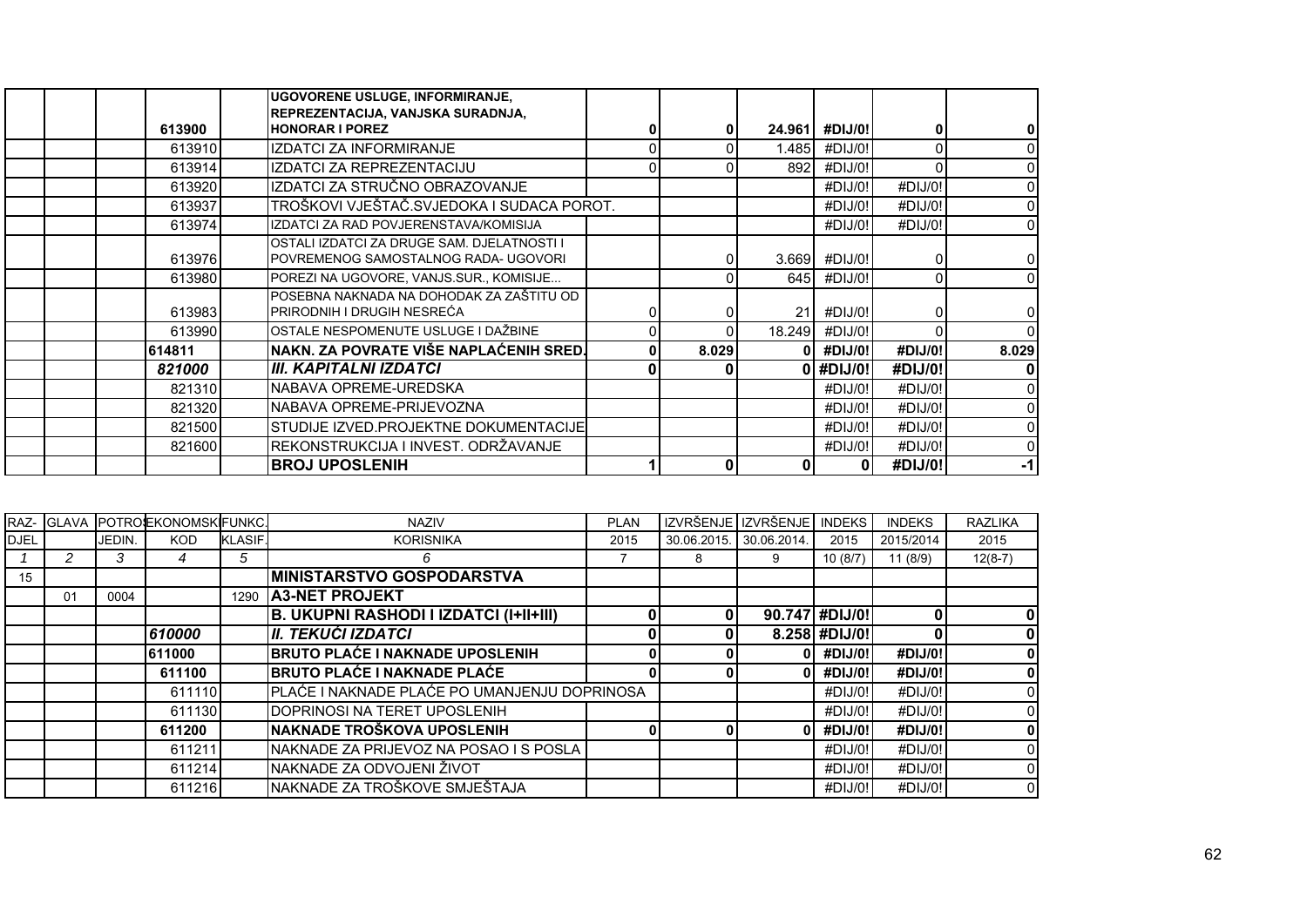|        | UGOVORENE USLUGE, INFORMIRANJE,<br>REPREZENTACIJA, VANJSKA SURADNJA,               |       |        |               |         |          |
|--------|------------------------------------------------------------------------------------|-------|--------|---------------|---------|----------|
| 613900 | <b>HONORAR I POREZ</b>                                                             | 0     | 24.961 | #DIJ/0!       |         |          |
| 613910 | <b>IZDATCI ZA INFORMIRANJE</b>                                                     | 0     | 1.485I | #DIJ/0!       |         | $\Omega$ |
| 613914 | IZDATCI ZA REPREZENTACIJU                                                          |       | 892    | #DIJ/0!       |         | $\Omega$ |
| 613920 | IZDATCI ZA STRUČNO OBRAZOVANJE                                                     |       |        | #DIJ/0!       | #DIJ/O! | $\Omega$ |
| 613937 | TROŠKOVI VJEŠTAČ.SVJEDOKA I SUDACA POROT.                                          |       |        | #DIJ/0!       | #DIJ/0! | $\Omega$ |
| 613974 | IZDATCI ZA RAD POVJERENSTAVA/KOMISIJA                                              |       |        | #DIJ/O!       | #DIJ/0! | $\Omega$ |
| 613976 | OSTALI IZDATCI ZA DRUGE SAM. DJELATNOSTI I<br>POVREMENOG SAMOSTALNOG RADA- UGOVORI |       |        | 3.669 #DIJ/0! |         | $\Omega$ |
| 613980 | POREZI NA UGOVORE, VANJS.SUR., KOMISIJE                                            |       |        | 645 #DIJ/0!   |         | $\Omega$ |
| 613983 | POSEBNA NAKNADA NA DOHODAK ZA ZAŠTITU OD<br>PRIRODNIH I DRUGIH NESREĆA             |       | 21     | #DIJ/0!       |         | 0        |
| 613990 | OSTALE NESPOMENUTE USLUGE I DAŽBINE                                                | 0     | 18.249 | #DIJ/0!       |         | $\Omega$ |
| 614811 | NAKN. ZA POVRATE VIŠE NAPLAĆENIH SRED.                                             | 8.029 |        | #DIJ/0!       | #DIJ/0! | 8.029    |
| 821000 | <b>III. KAPITALNI IZDATCI</b>                                                      |       |        | 0 #DIJ/0!     | #DIJ/0! | 0        |
| 821310 | NABAVA OPREME-UREDSKA                                                              |       |        | #DIJ/0!       | #DIJ/0! | $\Omega$ |
| 821320 | NABAVA OPREME-PRIJEVOZNA                                                           |       |        | #DIJ/0!       | #DIJ/0! | $\Omega$ |
| 821500 | STUDIJE IZVED.PROJEKTNE DOKUMENTACIJE                                              |       |        | #DIJ/O!       | #DIJ/O! | $\Omega$ |
| 821600 | REKONSTRUKCIJA I INVEST. ODRŽAVANJE                                                |       |        | #DIJ/0!       | #DIJ/0! | $\Omega$ |
|        | <b>BROJ UPOSLENIH</b>                                                              | 0     |        | 01            | #DIJ/0! | $-1$     |

|             |    |        | <b>RAZ- GLAVA POTROEKONOMSKIFUNKC.</b> |                | <b>NAZIV</b>                                  | <b>PLAN</b> |             | IZVRŠENJE IZVRŠENJE | <b>INDEKS</b>  | <b>INDEKS</b> | <b>RAZLIKA</b> |
|-------------|----|--------|----------------------------------------|----------------|-----------------------------------------------|-------------|-------------|---------------------|----------------|---------------|----------------|
| <b>DJEL</b> |    | JEDIN. | <b>KOD</b>                             | <b>KLASIF.</b> | <b>KORISNIKA</b>                              | 2015        | 30.06.2015. | 30.06.2014.         | 2015           | 2015/2014     | 2015           |
|             | 2  | 3      |                                        | 5              | 6                                             |             | 8           | 9                   | 10(8/7)        | 11(8/9)       | $12(8-7)$      |
| 15          |    |        |                                        |                | <b>MINISTARSTVO GOSPODARSTVA</b>              |             |             |                     |                |               |                |
|             | 01 | 0004   |                                        |                | 1290 A3-NET PROJEKT                           |             |             |                     |                |               |                |
|             |    |        |                                        |                | <b>B. UKUPNI RASHODI I IZDATCI (I+II+III)</b> |             |             |                     | 90.747 #DIJ/0! | 0             | 0              |
|             |    |        | 610000                                 |                | <b>II. TEKUĆI IZDATCI</b>                     |             |             |                     | 8.258 #DIJ/0!  |               | 0              |
|             |    |        | 611000                                 |                | <b>BRUTO PLAĆE I NAKNADE UPOSLENIH</b>        |             |             |                     | #DIJ/0!        | #DIJ/0!       | 0              |
|             |    |        | 611100                                 |                | <b>BRUTO PLAĆE I NAKNADE PLAĆE</b>            |             |             |                     | #DIJ/0!        | #DIJ/0!       |                |
|             |    |        | 611110                                 |                | PLAĆE I NAKNADE PLAĆE PO UMANJENJU DOPRINOSA  |             |             |                     | #DIJ/0!        | #DIJ/0!       |                |
|             |    |        | 611130                                 |                | DOPRINOSI NA TERET UPOSLENIH                  |             |             |                     | #DIJ/0!        | #DIJ/0!       | 0              |
|             |    |        | 611200                                 |                | NAKNADE TROŠKOVA UPOSLENIH                    |             |             |                     | #DIJ/0!        | #DIJ/0!       |                |
|             |    |        | 611211                                 |                | NAKNADE ZA PRIJEVOZ NA POSAO I S POSLA        |             |             |                     | #DIJ/0!        | #DIJ/0!       |                |
|             |    |        | 611214                                 |                | NAKNADE ZA ODVOJENI ŽIVOT                     |             |             |                     | #DIJ/0!        | #DIJ/0!       | $\overline{0}$ |
|             |    |        | 611216                                 |                | NAKNADE ZA TROŠKOVE SMJEŠTAJA                 |             |             |                     | #DIJ/0!        | #DIJ/0!       | $\overline{0}$ |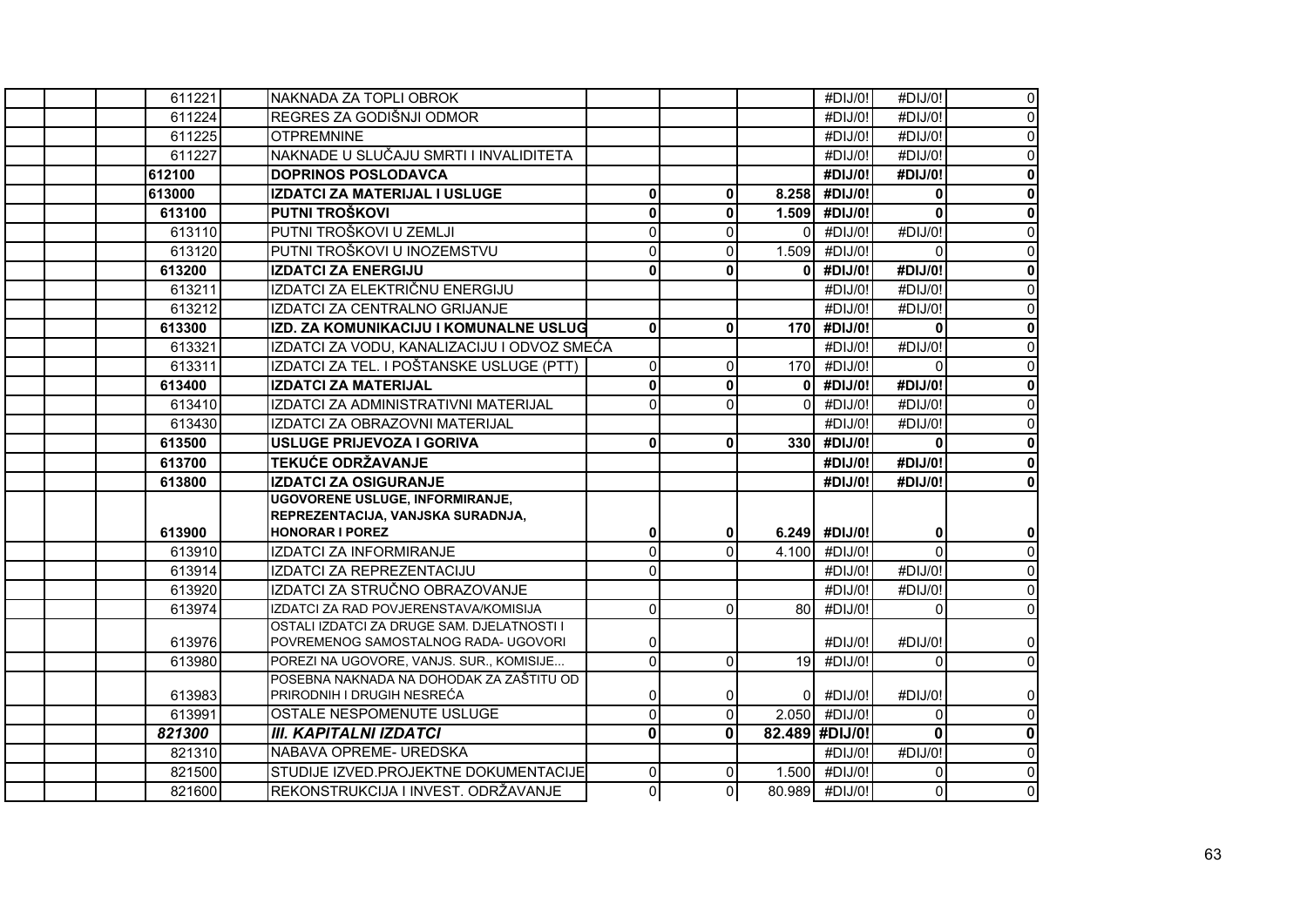| 611221 | INAKNADA ZA TOPLI OBROK                                                             |              |                |              | #DIJ/0!         | #DIJ/0!        | $\mathbf 0$         |
|--------|-------------------------------------------------------------------------------------|--------------|----------------|--------------|-----------------|----------------|---------------------|
| 611224 | REGRES ZA GODIŠNJI ODMOR                                                            |              |                |              | #DIJ/0!         | #DIJ/O!        | $\mathbf{0}$        |
| 611225 | <b>OTPREMNINE</b>                                                                   |              |                |              | #DIJ/0!         | #DIJ/0!        | $\mathbf 0$         |
| 611227 | NAKNADE U SLUČAJU SMRTI I INVALIDITETA                                              |              |                |              | #DIJ/0!         | #DIJ/0!        | $\mathbf 0$         |
| 612100 | <b>DOPRINOS POSLODAVCA</b>                                                          |              |                |              | #DIJ/0!         | #DIJ/0!        | $\mathbf 0$         |
| 613000 | IZDATCI ZA MATERIJAL I USLUGE                                                       | $\mathbf 0$  | $\mathbf{0}$   |              | 8.258 #DIJ/0!   | $\mathbf{0}$   | $\mathbf 0$         |
| 613100 | PUTNI TROŠKOVI                                                                      | $\mathbf 0$  | $\mathbf{0}$   |              | 1.509 #DIJ/0!   | $\mathbf 0$    | $\mathbf 0$         |
| 613110 | PUTNI TROŠKOVI U ZEMLJI                                                             | $\Omega$     | $\mathbf{0}$   | $\Omega$     | #DIJ/0!         | #DIJ/0!        | $\mathsf{O}\xspace$ |
| 613120 | PUTNI TROŠKOVI U INOZEMSTVU                                                         | $\Omega$     | $\mathbf{0}$   |              | 1.509 #DIJ/0!   | $\Omega$       | $\mathbf 0$         |
| 613200 | <b>IZDATCI ZA ENERGIJU</b>                                                          | 0            | 0              | 0            | #DIJ/0!         | #DIJ/0!        | $\mathbf 0$         |
| 613211 | IZDATCI ZA ELEKTRIČNU ENERGIJU                                                      |              |                |              | #DIJ/0!         | #DIJ/0!        | $\mathbf 0$         |
| 613212 | IZDATCI ZA CENTRALNO GRIJANJE                                                       |              |                |              | #DIJ/0!         | #DIJ/0!        | $\mathbf 0$         |
| 613300 | IZD. ZA KOMUNIKACIJU I KOMUNALNE USLUG                                              | $\mathbf{0}$ | 0              |              | $170$ #DIJ/0!   | $\mathbf{0}$   | $\mathbf 0$         |
| 613321 | IZDATCI ZA VODU, KANALIZACIJU I ODVOZ SMEĆA                                         |              |                |              | #DIJ/0!         | #DIJ/0!        | $\mathbf 0$         |
| 613311 | IZDATCI ZA TEL. I POŠTANSKE USLUGE (PTT)                                            | $\mathbf{0}$ | $\mathbf 0$    |              | 170 #DIJ/0!     | $\Omega$       | $\mathbf 0$         |
| 613400 | <b>IZDATCI ZA MATERIJAL</b>                                                         | $\mathbf 0$  | 0              | $\mathbf{0}$ | #DIJ/0!         | #DIJ/0!        | $\mathbf 0$         |
| 613410 | IZDATCI ZA ADMINISTRATIVNI MATERIJAL                                                | $\Omega$     | $\mathbf{0}$   | $\Omega$     | #DIJ/0!         | #DIJ/0!        | $\mathbf 0$         |
| 613430 | IZDATCI ZA OBRAZOVNI MATERIJAL                                                      |              |                |              | #DIJ/0!         | #DIJ/0!        | $\mathbf 0$         |
| 613500 | <b>USLUGE PRIJEVOZA I GORIVA</b>                                                    | 0            | $\mathbf{0}$   |              | 330 #DIJ/0!     | $\mathbf{0}$   | $\mathbf 0$         |
| 613700 | TEKUĆE ODRŽAVANJE                                                                   |              |                |              | #DIJ/0!         | #DIJ/0!        | $\mathbf 0$         |
| 613800 | <b>IZDATCI ZA OSIGURANJE</b>                                                        |              |                |              | #DIJ/0!         | #DIJ/0!        | $\mathbf 0$         |
|        | UGOVORENE USLUGE, INFORMIRANJE,                                                     |              |                |              |                 |                |                     |
|        | REPREZENTACIJA, VANJSKA SURADNJA,                                                   |              |                |              |                 |                |                     |
| 613900 | <b>HONORAR I POREZ</b>                                                              | $\mathbf 0$  | $\mathbf{0}$   |              | $6.249$ #DIJ/0! | $\mathbf{0}$   | $\pmb{0}$           |
| 613910 | IZDATCI ZA INFORMIRANJE                                                             | $\mathbf{0}$ | $\Omega$       |              | 4.100 #DIJ/0!   | $\Omega$       | $\mathsf{O}\xspace$ |
| 613914 | IZDATCI ZA REPREZENTACIJU                                                           | $\Omega$     |                |              | #DIJ/0!         | #DIJ/0!        | $\mathsf{O}\xspace$ |
| 613920 | IZDATCI ZA STRUČNO OBRAZOVANJE                                                      |              |                |              | #DIJ/0!         | #DIJ/0!        | $\mathsf{O}$        |
| 613974 | IZDATCI ZA RAD POVJERENSTAVA/KOMISIJA<br>OSTALI IZDATCI ZA DRUGE SAM. DJELATNOSTI I | $\Omega$     | $\Omega$       |              | 80 #DIJ/0!      | $\Omega$       | $\mathsf{O}$        |
| 613976 | POVREMENOG SAMOSTALNOG RADA- UGOVORI                                                | 0            |                |              | #DIJ/0!         | #DIJ/0!        | $\mathbf 0$         |
| 613980 | POREZI NA UGOVORE, VANJS. SUR., KOMISIJE                                            | $\mathbf{0}$ | $\mathbf{0}$   | 19           | #DIJ/0!         | $\Omega$       | $\mathbf 0$         |
|        | POSEBNA NAKNADA NA DOHODAK ZA ZAŠTITU OD                                            |              |                |              |                 |                |                     |
| 613983 | PRIRODNIH I DRUGIH NESREĆA                                                          | 0            | 0              | 0            | #DIJ/0!         | #DIJ/0!        | $\pmb{0}$           |
| 613991 | OSTALE NESPOMENUTE USLUGE                                                           | $\Omega$     | $\mathbf 0$    |              | 2.050 #DIJ/0!   | $\Omega$       | $\mathbf 0$         |
| 821300 | <b>III. KAPITALNI IZDATCI</b>                                                       | $\Omega$     | $\mathbf{0}$   |              | 82.489 #DIJ/0!  | $\Omega$       | $\mathbf 0$         |
| 821310 | NABAVA OPREME- UREDSKA                                                              |              |                |              | #DIJ/0!         | #DIJ/0!        | $\mathbf 0$         |
| 821500 | STUDIJE IZVED.PROJEKTNE DOKUMENTACIJE                                               | $\Omega$     | $\Omega$       |              | 1.500 #DIJ/0!   | $\Omega$       | $\mathbf 0$         |
| 821600 | REKONSTRUKCIJA I INVEST. ODRŽAVANJE                                                 | ΩI           | $\overline{0}$ |              | 80.989 #DIJ/0!  | $\overline{0}$ | $\mathbf 0$         |
|        |                                                                                     |              |                |              |                 |                |                     |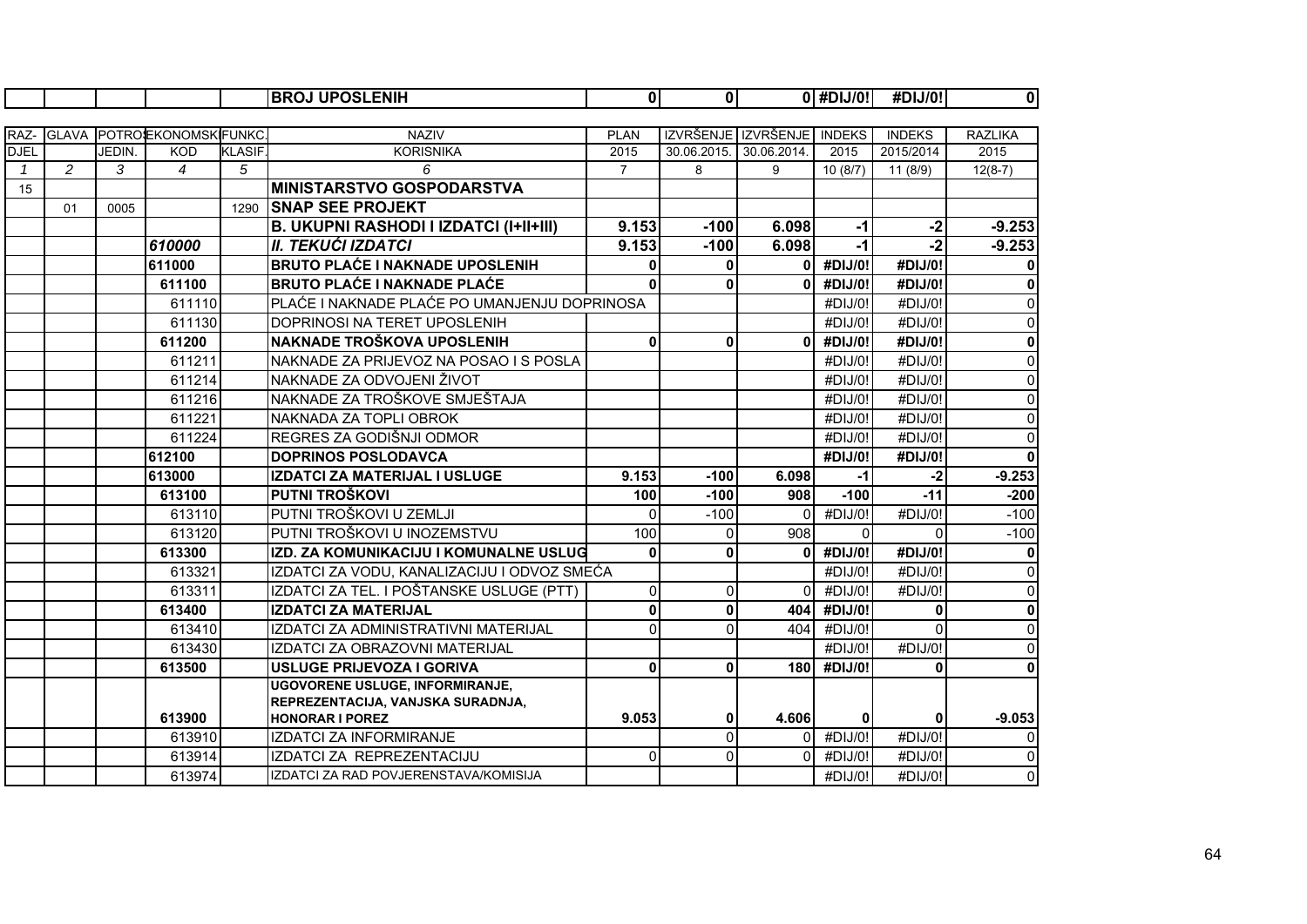|              |              |        |                     |               | <b>BROJ UPOSLENIH</b>                         | $\mathbf{0}$   | $\mathbf{0}$   |                            | $\overline{0 }$ #DIJ/0! | #DIJ/0!       | $\mathbf 0$    |
|--------------|--------------|--------|---------------------|---------------|-----------------------------------------------|----------------|----------------|----------------------------|-------------------------|---------------|----------------|
|              |              |        |                     |               |                                               |                |                |                            |                         |               |                |
| RAZ-         | <b>GLAVA</b> |        | POTROEKONOMSKIFUNKC |               | <b>NAZIV</b>                                  | <b>PLAN</b>    |                | IZVRŠENJE IZVRŠENJE INDEKS |                         | <b>INDEKS</b> | <b>RAZLIKA</b> |
| <b>DJEL</b>  |              | JEDIN. | <b>KOD</b>          | <b>KLASIF</b> | <b>KORISNIKA</b>                              | 2015           | 30.06.2015.    | 30.06.2014.                | 2015                    | 2015/2014     | 2015           |
| $\mathbf{1}$ | 2            | 3      | $\overline{4}$      | 5             | 6                                             | $\overline{7}$ | 8              | 9                          | 10(8/7)                 | 11 (8/9)      | $12(8-7)$      |
| 15           |              |        |                     |               | <b>MINISTARSTVO GOSPODARSTVA</b>              |                |                |                            |                         |               |                |
|              | 01           | 0005   |                     | 1290          | <b>SNAP SEE PROJEKT</b>                       |                |                |                            |                         |               |                |
|              |              |        |                     |               | <b>B. UKUPNI RASHODI I IZDATCI (I+II+III)</b> | 9.153          | $-100$         | 6.098                      | $-1$                    | $-2$          | $-9.253$       |
|              |              |        | 610000              |               | <b>II. TEKUĆI IZDATCI</b>                     | 9.153          | $-100$         | 6.098                      | $-1$                    | $-2$          | $-9.253$       |
|              |              |        | 611000              |               | <b>BRUTO PLAĆE I NAKNADE UPOSLENIH</b>        | $\Omega$       | $\mathbf{0}$   | 0                          | #DIJ/0!                 | #DIJ/0!       | $\mathbf{0}$   |
|              |              |        | 611100              |               | <b>BRUTO PLAĆE I NAKNADE PLAĆE</b>            | $\Omega$       | 0              | 0                          | #DIJ/0!                 | #DIJ/0!       | $\mathbf 0$    |
|              |              |        | 611110              |               | PLAĆE I NAKNADE PLAĆE PO UMANJENJU DOPRINOSA  |                |                |                            | #DIJ/0!                 | #DIJ/0!       | $\mathbf 0$    |
|              |              |        | 611130              |               | DOPRINOSI NA TERET UPOSLENIH                  |                |                |                            | #DIJ/0!                 | #DIJ/0!       | $\mathbf 0$    |
|              |              |        | 611200              |               | NAKNADE TROŠKOVA UPOSLENIH                    | $\bf{0}$       | $\bf{0}$       | O                          | #DIJ/0!                 | #DIJ/0!       | $\mathbf 0$    |
|              |              |        | 611211              |               | NAKNADE ZA PRIJEVOZ NA POSAO I S POSLA        |                |                |                            | #DIJ/0!                 | #DIJ/0!       | $\overline{0}$ |
|              |              |        | 611214              |               | NAKNADE ZA ODVOJENI ŽIVOT                     |                |                |                            | #DIJ/0!                 | #DIJ/0!       | $\mathbf 0$    |
|              |              |        | 611216              |               | NAKNADE ZA TROŠKOVE SMJEŠTAJA                 |                |                |                            | #DIJ/0!                 | #DIJ/0!       | 0              |
|              |              |        | 611221              |               | NAKNADA ZA TOPLI OBROK                        |                |                |                            | #DIJ/0!                 | #DIJ/0!       | 0              |
|              |              |        | 611224              |               | REGRES ZA GODIŠNJI ODMOR                      |                |                |                            | #DIJ/0!                 | #DIJ/0!       | $\overline{0}$ |
|              |              |        | 612100              |               | <b>DOPRINOS POSLODAVCA</b>                    |                |                |                            | #DIJ/0!                 | #DIJ/0!       | $\mathbf{0}$   |
|              |              |        | 613000              |               | IZDATCI ZA MATERIJAL I USLUGE                 | 9.153          | $-100$         | 6.098                      | $-1$                    | $-2$          | $-9.253$       |
|              |              |        | 613100              |               | PUTNI TROŠKOVI                                | 100            | $-100$         | 908                        | $-100$                  | $-11$         | $-200$         |
|              |              |        | 613110              |               | PUTNI TROŠKOVI U ZEMLJI                       | $\Omega$       | $-100$         | $\Omega$                   | #DIJ/0!                 | #DIJ/0!       | $-100$         |
|              |              |        | 613120              |               | PUTNI TROŠKOVI U INOZEMSTVU                   | 100            | $\Omega$       | 908                        | $\Omega$                | $\Omega$      | $-100$         |
|              |              |        | 613300              |               | IZD. ZA KOMUNIKACIJU I KOMUNALNE USLUG        | $\bf{0}$       | 0              | $\Omega$                   | #DIJ/0!                 | #DIJ/0!       | $\mathbf{0}$   |
|              |              |        | 613321              |               | IZDATCI ZA VODU, KANALIZACIJU I ODVOZ SMEĆA   |                |                |                            | #DIJ/0!                 | #DIJ/0!       | $\overline{0}$ |
|              |              |        | 613311              |               | IZDATCI ZA TEL. I POŠTANSKE USLUGE (PTT)      | 0              | $\overline{0}$ | $\Omega$                   | #DIJ/0!                 | #DIJ/0!       | $\overline{0}$ |
|              |              |        | 613400              |               | <b>IZDATCI ZA MATERIJAL</b>                   | $\bf{0}$       | $\mathbf{0}$   | 404                        | #DIJ/0!                 | $\mathbf 0$   | $\mathbf{0}$   |
|              |              |        | 613410              |               | IZDATCI ZA ADMINISTRATIVNI MATERIJAL          | $\Omega$       | $\Omega$       | 404                        | #DIJ/0!                 | $\Omega$      | 0              |
|              |              |        | 613430              |               | IZDATCI ZA OBRAZOVNI MATERIJAL                |                |                |                            | #DIJ/0!                 | #DIJ/0!       | $\mathbf 0$    |
|              |              |        | 613500              |               | <b>USLUGE PRIJEVOZA I GORIVA</b>              | $\mathbf 0$    | $\bf{0}$       | <b>180</b>                 | #DIJ/0!                 | $\bf{0}$      | $\mathbf{0}$   |
|              |              |        |                     |               | <b>UGOVORENE USLUGE, INFORMIRANJE,</b>        |                |                |                            |                         |               |                |
|              |              |        |                     |               | REPREZENTACIJA, VANJSKA SURADNJA,             |                |                |                            |                         |               |                |
|              |              |        | 613900              |               | <b>HONORAR I POREZ</b>                        | 9.053          | 0              | 4.606                      | 0                       | 0             | $-9.053$       |
|              |              |        | 613910              |               | <b>IZDATCI ZA INFORMIRANJE</b>                |                | $\Omega$       | $\Omega$                   | #DIJ/0!                 | #DIJ/0!       | $\mathbf 0$    |
|              |              |        | 613914              |               | IZDATCI ZA REPREZENTACIJU                     | $\Omega$       | $\Omega$       | <sup>0</sup>               | #DIJ/0!                 | #DIJ/0!       | $\mathbf 0$    |
|              |              |        | 613974              |               | IZDATCI ZA RAD POVJERENSTAVA/KOMISIJA         |                |                |                            | #DIJ/0!                 | #DIJ/0!       | $\overline{0}$ |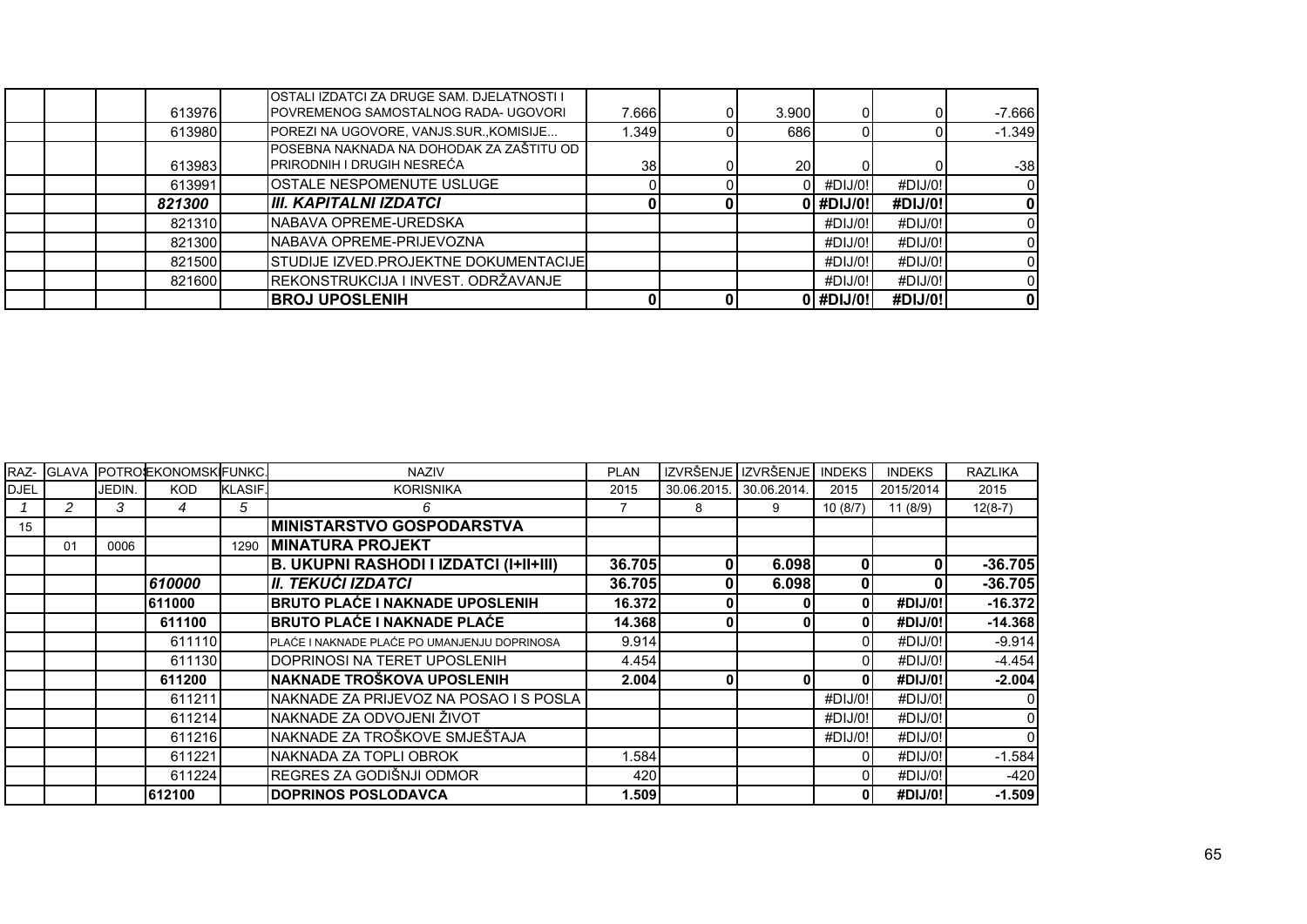| 613976 | OSTALI IZDATCI ZA DRUGE SAM. DJELATNOSTI I<br>POVREMENOG SAMOSTALNOG RADA- UGOVORI | 7.666 | 3.900     |           |         | $-7.666$ |
|--------|------------------------------------------------------------------------------------|-------|-----------|-----------|---------|----------|
| 613980 | POREZI NA UGOVORE, VANJS.SUR., KOMISIJE                                            | 1.349 | 686       |           |         | $-1.349$ |
| 613983 | POSEBNA NAKNADA NA DOHODAK ZA ZAŠTITU OD<br>PRIRODNIH I DRUGIH NESREĆA             | 38    | <b>20</b> |           |         | $-38$    |
| 613991 | <b>IOSTALE NESPOMENUTE USLUGE</b>                                                  |       |           | #DIJ/0!   | #DIJ/0! |          |
| 821300 | III. KAPITALNI IZDATCI                                                             |       |           | ) #DIJ/0! | #DIJ/0! |          |
| 821310 | INABAVA OPREME-UREDSKA                                                             |       |           | #DIJ/0!   | #DIJ/0! |          |
| 821300 | NABAVA OPREME-PRIJEVOZNA                                                           |       |           | #DIJ/0!   | #DIJ/0! |          |
| 821500 | <b>STUDIJE IZVED.PROJEKTNE DOKUMENTACIJE</b>                                       |       |           | #DIJ/0!   | #DIJ/0! |          |
| 821600 | REKONSTRUKCIJA I INVEST. ODRŽAVANJE                                                |       |           | #DIJ/0!   | #DIJ/0! | 01       |
|        | <b>BROJ UPOSLENIH</b>                                                              |       |           | ) #DIJ/0! | #DIJ/0! | 0        |

|             |    |        | RAZ- GLAVA POTROEKONOMSKIFUNKC. |                | <b>NAZIV</b>                                  | <b>PLAN</b> |             | IZVRŠENJE IZVRŠENJE | <b>INDEKS</b>  | <b>INDEKS</b> | <b>RAZLIKA</b> |
|-------------|----|--------|---------------------------------|----------------|-----------------------------------------------|-------------|-------------|---------------------|----------------|---------------|----------------|
| <b>DJEL</b> |    | JEDIN. | <b>KOD</b>                      | <b>KLASIF.</b> | <b>KORISNIKA</b>                              | 2015        | 30.06.2015. | 30.06.2014.         | 2015           | 2015/2014     | 2015           |
|             | 2  | 3      | 4                               | 5              | 6                                             |             | 8           | 9                   | 10(8/7)        | 11(8/9)       | $12(8-7)$      |
| 15          |    |        |                                 |                | <b>MINISTARSTVO GOSPODARSTVA</b>              |             |             |                     |                |               |                |
|             | 01 | 0006   |                                 | 1290           | <b>MINATURA PROJEKT</b>                       |             |             |                     |                |               |                |
|             |    |        |                                 |                | <b>B. UKUPNI RASHODI I IZDATCI (I+II+III)</b> | 36.705      |             | 6.098               | $\mathbf 0$    | 0             | $-36.705$      |
|             |    |        | 610000                          |                | II. TEKUĆI IZDATCI                            | 36.705      |             | 6.098               | $\mathbf 0$    |               | $-36.705$      |
|             |    |        | 611000                          |                | <b>BRUTO PLAĆE I NAKNADE UPOSLENIH</b>        | 16.372      |             | 0                   | $\mathbf{0}$   | #DIJ/0!       | $-16.372$      |
|             |    |        | 611100                          |                | <b>BRUTO PLAĆE I NAKNADE PLAĆE</b>            | 14.368      |             | 0                   | $\mathbf{0}$   | #DIJ/0!       | $-14.368$      |
|             |    |        | 611110                          |                | PLAĆE I NAKNADE PLAĆE PO UMANJENJU DOPRINOSA  | 9.914       |             |                     |                | #DIJ/0!       | $-9.914$       |
|             |    |        | 611130                          |                | DOPRINOSI NA TERET UPOSLENIH                  | 4.454       |             |                     |                | #DIJ/0!       | $-4.454$       |
|             |    |        | 611200                          |                | NAKNADE TROŠKOVA UPOSLENIH                    | 2.004       |             | 0                   | 0              | #DIJ/0!       | $-2.004$       |
|             |    |        | 611211                          |                | NAKNADE ZA PRIJEVOZ NA POSAO I S POSLA        |             |             |                     | #DIJ/0!        | #DIJ/0!       | 01             |
|             |    |        | 611214                          |                | NAKNADE ZA ODVOJENI ŽIVOT                     |             |             |                     | #DIJ/0!        | #DIJ/0!       | $\overline{0}$ |
|             |    |        | 611216                          |                | NAKNADE ZA TROŠKOVE SMJEŠTAJA                 |             |             |                     | #DIJ/0!        | #DIJ/0!       | $\overline{0}$ |
|             |    |        | 611221                          |                | NAKNADA ZA TOPLI OBROK                        | 1.584       |             |                     |                | #DIJ/0!       | $-1.584$       |
|             |    |        | 611224                          |                | REGRES ZA GODIŠNJI ODMOR                      | 420         |             |                     | $\overline{0}$ | #DIJ/0!       | $-420$         |
|             |    |        | 612100                          |                | <b>DOPRINOS POSLODAVCA</b>                    | 1.509       |             |                     | 01             | #DIJ/0!       | $-1.509$       |